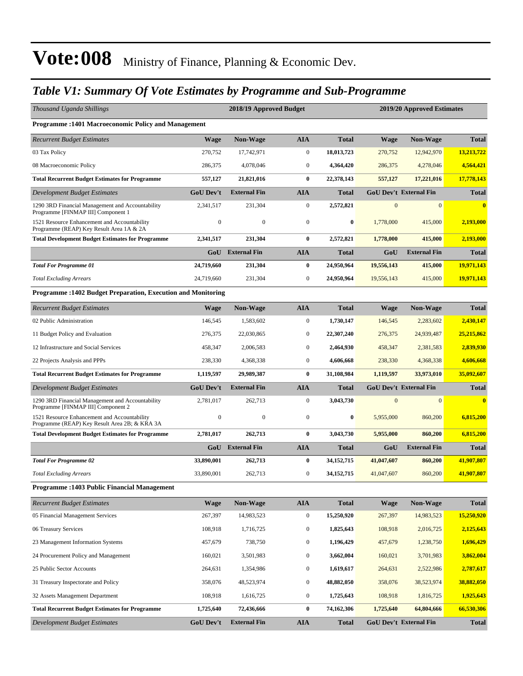### *Table V1: Summary Of Vote Estimates by Programme and Sub-Programme*

| <b>Programme:1401 Macroeconomic Policy and Management</b><br><b>AIA</b><br><b>Total</b><br><b>Recurrent Budget Estimates</b><br><b>Wage</b><br><b>Non-Wage</b><br>Wage<br>03 Tax Policy<br>270,752<br>$\mathbf{0}$<br>18,013,723<br>17,742,971<br>270,752<br>$\mathbf{0}$<br>08 Macroeconomic Policy<br>286,375<br>4,078,046<br>4,364,420<br>286,375<br>$\bf{0}$<br><b>Total Recurrent Budget Estimates for Programme</b><br>557,127<br>21,821,016<br>22,378,143<br>557,127<br><b>AIA</b><br><b>GoU Dev't External Fin</b><br><b>GoU Dev't</b><br><b>External Fin</b><br>Development Budget Estimates<br><b>Total</b><br>$\mathbf{0}$<br>2,572,821<br>$\mathbf{0}$<br>1290 3RD Financial Management and Accountability<br>2,341,517<br>231,304<br>Programme [FINMAP III] Component 1<br>$\boldsymbol{0}$<br>$\boldsymbol{0}$<br>1521 Resource Enhancement and Accountability<br>$\boldsymbol{0}$<br>$\boldsymbol{0}$<br>1,778,000<br>Programme (REAP) Key Result Area 1A & 2A<br>$\bf{0}$<br>2,572,821<br><b>Total Development Budget Estimates for Programme</b><br>2,341,517<br>231,304<br>1,778,000<br><b>External Fin</b><br><b>AIA</b><br>GoU<br><b>Total</b><br>GoU<br>24,719,660<br>$\bf{0}$<br>24,950,964<br><b>Total For Programme 01</b><br>231,304<br>19,556,143<br>$\mathbf{0}$<br><b>Total Excluding Arrears</b><br>24,719,660<br>231,304<br>24,950,964<br>19,556,143<br>Programme : 1402 Budget Preparation, Execution and Monitoring<br><b>Non-Wage</b><br><b>AIA</b><br><b>Total</b><br><b>Recurrent Budget Estimates</b><br><b>Wage</b><br><b>Wage</b><br>$\boldsymbol{0}$<br>02 Public Administration<br>146.545<br>1,583,602<br>1,730,147<br>146,545<br>$\mathbf{0}$<br>11 Budget Policy and Evaluation<br>276,375<br>22,030,865<br>22,307,240<br>276,375<br>$\mathbf{0}$<br>12 Infrastructure and Social Services<br>458,347<br>2,006,583<br>2,464,930<br>458,347<br>$\mathbf{0}$<br>22 Projects Analysis and PPPs<br>238,330<br>4,368,338<br>4,606,668<br>238,330<br>$\bf{0}$<br>31,108,984<br><b>Total Recurrent Budget Estimates for Programme</b><br>1,119,597<br>29,989,387<br>1,119,597<br><b>GoU Dev't External Fin</b><br><b>GoU Dev't</b><br><b>External Fin</b><br><b>AIA</b><br>Development Budget Estimates<br><b>Total</b><br>1290 3RD Financial Management and Accountability<br>2,781,017<br>262,713<br>$\mathbf{0}$<br>3,043,730<br>$\mathbf{0}$<br>Programme [FINMAP III] Component 2 | <b>Non-Wage</b><br>12,942,970<br>4,278,046<br>17,221,016<br>$\mathbf{0}$<br>415,000<br>415,000<br><b>External Fin</b><br>415,000 | <b>Total</b><br>13,213,722<br>4,564,421<br>17,778,143<br><b>Total</b><br>$\mathbf{0}$<br>2,193,000<br>2,193,000<br><b>Total</b> |
|----------------------------------------------------------------------------------------------------------------------------------------------------------------------------------------------------------------------------------------------------------------------------------------------------------------------------------------------------------------------------------------------------------------------------------------------------------------------------------------------------------------------------------------------------------------------------------------------------------------------------------------------------------------------------------------------------------------------------------------------------------------------------------------------------------------------------------------------------------------------------------------------------------------------------------------------------------------------------------------------------------------------------------------------------------------------------------------------------------------------------------------------------------------------------------------------------------------------------------------------------------------------------------------------------------------------------------------------------------------------------------------------------------------------------------------------------------------------------------------------------------------------------------------------------------------------------------------------------------------------------------------------------------------------------------------------------------------------------------------------------------------------------------------------------------------------------------------------------------------------------------------------------------------------------------------------------------------------------------------------------------------------------------------------------------------------------------------------------------------------------------------------------------------------------------------------------------------------------------------------------------------------------------------------------------------------------------------------------------------------------------------------------------------------------|----------------------------------------------------------------------------------------------------------------------------------|---------------------------------------------------------------------------------------------------------------------------------|
|                                                                                                                                                                                                                                                                                                                                                                                                                                                                                                                                                                                                                                                                                                                                                                                                                                                                                                                                                                                                                                                                                                                                                                                                                                                                                                                                                                                                                                                                                                                                                                                                                                                                                                                                                                                                                                                                                                                                                                                                                                                                                                                                                                                                                                                                                                                                                                                                                            |                                                                                                                                  |                                                                                                                                 |
|                                                                                                                                                                                                                                                                                                                                                                                                                                                                                                                                                                                                                                                                                                                                                                                                                                                                                                                                                                                                                                                                                                                                                                                                                                                                                                                                                                                                                                                                                                                                                                                                                                                                                                                                                                                                                                                                                                                                                                                                                                                                                                                                                                                                                                                                                                                                                                                                                            |                                                                                                                                  |                                                                                                                                 |
|                                                                                                                                                                                                                                                                                                                                                                                                                                                                                                                                                                                                                                                                                                                                                                                                                                                                                                                                                                                                                                                                                                                                                                                                                                                                                                                                                                                                                                                                                                                                                                                                                                                                                                                                                                                                                                                                                                                                                                                                                                                                                                                                                                                                                                                                                                                                                                                                                            |                                                                                                                                  |                                                                                                                                 |
|                                                                                                                                                                                                                                                                                                                                                                                                                                                                                                                                                                                                                                                                                                                                                                                                                                                                                                                                                                                                                                                                                                                                                                                                                                                                                                                                                                                                                                                                                                                                                                                                                                                                                                                                                                                                                                                                                                                                                                                                                                                                                                                                                                                                                                                                                                                                                                                                                            |                                                                                                                                  |                                                                                                                                 |
|                                                                                                                                                                                                                                                                                                                                                                                                                                                                                                                                                                                                                                                                                                                                                                                                                                                                                                                                                                                                                                                                                                                                                                                                                                                                                                                                                                                                                                                                                                                                                                                                                                                                                                                                                                                                                                                                                                                                                                                                                                                                                                                                                                                                                                                                                                                                                                                                                            |                                                                                                                                  |                                                                                                                                 |
|                                                                                                                                                                                                                                                                                                                                                                                                                                                                                                                                                                                                                                                                                                                                                                                                                                                                                                                                                                                                                                                                                                                                                                                                                                                                                                                                                                                                                                                                                                                                                                                                                                                                                                                                                                                                                                                                                                                                                                                                                                                                                                                                                                                                                                                                                                                                                                                                                            |                                                                                                                                  |                                                                                                                                 |
|                                                                                                                                                                                                                                                                                                                                                                                                                                                                                                                                                                                                                                                                                                                                                                                                                                                                                                                                                                                                                                                                                                                                                                                                                                                                                                                                                                                                                                                                                                                                                                                                                                                                                                                                                                                                                                                                                                                                                                                                                                                                                                                                                                                                                                                                                                                                                                                                                            |                                                                                                                                  |                                                                                                                                 |
|                                                                                                                                                                                                                                                                                                                                                                                                                                                                                                                                                                                                                                                                                                                                                                                                                                                                                                                                                                                                                                                                                                                                                                                                                                                                                                                                                                                                                                                                                                                                                                                                                                                                                                                                                                                                                                                                                                                                                                                                                                                                                                                                                                                                                                                                                                                                                                                                                            |                                                                                                                                  |                                                                                                                                 |
|                                                                                                                                                                                                                                                                                                                                                                                                                                                                                                                                                                                                                                                                                                                                                                                                                                                                                                                                                                                                                                                                                                                                                                                                                                                                                                                                                                                                                                                                                                                                                                                                                                                                                                                                                                                                                                                                                                                                                                                                                                                                                                                                                                                                                                                                                                                                                                                                                            |                                                                                                                                  |                                                                                                                                 |
|                                                                                                                                                                                                                                                                                                                                                                                                                                                                                                                                                                                                                                                                                                                                                                                                                                                                                                                                                                                                                                                                                                                                                                                                                                                                                                                                                                                                                                                                                                                                                                                                                                                                                                                                                                                                                                                                                                                                                                                                                                                                                                                                                                                                                                                                                                                                                                                                                            |                                                                                                                                  |                                                                                                                                 |
|                                                                                                                                                                                                                                                                                                                                                                                                                                                                                                                                                                                                                                                                                                                                                                                                                                                                                                                                                                                                                                                                                                                                                                                                                                                                                                                                                                                                                                                                                                                                                                                                                                                                                                                                                                                                                                                                                                                                                                                                                                                                                                                                                                                                                                                                                                                                                                                                                            |                                                                                                                                  | 19,971,143                                                                                                                      |
|                                                                                                                                                                                                                                                                                                                                                                                                                                                                                                                                                                                                                                                                                                                                                                                                                                                                                                                                                                                                                                                                                                                                                                                                                                                                                                                                                                                                                                                                                                                                                                                                                                                                                                                                                                                                                                                                                                                                                                                                                                                                                                                                                                                                                                                                                                                                                                                                                            | 415,000                                                                                                                          | 19,971,143                                                                                                                      |
|                                                                                                                                                                                                                                                                                                                                                                                                                                                                                                                                                                                                                                                                                                                                                                                                                                                                                                                                                                                                                                                                                                                                                                                                                                                                                                                                                                                                                                                                                                                                                                                                                                                                                                                                                                                                                                                                                                                                                                                                                                                                                                                                                                                                                                                                                                                                                                                                                            |                                                                                                                                  |                                                                                                                                 |
|                                                                                                                                                                                                                                                                                                                                                                                                                                                                                                                                                                                                                                                                                                                                                                                                                                                                                                                                                                                                                                                                                                                                                                                                                                                                                                                                                                                                                                                                                                                                                                                                                                                                                                                                                                                                                                                                                                                                                                                                                                                                                                                                                                                                                                                                                                                                                                                                                            | <b>Non-Wage</b>                                                                                                                  | <b>Total</b>                                                                                                                    |
|                                                                                                                                                                                                                                                                                                                                                                                                                                                                                                                                                                                                                                                                                                                                                                                                                                                                                                                                                                                                                                                                                                                                                                                                                                                                                                                                                                                                                                                                                                                                                                                                                                                                                                                                                                                                                                                                                                                                                                                                                                                                                                                                                                                                                                                                                                                                                                                                                            | 2,283,602                                                                                                                        | 2,430,147                                                                                                                       |
|                                                                                                                                                                                                                                                                                                                                                                                                                                                                                                                                                                                                                                                                                                                                                                                                                                                                                                                                                                                                                                                                                                                                                                                                                                                                                                                                                                                                                                                                                                                                                                                                                                                                                                                                                                                                                                                                                                                                                                                                                                                                                                                                                                                                                                                                                                                                                                                                                            | 24,939,487                                                                                                                       | 25,215,862                                                                                                                      |
|                                                                                                                                                                                                                                                                                                                                                                                                                                                                                                                                                                                                                                                                                                                                                                                                                                                                                                                                                                                                                                                                                                                                                                                                                                                                                                                                                                                                                                                                                                                                                                                                                                                                                                                                                                                                                                                                                                                                                                                                                                                                                                                                                                                                                                                                                                                                                                                                                            | 2,381,583                                                                                                                        | 2,839,930                                                                                                                       |
|                                                                                                                                                                                                                                                                                                                                                                                                                                                                                                                                                                                                                                                                                                                                                                                                                                                                                                                                                                                                                                                                                                                                                                                                                                                                                                                                                                                                                                                                                                                                                                                                                                                                                                                                                                                                                                                                                                                                                                                                                                                                                                                                                                                                                                                                                                                                                                                                                            | 4,368,338                                                                                                                        | 4,606,668                                                                                                                       |
|                                                                                                                                                                                                                                                                                                                                                                                                                                                                                                                                                                                                                                                                                                                                                                                                                                                                                                                                                                                                                                                                                                                                                                                                                                                                                                                                                                                                                                                                                                                                                                                                                                                                                                                                                                                                                                                                                                                                                                                                                                                                                                                                                                                                                                                                                                                                                                                                                            | 33,973,010                                                                                                                       | 35,092,607                                                                                                                      |
|                                                                                                                                                                                                                                                                                                                                                                                                                                                                                                                                                                                                                                                                                                                                                                                                                                                                                                                                                                                                                                                                                                                                                                                                                                                                                                                                                                                                                                                                                                                                                                                                                                                                                                                                                                                                                                                                                                                                                                                                                                                                                                                                                                                                                                                                                                                                                                                                                            |                                                                                                                                  | <b>Total</b>                                                                                                                    |
|                                                                                                                                                                                                                                                                                                                                                                                                                                                                                                                                                                                                                                                                                                                                                                                                                                                                                                                                                                                                                                                                                                                                                                                                                                                                                                                                                                                                                                                                                                                                                                                                                                                                                                                                                                                                                                                                                                                                                                                                                                                                                                                                                                                                                                                                                                                                                                                                                            | $\mathbf{0}$                                                                                                                     | $\mathbf{0}$                                                                                                                    |
| 1521 Resource Enhancement and Accountability<br>$\boldsymbol{0}$<br>$\boldsymbol{0}$<br>$\mathbf{0}$<br>$\bf{0}$<br>5,955,000<br>Programme (REAP) Key Result Area 2B; & KRA 3A                                                                                                                                                                                                                                                                                                                                                                                                                                                                                                                                                                                                                                                                                                                                                                                                                                                                                                                                                                                                                                                                                                                                                                                                                                                                                                                                                                                                                                                                                                                                                                                                                                                                                                                                                                                                                                                                                                                                                                                                                                                                                                                                                                                                                                             | 860,200                                                                                                                          | 6,815,200                                                                                                                       |
| 262,713<br>$\bf{0}$<br>3,043,730<br>5,955,000<br><b>Total Development Budget Estimates for Programme</b><br>2,781,017                                                                                                                                                                                                                                                                                                                                                                                                                                                                                                                                                                                                                                                                                                                                                                                                                                                                                                                                                                                                                                                                                                                                                                                                                                                                                                                                                                                                                                                                                                                                                                                                                                                                                                                                                                                                                                                                                                                                                                                                                                                                                                                                                                                                                                                                                                      | 860,200                                                                                                                          | 6,815,200                                                                                                                       |
| <b>External Fin</b><br><b>AIA</b><br><b>Total</b><br>GoU<br>GoU                                                                                                                                                                                                                                                                                                                                                                                                                                                                                                                                                                                                                                                                                                                                                                                                                                                                                                                                                                                                                                                                                                                                                                                                                                                                                                                                                                                                                                                                                                                                                                                                                                                                                                                                                                                                                                                                                                                                                                                                                                                                                                                                                                                                                                                                                                                                                            | <b>External Fin</b>                                                                                                              | <b>Total</b>                                                                                                                    |
| $\bf{0}$<br><b>Total For Programme 02</b><br>33,890,001<br>262,713<br>34, 152, 715<br>41,047,607                                                                                                                                                                                                                                                                                                                                                                                                                                                                                                                                                                                                                                                                                                                                                                                                                                                                                                                                                                                                                                                                                                                                                                                                                                                                                                                                                                                                                                                                                                                                                                                                                                                                                                                                                                                                                                                                                                                                                                                                                                                                                                                                                                                                                                                                                                                           | 860,200                                                                                                                          | 41,907,807                                                                                                                      |
| $\mathbf{0}$<br>33,890,001<br>262,713<br>34, 152, 715<br>41,047,607<br><b>Total Excluding Arrears</b>                                                                                                                                                                                                                                                                                                                                                                                                                                                                                                                                                                                                                                                                                                                                                                                                                                                                                                                                                                                                                                                                                                                                                                                                                                                                                                                                                                                                                                                                                                                                                                                                                                                                                                                                                                                                                                                                                                                                                                                                                                                                                                                                                                                                                                                                                                                      | 860,200                                                                                                                          | 41,907,807                                                                                                                      |
| Programme: 1403 Public Financial Management                                                                                                                                                                                                                                                                                                                                                                                                                                                                                                                                                                                                                                                                                                                                                                                                                                                                                                                                                                                                                                                                                                                                                                                                                                                                                                                                                                                                                                                                                                                                                                                                                                                                                                                                                                                                                                                                                                                                                                                                                                                                                                                                                                                                                                                                                                                                                                                |                                                                                                                                  |                                                                                                                                 |
| <b>AIA</b><br><b>Recurrent Budget Estimates</b><br><b>Wage</b><br><b>Non-Wage</b><br><b>Total</b><br><b>Wage</b>                                                                                                                                                                                                                                                                                                                                                                                                                                                                                                                                                                                                                                                                                                                                                                                                                                                                                                                                                                                                                                                                                                                                                                                                                                                                                                                                                                                                                                                                                                                                                                                                                                                                                                                                                                                                                                                                                                                                                                                                                                                                                                                                                                                                                                                                                                           | <b>Non-Wage</b>                                                                                                                  | <b>Total</b>                                                                                                                    |
| 05 Financial Management Services<br>267,397<br>14,983,523<br>$\boldsymbol{0}$<br>15,250,920<br>267,397                                                                                                                                                                                                                                                                                                                                                                                                                                                                                                                                                                                                                                                                                                                                                                                                                                                                                                                                                                                                                                                                                                                                                                                                                                                                                                                                                                                                                                                                                                                                                                                                                                                                                                                                                                                                                                                                                                                                                                                                                                                                                                                                                                                                                                                                                                                     | 14,983,523                                                                                                                       | 15,250,920                                                                                                                      |
| 06 Treasury Services<br>108,918<br>$\boldsymbol{0}$<br>1,825,643<br>108,918<br>1,716,725                                                                                                                                                                                                                                                                                                                                                                                                                                                                                                                                                                                                                                                                                                                                                                                                                                                                                                                                                                                                                                                                                                                                                                                                                                                                                                                                                                                                                                                                                                                                                                                                                                                                                                                                                                                                                                                                                                                                                                                                                                                                                                                                                                                                                                                                                                                                   | 2,016,725                                                                                                                        | 2,125,643                                                                                                                       |
| 23 Management Information Systems<br>738,750<br>$\boldsymbol{0}$<br>1,196,429<br>457,679<br>457,679                                                                                                                                                                                                                                                                                                                                                                                                                                                                                                                                                                                                                                                                                                                                                                                                                                                                                                                                                                                                                                                                                                                                                                                                                                                                                                                                                                                                                                                                                                                                                                                                                                                                                                                                                                                                                                                                                                                                                                                                                                                                                                                                                                                                                                                                                                                        | 1,238,750                                                                                                                        | 1,696,429                                                                                                                       |
| 24 Procurement Policy and Management<br>160,021<br>3,501,983<br>$\boldsymbol{0}$<br>3,662,004<br>160,021                                                                                                                                                                                                                                                                                                                                                                                                                                                                                                                                                                                                                                                                                                                                                                                                                                                                                                                                                                                                                                                                                                                                                                                                                                                                                                                                                                                                                                                                                                                                                                                                                                                                                                                                                                                                                                                                                                                                                                                                                                                                                                                                                                                                                                                                                                                   | 3,701,983                                                                                                                        | 3,862,004                                                                                                                       |
| $\boldsymbol{0}$<br>25 Public Sector Accounts<br>264,631<br>1,619,617<br>264,631<br>1,354,986                                                                                                                                                                                                                                                                                                                                                                                                                                                                                                                                                                                                                                                                                                                                                                                                                                                                                                                                                                                                                                                                                                                                                                                                                                                                                                                                                                                                                                                                                                                                                                                                                                                                                                                                                                                                                                                                                                                                                                                                                                                                                                                                                                                                                                                                                                                              | 2,522,986                                                                                                                        | 2,787,617                                                                                                                       |
| $\boldsymbol{0}$<br>31 Treasury Inspectorate and Policy<br>358,076<br>48,523,974<br>48,882,050<br>358,076                                                                                                                                                                                                                                                                                                                                                                                                                                                                                                                                                                                                                                                                                                                                                                                                                                                                                                                                                                                                                                                                                                                                                                                                                                                                                                                                                                                                                                                                                                                                                                                                                                                                                                                                                                                                                                                                                                                                                                                                                                                                                                                                                                                                                                                                                                                  | 38,523,974                                                                                                                       | 38,882,050                                                                                                                      |
| 32 Assets Management Department<br>108,918<br>$\boldsymbol{0}$<br>108,918<br>1,616,725<br>1,725,643                                                                                                                                                                                                                                                                                                                                                                                                                                                                                                                                                                                                                                                                                                                                                                                                                                                                                                                                                                                                                                                                                                                                                                                                                                                                                                                                                                                                                                                                                                                                                                                                                                                                                                                                                                                                                                                                                                                                                                                                                                                                                                                                                                                                                                                                                                                        | 1,816,725                                                                                                                        | 1,925,643                                                                                                                       |
| <b>Total Recurrent Budget Estimates for Programme</b><br>1,725,640<br>1,725,640<br>72,436,666<br>$\bf{0}$<br>74,162,306                                                                                                                                                                                                                                                                                                                                                                                                                                                                                                                                                                                                                                                                                                                                                                                                                                                                                                                                                                                                                                                                                                                                                                                                                                                                                                                                                                                                                                                                                                                                                                                                                                                                                                                                                                                                                                                                                                                                                                                                                                                                                                                                                                                                                                                                                                    | 64,804,666                                                                                                                       | 66,530,306                                                                                                                      |
| <b>External Fin</b><br>${\bf A I A}$<br>Development Budget Estimates<br>GoU Dev't<br><b>Total</b><br>GoU Dev't External Fin                                                                                                                                                                                                                                                                                                                                                                                                                                                                                                                                                                                                                                                                                                                                                                                                                                                                                                                                                                                                                                                                                                                                                                                                                                                                                                                                                                                                                                                                                                                                                                                                                                                                                                                                                                                                                                                                                                                                                                                                                                                                                                                                                                                                                                                                                                |                                                                                                                                  | <b>Total</b>                                                                                                                    |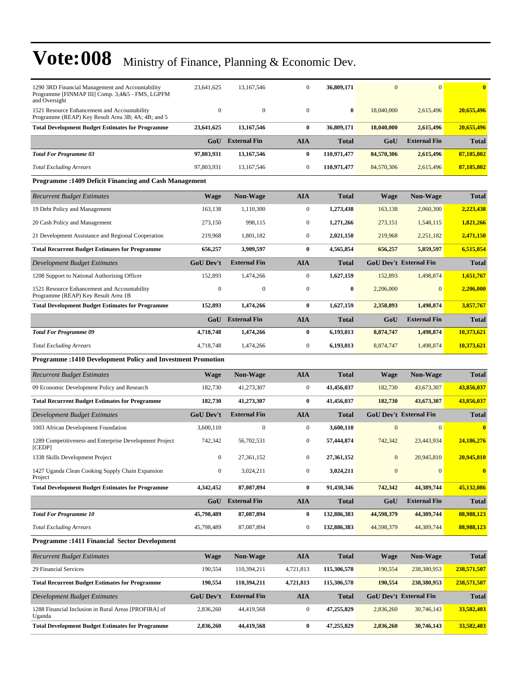| 1290 3RD Financial Management and Accountability<br>Programme [FINMAP III] Comp. 3,4&5 - FMS, LGPFM<br>and Oversight | 23,641,625       | 13,167,546          | $\mathbf{0}$     | 36,809,171   | $\mathbf{0}$     | $\overline{0}$                | $\bf{0}$     |
|----------------------------------------------------------------------------------------------------------------------|------------------|---------------------|------------------|--------------|------------------|-------------------------------|--------------|
| 1521 Resource Enhancement and Accountability<br>Programme (REAP) Key Result Area 3B; 4A; 4B; and 5                   | $\boldsymbol{0}$ | $\mathbf{0}$        | $\overline{0}$   | $\bf{0}$     | 18,040,000       | 2,615,496                     | 20,655,496   |
| <b>Total Development Budget Estimates for Programme</b>                                                              | 23,641,625       | 13,167,546          | $\bf{0}$         | 36,809,171   | 18,040,000       | 2,615,496                     | 20,655,496   |
|                                                                                                                      | GoU              | <b>External Fin</b> | <b>AIA</b>       | Total        | GoU              | <b>External Fin</b>           | <b>Total</b> |
| <b>Total For Programme 03</b>                                                                                        | 97,803,931       | 13,167,546          | $\bf{0}$         | 110,971,477  | 84,570,306       | 2,615,496                     | 87,185,802   |
| <b>Total Excluding Arrears</b>                                                                                       | 97,803,931       | 13,167,546          | $\mathbf{0}$     | 110,971,477  | 84,570,306       | 2,615,496                     | 87,185,802   |
| <b>Programme: 1409 Deficit Financing and Cash Management</b>                                                         |                  |                     |                  |              |                  |                               |              |
| <b>Recurrent Budget Estimates</b>                                                                                    | Wage             | Non-Wage            | <b>AIA</b>       | <b>Total</b> | <b>Wage</b>      | <b>Non-Wage</b>               | <b>Total</b> |
| 19 Debt Policy and Management                                                                                        | 163,138          | 1,110,300           | $\mathbf{0}$     | 1,273,438    | 163,138          | 2,060,300                     | 2,223,438    |
| 20 Cash Policy and Management                                                                                        | 273,150          | 998,115             | $\boldsymbol{0}$ | 1,271,266    | 273,151          | 1,548,115                     | 1,821,266    |
| 21 Development Assistance and Regional Cooperation                                                                   | 219,968          | 1,801,182           | $\mathbf{0}$     | 2,021,150    | 219,968          | 2,251,182                     | 2,471,150    |
| <b>Total Recurrent Budget Estimates for Programme</b>                                                                | 656,257          | 3,909,597           | $\bf{0}$         | 4,565,854    | 656,257          | 5,859,597                     | 6,515,854    |
| Development Budget Estimates                                                                                         | <b>GoU Dev't</b> | <b>External Fin</b> | <b>AIA</b>       | Total        |                  | <b>GoU Dev't External Fin</b> | <b>Total</b> |
| 1208 Support to National Authorising Officer                                                                         | 152,893          | 1,474,266           | $\mathbf{0}$     | 1,627,159    | 152,893          | 1,498,874                     | 1,651,767    |
| 1521 Resource Enhancement and Accountability<br>Programme (REAP) Key Result Area 1B                                  | $\mathbf{0}$     | $\mathbf{0}$        | $\boldsymbol{0}$ | $\bf{0}$     | 2,206,000        | $\mathbf{0}$                  | 2,206,000    |
| <b>Total Development Budget Estimates for Programme</b>                                                              | 152,893          | 1,474,266           | $\bf{0}$         | 1,627,159    | 2,358,893        | 1,498,874                     | 3,857,767    |
|                                                                                                                      |                  | GoU External Fin    | <b>AIA</b>       | Total        | GoU              | <b>External Fin</b>           | <b>Total</b> |
| <b>Total For Programme 09</b>                                                                                        | 4,718,748        | 1,474,266           | $\bf{0}$         | 6,193,013    | 8,874,747        | 1,498,874                     | 10,373,621   |
| <b>Total Excluding Arrears</b>                                                                                       | 4,718,748        | 1,474,266           | $\mathbf{0}$     | 6,193,013    | 8,874,747        | 1,498,874                     | 10,373,621   |
| <b>Programme: 1410 Development Policy and Investment Promotion</b>                                                   |                  |                     |                  |              |                  |                               |              |
|                                                                                                                      |                  |                     |                  |              |                  |                               |              |
| <b>Recurrent Budget Estimates</b>                                                                                    | <b>Wage</b>      | Non-Wage            | AIA              | Total        | Wage             | <b>Non-Wage</b>               | Total        |
| 09 Economic Development Policy and Research                                                                          | 182,730          | 41,273,307          | $\mathbf{0}$     | 41,456,037   | 182,730          | 43,673,307                    | 43,856,037   |
| <b>Total Recurrent Budget Estimates for Programme</b>                                                                | 182,730          | 41,273,307          | $\bf{0}$         | 41,456,037   | 182,730          | 43,673,307                    | 43,856,037   |
| Development Budget Estimates                                                                                         | <b>GoU Dev't</b> | <b>External Fin</b> | <b>AIA</b>       | <b>Total</b> |                  | <b>GoU Dev't External Fin</b> | <b>Total</b> |
| 1003 African Development Foundation                                                                                  | 3,600,110        | $\boldsymbol{0}$    | $\mathbf{0}$     | 3,600,110    | $\mathbf{0}$     | $\overline{0}$                | $\bf{0}$     |
| 1289 Competitiveness and Enterprise Development Project<br>[CEDP]                                                    | 742,342          | 56,702,531          | $\mathbf{0}$     | 57,444,874   | 742,342          | 23,443,934                    | 24,186,276   |
| 1338 Skills Development Project                                                                                      | $\mathbf{0}$     | 27,361,152          | $\mathbf{0}$     | 27.361.152   | $\mathbf{0}$     | 20,945,810                    | 20,945,810   |
| 1427 Uganda Clean Cooking Supply Chain Expansion<br>Project                                                          | $\boldsymbol{0}$ | 3,024,211           | $\boldsymbol{0}$ | 3,024,211    | $\boldsymbol{0}$ | $\mathbf{0}$                  | $\bf{0}$     |
| <b>Total Development Budget Estimates for Programme</b>                                                              | 4,342,452        | 87,087,894          | $\bf{0}$         | 91,430,346   | 742,342          | 44,389,744                    | 45,132,086   |
|                                                                                                                      | GoU              | <b>External Fin</b> | AIA              | <b>Total</b> | GoU              | <b>External Fin</b>           | Total        |
| <b>Total For Programme 10</b>                                                                                        | 45,798,489       | 87,087,894          | 0                | 132,886,383  | 44,598,379       | 44,389,744                    | 88,988,123   |
| <b>Total Excluding Arrears</b>                                                                                       | 45,798,489       | 87,087,894          | $\boldsymbol{0}$ | 132,886,383  | 44,598,379       | 44,389,744                    | 88,988,123   |
| <b>Programme:1411 Financial Sector Development</b>                                                                   |                  |                     |                  |              |                  |                               |              |
| <b>Recurrent Budget Estimates</b>                                                                                    | <b>Wage</b>      | <b>Non-Wage</b>     | AIA              | <b>Total</b> | Wage             | <b>Non-Wage</b>               | Total        |
| 29 Financial Services                                                                                                | 190,554          | 110,394,211         | 4,721,813        | 115,306,578  | 190,554          | 238,380,953                   | 238,571,507  |
| <b>Total Recurrent Budget Estimates for Programme</b>                                                                | 190,554          | 110,394,211         | 4,721,813        | 115,306,578  | 190,554          | 238,380,953                   | 238,571,507  |
| <b>Development Budget Estimates</b>                                                                                  | GoU Dev't        | <b>External Fin</b> | AIA              | <b>Total</b> |                  | GoU Dev't External Fin        | <b>Total</b> |
| 1288 Financial Inclusion in Rural Areas [PROFIRA] of<br>Uganda                                                       | 2,836,260        | 44,419,568          | $\boldsymbol{0}$ | 47,255,829   | 2,836,260        | 30,746,143                    | 33,582,403   |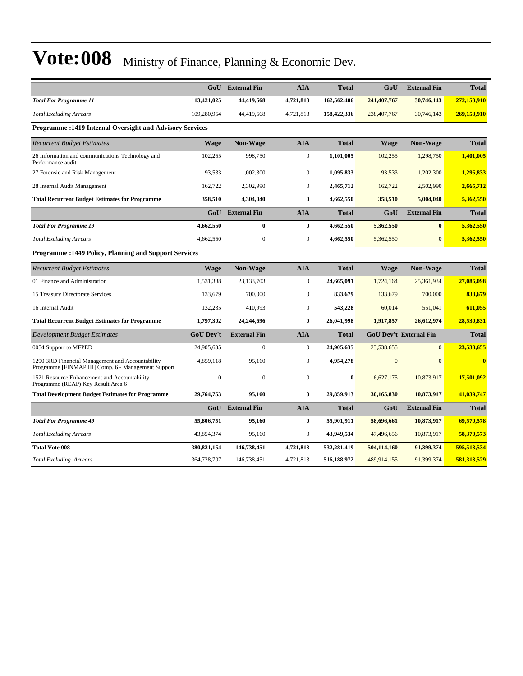|                                                                                                         |                  | <b>GoU</b> External Fin | <b>AIA</b>       | <b>Total</b> | GoU          | <b>External Fin</b>           | <b>Total</b>            |
|---------------------------------------------------------------------------------------------------------|------------------|-------------------------|------------------|--------------|--------------|-------------------------------|-------------------------|
| <b>Total For Programme 11</b>                                                                           | 113,421,025      | 44,419,568              | 4,721,813        | 162,562,406  | 241,407,767  | 30,746,143                    | 272,153,910             |
| <b>Total Excluding Arrears</b>                                                                          | 109,280,954      | 44,419,568              | 4,721,813        | 158,422,336  | 238,407,767  | 30,746,143                    | 269,153,910             |
| <b>Programme: 1419 Internal Oversight and Advisory Services</b>                                         |                  |                         |                  |              |              |                               |                         |
| <b>Recurrent Budget Estimates</b>                                                                       | <b>Wage</b>      | <b>Non-Wage</b>         | <b>AIA</b>       | <b>Total</b> | <b>Wage</b>  | <b>Non-Wage</b>               | <b>Total</b>            |
| 26 Information and communications Technology and<br>Performance audit                                   | 102,255          | 998,750                 | $\boldsymbol{0}$ | 1,101,005    | 102,255      | 1,298,750                     | 1,401,005               |
| 27 Forensic and Risk Management                                                                         | 93,533           | 1,002,300               | $\boldsymbol{0}$ | 1,095,833    | 93,533       | 1,202,300                     | 1,295,833               |
| 28 Internal Audit Management                                                                            | 162.722          | 2,302,990               | $\overline{0}$   | 2,465,712    | 162,722      | 2,502,990                     | 2,665,712               |
| <b>Total Recurrent Budget Estimates for Programme</b>                                                   | 358,510          | 4,304,040               | $\bf{0}$         | 4,662,550    | 358,510      | 5,004,040                     | 5,362,550               |
|                                                                                                         | GoU              | <b>External Fin</b>     | <b>AIA</b>       | Total        | GoU          | <b>External Fin</b>           | <b>Total</b>            |
| <b>Total For Programme 19</b>                                                                           | 4,662,550        | $\bf{0}$                | $\bf{0}$         | 4,662,550    | 5,362,550    | $\mathbf{0}$                  | 5,362,550               |
| <b>Total Excluding Arrears</b>                                                                          | 4,662,550        | $\mathbf{0}$            | $\boldsymbol{0}$ | 4,662,550    | 5,362,550    | $\overline{0}$                | 5,362,550               |
| <b>Programme: 1449 Policy, Planning and Support Services</b>                                            |                  |                         |                  |              |              |                               |                         |
| <b>Recurrent Budget Estimates</b>                                                                       | <b>Wage</b>      | Non-Wage                | <b>AIA</b>       | <b>Total</b> | Wage         | <b>Non-Wage</b>               | <b>Total</b>            |
| 01 Finance and Administration                                                                           | 1,531,388        | 23, 133, 703            | $\boldsymbol{0}$ | 24,665,091   | 1,724,164    | 25,361,934                    | 27,086,098              |
| 15 Treasury Directorate Services                                                                        | 133,679          | 700,000                 | $\boldsymbol{0}$ | 833,679      | 133,679      | 700,000                       | 833,679                 |
| 16 Internal Audit                                                                                       | 132,235          | 410,993                 | $\overline{0}$   | 543,228      | 60,014       | 551,041                       | 611,055                 |
| <b>Total Recurrent Budget Estimates for Programme</b>                                                   | 1,797,302        | 24,244,696              | $\bf{0}$         | 26,041,998   | 1,917,857    | 26,612,974                    | 28,530,831              |
| <b>Development Budget Estimates</b>                                                                     | <b>GoU Dev't</b> | <b>External Fin</b>     | <b>AIA</b>       | <b>Total</b> |              | <b>GoU Dev't External Fin</b> | <b>Total</b>            |
| 0054 Support to MFPED                                                                                   | 24,905,635       | $\boldsymbol{0}$        | $\boldsymbol{0}$ | 24,905,635   | 23,538,655   | $\mathbf{0}$                  | 23,538,655              |
| 1290 3RD Financial Management and Accountability<br>Programme [FINMAP III] Comp. 6 - Management Support | 4,859,118        | 95,160                  | $\boldsymbol{0}$ | 4,954,278    | $\mathbf{0}$ | $\overline{0}$                | $\overline{\mathbf{0}}$ |
| 1521 Resource Enhancement and Accountability<br>Programme (REAP) Key Result Area 6                      | $\mathbf{0}$     | $\mathbf{0}$            | $\overline{0}$   | $\bf{0}$     | 6,627,175    | 10,873,917                    | 17,501,092              |
| <b>Total Development Budget Estimates for Programme</b>                                                 | 29,764,753       | 95,160                  | $\bf{0}$         | 29,859,913   | 30,165,830   | 10,873,917                    | 41,039,747              |
|                                                                                                         | GoU              | <b>External Fin</b>     | <b>AIA</b>       | <b>Total</b> | GoU          | <b>External Fin</b>           | <b>Total</b>            |
| <b>Total For Programme 49</b>                                                                           | 55,806,751       | 95,160                  | $\bf{0}$         | 55,901,911   | 58,696,661   | 10,873,917                    | 69,570,578              |
| <b>Total Excluding Arrears</b>                                                                          | 43,854,374       | 95,160                  | $\boldsymbol{0}$ | 43,949,534   | 47,496,656   | 10,873,917                    | 58,370,573              |
| <b>Total Vote 008</b>                                                                                   | 380, 821, 154    | 146,738,451             | 4,721,813        | 532,281,419  | 504,114,160  | 91,399,374                    | 595,513,534             |
| <b>Total Excluding Arrears</b>                                                                          | 364,728,707      | 146,738,451             | 4,721,813        | 516,188,972  | 489,914,155  | 91,399,374                    | 581,313,529             |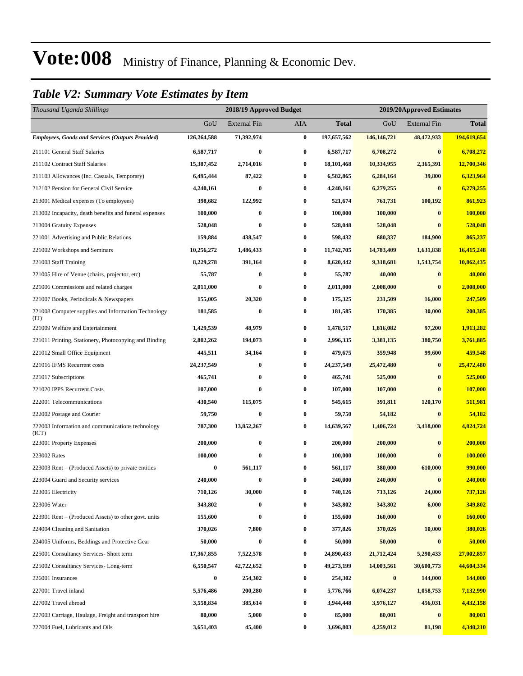### *Table V2: Summary Vote Estimates by Item*

| Thousand Uganda Shillings                                   | 2018/19 Approved Budget<br>2019/20Approved Estimates |                     |          |             |               |                     |              |
|-------------------------------------------------------------|------------------------------------------------------|---------------------|----------|-------------|---------------|---------------------|--------------|
|                                                             | GoU                                                  | <b>External Fin</b> | AIA      | Total       | GoU           | <b>External Fin</b> | <b>Total</b> |
| <b>Employees, Goods and Services (Outputs Provided)</b>     | 126,264,588                                          | 71,392,974          | $\bf{0}$ | 197,657,562 | 146, 146, 721 | 48,472,933          | 194,619,654  |
| 211101 General Staff Salaries                               | 6,587,717                                            | $\bf{0}$            | $\bf{0}$ | 6,587,717   | 6,708,272     | $\bf{0}$            | 6,708,272    |
| 211102 Contract Staff Salaries                              | 15,387,452                                           | 2,714,016           | $\bf{0}$ | 18,101,468  | 10,334,955    | 2,365,391           | 12,700,346   |
| 211103 Allowances (Inc. Casuals, Temporary)                 | 6,495,444                                            | 87,422              | $\bf{0}$ | 6,582,865   | 6,284,164     | 39,800              | 6,323,964    |
| 212102 Pension for General Civil Service                    | 4,240,161                                            | $\bf{0}$            | $\bf{0}$ | 4,240,161   | 6,279,255     | $\bf{0}$            | 6,279,255    |
| 213001 Medical expenses (To employees)                      | 398,682                                              | 122,992             | $\bf{0}$ | 521,674     | 761,731       | 100,192             | 861,923      |
| 213002 Incapacity, death benefits and funeral expenses      | 100,000                                              | $\bf{0}$            | $\bf{0}$ | 100,000     | 100,000       | $\bf{0}$            | 100,000      |
| 213004 Gratuity Expenses                                    | 528,048                                              | $\bf{0}$            | $\bf{0}$ | 528,048     | 528,048       | $\mathbf{0}$        | 528,048      |
| 221001 Advertising and Public Relations                     | 159,884                                              | 438,547             | $\bf{0}$ | 598,432     | 680,337       | 184,900             | 865,237      |
| 221002 Workshops and Seminars                               | 10,256,272                                           | 1,486,433           | $\bf{0}$ | 11,742,705  | 14,783,409    | 1,631,838           | 16,415,248   |
| 221003 Staff Training                                       | 8,229,278                                            | 391,164             | $\bf{0}$ | 8,620,442   | 9,318,681     | 1,543,754           | 10,862,435   |
| 221005 Hire of Venue (chairs, projector, etc)               | 55,787                                               | $\bf{0}$            | 0        | 55,787      | 40,000        | $\bf{0}$            | 40,000       |
| 221006 Commissions and related charges                      | 2,011,000                                            | $\bf{0}$            | $\bf{0}$ | 2,011,000   | 2,008,000     | $\bf{0}$            | 2,008,000    |
| 221007 Books, Periodicals & Newspapers                      | 155,005                                              | 20,320              | $\bf{0}$ | 175,325     | 231,509       | 16,000              | 247,509      |
| 221008 Computer supplies and Information Technology<br>(TT) | 181,585                                              | $\bf{0}$            | $\bf{0}$ | 181,585     | 170,385       | 30,000              | 200,385      |
| 221009 Welfare and Entertainment                            | 1,429,539                                            | 48,979              | $\bf{0}$ | 1,478,517   | 1,816,082     | 97,200              | 1,913,282    |
| 221011 Printing, Stationery, Photocopying and Binding       | 2,802,262                                            | 194,073             | $\bf{0}$ | 2,996,335   | 3,381,135     | 380,750             | 3,761,885    |
| 221012 Small Office Equipment                               | 445,511                                              | 34,164              | $\bf{0}$ | 479,675     | 359,948       | 99,600              | 459,548      |
| 221016 IFMS Recurrent costs                                 | 24,237,549                                           | $\bf{0}$            | $\bf{0}$ | 24,237,549  | 25,472,480    | $\bf{0}$            | 25,472,480   |
| 221017 Subscriptions                                        | 465,741                                              | $\bf{0}$            | $\bf{0}$ | 465,741     | 525,000       | $\bf{0}$            | 525,000      |
| 221020 IPPS Recurrent Costs                                 | 107,000                                              | $\bf{0}$            | $\bf{0}$ | 107,000     | 107,000       | $\bf{0}$            | 107,000      |
| 222001 Telecommunications                                   | 430,540                                              | 115,075             | $\bf{0}$ | 545,615     | 391,811       | 120,170             | 511,981      |
| 222002 Postage and Courier                                  | 59,750                                               | $\bf{0}$            | $\bf{0}$ | 59,750      | 54,182        | $\bf{0}$            | 54,182       |
| 222003 Information and communications technology<br>(ICT)   | 787,300                                              | 13,852,267          | $\bf{0}$ | 14,639,567  | 1,406,724     | 3,418,000           | 4,824,724    |
| 223001 Property Expenses                                    | 200,000                                              | $\bf{0}$            | $\bf{0}$ | 200,000     | 200,000       | $\bf{0}$            | 200,000      |
| 223002 Rates                                                | 100,000                                              | $\bf{0}$            | $\bf{0}$ | 100,000     | 100,000       | $\bf{0}$            | 100,000      |
| 223003 Rent – (Produced Assets) to private entities         | 0                                                    | 561,117             | $\bf{0}$ | 561,117     | 380,000       | 610,000             | 990,000      |
| 223004 Guard and Security services                          | 240,000                                              | 0                   | $\bf{0}$ | 240,000     | 240,000       | $\bf{0}$            | 240,000      |
| 223005 Electricity                                          | 710,126                                              | 30,000              | $\bf{0}$ | 740,126     | 713,126       | 24,000              | 737,126      |
| 223006 Water                                                | 343,802                                              | 0                   | $\bf{0}$ | 343,802     | 343,802       | 6,000               | 349,802      |
| 223901 Rent – (Produced Assets) to other govt. units        | 155,600                                              | $\bf{0}$            | $\bf{0}$ | 155,600     | 160,000       | $\bf{0}$            | 160,000      |
| 224004 Cleaning and Sanitation                              | 370,026                                              | 7,800               | $\bf{0}$ | 377,826     | 370,026       | 10,000              | 380,026      |
| 224005 Uniforms, Beddings and Protective Gear               | 50,000                                               | $\bf{0}$            | $\bf{0}$ | 50,000      | 50,000        | $\bf{0}$            | 50,000       |
| 225001 Consultancy Services- Short term                     | 17,367,855                                           | 7,522,578           | $\bf{0}$ | 24,890,433  | 21,712,424    | 5,290,433           | 27,002,857   |
| 225002 Consultancy Services-Long-term                       | 6,550,547                                            | 42,722,652          | $\bf{0}$ | 49,273,199  | 14,003,561    | 30,600,773          | 44,604,334   |
| 226001 Insurances                                           | 0                                                    | 254,302             | $\bf{0}$ | 254,302     | $\bf{0}$      | 144,000             | 144,000      |
| 227001 Travel inland                                        | 5,576,486                                            | 200,280             | $\bf{0}$ | 5,776,766   | 6,074,237     | 1,058,753           | 7,132,990    |
| 227002 Travel abroad                                        | 3,558,834                                            | 385,614             | $\bf{0}$ | 3,944,448   | 3,976,127     | 456,031             | 4,432,158    |
| 227003 Carriage, Haulage, Freight and transport hire        | 80,000                                               | 5,000               | $\bf{0}$ | 85,000      | 80,001        | $\bf{0}$            | 80,001       |
| 227004 Fuel, Lubricants and Oils                            | 3,651,403                                            | 45,400              | $\bf{0}$ | 3,696,803   | 4,259,012     | 81,198              | 4,340,210    |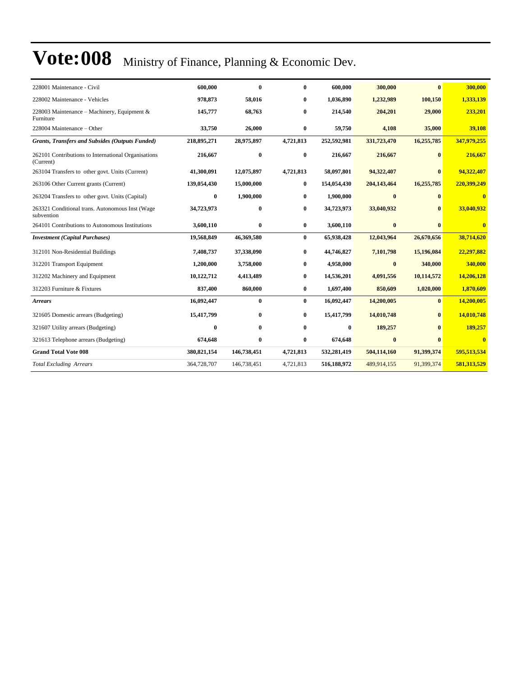| 228001 Maintenance - Civil                                       | 600,000       | $\mathbf{0}$ | $\bf{0}$  | 600,000     | 300,000     | $\mathbf{0}$ | 300,000      |
|------------------------------------------------------------------|---------------|--------------|-----------|-------------|-------------|--------------|--------------|
| 228002 Maintenance - Vehicles                                    | 978,873       | 58,016       | 0         | 1,036,890   | 1,232,989   | 100,150      | 1,333,139    |
| 228003 Maintenance – Machinery, Equipment &<br>Furniture         | 145,777       | 68,763       | 0         | 214,540     | 204,201     | 29,000       | 233,201      |
| 228004 Maintenance - Other                                       | 33,750        | 26,000       | $\bf{0}$  | 59,750      | 4,108       | 35,000       | 39,108       |
| <b>Grants, Transfers and Subsides (Outputs Funded)</b>           | 218,895,271   | 28,975,897   | 4,721,813 | 252,592,981 | 331,723,470 | 16,255,785   | 347,979,255  |
| 262101 Contributions to International Organisations<br>(Current) | 216,667       | $\bf{0}$     | $\bf{0}$  | 216,667     | 216,667     | $\bf{0}$     | 216,667      |
| 263104 Transfers to other govt. Units (Current)                  | 41,300,091    | 12,075,897   | 4,721,813 | 58,097,801  | 94,322,407  | $\bf{0}$     | 94,322,407   |
| 263106 Other Current grants (Current)                            | 139,054,430   | 15,000,000   | $\bf{0}$  | 154,054,430 | 204,143,464 | 16,255,785   | 220,399,249  |
| 263204 Transfers to other govt. Units (Capital)                  | $\bf{0}$      | 1,900,000    | $\bf{0}$  | 1,900,000   | $\bf{0}$    | $\bf{0}$     | $\bf{0}$     |
| 263321 Conditional trans. Autonomous Inst (Wage<br>subvention    | 34,723,973    | $\bf{0}$     | 0         | 34,723,973  | 33,040,932  |              | 33,040,932   |
| 264101 Contributions to Autonomous Institutions                  | 3,600,110     | $\bf{0}$     | $\bf{0}$  | 3,600,110   | $\bf{0}$    | $\mathbf{0}$ | $\bf{0}$     |
| <b>Investment (Capital Purchases)</b>                            | 19,568,849    | 46,369,580   | $\bf{0}$  | 65,938,428  | 12,043,964  | 26,670,656   | 38,714,620   |
| 312101 Non-Residential Buildings                                 | 7,408,737     | 37,338,090   | $\bf{0}$  | 44,746,827  | 7,101,798   | 15,196,084   | 22,297,882   |
| 312201 Transport Equipment                                       | 1,200,000     | 3,758,000    | 0         | 4,958,000   | $\bf{0}$    | 340,000      | 340,000      |
| 312202 Machinery and Equipment                                   | 10,122,712    | 4,413,489    | 0         | 14,536,201  | 4,091,556   | 10,114,572   | 14,206,128   |
| 312203 Furniture & Fixtures                                      | 837,400       | 860,000      | 0         | 1,697,400   | 850,609     | 1,020,000    | 1,870,609    |
| <b>Arrears</b>                                                   | 16,092,447    | $\mathbf{0}$ | $\bf{0}$  | 16,092,447  | 14,200,005  | $\mathbf{0}$ | 14,200,005   |
| 321605 Domestic arrears (Budgeting)                              | 15,417,799    | $\bf{0}$     | $\bf{0}$  | 15,417,799  | 14,010,748  | $\bf{0}$     | 14,010,748   |
| 321607 Utility arrears (Budgeting)                               | 0             | $\mathbf{0}$ | 0         | $\bf{0}$    | 189,257     | $\mathbf{0}$ | 189,257      |
| 321613 Telephone arrears (Budgeting)                             | 674,648       | $\bf{0}$     | 0         | 674,648     | $\bf{0}$    | $\mathbf{0}$ | $\mathbf{0}$ |
| <b>Grand Total Vote 008</b>                                      | 380, 821, 154 | 146,738,451  | 4,721,813 | 532,281,419 | 504,114,160 | 91,399,374   | 595,513,534  |
| <b>Total Excluding Arrears</b>                                   | 364,728,707   | 146,738,451  | 4,721,813 | 516,188,972 | 489,914,155 | 91,399,374   | 581,313,529  |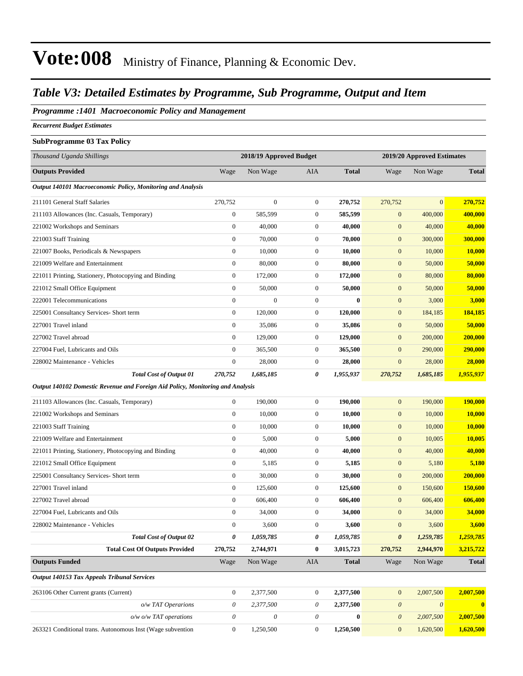### *Table V3: Detailed Estimates by Programme, Sub Programme, Output and Item*

#### *Programme :1401 Macroeconomic Policy and Management*

*Recurrent Budget Estimates*

#### **SubProgramme 03 Tax Policy**

| Thousand Uganda Shillings                                                      |                  | 2018/19 Approved Budget |                  |              |                       | 2019/20 Approved Estimates |                  |  |
|--------------------------------------------------------------------------------|------------------|-------------------------|------------------|--------------|-----------------------|----------------------------|------------------|--|
| <b>Outputs Provided</b>                                                        | Wage             | Non Wage                | AIA              | <b>Total</b> | Wage                  | Non Wage                   | <b>Total</b>     |  |
| Output 140101 Macroeconomic Policy, Monitoring and Analysis                    |                  |                         |                  |              |                       |                            |                  |  |
| 211101 General Staff Salaries                                                  | 270,752          | $\boldsymbol{0}$        | $\boldsymbol{0}$ | 270,752      | 270,752               | $\boldsymbol{0}$           | 270,752          |  |
| 211103 Allowances (Inc. Casuals, Temporary)                                    | $\boldsymbol{0}$ | 585,599                 | $\boldsymbol{0}$ | 585,599      | $\mathbf{0}$          | 400,000                    | 400,000          |  |
| 221002 Workshops and Seminars                                                  | $\boldsymbol{0}$ | 40,000                  | $\boldsymbol{0}$ | 40,000       | $\mathbf{0}$          | 40,000                     | 40,000           |  |
| 221003 Staff Training                                                          | $\boldsymbol{0}$ | 70,000                  | $\boldsymbol{0}$ | 70,000       | $\mathbf{0}$          | 300,000                    | 300,000          |  |
| 221007 Books, Periodicals & Newspapers                                         | $\boldsymbol{0}$ | 10,000                  | $\boldsymbol{0}$ | 10,000       | $\mathbf{0}$          | 10,000                     | <b>10,000</b>    |  |
| 221009 Welfare and Entertainment                                               | $\boldsymbol{0}$ | 80,000                  | $\boldsymbol{0}$ | 80,000       | $\boldsymbol{0}$      | 50,000                     | 50,000           |  |
| 221011 Printing, Stationery, Photocopying and Binding                          | $\boldsymbol{0}$ | 172,000                 | $\boldsymbol{0}$ | 172,000      | $\mathbf{0}$          | 80,000                     | 80,000           |  |
| 221012 Small Office Equipment                                                  | $\boldsymbol{0}$ | 50,000                  | $\boldsymbol{0}$ | 50,000       | $\mathbf{0}$          | 50,000                     | 50,000           |  |
| 222001 Telecommunications                                                      | $\boldsymbol{0}$ | $\overline{0}$          | $\boldsymbol{0}$ | $\mathbf{0}$ | $\mathbf{0}$          | 3,000                      | 3,000            |  |
| 225001 Consultancy Services- Short term                                        | $\boldsymbol{0}$ | 120,000                 | $\boldsymbol{0}$ | 120,000      | $\mathbf{0}$          | 184,185                    | 184,185          |  |
| 227001 Travel inland                                                           | $\boldsymbol{0}$ | 35,086                  | $\boldsymbol{0}$ | 35,086       | $\boldsymbol{0}$      | 50,000                     | 50,000           |  |
| 227002 Travel abroad                                                           | $\boldsymbol{0}$ | 129,000                 | $\boldsymbol{0}$ | 129,000      | $\mathbf{0}$          | 200,000                    | 200,000          |  |
| 227004 Fuel, Lubricants and Oils                                               | $\boldsymbol{0}$ | 365,500                 | $\boldsymbol{0}$ | 365,500      | $\mathbf{0}$          | 290,000                    | 290,000          |  |
| 228002 Maintenance - Vehicles                                                  | $\boldsymbol{0}$ | 28,000                  | $\boldsymbol{0}$ | 28,000       | $\boldsymbol{0}$      | 28,000                     | 28,000           |  |
| <b>Total Cost of Output 01</b>                                                 | 270,752          | 1,685,185               | 0                | 1,955,937    | 270,752               | 1,685,185                  | 1,955,937        |  |
| Output 140102 Domestic Revenue and Foreign Aid Policy, Monitoring and Analysis |                  |                         |                  |              |                       |                            |                  |  |
| 211103 Allowances (Inc. Casuals, Temporary)                                    | $\boldsymbol{0}$ | 190,000                 | $\boldsymbol{0}$ | 190,000      | $\mathbf{0}$          | 190,000                    | 190,000          |  |
| 221002 Workshops and Seminars                                                  | $\mathbf{0}$     | 10,000                  | $\boldsymbol{0}$ | 10,000       | $\mathbf{0}$          | 10,000                     | 10,000           |  |
| 221003 Staff Training                                                          | $\boldsymbol{0}$ | 10,000                  | $\boldsymbol{0}$ | 10,000       | $\mathbf{0}$          | 10,000                     | 10,000           |  |
| 221009 Welfare and Entertainment                                               | $\boldsymbol{0}$ | 5,000                   | $\boldsymbol{0}$ | 5,000        | $\boldsymbol{0}$      | 10,005                     | 10,005           |  |
| 221011 Printing, Stationery, Photocopying and Binding                          | $\boldsymbol{0}$ | 40,000                  | $\boldsymbol{0}$ | 40,000       | $\mathbf{0}$          | 40,000                     | 40,000           |  |
| 221012 Small Office Equipment                                                  | $\boldsymbol{0}$ | 5,185                   | $\boldsymbol{0}$ | 5,185        | $\boldsymbol{0}$      | 5,180                      | 5,180            |  |
| 225001 Consultancy Services- Short term                                        | $\boldsymbol{0}$ | 30,000                  | $\boldsymbol{0}$ | 30,000       | $\boldsymbol{0}$      | 200,000                    | 200,000          |  |
| 227001 Travel inland                                                           | $\boldsymbol{0}$ | 125,600                 | $\boldsymbol{0}$ | 125,600      | $\mathbf{0}$          | 150,600                    | 150,600          |  |
| 227002 Travel abroad                                                           | $\boldsymbol{0}$ | 606,400                 | $\boldsymbol{0}$ | 606,400      | $\mathbf{0}$          | 606,400                    | 606,400          |  |
| 227004 Fuel, Lubricants and Oils                                               | $\boldsymbol{0}$ | 34,000                  | $\boldsymbol{0}$ | 34,000       | $\mathbf{0}$          | 34,000                     | <b>34,000</b>    |  |
| 228002 Maintenance - Vehicles                                                  | $\boldsymbol{0}$ | 3,600                   | $\boldsymbol{0}$ | 3,600        | $\mathbf{0}$          | 3,600                      | 3,600            |  |
| <b>Total Cost of Output 02</b>                                                 | 0                | 1,059,785               | 0                | 1,059,785    | $\boldsymbol{\theta}$ | 1,259,785                  | 1,259,785        |  |
| <b>Total Cost Of Outputs Provided</b>                                          | 270,752          | 2,744,971               | $\bf{0}$         | 3,015,723    | 270,752               | 2,944,970                  | 3,215,722        |  |
| <b>Outputs Funded</b>                                                          | Wage             | Non Wage                | AIA              | <b>Total</b> | Wage                  | Non Wage                   | <b>Total</b>     |  |
| Output 140153 Tax Appeals Tribunal Services                                    |                  |                         |                  |              |                       |                            |                  |  |
| 263106 Other Current grants (Current)                                          | $\boldsymbol{0}$ | 2,377,500               | 0                | 2,377,500    | $\mathbf{0}$          | 2,007,500                  | 2,007,500        |  |
| o/w TAT Operarions                                                             | 0                | 2,377,500               | 0                | 2,377,500    | $\boldsymbol{\theta}$ | $\boldsymbol{\theta}$      | $\boldsymbol{0}$ |  |
| o/w o/w TAT operations                                                         | $\theta$         | 0                       | 0                | $\bf{0}$     | $\boldsymbol{\theta}$ | 2,007,500                  | 2,007,500        |  |
| 263321 Conditional trans. Autonomous Inst (Wage subvention                     | $\boldsymbol{0}$ | 1,250,500               | $\boldsymbol{0}$ | 1,250,500    | $\mathbf{0}$          | 1,620,500                  | 1,620,500        |  |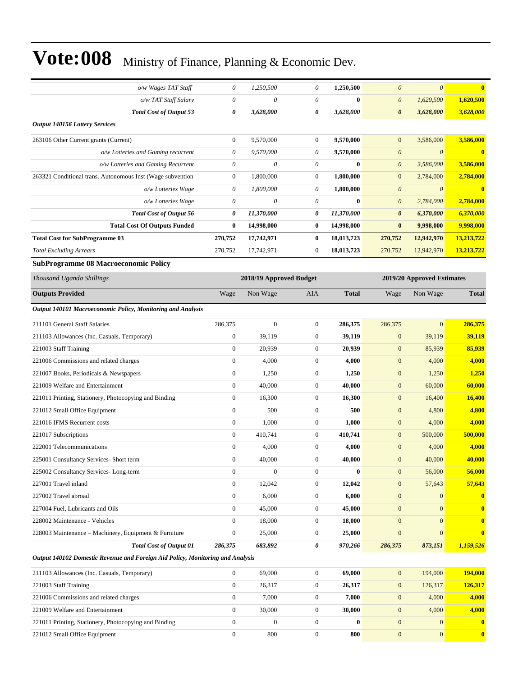| o/w Wages TAT Staff                                                            | 0                | 1,250,500               | 0                | 1,250,500    | $\theta$                          | $\boldsymbol{\theta}$              | $\bf{0}$               |
|--------------------------------------------------------------------------------|------------------|-------------------------|------------------|--------------|-----------------------------------|------------------------------------|------------------------|
| o/w TAT Staff Salary                                                           | $\theta$         | 0                       | 0                | $\bf{0}$     | $\boldsymbol{\theta}$             | 1,620,500                          | 1,620,500              |
| <b>Total Cost of Output 53</b>                                                 | 0                | 3,628,000               | 0                | 3,628,000    | $\boldsymbol{\theta}$             | 3,628,000                          | 3,628,000              |
| <b>Output 140156 Lottery Services</b>                                          |                  |                         |                  |              |                                   |                                    |                        |
|                                                                                | $\mathbf{0}$     | 9,570,000               | $\boldsymbol{0}$ | 9,570,000    | $\mathbf{0}$                      | 3,586,000                          | 3,586,000              |
| 263106 Other Current grants (Current)<br>o/w Lotteries and Gaming recurrent    | 0                | 9,570,000               | 0                | 9,570,000    | $\boldsymbol{\theta}$             | $\boldsymbol{\theta}$              | $\bf{0}$               |
| o/w Lotteries and Gaming Recurrent                                             | 0                | 0                       | 0                | $\bf{0}$     | $\boldsymbol{\theta}$             | 3,586,000                          | 3,586,000              |
| 263321 Conditional trans. Autonomous Inst (Wage subvention                     | $\mathbf{0}$     | 1,800,000               | $\boldsymbol{0}$ | 1,800,000    | $\mathbf{0}$                      |                                    | 2,784,000              |
|                                                                                | $\theta$         | 1,800,000               | 0                | 1,800,000    | $\boldsymbol{\theta}$             | 2,784,000<br>$\boldsymbol{\theta}$ | $\bf{0}$               |
| o/w Lotteries Wage                                                             |                  |                         |                  |              |                                   |                                    |                        |
| o/w Lotteries Wage                                                             | 0<br>0           | 0                       | 0                | $\bf{0}$     | $\boldsymbol{\theta}$             | 2,784,000                          | 2,784,000              |
| Total Cost of Output 56                                                        | $\bf{0}$         | 11,370,000              | 0                | 11,370,000   | $\boldsymbol{\theta}$<br>$\bf{0}$ | 6,370,000                          | 6,370,000<br>9,998,000 |
| <b>Total Cost Of Outputs Funded</b>                                            |                  | 14,998,000              | $\bf{0}$         | 14,998,000   |                                   | 9,998,000                          |                        |
| <b>Total Cost for SubProgramme 03</b>                                          | 270,752          | 17,742,971              | $\bf{0}$         | 18,013,723   | 270,752                           | 12,942,970                         | 13,213,722             |
| <b>Total Excluding Arrears</b>                                                 | 270,752          | 17,742,971              | $\boldsymbol{0}$ | 18,013,723   | 270,752                           | 12,942,970                         | 13,213,722             |
| <b>SubProgramme 08 Macroeconomic Policy</b>                                    |                  |                         |                  |              |                                   |                                    |                        |
| Thousand Uganda Shillings                                                      |                  | 2018/19 Approved Budget |                  |              |                                   | 2019/20 Approved Estimates         |                        |
| <b>Outputs Provided</b>                                                        | Wage             | Non Wage                | <b>AIA</b>       | <b>Total</b> | Wage                              | Non Wage                           | <b>Total</b>           |
| Output 140101 Macroeconomic Policy, Monitoring and Analysis                    |                  |                         |                  |              |                                   |                                    |                        |
| 211101 General Staff Salaries                                                  | 286,375          | $\boldsymbol{0}$        | $\boldsymbol{0}$ | 286,375      | 286,375                           | $\overline{0}$                     | 286,375                |
| 211103 Allowances (Inc. Casuals, Temporary)                                    | $\mathbf{0}$     | 39,119                  | $\mathbf{0}$     | 39,119       | $\boldsymbol{0}$                  | 39,119                             | 39,119                 |
| 221003 Staff Training                                                          | $\boldsymbol{0}$ | 20,939                  | $\mathbf{0}$     | 20,939       | $\mathbf{0}$                      | 85,939                             | 85,939                 |
| 221006 Commissions and related charges                                         | $\boldsymbol{0}$ | 4,000                   | $\boldsymbol{0}$ | 4,000        | $\mathbf{0}$                      | 4,000                              | 4,000                  |
| 221007 Books, Periodicals & Newspapers                                         | $\mathbf{0}$     | 1,250                   | $\mathbf{0}$     | 1,250        | $\mathbf{0}$                      | 1,250                              | 1,250                  |
| 221009 Welfare and Entertainment                                               | $\boldsymbol{0}$ | 40,000                  | $\boldsymbol{0}$ | 40,000       | $\mathbf{0}$                      | 60,000                             | 60,000                 |
| 221011 Printing, Stationery, Photocopying and Binding                          | $\boldsymbol{0}$ | 16,300                  | $\mathbf{0}$     | 16,300       | $\boldsymbol{0}$                  | 16,400                             | 16,400                 |
| 221012 Small Office Equipment                                                  | $\boldsymbol{0}$ | 500                     | $\boldsymbol{0}$ | 500          | $\mathbf{0}$                      | 4,800                              | 4,800                  |
| 221016 IFMS Recurrent costs                                                    | $\boldsymbol{0}$ | 1,000                   | $\mathbf{0}$     | 1,000        | $\mathbf{0}$                      | 4,000                              | 4,000                  |
| 221017 Subscriptions                                                           | $\boldsymbol{0}$ | 410,741                 | $\mathbf{0}$     | 410,741      | $\mathbf{0}$                      | 500,000                            | 500,000                |
| 222001 Telecommunications                                                      | $\boldsymbol{0}$ | 4,000                   | $\mathbf{0}$     | 4,000        | $\mathbf{0}$                      | 4,000                              | 4,000                  |
| 225001 Consultancy Services- Short term                                        | $\overline{0}$   | 40,000                  | $\Omega$         | 40,000       | $\boldsymbol{0}$                  | 40,000                             | 40,000                 |
| 225002 Consultancy Services-Long-term                                          | $\boldsymbol{0}$ | $\boldsymbol{0}$        | $\boldsymbol{0}$ | $\bf{0}$     | $\boldsymbol{0}$                  | 56,000                             | 56,000                 |
| 227001 Travel inland                                                           | $\boldsymbol{0}$ | 12,042                  | $\boldsymbol{0}$ | 12,042       | $\mathbf{0}$                      | 57,643                             | 57,643                 |
| 227002 Travel abroad                                                           | $\boldsymbol{0}$ | 6,000                   | $\boldsymbol{0}$ | 6,000        | $\boldsymbol{0}$                  | $\boldsymbol{0}$                   | $\bf{0}$               |
| 227004 Fuel, Lubricants and Oils                                               | $\mathbf{0}$     | 45,000                  | $\boldsymbol{0}$ | 45,000       | $\boldsymbol{0}$                  | $\overline{0}$                     | $\bf{0}$               |
| 228002 Maintenance - Vehicles                                                  | $\boldsymbol{0}$ | 18,000                  | $\boldsymbol{0}$ | 18,000       | $\mathbf{0}$                      | $\overline{0}$                     | $\bf{0}$               |
| 228003 Maintenance - Machinery, Equipment & Furniture                          | $\boldsymbol{0}$ | 25,000                  | $\boldsymbol{0}$ | 25,000       | $\boldsymbol{0}$                  | $\boldsymbol{0}$                   | $\bf{0}$               |
| <b>Total Cost of Output 01</b>                                                 | 286,375          | 683,892                 | 0                | 970,266      | 286,375                           | 873,151                            | 1,159,526              |
| Output 140102 Domestic Revenue and Foreign Aid Policy, Monitoring and Analysis |                  |                         |                  |              |                                   |                                    |                        |

| 211103 Allowances (Inc. Casuals, Temporary)           | 69,000 | 69,000 | 194,000 | 194,000                      |
|-------------------------------------------------------|--------|--------|---------|------------------------------|
| 221003 Staff Training                                 | 26.317 | 26.317 | 126,317 | 126,317                      |
| 221006 Commissions and related charges                | 7.000  | 7.000  | 4.000   | 4,000                        |
| 221009 Welfare and Entertainment                      | 30,000 | 30,000 | 4.000   | 4,000                        |
| 221011 Printing, Stationery, Photocopying and Binding |        | 0      |         | $\bf{0}$<br>$\Omega$         |
| 221012 Small Office Equipment                         | 800    | 800    |         | $\mathbf{0}$<br>$\mathbf{0}$ |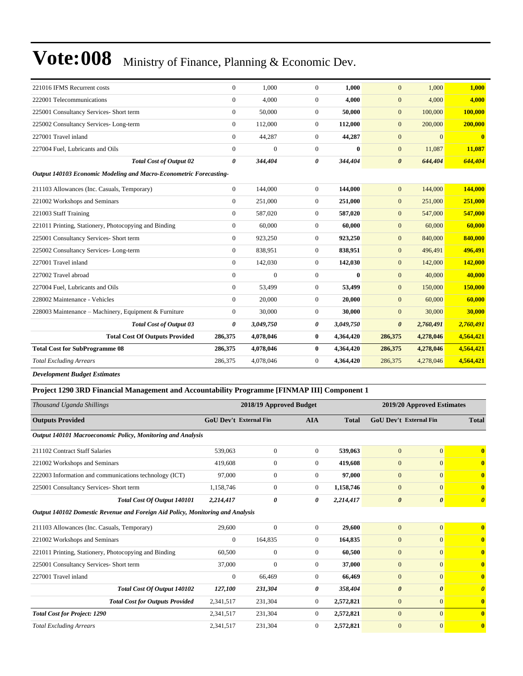| 221016 IFMS Recurrent costs                                        | $\overline{0}$ | 1,000        | $\theta$              | 1,000        | $\overline{0}$        | 1,000     | 1,000     |
|--------------------------------------------------------------------|----------------|--------------|-----------------------|--------------|-----------------------|-----------|-----------|
| 222001 Telecommunications                                          | $\mathbf{0}$   | 4.000        | $\theta$              | 4.000        | $\overline{0}$        | 4,000     | 4,000     |
| 225001 Consultancy Services- Short term                            | $\Omega$       | 50,000       | $\theta$              | 50,000       | $\overline{0}$        | 100,000   | 100,000   |
| 225002 Consultancy Services-Long-term                              | $\mathbf{0}$   | 112,000      | $\theta$              | 112,000      | $\overline{0}$        | 200,000   | 200,000   |
| 227001 Travel inland                                               | $\Omega$       | 44,287       | $\theta$              | 44,287       | $\overline{0}$        | $\Omega$  |           |
| 227004 Fuel, Lubricants and Oils                                   | $\overline{0}$ | $\mathbf{0}$ | $\theta$              | $\bf{0}$     | $\overline{0}$        | 11,087    | 11,087    |
| <b>Total Cost of Output 02</b>                                     | 0              | 344,404      | $\boldsymbol{\theta}$ | 344,404      | $\boldsymbol{\theta}$ | 644,404   | 644,404   |
| Output 140103 Economic Modeling and Macro-Econometric Forecasting- |                |              |                       |              |                       |           |           |
| 211103 Allowances (Inc. Casuals, Temporary)                        | $\mathbf{0}$   | 144,000      | $\theta$              | 144,000      | $\overline{0}$        | 144,000   | 144,000   |
| 221002 Workshops and Seminars                                      | $\mathbf{0}$   | 251,000      | $\theta$              | 251,000      | $\overline{0}$        | 251,000   | 251,000   |
| 221003 Staff Training                                              | $\mathbf{0}$   | 587,020      | $\theta$              | 587,020      | $\overline{0}$        | 547,000   | 547,000   |
| 221011 Printing, Stationery, Photocopying and Binding              | $\overline{0}$ | 60,000       | $\theta$              | 60,000       | $\overline{0}$        | 60,000    | 60,000    |
| 225001 Consultancy Services- Short term                            | $\mathbf{0}$   | 923,250      | $\boldsymbol{0}$      | 923,250      | $\overline{0}$        | 840,000   | 840,000   |
| 225002 Consultancy Services-Long-term                              | $\mathbf{0}$   | 838,951      | $\boldsymbol{0}$      | 838,951      | $\overline{0}$        | 496,491   | 496,491   |
| 227001 Travel inland                                               | $\Omega$       | 142,030      | $\theta$              | 142,030      | $\overline{0}$        | 142,000   | 142,000   |
| 227002 Travel abroad                                               | $\Omega$       | $\Omega$     | $\theta$              | $\mathbf{0}$ | $\overline{0}$        | 40,000    | 40,000    |
| 227004 Fuel, Lubricants and Oils                                   | $\Omega$       | 53,499       | $\theta$              | 53,499       | $\overline{0}$        | 150,000   | 150,000   |
| 228002 Maintenance - Vehicles                                      | $\mathbf{0}$   | 20,000       | $\theta$              | 20.000       | $\overline{0}$        | 60,000    | 60,000    |
| 228003 Maintenance - Machinery, Equipment & Furniture              | $\mathbf{0}$   | 30,000       | $\theta$              | 30,000       | $\overline{0}$        | 30,000    | 30,000    |
| <b>Total Cost of Output 03</b>                                     | 0              | 3,049,750    | 0                     | 3,049,750    | $\boldsymbol{\theta}$ | 2,760,491 | 2,760,491 |
| <b>Total Cost Of Outputs Provided</b>                              | 286,375        | 4,078,046    | $\bf{0}$              | 4,364,420    | 286,375               | 4,278,046 | 4,564,421 |
| <b>Total Cost for SubProgramme 08</b>                              | 286,375        | 4,078,046    | $\bf{0}$              | 4,364,420    | 286,375               | 4,278,046 | 4,564,421 |
| <b>Total Excluding Arrears</b>                                     | 286,375        | 4,078,046    | $\theta$              | 4,364,420    | 286,375               | 4,278,046 | 4,564,421 |
|                                                                    |                |              |                       |              |                       |           |           |

*Development Budget Estimates*

| Project 1290 3RD Financial Management and Accountability Programme [FINMAP III] Component 1 |  |  |  |  |  |  |  |
|---------------------------------------------------------------------------------------------|--|--|--|--|--|--|--|
|---------------------------------------------------------------------------------------------|--|--|--|--|--|--|--|

| Thousand Uganda Shillings                                                      |                | 2018/19 Approved Budget       |                |              | 2019/20 Approved Estimates |                               |                         |
|--------------------------------------------------------------------------------|----------------|-------------------------------|----------------|--------------|----------------------------|-------------------------------|-------------------------|
| <b>Outputs Provided</b>                                                        |                | <b>GoU Dev't External Fin</b> | <b>AIA</b>     | <b>Total</b> |                            | <b>GoU Dev't External Fin</b> | <b>Total</b>            |
| Output 140101 Macroeconomic Policy, Monitoring and Analysis                    |                |                               |                |              |                            |                               |                         |
| 211102 Contract Staff Salaries                                                 | 539,063        | $\mathbf{0}$                  | $\overline{0}$ | 539,063      | $\overline{0}$             | $\overline{0}$                | $\mathbf{0}$            |
| 221002 Workshops and Seminars                                                  | 419,608        | $\overline{0}$                | $\overline{0}$ | 419,608      | $\overline{0}$             | $\overline{0}$                | $\overline{\mathbf{0}}$ |
| 222003 Information and communications technology (ICT)                         | 97,000         | $\overline{0}$                | $\overline{0}$ | 97,000       | $\overline{0}$             | $\overline{0}$                | $\overline{\mathbf{0}}$ |
| 225001 Consultancy Services- Short term                                        | 1,158,746      | $\mathbf{0}$                  | $\overline{0}$ | 1,158,746    | $\overline{0}$             | $\overline{0}$                | $\overline{\mathbf{0}}$ |
| <b>Total Cost Of Output 140101</b>                                             | 2,214,417      | 0                             | 0              | 2,214,417    | $\boldsymbol{\theta}$      | $\boldsymbol{\theta}$         | $\boldsymbol{\theta}$   |
| Output 140102 Domestic Revenue and Foreign Aid Policy, Monitoring and Analysis |                |                               |                |              |                            |                               |                         |
| 211103 Allowances (Inc. Casuals, Temporary)                                    | 29,600         | $\mathbf{0}$                  | $\overline{0}$ | 29,600       | $\overline{0}$             | $\overline{0}$                | $\overline{\mathbf{0}}$ |
| 221002 Workshops and Seminars                                                  | $\overline{0}$ | 164,835                       | $\overline{0}$ | 164,835      | $\mathbf{0}$               | $\overline{0}$                | $\mathbf{0}$            |
| 221011 Printing, Stationery, Photocopying and Binding                          | 60,500         | $\mathbf{0}$                  | $\overline{0}$ | 60,500       | $\mathbf{0}$               | $\overline{0}$                | $\mathbf{0}$            |
| 225001 Consultancy Services- Short term                                        | 37,000         | $\overline{0}$                | $\overline{0}$ | 37,000       | $\mathbf{0}$               | $\overline{0}$                | $\mathbf{0}$            |
| 227001 Travel inland                                                           | $\overline{0}$ | 66,469                        | $\overline{0}$ | 66,469       | $\overline{0}$             | $\overline{0}$                | $\mathbf{0}$            |
| <b>Total Cost Of Output 140102</b>                                             | 127,100        | 231,304                       | 0              | 358,404      | $\boldsymbol{\theta}$      | $\boldsymbol{\theta}$         | $\theta$                |
| <b>Total Cost for Outputs Provided</b>                                         | 2,341,517      | 231,304                       | $\overline{0}$ | 2,572,821    | $\mathbf{0}$               | $\overline{0}$                | $\mathbf{0}$            |
| <b>Total Cost for Project: 1290</b>                                            | 2,341,517      | 231,304                       | $\Omega$       | 2,572,821    | $\overline{0}$             | $\Omega$                      | $\overline{\mathbf{0}}$ |
| <b>Total Excluding Arrears</b>                                                 | 2,341,517      | 231,304                       | $\mathbf{0}$   | 2,572,821    | $\overline{0}$             | $\overline{0}$                | $\mathbf{0}$            |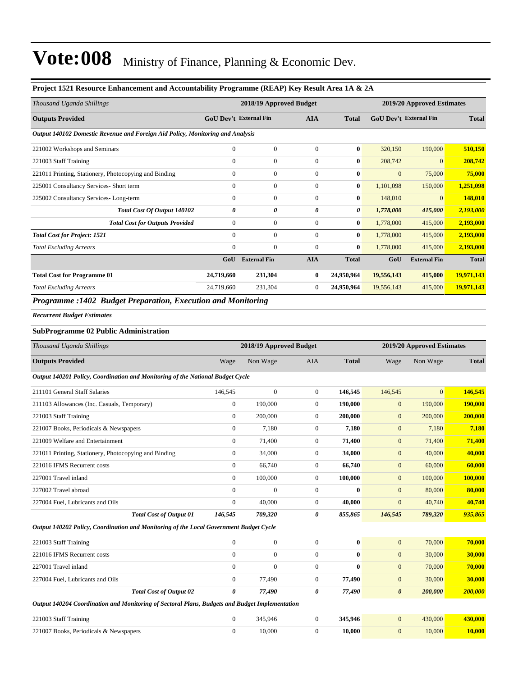#### **Project 1521 Resource Enhancement and Accountability Programme (REAP) Key Result Area 1A & 2A**

| Thousand Uganda Shillings                                                      |                  | 2018/19 Approved Budget       |                |              |              | 2019/20 Approved Estimates    |              |  |  |
|--------------------------------------------------------------------------------|------------------|-------------------------------|----------------|--------------|--------------|-------------------------------|--------------|--|--|
| <b>Outputs Provided</b>                                                        |                  | <b>GoU Dev't External Fin</b> | <b>AIA</b>     | <b>Total</b> |              | <b>GoU</b> Dev't External Fin | <b>Total</b> |  |  |
| Output 140102 Domestic Revenue and Foreign Aid Policy, Monitoring and Analysis |                  |                               |                |              |              |                               |              |  |  |
| 221002 Workshops and Seminars                                                  | $\mathbf{0}$     | $\mathbf{0}$                  | $\overline{0}$ | $\bf{0}$     | 320,150      | 190,000                       | 510,150      |  |  |
| 221003 Staff Training                                                          | $\mathbf{0}$     | $\mathbf{0}$                  | $\theta$       | $\bf{0}$     | 208,742      | $\overline{0}$                | 208,742      |  |  |
| 221011 Printing, Stationery, Photocopying and Binding                          | $\mathbf{0}$     | $\mathbf{0}$                  | $\mathbf{0}$   | $\bf{0}$     | $\mathbf{0}$ | 75,000                        | 75,000       |  |  |
| 225001 Consultancy Services- Short term                                        | $\mathbf{0}$     | $\mathbf{0}$                  | $\mathbf{0}$   | $\bf{0}$     | 1,101,098    | 150,000                       | 1,251,098    |  |  |
| 225002 Consultancy Services-Long-term                                          | $\mathbf{0}$     | $\overline{0}$                | $\Omega$       | $\bf{0}$     | 148,010      | $\overline{0}$                | 148,010      |  |  |
| Total Cost Of Output 140102                                                    | 0                | 0                             | 0              | 0            | 1,778,000    | 415,000                       | 2,193,000    |  |  |
| <b>Total Cost for Outputs Provided</b>                                         | $\boldsymbol{0}$ | $\mathbf{0}$                  | $\overline{0}$ | $\bf{0}$     | 1,778,000    | 415,000                       | 2,193,000    |  |  |
| <b>Total Cost for Project: 1521</b>                                            | $\mathbf{0}$     | $\mathbf{0}$                  | $\theta$       | $\bf{0}$     | 1,778,000    | 415,000                       | 2,193,000    |  |  |
| <b>Total Excluding Arrears</b>                                                 | $\mathbf{0}$     | $\Omega$                      | $\overline{0}$ | $\bf{0}$     | 1,778,000    | 415,000                       | 2,193,000    |  |  |
|                                                                                | GoU              | <b>External Fin</b>           | <b>AIA</b>     | <b>Total</b> | GoU          | <b>External Fin</b>           | <b>Total</b> |  |  |
| <b>Total Cost for Programme 01</b>                                             | 24,719,660       | 231,304                       | $\bf{0}$       | 24,950,964   | 19,556,143   | 415,000                       | 19,971,143   |  |  |
| <b>Total Excluding Arrears</b>                                                 | 24,719,660       | 231,304                       | $\overline{0}$ | 24,950,964   | 19,556,143   | 415,000                       | 19,971,143   |  |  |
| <b>Programme :1402 Budget Preparation, Execution and Monitoring</b>            |                  |                               |                |              |              |                               |              |  |  |

*Recurrent Budget Estimates*

#### **SubProgramme 02 Public Administration**

| Thousand Uganda Shillings                                                                      |                | 2018/19 Approved Budget |                |              |                       | 2019/20 Approved Estimates |              |  |
|------------------------------------------------------------------------------------------------|----------------|-------------------------|----------------|--------------|-----------------------|----------------------------|--------------|--|
| <b>Outputs Provided</b>                                                                        | Wage           | Non Wage                | <b>AIA</b>     | <b>Total</b> | Wage                  | Non Wage                   | <b>Total</b> |  |
| Output 140201 Policy, Coordination and Monitoring of the National Budget Cycle                 |                |                         |                |              |                       |                            |              |  |
| 211101 General Staff Salaries                                                                  | 146,545        | $\boldsymbol{0}$        | $\overline{0}$ | 146,545      | 146,545               | $\overline{0}$             | 146,545      |  |
| 211103 Allowances (Inc. Casuals, Temporary)                                                    | $\overline{0}$ | 190,000                 | $\overline{0}$ | 190,000      | $\mathbf{0}$          | 190,000                    | 190,000      |  |
| 221003 Staff Training                                                                          | $\overline{0}$ | 200,000                 | $\theta$       | 200,000      | $\mathbf{0}$          | 200,000                    | 200,000      |  |
| 221007 Books, Periodicals & Newspapers                                                         | $\overline{0}$ | 7,180                   | $\overline{0}$ | 7,180        | $\mathbf{0}$          | 7,180                      | 7,180        |  |
| 221009 Welfare and Entertainment                                                               | $\overline{0}$ | 71,400                  | $\theta$       | 71,400       | $\boldsymbol{0}$      | 71,400                     | 71,400       |  |
| 221011 Printing, Stationery, Photocopying and Binding                                          | $\overline{0}$ | 34,000                  | $\overline{0}$ | 34,000       | $\mathbf{0}$          | 40,000                     | 40,000       |  |
| 221016 IFMS Recurrent costs                                                                    | $\Omega$       | 66,740                  | $\overline{0}$ | 66,740       | $\overline{0}$        | 60,000                     | 60,000       |  |
| 227001 Travel inland                                                                           | $\Omega$       | 100,000                 | $\overline{0}$ | 100,000      | $\overline{0}$        | 100,000                    | 100,000      |  |
| 227002 Travel abroad                                                                           | $\overline{0}$ | $\overline{0}$          | $\theta$       | $\bf{0}$     | $\boldsymbol{0}$      | 80,000                     | 80,000       |  |
| 227004 Fuel, Lubricants and Oils                                                               | $\Omega$       | 40,000                  | $\theta$       | 40,000       | $\overline{0}$        | 40,740                     | 40,740       |  |
| <b>Total Cost of Output 01</b>                                                                 | 146,545        | 709,320                 | 0              | 855,865      | 146,545               | 789,320                    | 935,865      |  |
| Output 140202 Policy, Coordination and Monitoring of the Local Government Budget Cycle         |                |                         |                |              |                       |                            |              |  |
| 221003 Staff Training                                                                          | $\overline{0}$ | $\overline{0}$          | $\theta$       | $\mathbf{0}$ | $\overline{0}$        | 70,000                     | 70,000       |  |
| 221016 IFMS Recurrent costs                                                                    | $\Omega$       | $\boldsymbol{0}$        | $\overline{0}$ | $\bf{0}$     | $\boldsymbol{0}$      | 30,000                     | 30,000       |  |
| 227001 Travel inland                                                                           | $\overline{0}$ | $\overline{0}$          | $\theta$       | $\bf{0}$     | $\boldsymbol{0}$      | 70,000                     | 70,000       |  |
| 227004 Fuel, Lubricants and Oils                                                               | $\Omega$       | 77,490                  | $\theta$       | 77,490       | $\mathbf{0}$          | 30,000                     | 30,000       |  |
| <b>Total Cost of Output 02</b>                                                                 | 0              | 77,490                  | 0              | 77,490       | $\boldsymbol{\theta}$ | 200,000                    | 200,000      |  |
| Output 140204 Coordination and Monitoring of Sectoral Plans, Budgets and Budget Implementation |                |                         |                |              |                       |                            |              |  |
| 221003 Staff Training                                                                          | $\mathbf{0}$   | 345,946                 | $\theta$       | 345,946      | $\overline{0}$        | 430,000                    | 430,000      |  |

221007 Books, Periodicals & Newspapers 0 10,000 0 **10,000** 0 10,000 **10,000**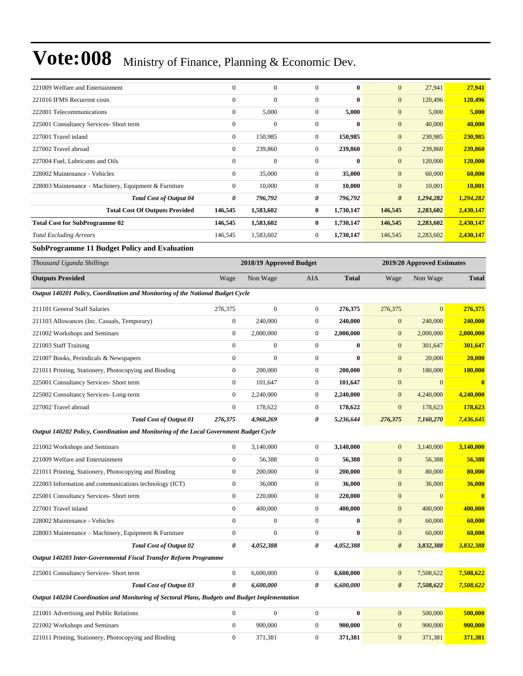| 221009 Welfare and Entertainment                                                               | $\mathbf{0}$     | $\boldsymbol{0}$        | $\mathbf{0}$     | $\bf{0}$     | $\mathbf{0}$          | 27,941                     | 27,941                  |
|------------------------------------------------------------------------------------------------|------------------|-------------------------|------------------|--------------|-----------------------|----------------------------|-------------------------|
| 221016 IFMS Recurrent costs                                                                    | $\mathbf{0}$     | $\boldsymbol{0}$        | $\boldsymbol{0}$ | $\bf{0}$     | $\mathbf{0}$          | 120,496                    | 120,496                 |
| 222001 Telecommunications                                                                      | $\boldsymbol{0}$ | 5,000                   | $\mathbf{0}$     | 5,000        | $\mathbf{0}$          | 5,000                      | 5,000                   |
| 225001 Consultancy Services- Short term                                                        | $\mathbf{0}$     | $\overline{0}$          | $\mathbf{0}$     | $\bf{0}$     | $\mathbf{0}$          | 40,000                     | 40,000                  |
| 227001 Travel inland                                                                           | $\mathbf{0}$     | 150,985                 | $\mathbf{0}$     | 150,985      | $\boldsymbol{0}$      | 230,985                    | 230,985                 |
| 227002 Travel abroad                                                                           | $\mathbf{0}$     | 239,860                 | $\boldsymbol{0}$ | 239,860      | $\boldsymbol{0}$      | 239,860                    | 239,860                 |
| 227004 Fuel, Lubricants and Oils                                                               | $\mathbf{0}$     | $\boldsymbol{0}$        | $\boldsymbol{0}$ | $\bf{0}$     | $\mathbf{0}$          | 120,000                    | 120,000                 |
| 228002 Maintenance - Vehicles                                                                  | $\boldsymbol{0}$ | 35,000                  | $\mathbf{0}$     | 35,000       | $\mathbf{0}$          | 60,000                     | 60,000                  |
| 228003 Maintenance – Machinery, Equipment & Furniture                                          | $\mathbf{0}$     | 10,000                  | $\mathbf{0}$     | 10,000       | $\mathbf{0}$          | 10,001                     | <b>10,001</b>           |
| <b>Total Cost of Output 04</b>                                                                 | 0                | 796,792                 | 0                | 796,792      | $\boldsymbol{\theta}$ | 1,294,282                  | 1,294,282               |
| <b>Total Cost Of Outputs Provided</b>                                                          | 146,545          | 1,583,602               | $\bf{0}$         | 1,730,147    | 146,545               | 2,283,602                  | 2,430,147               |
| <b>Total Cost for SubProgramme 02</b>                                                          | 146,545          | 1,583,602               | $\bf{0}$         | 1,730,147    | 146,545               | 2,283,602                  | 2,430,147               |
| <b>Total Excluding Arrears</b>                                                                 | 146,545          | 1,583,602               | $\mathbf{0}$     | 1,730,147    | 146,545               | 2,283,602                  | 2,430,147               |
| <b>SubProgramme 11 Budget Policy and Evaluation</b>                                            |                  |                         |                  |              |                       |                            |                         |
| Thousand Uganda Shillings                                                                      |                  | 2018/19 Approved Budget |                  |              |                       | 2019/20 Approved Estimates |                         |
| <b>Outputs Provided</b>                                                                        | Wage             | Non Wage                | AIA              | <b>Total</b> | Wage                  | Non Wage                   | <b>Total</b>            |
| Output 140201 Policy, Coordination and Monitoring of the National Budget Cycle                 |                  |                         |                  |              |                       |                            |                         |
| 211101 General Staff Salaries                                                                  | 276,375          | $\boldsymbol{0}$        | $\mathbf{0}$     | 276,375      | 276,375               | $\mathbf{0}$               | 276,375                 |
| 211103 Allowances (Inc. Casuals, Temporary)                                                    | $\boldsymbol{0}$ | 240,000                 | $\boldsymbol{0}$ | 240,000      | $\boldsymbol{0}$      | 240,000                    | 240,000                 |
| 221002 Workshops and Seminars                                                                  | $\theta$         | 2,000,000               | $\mathbf{0}$     | 2,000,000    | $\boldsymbol{0}$      | 2,000,000                  | 2,000,000               |
| 221003 Staff Training                                                                          | $\mathbf{0}$     | $\boldsymbol{0}$        | $\mathbf{0}$     | $\bf{0}$     | $\mathbf{0}$          | 301,647                    | 301,647                 |
| 221007 Books, Periodicals & Newspapers                                                         | $\boldsymbol{0}$ | $\overline{0}$          | $\boldsymbol{0}$ | $\bf{0}$     | $\boldsymbol{0}$      | 20,000                     | 20,000                  |
| 221011 Printing, Stationery, Photocopying and Binding                                          | $\mathbf{0}$     | 200,000                 | $\mathbf{0}$     | 200,000      | $\mathbf{0}$          | 180,000                    | <b>180,000</b>          |
| 225001 Consultancy Services- Short term                                                        | $\mathbf{0}$     | 101,647                 | $\boldsymbol{0}$ | 101,647      | $\boldsymbol{0}$      | $\mathbf{0}$               | $\bf{0}$                |
| 225002 Consultancy Services-Long-term                                                          | $\mathbf{0}$     | 2,240,000               | $\mathbf{0}$     | 2,240,000    | $\boldsymbol{0}$      | 4,240,000                  | 4,240,000               |
| 227002 Travel abroad                                                                           | $\boldsymbol{0}$ | 178,622                 | $\mathbf{0}$     | 178,622      | $\mathbf{0}$          | 178,623                    | 178,623                 |
| <b>Total Cost of Output 01</b>                                                                 | 276,375          | 4,960,269               | 0                | 5,236,644    | 276,375               | 7,160,270                  | 7,436,645               |
| Output 140202 Policy, Coordination and Monitoring of the Local Government Budget Cycle         |                  |                         |                  |              |                       |                            |                         |
| 221002 Workshops and Seminars                                                                  | $\mathbf{0}$     | 3,140,000               | $\mathbf{0}$     | 3,140,000    | $\mathbf{0}$          | 3,140,000                  | 3,140,000               |
| 221009 Welfare and Entertainment                                                               | 0                | 56,388                  | $\boldsymbol{0}$ | 56,388       | $\mathbf{0}$          | 56,388                     | 56,388                  |
| 221011 Printing, Stationery, Photocopying and Binding                                          | $\boldsymbol{0}$ | 200,000                 | $\boldsymbol{0}$ | 200,000      | $\boldsymbol{0}$      | 80,000                     | 80,000                  |
| 222003 Information and communications technology (ICT)                                         | $\boldsymbol{0}$ | 36,000                  | $\boldsymbol{0}$ | 36,000       | $\boldsymbol{0}$      | 36,000                     | 36,000                  |
| 225001 Consultancy Services- Short term                                                        | $\boldsymbol{0}$ | 220,000                 | $\boldsymbol{0}$ | 220,000      | $\boldsymbol{0}$      | $\mathbf{0}$               | $\overline{\mathbf{0}}$ |
| 227001 Travel inland                                                                           | $\boldsymbol{0}$ | 400,000                 | $\boldsymbol{0}$ | 400,000      | $\boldsymbol{0}$      | 400,000                    | 400,000                 |
| 228002 Maintenance - Vehicles                                                                  | $\mathbf{0}$     | 0                       | $\mathbf{0}$     | $\bf{0}$     | $\boldsymbol{0}$      | 60,000                     | 60,000                  |
| 228003 Maintenance - Machinery, Equipment & Furniture                                          | $\boldsymbol{0}$ | $\boldsymbol{0}$        | $\boldsymbol{0}$ | $\bf{0}$     | $\boldsymbol{0}$      | 60,000                     | 60,000                  |
| <b>Total Cost of Output 02</b>                                                                 | 0                | 4,052,388               | 0                | 4,052,388    | $\boldsymbol{\theta}$ | 3,832,388                  | 3,832,388               |
| Output 140203 Inter-Governmental Fiscal Transfer Reform Programme                              |                  |                         |                  |              |                       |                            |                         |
| 225001 Consultancy Services- Short term                                                        | $\boldsymbol{0}$ | 6,600,000               | $\mathbf{0}$     | 6,600,000    | $\boldsymbol{0}$      | 7,508,622                  | 7,508,622               |
| <b>Total Cost of Output 03</b>                                                                 | 0                | 6,600,000               | 0                | 6,600,000    | $\boldsymbol{\theta}$ | 7,508,622                  | 7,508,622               |
| Output 140204 Coordination and Monitoring of Sectoral Plans, Budgets and Budget Implementation |                  |                         |                  |              |                       |                            |                         |
|                                                                                                |                  |                         |                  |              |                       |                            |                         |
| 221001 Advertising and Public Relations                                                        | 0                | 0                       | $\boldsymbol{0}$ | $\bf{0}$     | $\boldsymbol{0}$      | 500,000                    | 500,000                 |
| 221002 Workshops and Seminars                                                                  | $\boldsymbol{0}$ | 900,000                 | $\boldsymbol{0}$ | 900,000      | $\boldsymbol{0}$      | 900,000                    | 900,000                 |
| 221011 Printing, Stationery, Photocopying and Binding                                          | $\boldsymbol{0}$ | 371,381                 | $\boldsymbol{0}$ | 371,381      | $\boldsymbol{0}$      | 371,381                    | 371,381                 |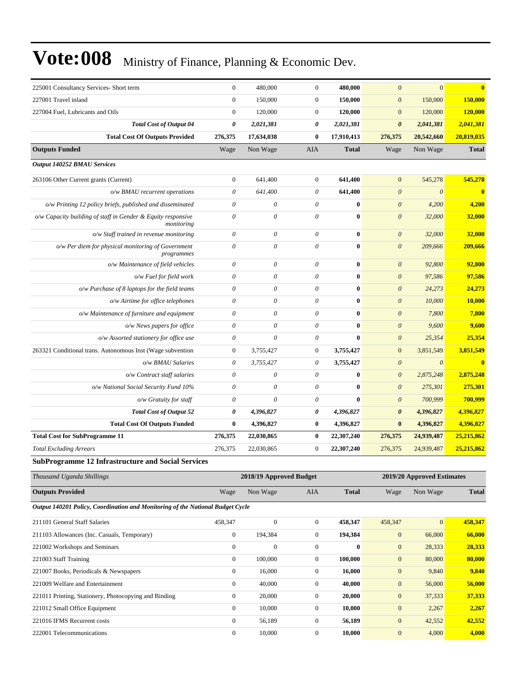| 225001 Consultancy Services- Short term                                    | $\boldsymbol{0}$          | 480,000                   | $\boldsymbol{0}$          | 480,000      | $\overline{0}$        | $\overline{0}$        | $\bf{0}$     |
|----------------------------------------------------------------------------|---------------------------|---------------------------|---------------------------|--------------|-----------------------|-----------------------|--------------|
| 227001 Travel inland                                                       | $\overline{0}$            | 150,000                   | $\boldsymbol{0}$          | 150,000      | $\mathbf{0}$          | 150,000               | 150,000      |
| 227004 Fuel, Lubricants and Oils                                           | $\mathbf{0}$              | 120,000                   | $\boldsymbol{0}$          | 120,000      | $\mathbf{0}$          | 120,000               | 120,000      |
| <b>Total Cost of Output 04</b>                                             | $\boldsymbol{\theta}$     | 2,021,381                 | $\boldsymbol{\theta}$     | 2,021,381    | $\boldsymbol{\theta}$ | 2,041,381             | 2,041,381    |
| <b>Total Cost Of Outputs Provided</b>                                      | 276,375                   | 17,634,038                | $\bf{0}$                  | 17,910,413   | 276,375               | 20,542,660            | 20,819,035   |
| <b>Outputs Funded</b>                                                      | Wage                      | Non Wage                  | <b>AIA</b>                | <b>Total</b> | Wage                  | Non Wage              | <b>Total</b> |
| Output 140252 BMAU Services                                                |                           |                           |                           |              |                       |                       |              |
| 263106 Other Current grants (Current)                                      | $\boldsymbol{0}$          | 641,400                   | $\boldsymbol{0}$          | 641,400      | $\overline{0}$        | 545,278               | 545,278      |
| o/w BMAU recurrent operations                                              | $\boldsymbol{\mathit{0}}$ | 641,400                   | $\theta$                  | 641,400      | $\boldsymbol{\theta}$ | $\boldsymbol{\theta}$ | $\bf{0}$     |
| o/w Printing 12 policy briefs, published and disseminated                  | $\theta$                  | $\boldsymbol{\theta}$     | $\theta$                  | $\bf{0}$     | $\boldsymbol{\theta}$ | 4,200                 | 4,200        |
| o/w Capacity building of staff in Gender & Equity responsive<br>monitoring | $\theta$                  | $\boldsymbol{\theta}$     | $\theta$                  | $\bf{0}$     | $\boldsymbol{\theta}$ | 32,000                | 32,000       |
| o/w Staff trained in revenue monitoring                                    | $\theta$                  | $\boldsymbol{\mathit{0}}$ | $\theta$                  | $\bf{0}$     | $\boldsymbol{\theta}$ | 32,000                | 32,000       |
| o/w Per diem for physical monitoring of Government<br>programmes           | $\boldsymbol{\mathit{0}}$ | $\boldsymbol{\mathit{0}}$ | $\boldsymbol{\theta}$     | $\bf{0}$     | $\boldsymbol{\theta}$ | 209,666               | 209,666      |
| o/w Maintenance of field vehicles                                          | $\boldsymbol{\theta}$     | $\boldsymbol{\mathit{0}}$ | $\theta$                  | $\bf{0}$     | $\boldsymbol{\theta}$ | 92,800                | 92,800       |
| o/w Fuel for field work                                                    | $\theta$                  | $\boldsymbol{\mathit{0}}$ | $\theta$                  | $\bf{0}$     | $\boldsymbol{\theta}$ | 97,586                | 97,586       |
| $o/w$ Purchase of 8 laptops for the field teams                            | $\theta$                  | $\boldsymbol{\mathit{0}}$ | $\theta$                  | $\bf{0}$     | $\boldsymbol{\theta}$ | 24,273                | 24,273       |
| o/w Airtime for office telephones                                          | $\boldsymbol{\mathit{0}}$ | $\boldsymbol{\mathit{0}}$ | $\boldsymbol{\mathit{0}}$ | $\bf{0}$     | $\boldsymbol{\theta}$ | 10,000                | 10,000       |
| o/w Maintenance of furniture and equipment                                 | $\theta$                  | $\theta$                  | $\theta$                  | $\bf{0}$     | $\boldsymbol{\theta}$ | 7,800                 | 7,800        |
| o/w News papers for office                                                 | $\theta$                  | $\theta$                  | $\theta$                  | $\mathbf{0}$ | $\theta$              | 9,600                 | 9,600        |
| o/w Assorted stationery for office use                                     | $\theta$                  | $\theta$                  | $\theta$                  | $\bf{0}$     | $\boldsymbol{\theta}$ | 25,354                | 25,354       |
| 263321 Conditional trans. Autonomous Inst (Wage subvention                 | $\boldsymbol{0}$          | 3,755,427                 | $\mathbf{0}$              | 3,755,427    | $\mathbf{0}$          | 3,851,549             | 3,851,549    |
| o/w BMAU Salaries                                                          | $\theta$                  | 3,755,427                 | $\theta$                  | 3,755,427    | $\boldsymbol{\theta}$ | $\boldsymbol{\theta}$ | $\bf{0}$     |
| o/w Contract staff salaries                                                | $\theta$                  | $\theta$                  | $\theta$                  | $\bf{0}$     | $\boldsymbol{\theta}$ | 2,875,248             | 2,875,248    |
| o/w National Social Security Fund 10%                                      | 0                         | 0                         | $\theta$                  | $\mathbf{0}$ | $\boldsymbol{\theta}$ | 275,301               | 275,301      |
| o/w Gratuity for staff                                                     | $\theta$                  | $\theta$                  | $\theta$                  | $\bf{0}$     | $\theta$              | 700,999               | 700,999      |
| <b>Total Cost of Output 52</b>                                             | $\boldsymbol{\theta}$     | 4,396,827                 | 0                         | 4,396,827    | $\pmb{\theta}$        | 4,396,827             | 4,396,827    |
| <b>Total Cost Of Outputs Funded</b>                                        | $\bf{0}$                  | 4,396,827                 | $\bf{0}$                  | 4,396,827    | $\bf{0}$              | 4,396,827             | 4,396,827    |
| <b>Total Cost for SubProgramme 11</b>                                      | 276,375                   | 22,030,865                | $\bf{0}$                  | 22,307,240   | 276,375               | 24,939,487            | 25,215,862   |
| <b>Total Excluding Arrears</b>                                             | 276,375                   | 22,030,865                | $\boldsymbol{0}$          | 22,307,240   | 276,375               | 24,939,487            | 25,215,862   |
| <b>SubProgramme 12 Infrastructure and Social Services</b>                  |                           |                           |                           |              |                       |                       |              |

| Thousand Uganda Shillings                                                      |                | 2018/19 Approved Budget |                |              |                | 2019/20 Approved Estimates |              |  |
|--------------------------------------------------------------------------------|----------------|-------------------------|----------------|--------------|----------------|----------------------------|--------------|--|
| <b>Outputs Provided</b>                                                        | Wage           | Non Wage                | AIA            | <b>Total</b> | Wage           | Non Wage                   | <b>Total</b> |  |
| Output 140201 Policy, Coordination and Monitoring of the National Budget Cycle |                |                         |                |              |                |                            |              |  |
| 211101 General Staff Salaries                                                  | 458,347        | $\mathbf{0}$            | $\overline{0}$ | 458,347      | 458,347        | $\overline{0}$             | 458,347      |  |
| 211103 Allowances (Inc. Casuals, Temporary)                                    | $\overline{0}$ | 194,384                 | $\overline{0}$ | 194,384      | $\overline{0}$ | 66,000                     | 66,000       |  |
| 221002 Workshops and Seminars                                                  | $\overline{0}$ | $\boldsymbol{0}$        | $\mathbf{0}$   | $\bf{0}$     | $\mathbf{0}$   | 28,333                     | 28,333       |  |
| 221003 Staff Training                                                          | $\overline{0}$ | 100,000                 | $\overline{0}$ | 100,000      | $\mathbf{0}$   | 80,000                     | 80,000       |  |
| 221007 Books, Periodicals & Newspapers                                         | $\mathbf{0}$   | 16,000                  | $\overline{0}$ | 16,000       | $\overline{0}$ | 9,840                      | 9,840        |  |
| 221009 Welfare and Entertainment                                               | $\mathbf{0}$   | 40,000                  | $\overline{0}$ | 40,000       | $\overline{0}$ | 56,000                     | 56,000       |  |
| 221011 Printing, Stationery, Photocopying and Binding                          | $\mathbf{0}$   | 20,000                  | $\overline{0}$ | 20,000       | $\mathbf{0}$   | 37,333                     | 37,333       |  |
| 221012 Small Office Equipment                                                  | $\overline{0}$ | 10,000                  | $\overline{0}$ | 10,000       | $\mathbf{0}$   | 2,267                      | 2,267        |  |
| 221016 IFMS Recurrent costs                                                    | $\mathbf{0}$   | 56,189                  | $\Omega$       | 56,189       | $\overline{0}$ | 42,552                     | 42,552       |  |
| 222001 Telecommunications                                                      | $\Omega$       | 10,000                  | $\Omega$       | 10,000       | $\overline{0}$ | 4,000                      | 4,000        |  |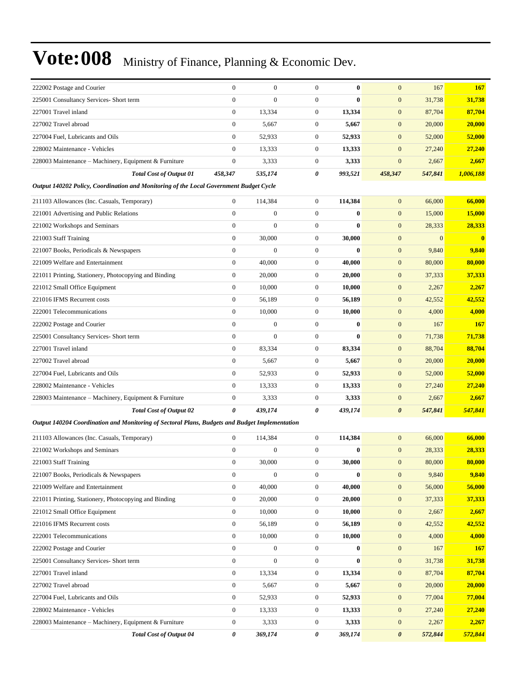| 222002 Postage and Courier                                                                     | $\mathbf{0}$     | $\overline{0}$   | $\mathbf{0}$     | $\mathbf{0}$ | $\overline{0}$        | 167          | <b>167</b> |
|------------------------------------------------------------------------------------------------|------------------|------------------|------------------|--------------|-----------------------|--------------|------------|
| 225001 Consultancy Services- Short term                                                        | $\overline{0}$   | $\overline{0}$   | $\mathbf{0}$     | $\mathbf{0}$ | $\boldsymbol{0}$      | 31,738       | 31,738     |
| 227001 Travel inland                                                                           | $\boldsymbol{0}$ | 13,334           | $\mathbf{0}$     | 13,334       | $\mathbf{0}$          | 87,704       | 87,704     |
| 227002 Travel abroad                                                                           | $\boldsymbol{0}$ | 5,667            | $\mathbf{0}$     | 5,667        | $\boldsymbol{0}$      | 20,000       | 20,000     |
| 227004 Fuel, Lubricants and Oils                                                               | $\overline{0}$   | 52,933           | $\mathbf{0}$     | 52,933       | $\mathbf{0}$          | 52,000       | 52,000     |
| 228002 Maintenance - Vehicles                                                                  | $\overline{0}$   | 13,333           | $\mathbf{0}$     | 13,333       | $\boldsymbol{0}$      | 27,240       | 27,240     |
| 228003 Maintenance - Machinery, Equipment & Furniture                                          | $\boldsymbol{0}$ | 3,333            | $\mathbf{0}$     | 3,333        | $\boldsymbol{0}$      | 2,667        | 2,667      |
| <b>Total Cost of Output 01</b>                                                                 | 458,347          | 535,174          | 0                | 993,521      | 458,347               | 547,841      | 1,006,188  |
| Output 140202 Policy, Coordination and Monitoring of the Local Government Budget Cycle         |                  |                  |                  |              |                       |              |            |
| 211103 Allowances (Inc. Casuals, Temporary)                                                    | $\boldsymbol{0}$ | 114,384          | $\mathbf{0}$     | 114,384      | $\mathbf{0}$          | 66,000       | 66,000     |
| 221001 Advertising and Public Relations                                                        | $\mathbf{0}$     | $\boldsymbol{0}$ | $\mathbf{0}$     | $\bf{0}$     | $\boldsymbol{0}$      | 15,000       | 15,000     |
| 221002 Workshops and Seminars                                                                  | $\overline{0}$   | $\overline{0}$   | $\mathbf{0}$     | $\bf{0}$     | $\mathbf{0}$          | 28,333       | 28,333     |
| 221003 Staff Training                                                                          | $\overline{0}$   | 30,000           | $\mathbf{0}$     | 30,000       | $\boldsymbol{0}$      | $\mathbf{0}$ | $\bf{0}$   |
| 221007 Books, Periodicals & Newspapers                                                         | $\overline{0}$   | $\overline{0}$   | $\mathbf{0}$     | $\mathbf{0}$ | $\boldsymbol{0}$      | 9,840        | 9,840      |
| 221009 Welfare and Entertainment                                                               | $\boldsymbol{0}$ | 40,000           | $\mathbf{0}$     | 40,000       | $\boldsymbol{0}$      | 80,000       | 80,000     |
| 221011 Printing, Stationery, Photocopying and Binding                                          | $\mathbf{0}$     | 20,000           | $\mathbf{0}$     | 20,000       | $\mathbf{0}$          | 37,333       | 37,333     |
| 221012 Small Office Equipment                                                                  | $\boldsymbol{0}$ | 10,000           | $\mathbf{0}$     | 10,000       | $\boldsymbol{0}$      | 2,267        | 2,267      |
| 221016 IFMS Recurrent costs                                                                    | $\boldsymbol{0}$ | 56,189           | $\mathbf{0}$     | 56,189       | $\boldsymbol{0}$      | 42,552       | 42,552     |
| 222001 Telecommunications                                                                      | $\overline{0}$   | 10,000           | $\mathbf{0}$     | 10,000       | $\boldsymbol{0}$      | 4,000        | 4,000      |
| 222002 Postage and Courier                                                                     | $\overline{0}$   | $\overline{0}$   | $\mathbf{0}$     | $\mathbf{0}$ | $\boldsymbol{0}$      | 167          | <b>167</b> |
| 225001 Consultancy Services- Short term                                                        | $\overline{0}$   | $\boldsymbol{0}$ | $\mathbf{0}$     | $\bf{0}$     | $\mathbf{0}$          | 71,738       | 71,738     |
| 227001 Travel inland                                                                           | $\overline{0}$   | 83,334           | $\mathbf{0}$     | 83,334       | $\mathbf{0}$          | 88,704       | 88,704     |
| 227002 Travel abroad                                                                           | $\overline{0}$   | 5,667            | $\mathbf{0}$     | 5,667        | $\boldsymbol{0}$      | 20,000       | 20,000     |
| 227004 Fuel, Lubricants and Oils                                                               | $\boldsymbol{0}$ | 52,933           | $\mathbf{0}$     | 52,933       | $\boldsymbol{0}$      | 52,000       | 52,000     |
| 228002 Maintenance - Vehicles                                                                  | $\overline{0}$   | 13,333           | $\mathbf{0}$     | 13,333       | $\boldsymbol{0}$      | 27,240       | 27,240     |
| 228003 Maintenance – Machinery, Equipment & Furniture                                          | $\boldsymbol{0}$ | 3,333            | $\mathbf{0}$     | 3,333        | $\boldsymbol{0}$      | 2,667        | 2,667      |
| <b>Total Cost of Output 02</b>                                                                 | 0                | 439,174          | 0                | 439,174      | $\boldsymbol{\theta}$ | 547,841      | 547,841    |
| Output 140204 Coordination and Monitoring of Sectoral Plans, Budgets and Budget Implementation |                  |                  |                  |              |                       |              |            |
| 211103 Allowances (Inc. Casuals, Temporary)                                                    | $\boldsymbol{0}$ | 114,384          | $\mathbf{0}$     | 114,384      | $\boldsymbol{0}$      | 66,000       | 66,000     |
| 221002 Workshops and Seminars                                                                  | $\boldsymbol{0}$ | $\mathbf{0}$     | $\mathbf{0}$     | $\bf{0}$     | $\boldsymbol{0}$      | 28,333       | 28,333     |
| 221003 Staff Training                                                                          | $\boldsymbol{0}$ | 30,000           | 0                | 30,000       | $\boldsymbol{0}$      | 80,000       | 80,000     |
| 221007 Books, Periodicals & Newspapers                                                         | $\boldsymbol{0}$ | 0                | $\mathbf{0}$     | $\bf{0}$     | $\mathbf{0}$          | 9,840        | 9,840      |
| 221009 Welfare and Entertainment                                                               | $\boldsymbol{0}$ | 40,000           | $\mathbf{0}$     | 40,000       | $\boldsymbol{0}$      | 56,000       | 56,000     |
| 221011 Printing, Stationery, Photocopying and Binding                                          | $\boldsymbol{0}$ | 20,000           | $\boldsymbol{0}$ | 20,000       | $\boldsymbol{0}$      | 37,333       | 37,333     |
| 221012 Small Office Equipment                                                                  | $\boldsymbol{0}$ | 10,000           | $\boldsymbol{0}$ | 10,000       | $\boldsymbol{0}$      | 2,667        | 2,667      |
| 221016 IFMS Recurrent costs                                                                    | $\boldsymbol{0}$ | 56,189           | $\boldsymbol{0}$ | 56,189       | $\boldsymbol{0}$      | 42,552       | 42,552     |
| 222001 Telecommunications                                                                      | $\mathbf{0}$     | 10,000           | $\boldsymbol{0}$ | 10,000       | $\boldsymbol{0}$      | 4,000        | 4,000      |
| 222002 Postage and Courier                                                                     | $\boldsymbol{0}$ | $\boldsymbol{0}$ | $\boldsymbol{0}$ | $\bf{0}$     | $\boldsymbol{0}$      | 167          | <b>167</b> |
| 225001 Consultancy Services- Short term                                                        | $\boldsymbol{0}$ | $\boldsymbol{0}$ | $\boldsymbol{0}$ | $\bf{0}$     | $\boldsymbol{0}$      | 31,738       | 31,738     |
| 227001 Travel inland                                                                           | $\boldsymbol{0}$ | 13,334           | $\boldsymbol{0}$ | 13,334       | $\boldsymbol{0}$      | 87,704       | 87,704     |
| 227002 Travel abroad                                                                           | $\boldsymbol{0}$ | 5,667            | $\boldsymbol{0}$ | 5,667        | $\boldsymbol{0}$      | 20,000       | 20,000     |
| 227004 Fuel, Lubricants and Oils                                                               | $\boldsymbol{0}$ | 52,933           | $\boldsymbol{0}$ | 52,933       | $\boldsymbol{0}$      | 77,004       | 77,004     |
| 228002 Maintenance - Vehicles                                                                  | $\boldsymbol{0}$ | 13,333           | $\boldsymbol{0}$ | 13,333       | $\boldsymbol{0}$      | 27,240       | 27,240     |
| 228003 Maintenance – Machinery, Equipment & Furniture                                          | $\boldsymbol{0}$ | 3,333            | $\boldsymbol{0}$ | 3,333        | $\boldsymbol{0}$      | 2,267        | 2,267      |
| <b>Total Cost of Output 04</b>                                                                 | 0                | 369,174          | 0                | 369,174      | 0                     | 572,844      | 572,844    |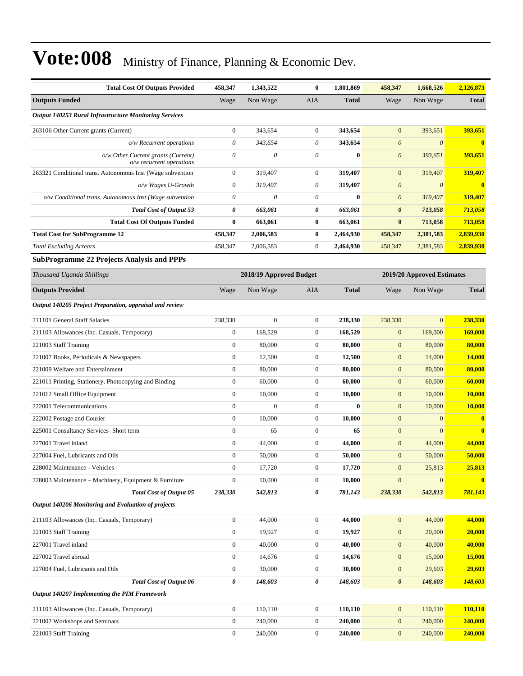| <b>Total Cost Of Outputs Provided</b>                          | 458,347                   | 1,343,522               | $\bf{0}$         | 1,801,869    | 458,347               | 1,668,526                  | 2,126,873      |
|----------------------------------------------------------------|---------------------------|-------------------------|------------------|--------------|-----------------------|----------------------------|----------------|
| <b>Outputs Funded</b>                                          | Wage                      | Non Wage                | AIA              | <b>Total</b> | Wage                  | Non Wage                   | <b>Total</b>   |
| <b>Output 140253 Rural Infrastructure Monitoring Services</b>  |                           |                         |                  |              |                       |                            |                |
| 263106 Other Current grants (Current)                          | $\boldsymbol{0}$          | 343,654                 | $\boldsymbol{0}$ | 343,654      | $\overline{0}$        | 393,651                    | 393,651        |
| o/w Recurrent operations                                       | $\theta$                  | 343,654                 | $\theta$         | 343,654      | $\theta$              | $\theta$                   | $\bf{0}$       |
| o/w Other Current grants (Current)<br>o/w recurrent operations | $\boldsymbol{\mathit{0}}$ | $\theta$                | $\theta$         | $\bf{0}$     | $\boldsymbol{\theta}$ | 393,651                    | 393,651        |
| 263321 Conditional trans. Autonomous Inst (Wage subvention     | $\boldsymbol{0}$          | 319,407                 | $\mathbf{0}$     | 319,407      | $\mathbf{0}$          | 319,407                    | 319,407        |
| o/w Wages U-Growth                                             | $\theta$                  | 319,407                 | $\theta$         | 319,407      | $\theta$              | $\theta$                   |                |
| o/w Conditional trans. Autonomous Inst (Wage subvention        | $\theta$                  | $\theta$                | $\theta$         | $\bf{0}$     | $\boldsymbol{\theta}$ | 319,407                    | 319,407        |
| <b>Total Cost of Output 53</b>                                 | 0                         | 663,061                 | 0                | 663,061      | $\boldsymbol{\theta}$ | 713,058                    | 713,058        |
| <b>Total Cost Of Outputs Funded</b>                            | $\bf{0}$                  | 663,061                 | $\bf{0}$         | 663,061      | $\bf{0}$              | 713,058                    | 713,058        |
| <b>Total Cost for SubProgramme 12</b>                          | 458,347                   | 2,006,583               | $\bf{0}$         | 2,464,930    | 458,347               | 2,381,583                  | 2,839,930      |
| <b>Total Excluding Arrears</b>                                 | 458,347                   | 2,006,583               | $\boldsymbol{0}$ | 2,464,930    | 458,347               | 2,381,583                  | 2,839,930      |
| <b>SubProgramme 22 Projects Analysis and PPPs</b>              |                           |                         |                  |              |                       |                            |                |
| Thousand Uganda Shillings                                      |                           | 2018/19 Approved Budget |                  |              |                       | 2019/20 Approved Estimates |                |
| <b>Outputs Provided</b>                                        | Wage                      | Non Wage                | AIA              | <b>Total</b> | Wage                  | Non Wage                   | <b>Total</b>   |
| Output 140205 Project Preparation, appraisal and review        |                           |                         |                  |              |                       |                            |                |
| 211101 General Staff Salaries                                  | 238,330                   | $\mathbf{0}$            | $\boldsymbol{0}$ | 238,330      | 238,330               | $\mathbf{0}$               | 238,330        |
| 211103 Allowances (Inc. Casuals, Temporary)                    | $\boldsymbol{0}$          | 168,529                 | $\mathbf{0}$     | 168,529      | $\boldsymbol{0}$      | 169,000                    | 169,000        |
| 221003 Staff Training                                          | $\boldsymbol{0}$          | 80,000                  | $\mathbf{0}$     | 80,000       | $\mathbf{0}$          | 80,000                     | 80,000         |
| 221007 Books, Periodicals & Newspapers                         | $\boldsymbol{0}$          | 12,500                  | $\mathbf{0}$     | 12,500       | $\mathbf{0}$          | 14,000                     | 14,000         |
| 221009 Welfare and Entertainment                               | $\boldsymbol{0}$          | 80,000                  | $\boldsymbol{0}$ | 80,000       | $\mathbf{0}$          | 80,000                     | 80,000         |
| 221011 Printing, Stationery, Photocopying and Binding          | $\boldsymbol{0}$          | 60,000                  | $\mathbf{0}$     | 60,000       | $\boldsymbol{0}$      | 60,000                     | 60,000         |
| 221012 Small Office Equipment                                  | $\boldsymbol{0}$          | 10,000                  | $\boldsymbol{0}$ | 10,000       | $\boldsymbol{0}$      | 10,000                     | 10,000         |
| 222001 Telecommunications                                      | $\overline{0}$            | $\mathbf{0}$            | $\mathbf{0}$     | $\bf{0}$     | $\mathbf{0}$          | 10,000                     | 10,000         |
| 222002 Postage and Courier                                     | $\boldsymbol{0}$          | 10,000                  | $\mathbf{0}$     | 10,000       | $\mathbf{0}$          | $\mathbf{0}$               | $\bf{0}$       |
| 225001 Consultancy Services- Short term                        | $\boldsymbol{0}$          | 65                      | $\boldsymbol{0}$ | 65           | $\mathbf{0}$          | $\Omega$                   | $\mathbf{0}$   |
| 227001 Travel inland                                           | $\mathbf{0}$              | 44,000                  | $\mathbf{0}$     | 44,000       | $\mathbf{0}$          | 44,000                     | 44,000         |
| 227004 Fuel, Lubricants and Oils                               | $\Omega$                  | 50,000                  | $\theta$         | 50.000       | $\mathbf{0}$          | 50,000                     | 50,000         |
| 228002 Maintenance - Vehicles                                  | $\boldsymbol{0}$          | 17,720                  | $\boldsymbol{0}$ | 17,720       | $\boldsymbol{0}$      | 25,813                     | 25,813         |
| 228003 Maintenance - Machinery, Equipment & Furniture          | $\boldsymbol{0}$          | 10,000                  | $\boldsymbol{0}$ | 10,000       | $\boldsymbol{0}$      | $\mathbf{0}$               | $\bf{0}$       |
| <b>Total Cost of Output 05</b>                                 | 238,330                   | 542,813                 | 0                | 781,143      | 238,330               | 542,813                    | 781,143        |
| Output 140206 Monitoring and Evaluation of projects            |                           |                         |                  |              |                       |                            |                |
| 211103 Allowances (Inc. Casuals, Temporary)                    | $\mathbf{0}$              | 44,000                  | $\boldsymbol{0}$ | 44,000       | $\mathbf{0}$          | 44,000                     | 44,000         |
| 221003 Staff Training                                          | $\boldsymbol{0}$          | 19,927                  | $\boldsymbol{0}$ | 19,927       | $\boldsymbol{0}$      | 20,000                     | 20,000         |
| 227001 Travel inland                                           | $\boldsymbol{0}$          | 40,000                  | $\boldsymbol{0}$ | 40,000       | $\boldsymbol{0}$      | 40,000                     | 40,000         |
| 227002 Travel abroad                                           | $\boldsymbol{0}$          | 14,676                  | $\boldsymbol{0}$ | 14,676       | $\mathbf{0}$          | 15,000                     | 15,000         |
| 227004 Fuel, Lubricants and Oils                               | $\boldsymbol{0}$          | 30,000                  | $\boldsymbol{0}$ | 30,000       | $\boldsymbol{0}$      | 29,603                     | 29,603         |
| <b>Total Cost of Output 06</b>                                 | 0                         | 148,603                 | $\pmb{\theta}$   | 148,603      | $\boldsymbol{\theta}$ | 148,603                    | <b>148,603</b> |
| Output 140207 Implementing the PIM Framework                   |                           |                         |                  |              |                       |                            |                |
| 211103 Allowances (Inc. Casuals, Temporary)                    | $\boldsymbol{0}$          | 110,110                 | $\boldsymbol{0}$ | 110,110      | $\boldsymbol{0}$      | 110,110                    | 110,110        |
| 221002 Workshops and Seminars                                  | $\boldsymbol{0}$          | 240,000                 | $\boldsymbol{0}$ | 240,000      | $\boldsymbol{0}$      | 240,000                    | 240,000        |
| 221003 Staff Training                                          | $\boldsymbol{0}$          | 240,000                 | $\boldsymbol{0}$ | 240,000      | $\mathbf{0}$          | 240,000                    | 240,000        |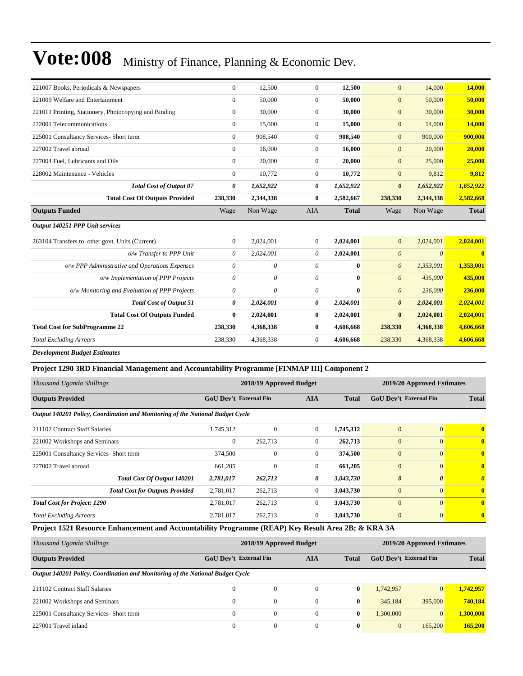| 221007 Books, Periodicals & Newspapers                | $\overline{0}$ | 12,500    | $\overline{0}$ | 12,500       | $\mathbf{0}$          | 14,000                | 14,000       |
|-------------------------------------------------------|----------------|-----------|----------------|--------------|-----------------------|-----------------------|--------------|
| 221009 Welfare and Entertainment                      | $\Omega$       | 50,000    | $\Omega$       | 50,000       | $\mathbf{0}$          | 50,000                | 50,000       |
| 221011 Printing, Stationery, Photocopying and Binding | $\overline{0}$ | 30,000    | $\overline{0}$ | 30,000       | $\mathbf{0}$          | 30,000                | 30,000       |
| 222001 Telecommunications                             | $\overline{0}$ | 15,000    | $\overline{0}$ | 15,000       | $\mathbf{0}$          | 14,000                | 14,000       |
| 225001 Consultancy Services- Short term               | $\overline{0}$ | 908,540   | $\overline{0}$ | 908.540      | $\mathbf{0}$          | 900,000               | 900,000      |
| 227002 Travel abroad                                  | $\overline{0}$ | 16,000    | $\overline{0}$ | 16,000       | $\mathbf{0}$          | 20,000                | 20,000       |
| 227004 Fuel, Lubricants and Oils                      | $\overline{0}$ | 20,000    | $\mathbf{0}$   | 20,000       | $\mathbf{0}$          | 25,000                | 25,000       |
| 228002 Maintenance - Vehicles                         | $\Omega$       | 10,772    | $\overline{0}$ | 10,772       | $\mathbf{0}$          | 9,812                 | 9,812        |
| <b>Total Cost of Output 07</b>                        | 0              | 1,652,922 | 0              | 1,652,922    | $\boldsymbol{\theta}$ | 1,652,922             | 1,652,922    |
| <b>Total Cost Of Outputs Provided</b>                 | 238,330        | 2,344,338 | $\bf{0}$       | 2,582,667    | 238,330               | 2,344,338             | 2,582,668    |
| <b>Outputs Funded</b>                                 | Wage           | Non Wage  | <b>AIA</b>     | <b>Total</b> | Wage                  | Non Wage              | <b>Total</b> |
| Output 140251 PPP Unit services                       |                |           |                |              |                       |                       |              |
| 263104 Transfers to other govt. Units (Current)       | $\overline{0}$ | 2,024,001 | $\overline{0}$ | 2,024,001    | $\overline{0}$        | 2,024,001             | 2,024,001    |
| o/w Transfer to PPP Unit                              | 0              | 2,024,001 | $\theta$       | 2,024,001    | $\boldsymbol{\theta}$ | $\boldsymbol{\theta}$ | $\mathbf{0}$ |
| o/w PPP Administrative and Operations Expenses        | 0              | 0         | $\theta$       | $\mathbf{0}$ | $\boldsymbol{\theta}$ | 1,353,001             | 1,353,001    |
| o/w Implementation of PPP Projects                    | 0              | 0         | $\theta$       | $\bf{0}$     | $\boldsymbol{\theta}$ | 435,000               | 435,000      |
| o/w Monitoring and Evaluation of PPP Projects         | 0              | 0         | $\theta$       | $\bf{0}$     | $\boldsymbol{\theta}$ | 236,000               | 236,000      |
| <b>Total Cost of Output 51</b>                        | 0              | 2,024,001 | 0              | 2,024,001    | $\boldsymbol{\theta}$ | 2,024,001             | 2,024,001    |
| <b>Total Cost Of Outputs Funded</b>                   | $\bf{0}$       | 2,024,001 | $\bf{0}$       | 2,024,001    | $\bf{0}$              | 2,024,001             | 2,024,001    |
| <b>Total Cost for SubProgramme 22</b>                 | 238,330        | 4,368,338 | $\bf{0}$       | 4,606,668    | 238,330               | 4,368,338             | 4,606,668    |
| <b>Total Excluding Arrears</b>                        | 238,330        | 4,368,338 | $\overline{0}$ | 4,606,668    | 238,330               | 4,368,338             | 4,606,668    |
| <b>Development Budget Estimates</b>                   |                |           |                |              |                       |                       |              |

#### **Project 1290 3RD Financial Management and Accountability Programme [FINMAP III] Component 2**

| Thousand Uganda Shillings                                                      |                               | 2018/19 Approved Budget |                | 2019/20 Approved Estimates |                        |                       |              |
|--------------------------------------------------------------------------------|-------------------------------|-------------------------|----------------|----------------------------|------------------------|-----------------------|--------------|
| <b>Outputs Provided</b>                                                        | <b>GoU</b> Dev't External Fin |                         | <b>AIA</b>     | <b>Total</b>               | GoU Dev't External Fin | <b>Total</b>          |              |
| Output 140201 Policy, Coordination and Monitoring of the National Budget Cycle |                               |                         |                |                            |                        |                       |              |
| 211102 Contract Staff Salaries                                                 | 1,745,312                     | $\mathbf{0}$            | $\overline{0}$ | 1,745,312                  | $\mathbf{0}$           | $\overline{0}$        | $\mathbf{0}$ |
| 221002 Workshops and Seminars                                                  | $\overline{0}$                | 262,713                 | $\Omega$       | 262,713                    | $\overline{0}$         | $\overline{0}$        | $\mathbf{0}$ |
| 225001 Consultancy Services- Short term                                        | 374,500                       | $\mathbf{0}$            | $\Omega$       | 374,500                    | $\overline{0}$         | $\overline{0}$        | $\mathbf{0}$ |
| 227002 Travel abroad                                                           | 661,205                       | $\mathbf{0}$            | $\Omega$       | 661,205                    | $\overline{0}$         | $\overline{0}$        | $\mathbf{0}$ |
| Total Cost Of Output 140201                                                    | 2,781,017                     | 262,713                 | 0              | 3,043,730                  | $\boldsymbol{\theta}$  | $\boldsymbol{\theta}$ | $\theta$     |
| <b>Total Cost for Outputs Provided</b>                                         | 2,781,017                     | 262,713                 | $\mathbf{0}$   | 3,043,730                  | $\mathbf{0}$           | $\overline{0}$        | $\mathbf{0}$ |
| <b>Total Cost for Project: 1290</b>                                            | 2,781,017                     | 262,713                 | $\mathbf{0}$   | 3,043,730                  | $\mathbf{0}$           | $\overline{0}$        | $\mathbf{0}$ |
| <b>Total Excluding Arrears</b>                                                 | 2,781,017                     | 262,713                 | 0              | 3,043,730                  | $\overline{0}$         | $\overline{0}$        | $\mathbf{0}$ |

#### **Project 1521 Resource Enhancement and Accountability Programme (REAP) Key Result Area 2B; & KRA 3A**

| Thousand Uganda Shillings                                                      |              | 2018/19 Approved Budget                     | 2019/20 Approved Estimates |              |                        |                |              |
|--------------------------------------------------------------------------------|--------------|---------------------------------------------|----------------------------|--------------|------------------------|----------------|--------------|
| <b>Outputs Provided</b>                                                        |              | <b>GoU Dev't External Fin</b><br><b>AIA</b> |                            |              | GoU Dev't External Fin |                | <b>Total</b> |
| Output 140201 Policy, Coordination and Monitoring of the National Budget Cycle |              |                                             |                            |              |                        |                |              |
| 211102 Contract Staff Salaries                                                 | $\Omega$     | $\Omega$                                    | $\Omega$                   | $\mathbf{0}$ | 1.742.957              | $\overline{0}$ | 1.742.957    |
| 221002 Workshops and Seminars                                                  | $\Omega$     | $\Omega$                                    | $\theta$                   | $\mathbf{0}$ | 345,184                | 395,000        | 740.184      |
| 225001 Consultancy Services- Short term                                        | $\mathbf{0}$ | 0                                           | $\Omega$                   | $\mathbf{0}$ | 1,300,000              | $\overline{0}$ | 1,300,000    |
| 227001 Travel inland                                                           | $\Omega$     | $\theta$                                    | $\Omega$                   | $\mathbf{0}$ | $\mathbf{0}$           | 165,200        | 165,200      |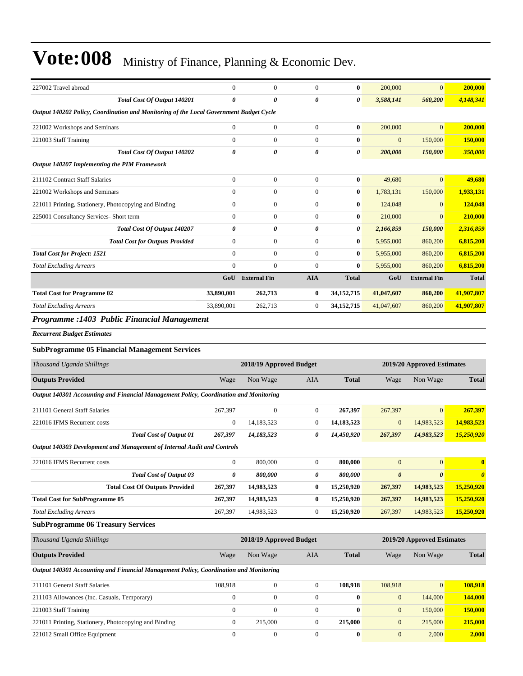| 227002 Travel abroad                                                                   | $\mathbf{0}$     | $\mathbf{0}$            | $\mathbf{0}$     | 0                | 200,000          | $\mathbf{0}$               | 200,000               |
|----------------------------------------------------------------------------------------|------------------|-------------------------|------------------|------------------|------------------|----------------------------|-----------------------|
| Total Cost Of Output 140201                                                            | 0                | 0                       | 0                | 0                | 3,588,141        | 560,200                    | 4,148,341             |
| Output 140202 Policy, Coordination and Monitoring of the Local Government Budget Cycle |                  |                         |                  |                  |                  |                            |                       |
| 221002 Workshops and Seminars                                                          | $\boldsymbol{0}$ | $\mathbf{0}$            | $\mathbf{0}$     | 0                | 200,000          | $\mathbf{0}$               | 200,000               |
| 221003 Staff Training                                                                  | $\boldsymbol{0}$ | $\mathbf{0}$            | $\mathbf{0}$     | $\boldsymbol{0}$ | $\mathbf{0}$     | 150,000                    | <b>150,000</b>        |
| Total Cost Of Output 140202                                                            | 0                | 0                       | 0                | 0                | 200,000          | 150,000                    | 350,000               |
| Output 140207 Implementing the PIM Framework                                           |                  |                         |                  |                  |                  |                            |                       |
| 211102 Contract Staff Salaries                                                         | $\overline{0}$   | $\mathbf{0}$            | $\mathbf{0}$     | 0                | 49,680           | $\mathbf{0}$               | 49,680                |
| 221002 Workshops and Seminars                                                          | $\boldsymbol{0}$ | $\mathbf{0}$            | $\boldsymbol{0}$ | $\bf{0}$         | 1,783,131        | 150,000                    | 1,933,131             |
| 221011 Printing, Stationery, Photocopying and Binding                                  | $\boldsymbol{0}$ | $\mathbf{0}$            | $\mathbf{0}$     | 0                | 124,048          | $\mathbf{0}$               | 124,048               |
| 225001 Consultancy Services- Short term                                                | $\boldsymbol{0}$ | $\mathbf{0}$            | $\boldsymbol{0}$ | 0                | 210,000          | $\mathbf{0}$               | 210,000               |
| Total Cost Of Output 140207                                                            | 0                | 0                       | 0                | 0                | 2,166,859        | 150,000                    | 2,316,859             |
| <b>Total Cost for Outputs Provided</b>                                                 | $\overline{0}$   | $\boldsymbol{0}$        | $\mathbf{0}$     | 0                | 5,955,000        | 860,200                    | 6,815,200             |
| <b>Total Cost for Project: 1521</b>                                                    | $\overline{0}$   | $\mathbf{0}$            | $\mathbf{0}$     | 0                | 5,955,000        | 860,200                    | 6,815,200             |
| <b>Total Excluding Arrears</b>                                                         | $\overline{0}$   | $\mathbf{0}$            | $\mathbf{0}$     | 0                | 5,955,000        | 860,200                    | 6,815,200             |
|                                                                                        | GoU              | <b>External Fin</b>     | <b>AIA</b>       | <b>Total</b>     | GoU              | <b>External Fin</b>        | <b>Total</b>          |
| <b>Total Cost for Programme 02</b>                                                     | 33,890,001       | 262,713                 | $\bf{0}$         | 34, 152, 715     | 41,047,607       | 860,200                    | 41,907,807            |
| <b>Total Excluding Arrears</b>                                                         | 33,890,001       | 262,713                 | $\boldsymbol{0}$ | 34, 152, 715     | 41,047,607       | 860,200                    | 41,907,807            |
| Programme : 1403 Public Financial Management                                           |                  |                         |                  |                  |                  |                            |                       |
| <b>Recurrent Budget Estimates</b>                                                      |                  |                         |                  |                  |                  |                            |                       |
| <b>SubProgramme 05 Financial Management Services</b>                                   |                  |                         |                  |                  |                  |                            |                       |
|                                                                                        |                  |                         |                  |                  |                  |                            |                       |
| Thousand Uganda Shillings                                                              |                  | 2018/19 Approved Budget |                  |                  |                  | 2019/20 Approved Estimates |                       |
| <b>Outputs Provided</b>                                                                | Wage             | Non Wage                | AIA              | <b>Total</b>     | Wage             | Non Wage                   | <b>Total</b>          |
| Output 140301 Accounting and Financial Management Policy, Coordination and Monitoring  |                  |                         |                  |                  |                  |                            |                       |
| 211101 General Staff Salaries                                                          | 267,397          | $\mathbf{0}$            | $\boldsymbol{0}$ | 267,397          | 267,397          | $\mathbf{0}$               | 267,397               |
| 221016 IFMS Recurrent costs                                                            | $\mathbf{0}$     | 14,183,523              | $\boldsymbol{0}$ | 14,183,523       | $\mathbf{0}$     | 14,983,523                 | 14,983,523            |
| <b>Total Cost of Output 01</b>                                                         | 267,397          | 14,183,523              | 0                | 14,450,920       | 267,397          | 14,983,523                 | 15,250,920            |
| Output 140303 Development and Management of Internal Audit and Controls                |                  |                         |                  |                  |                  |                            |                       |
| 221016 IFMS Recurrent costs                                                            | 0                | 800,000                 | $\boldsymbol{0}$ | 800,000          | $\mathbf{0}$     | $\boldsymbol{0}$           | $\bf{0}$              |
| <b>Total Cost of Output 03</b>                                                         | 0                | 800,000                 | 0                | 800,000          | $\pmb{\theta}$   | $\boldsymbol{\theta}$      | $\boldsymbol{\theta}$ |
| <b>Total Cost Of Outputs Provided</b>                                                  | 267,397          | 14,983,523              | $\bf{0}$         | 15,250,920       | 267,397          | 14,983,523                 | 15,250,920            |
| <b>Total Cost for SubProgramme 05</b>                                                  | 267,397          | 14,983,523              | $\bf{0}$         | 15,250,920       | 267,397          | 14,983,523                 | 15,250,920            |
| <b>Total Excluding Arrears</b>                                                         | 267,397          | 14,983,523              | $\boldsymbol{0}$ | 15,250,920       | 267,397          | 14,983,523                 | 15,250,920            |
| <b>SubProgramme 06 Treasury Services</b>                                               |                  |                         |                  |                  |                  |                            |                       |
| Thousand Uganda Shillings                                                              |                  | 2018/19 Approved Budget |                  |                  |                  | 2019/20 Approved Estimates |                       |
| <b>Outputs Provided</b>                                                                | Wage             | Non Wage                | AIA              | <b>Total</b>     | Wage             | Non Wage                   | <b>Total</b>          |
| Output 140301 Accounting and Financial Management Policy, Coordination and Monitoring  |                  |                         |                  |                  |                  |                            |                       |
| 211101 General Staff Salaries                                                          | 108,918          | $\boldsymbol{0}$        | $\boldsymbol{0}$ | 108,918          | 108,918          | $\mathbf{0}$               | 108,918               |
| 211103 Allowances (Inc. Casuals, Temporary)                                            | $\boldsymbol{0}$ | $\mathbf{0}$            | $\mathbf{0}$     | $\boldsymbol{0}$ | $\mathbf{0}$     | 144,000                    | 144,000               |
| 221003 Staff Training                                                                  | $\boldsymbol{0}$ | $\boldsymbol{0}$        | $\mathbf{0}$     | 0                | $\boldsymbol{0}$ | 150,000                    | 150,000               |
| 221011 Printing, Stationery, Photocopying and Binding                                  | $\boldsymbol{0}$ | 215,000                 | $\mathbf{0}$     | 215,000          | $\mathbf{0}$     | 215,000                    | 215,000               |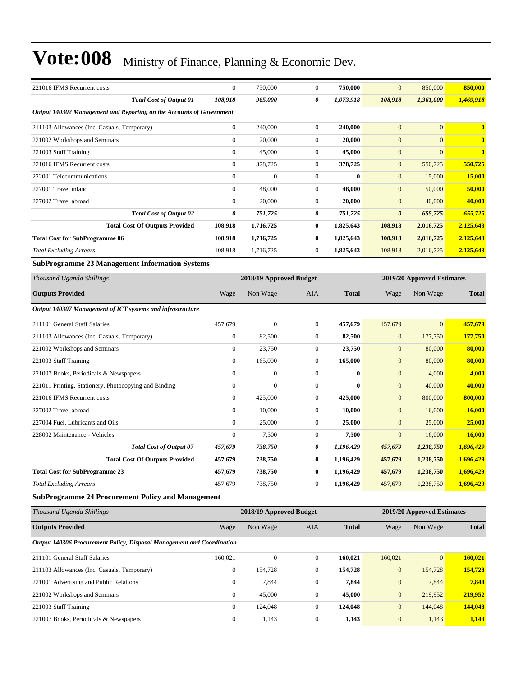| 221016 IFMS Recurrent costs                                            | $\boldsymbol{0}$ | 750,000                 | $\overline{0}$   | 750,000      | $\overline{0}$        | 850,000                    | 850,000       |
|------------------------------------------------------------------------|------------------|-------------------------|------------------|--------------|-----------------------|----------------------------|---------------|
| <b>Total Cost of Output 01</b>                                         | 108,918          | 965,000                 | 0                | 1,073,918    | 108,918               | 1,361,000                  | 1,469,918     |
| Output 140302 Management and Reporting on the Accounts of Government   |                  |                         |                  |              |                       |                            |               |
| 211103 Allowances (Inc. Casuals, Temporary)                            | $\boldsymbol{0}$ | 240,000                 | $\boldsymbol{0}$ | 240,000      | $\mathbf{0}$          | $\overline{0}$             | $\bf{0}$      |
| 221002 Workshops and Seminars                                          | $\boldsymbol{0}$ | 20,000                  | $\boldsymbol{0}$ | 20,000       | $\mathbf{0}$          | $\overline{0}$             | $\bf{0}$      |
| 221003 Staff Training                                                  | $\mathbf{0}$     | 45,000                  | $\boldsymbol{0}$ | 45,000       | $\mathbf{0}$          | $\overline{0}$             | $\bf{0}$      |
| 221016 IFMS Recurrent costs                                            | $\boldsymbol{0}$ | 378,725                 | $\boldsymbol{0}$ | 378,725      | $\mathbf{0}$          | 550,725                    | 550,725       |
| 222001 Telecommunications                                              | $\overline{0}$   | $\overline{0}$          | $\boldsymbol{0}$ | $\bf{0}$     | $\mathbf{0}$          | 15,000                     | 15,000        |
| 227001 Travel inland                                                   | $\mathbf{0}$     | 48,000                  | $\boldsymbol{0}$ | 48,000       | $\mathbf{0}$          | 50,000                     | 50,000        |
| 227002 Travel abroad                                                   | $\mathbf{0}$     | 20,000                  | $\boldsymbol{0}$ | 20,000       | $\mathbf{0}$          | 40,000                     | 40,000        |
| <b>Total Cost of Output 02</b>                                         | 0                | 751,725                 | 0                | 751,725      | $\boldsymbol{\theta}$ | 655,725                    | 655,725       |
| <b>Total Cost Of Outputs Provided</b>                                  | 108,918          | 1,716,725               | $\bf{0}$         | 1,825,643    | 108,918               | 2,016,725                  | 2,125,643     |
| <b>Total Cost for SubProgramme 06</b>                                  | 108,918          | 1,716,725               | $\bf{0}$         | 1,825,643    | 108,918               | 2,016,725                  | 2,125,643     |
| <b>Total Excluding Arrears</b>                                         | 108,918          | 1,716,725               | 0                | 1,825,643    | 108,918               | 2,016,725                  | 2,125,643     |
| <b>SubProgramme 23 Management Information Systems</b>                  |                  |                         |                  |              |                       |                            |               |
| Thousand Uganda Shillings                                              |                  | 2018/19 Approved Budget |                  |              |                       | 2019/20 Approved Estimates |               |
| <b>Outputs Provided</b>                                                | Wage             | Non Wage                | AIA              | <b>Total</b> | Wage                  | Non Wage                   | <b>Total</b>  |
| Output 140307 Management of ICT systems and infrastructure             |                  |                         |                  |              |                       |                            |               |
| 211101 General Staff Salaries                                          | 457,679          | $\boldsymbol{0}$        | $\boldsymbol{0}$ | 457,679      | 457,679               | $\overline{0}$             | 457,679       |
| 211103 Allowances (Inc. Casuals, Temporary)                            | $\boldsymbol{0}$ | 82,500                  | $\boldsymbol{0}$ | 82,500       | $\mathbf{0}$          | 177,750                    | 177,750       |
| 221002 Workshops and Seminars                                          | $\boldsymbol{0}$ | 23,750                  | $\boldsymbol{0}$ | 23,750       | $\mathbf{0}$          | 80,000                     | 80,000        |
| 221003 Staff Training                                                  | $\boldsymbol{0}$ | 165,000                 | $\boldsymbol{0}$ | 165,000      | $\mathbf{0}$          | 80,000                     | 80,000        |
| 221007 Books, Periodicals & Newspapers                                 | $\mathbf{0}$     | $\boldsymbol{0}$        | $\boldsymbol{0}$ | $\bf{0}$     | $\mathbf{0}$          | 4,000                      | 4,000         |
| 221011 Printing, Stationery, Photocopying and Binding                  | $\boldsymbol{0}$ | $\overline{0}$          | $\boldsymbol{0}$ | $\mathbf{0}$ | $\mathbf{0}$          | 40,000                     | 40,000        |
| 221016 IFMS Recurrent costs                                            | $\boldsymbol{0}$ | 425,000                 | $\boldsymbol{0}$ | 425,000      | $\mathbf{0}$          | 800,000                    | 800,000       |
| 227002 Travel abroad                                                   | $\boldsymbol{0}$ | 10,000                  | $\boldsymbol{0}$ | 10,000       | $\mathbf{0}$          | 16,000                     | 16,000        |
| 227004 Fuel, Lubricants and Oils                                       | $\mathbf{0}$     | 25,000                  | $\boldsymbol{0}$ | 25,000       | $\mathbf{0}$          | 25,000                     | 25,000        |
| 228002 Maintenance - Vehicles                                          | $\mathbf{0}$     | 7,500                   | 0                | 7,500        | $\boldsymbol{0}$      | 16,000                     | <b>16,000</b> |
| <b>Total Cost of Output 07</b>                                         | 457,679          | 738,750                 | 0                | 1,196,429    | 457,679               | 1,238,750                  | 1,696,429     |
| <b>Total Cost Of Outputs Provided</b>                                  | 457,679          | 738,750                 | $\bf{0}$         | 1,196,429    | 457,679               | 1,238,750                  | 1,696,429     |
| <b>Total Cost for SubProgramme 23</b>                                  | 457,679          | 738,750                 | $\bf{0}$         | 1,196,429    | 457,679               | 1,238,750                  | 1,696,429     |
| <b>Total Excluding Arrears</b>                                         | 457,679          | 738,750                 | $\boldsymbol{0}$ | 1,196,429    | 457,679               | 1,238,750                  | 1,696,429     |
| <b>SubProgramme 24 Procurement Policy and Management</b>               |                  |                         |                  |              |                       |                            |               |
| Thousand Uganda Shillings                                              |                  | 2018/19 Approved Budget |                  |              |                       | 2019/20 Approved Estimates |               |
| <b>Outputs Provided</b>                                                | Wage             | Non Wage                | AIA              | <b>Total</b> | Wage                  | Non Wage                   | <b>Total</b>  |
| Output 140306 Procurement Policy, Disposal Management and Coordination |                  |                         |                  |              |                       |                            |               |
| 211101 General Staff Salaries                                          | 160,021          | $\boldsymbol{0}$        | $\boldsymbol{0}$ | 160,021      | 160,021               | $\mathbf{0}$               | 160,021       |
| 211103 Allowances (Inc. Casuals, Temporary)                            | $\boldsymbol{0}$ | 154,728                 | $\boldsymbol{0}$ | 154,728      | $\mathbf{0}$          | 154,728                    | 154,728       |
| 221001 Advertising and Public Relations                                | $\boldsymbol{0}$ | 7,844                   | $\boldsymbol{0}$ | 7,844        | $\mathbf{0}$          | 7,844                      | 7,844         |
| 221002 Workshops and Seminars                                          | $\boldsymbol{0}$ | 45,000                  | 0                | 45,000       | $\mathbf{0}$          | 219,952                    | 219,952       |
| 221003 Staff Training                                                  | $\boldsymbol{0}$ | 124,048                 | $\boldsymbol{0}$ | 124,048      | $\boldsymbol{0}$      | 144,048                    | 144,048       |
| 221007 Books, Periodicals & Newspapers                                 | $\boldsymbol{0}$ | 1,143                   | $\boldsymbol{0}$ | 1,143        | $\mathbf{0}$          | 1,143                      | 1,143         |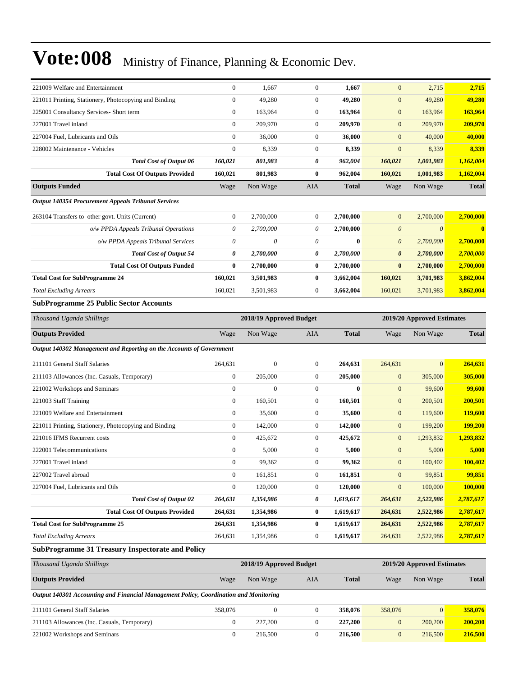| 221009 Welfare and Entertainment                                                      | $\boldsymbol{0}$ | 1,667                   | $\boldsymbol{0}$ | 1,667        | $\mathbf{0}$          | 2,715                      | 2,715        |
|---------------------------------------------------------------------------------------|------------------|-------------------------|------------------|--------------|-----------------------|----------------------------|--------------|
| 221011 Printing, Stationery, Photocopying and Binding                                 | $\mathbf{0}$     | 49,280                  | $\mathbf{0}$     | 49,280       | $\mathbf{0}$          | 49,280                     | 49,280       |
| 225001 Consultancy Services- Short term                                               | $\boldsymbol{0}$ | 163,964                 | $\boldsymbol{0}$ | 163,964      | $\mathbf{0}$          | 163,964                    | 163,964      |
| 227001 Travel inland                                                                  | $\mathbf{0}$     | 209,970                 | $\boldsymbol{0}$ | 209,970      | $\mathbf{0}$          | 209,970                    | 209,970      |
| 227004 Fuel, Lubricants and Oils                                                      | $\boldsymbol{0}$ | 36,000                  | $\boldsymbol{0}$ | 36,000       | $\mathbf{0}$          | 40,000                     | 40,000       |
| 228002 Maintenance - Vehicles                                                         | $\mathbf{0}$     | 8,339                   | $\boldsymbol{0}$ | 8,339        | $\mathbf{0}$          | 8,339                      | 8,339        |
| <b>Total Cost of Output 06</b>                                                        | 160,021          | 801,983                 | 0                | 962,004      | 160,021               | 1,001,983                  | 1,162,004    |
| <b>Total Cost Of Outputs Provided</b>                                                 | 160,021          | 801,983                 | 0                | 962,004      | 160,021               | 1,001,983                  | 1,162,004    |
| <b>Outputs Funded</b>                                                                 | Wage             | Non Wage                | AIA              | <b>Total</b> | Wage                  | Non Wage                   | <b>Total</b> |
| Output 140354 Procurement Appeals Tribunal Services                                   |                  |                         |                  |              |                       |                            |              |
| 263104 Transfers to other govt. Units (Current)                                       | $\boldsymbol{0}$ | 2,700,000               | 0                | 2,700,000    | $\mathbf{0}$          | 2,700,000                  | 2,700,000    |
| o/w PPDA Appeals Tribunal Operations                                                  | 0                | 2,700,000               | 0                | 2,700,000    | $\boldsymbol{\theta}$ | $\boldsymbol{\theta}$      | $\bf{0}$     |
| o/w PPDA Appeals Tribunal Services                                                    | 0                | 0                       | 0                | $\bf{0}$     | $\boldsymbol{\theta}$ | 2,700,000                  | 2,700,000    |
| <b>Total Cost of Output 54</b>                                                        | 0                | 2,700,000               | 0                | 2,700,000    | $\boldsymbol{\theta}$ | 2,700,000                  | 2,700,000    |
| <b>Total Cost Of Outputs Funded</b>                                                   | $\bf{0}$         | 2,700,000               | 0                | 2,700,000    | $\bf{0}$              | 2,700,000                  | 2,700,000    |
| <b>Total Cost for SubProgramme 24</b>                                                 | 160,021          | 3,501,983               | 0                | 3,662,004    | 160,021               | 3,701,983                  | 3,862,004    |
| <b>Total Excluding Arrears</b>                                                        | 160,021          | 3,501,983               | $\boldsymbol{0}$ | 3,662,004    | 160,021               | 3,701,983                  | 3,862,004    |
| <b>SubProgramme 25 Public Sector Accounts</b>                                         |                  |                         |                  |              |                       |                            |              |
| Thousand Uganda Shillings                                                             |                  | 2018/19 Approved Budget |                  |              |                       | 2019/20 Approved Estimates |              |
| <b>Outputs Provided</b>                                                               | Wage             | Non Wage                | AIA              | <b>Total</b> | Wage                  | Non Wage                   | <b>Total</b> |
| Output 140302 Management and Reporting on the Accounts of Government                  |                  |                         |                  |              |                       |                            |              |
| 211101 General Staff Salaries                                                         | 264,631          | $\overline{0}$          | $\boldsymbol{0}$ | 264,631      | 264,631               | $\overline{0}$             | 264,631      |
| 211103 Allowances (Inc. Casuals, Temporary)                                           | $\boldsymbol{0}$ | 205,000                 | $\boldsymbol{0}$ | 205,000      | $\mathbf{0}$          | 305,000                    | 305,000      |
| 221002 Workshops and Seminars                                                         | $\boldsymbol{0}$ | $\mathbf{0}$            | $\boldsymbol{0}$ | $\bf{0}$     | $\mathbf{0}$          | 99,600                     | 99,600       |
| 221003 Staff Training                                                                 | $\boldsymbol{0}$ | 160,501                 | $\boldsymbol{0}$ | 160,501      | $\mathbf{0}$          | 200,501                    | 200,501      |
| 221009 Welfare and Entertainment                                                      | $\boldsymbol{0}$ | 35,600                  | $\boldsymbol{0}$ | 35,600       | $\mathbf{0}$          | 119,600                    | 119,600      |
| 221011 Printing, Stationery, Photocopying and Binding                                 | $\boldsymbol{0}$ | 142,000                 | $\boldsymbol{0}$ | 142,000      | $\mathbf{0}$          | 199,200                    | 199,200      |
| 221016 IFMS Recurrent costs                                                           | $\boldsymbol{0}$ | 425,672                 | $\boldsymbol{0}$ | 425,672      | $\mathbf{0}$          | 1,293,832                  | 1,293,832    |
| 222001 Telecommunications                                                             | $\boldsymbol{0}$ | 5,000                   | $\boldsymbol{0}$ | 5,000        | $\mathbf{0}$          | 5,000                      | 5,000        |
| 227001 Travel inland                                                                  | $\mathbf{0}$     | 99,362                  | $\mathbf{0}$     | 99,362       | $\mathbf{0}$          | 100,402                    | 100,402      |
| 227002 Travel abroad                                                                  | $\boldsymbol{0}$ | 161,851                 | $\boldsymbol{0}$ | 161,851      | $\mathbf{0}$          | 99,851                     | 99,851       |
| 227004 Fuel, Lubricants and Oils                                                      | $\boldsymbol{0}$ | 120,000                 | $\boldsymbol{0}$ | 120,000      | $\boldsymbol{0}$      | 100,000                    | 100,000      |
| <b>Total Cost of Output 02</b>                                                        | 264,631          | 1,354,986               | 0                | 1,619,617    | 264,631               | 2,522,986                  | 2,787,617    |
| <b>Total Cost Of Outputs Provided</b>                                                 | 264,631          | 1,354,986               | 0                | 1,619,617    | 264,631               | 2,522,986                  | 2,787,617    |
| <b>Total Cost for SubProgramme 25</b>                                                 | 264,631          | 1,354,986               | 0                | 1,619,617    | 264,631               | 2,522,986                  | 2,787,617    |
| <b>Total Excluding Arrears</b>                                                        | 264,631          | 1,354,986               | 0                | 1,619,617    | 264,631               | 2,522,986                  | 2,787,617    |
| <b>SubProgramme 31 Treasury Inspectorate and Policy</b>                               |                  |                         |                  |              |                       |                            |              |
| Thousand Uganda Shillings                                                             |                  | 2018/19 Approved Budget |                  |              |                       | 2019/20 Approved Estimates |              |
| <b>Outputs Provided</b>                                                               | Wage             | Non Wage                | AIA              | <b>Total</b> | Wage                  | Non Wage                   | <b>Total</b> |
| Output 140301 Accounting and Financial Management Policy, Coordination and Monitoring |                  |                         |                  |              |                       |                            |              |
| 211101 General Staff Salaries                                                         | 358,076          | $\boldsymbol{0}$        | $\boldsymbol{0}$ | 358,076      | 358,076               | $\overline{0}$             | 358,076      |
| 211103 Allowances (Inc. Casuals, Temporary)                                           | $\boldsymbol{0}$ | 227,200                 | $\boldsymbol{0}$ | 227,200      | $\boldsymbol{0}$      | 200,200                    | 200,200      |
| 221002 Workshops and Seminars                                                         | $\boldsymbol{0}$ | 216,500                 | $\boldsymbol{0}$ | 216,500      | $\mathbf{0}$          | 216,500                    | 216,500      |
|                                                                                       |                  |                         |                  |              |                       |                            |              |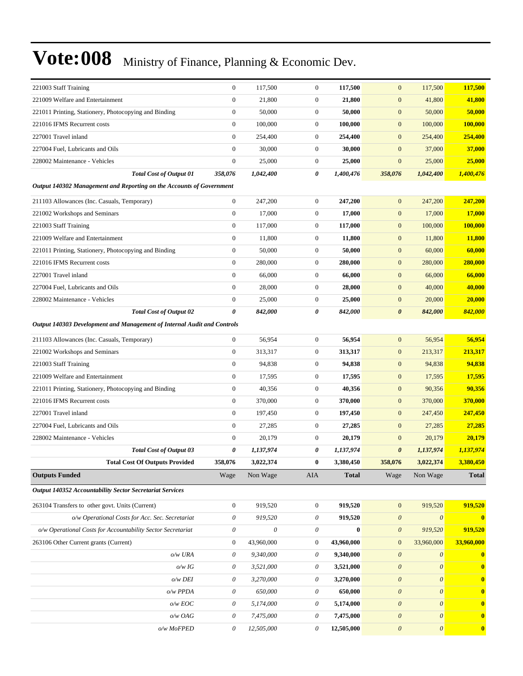| 221003 Staff Training                                                   | $\boldsymbol{0}$          | 117,500    | $\boldsymbol{0}$ | 117,500      | $\mathbf{0}$              | 117,500               | 117,500       |
|-------------------------------------------------------------------------|---------------------------|------------|------------------|--------------|---------------------------|-----------------------|---------------|
| 221009 Welfare and Entertainment                                        | $\mathbf{0}$              | 21,800     | $\boldsymbol{0}$ | 21,800       | $\boldsymbol{0}$          | 41,800                | 41,800        |
| 221011 Printing, Stationery, Photocopying and Binding                   | $\boldsymbol{0}$          | 50,000     | $\boldsymbol{0}$ | 50,000       | $\boldsymbol{0}$          | 50,000                | 50,000        |
| 221016 IFMS Recurrent costs                                             | $\boldsymbol{0}$          | 100,000    | $\boldsymbol{0}$ | 100,000      | $\mathbf{0}$              | 100,000               | 100,000       |
| 227001 Travel inland                                                    | $\mathbf{0}$              | 254,400    | $\boldsymbol{0}$ | 254,400      | $\mathbf{0}$              | 254,400               | 254,400       |
| 227004 Fuel, Lubricants and Oils                                        | $\mathbf{0}$              | 30,000     | $\mathbf{0}$     | 30,000       | $\boldsymbol{0}$          | 37,000                | 37,000        |
| 228002 Maintenance - Vehicles                                           | $\boldsymbol{0}$          | 25,000     | $\boldsymbol{0}$ | 25,000       | $\boldsymbol{0}$          | 25,000                | 25,000        |
| <b>Total Cost of Output 01</b>                                          | 358,076                   | 1,042,400  | 0                | 1,400,476    | 358,076                   | 1,042,400             | 1,400,476     |
| Output 140302 Management and Reporting on the Accounts of Government    |                           |            |                  |              |                           |                       |               |
| 211103 Allowances (Inc. Casuals, Temporary)                             | $\boldsymbol{0}$          | 247,200    | $\mathbf{0}$     | 247,200      | $\mathbf{0}$              | 247,200               | 247,200       |
| 221002 Workshops and Seminars                                           | $\boldsymbol{0}$          | 17,000     | $\boldsymbol{0}$ | 17,000       | $\boldsymbol{0}$          | 17,000                | 17,000        |
| 221003 Staff Training                                                   | $\boldsymbol{0}$          | 117,000    | $\mathbf{0}$     | 117,000      | $\boldsymbol{0}$          | 100,000               | 100,000       |
| 221009 Welfare and Entertainment                                        | $\mathbf{0}$              | 11,800     | $\boldsymbol{0}$ | 11,800       | $\boldsymbol{0}$          | 11,800                | <b>11,800</b> |
| 221011 Printing, Stationery, Photocopying and Binding                   | $\boldsymbol{0}$          | 50,000     | $\boldsymbol{0}$ | 50,000       | $\boldsymbol{0}$          | 60,000                | 60,000        |
| 221016 IFMS Recurrent costs                                             | $\mathbf{0}$              | 280,000    | $\boldsymbol{0}$ | 280,000      | $\mathbf{0}$              | 280,000               | 280,000       |
| 227001 Travel inland                                                    | $\boldsymbol{0}$          | 66,000     | $\boldsymbol{0}$ | 66,000       | $\boldsymbol{0}$          | 66,000                | 66,000        |
| 227004 Fuel, Lubricants and Oils                                        | $\boldsymbol{0}$          | 28,000     | $\mathbf{0}$     | 28,000       | $\boldsymbol{0}$          | 40,000                | 40,000        |
| 228002 Maintenance - Vehicles                                           | $\boldsymbol{0}$          | 25,000     | $\boldsymbol{0}$ | 25,000       | $\boldsymbol{0}$          | 20,000                | 20,000        |
| <b>Total Cost of Output 02</b>                                          | 0                         | 842,000    | 0                | 842,000      | $\boldsymbol{\theta}$     | 842,000               | 842,000       |
| Output 140303 Development and Management of Internal Audit and Controls |                           |            |                  |              |                           |                       |               |
| 211103 Allowances (Inc. Casuals, Temporary)                             | $\boldsymbol{0}$          | 56,954     | $\mathbf{0}$     | 56,954       | $\boldsymbol{0}$          | 56,954                | 56,954        |
| 221002 Workshops and Seminars                                           | $\mathbf{0}$              | 313,317    | $\mathbf{0}$     | 313,317      | $\mathbf{0}$              | 213,317               | 213,317       |
| 221003 Staff Training                                                   | $\mathbf{0}$              | 94,838     | $\mathbf{0}$     | 94,838       | $\boldsymbol{0}$          | 94,838                | 94,838        |
| 221009 Welfare and Entertainment                                        | $\boldsymbol{0}$          | 17,595     | $\boldsymbol{0}$ | 17,595       | $\boldsymbol{0}$          | 17,595                | 17,595        |
| 221011 Printing, Stationery, Photocopying and Binding                   | $\boldsymbol{0}$          | 40,356     | $\boldsymbol{0}$ | 40,356       | $\boldsymbol{0}$          | 90,356                | 90,356        |
| 221016 IFMS Recurrent costs                                             | $\boldsymbol{0}$          | 370,000    | $\boldsymbol{0}$ | 370,000      | $\boldsymbol{0}$          | 370,000               | 370,000       |
| 227001 Travel inland                                                    | $\mathbf{0}$              | 197,450    | $\mathbf{0}$     | 197,450      | $\mathbf{0}$              | 247,450               | 247,450       |
| 227004 Fuel, Lubricants and Oils                                        | $\boldsymbol{0}$          | 27,285     | $\mathbf{0}$     | 27,285       | $\boldsymbol{0}$          | 27,285                | 27,285        |
| 228002 Maintenance - Vehicles                                           | $\mathbf{0}$              | 20,179     | $\mathbf{0}$     | 20,179       | $\boldsymbol{0}$          | 20,179                | 20,179        |
| <b>Total Cost of Output 03</b>                                          | 0                         | 1,137,974  | 0                | 1,137,974    | $\boldsymbol{\theta}$     | 1,137,974             | 1,137,974     |
| <b>Total Cost Of Outputs Provided</b>                                   | 358,076                   | 3,022,374  | 0                | 3,380,450    | 358,076                   | 3,022,374             | 3,380,450     |
| <b>Outputs Funded</b>                                                   | Wage                      | Non Wage   | AIA              | <b>Total</b> | Wage                      | Non Wage              | <b>Total</b>  |
| Output 140352 Accountability Sector Secretariat Services                |                           |            |                  |              |                           |                       |               |
| 263104 Transfers to other govt. Units (Current)                         | $\boldsymbol{0}$          | 919,520    | $\boldsymbol{0}$ | 919,520      | $\boldsymbol{0}$          | 919,520               | 919,520       |
| o/w Operational Costs for Acc. Sec. Secretariat                         | $\theta$                  | 919,520    | $\theta$         | 919,520      | $\boldsymbol{\theta}$     | $\boldsymbol{\theta}$ | $\bf{0}$      |
| o/w Operational Costs for Accountability Sector Secretariat             | $\theta$                  | 0          | $\theta$         | $\bf{0}$     | $\boldsymbol{\theta}$     | 919,520               | 919,520       |
| 263106 Other Current grants (Current)                                   | $\boldsymbol{0}$          | 43,960,000 | $\boldsymbol{0}$ | 43,960,000   | $\boldsymbol{0}$          | 33,960,000            | 33,960,000    |
| o/w URA                                                                 | $\theta$                  | 9,340,000  | $\theta$         | 9,340,000    | $\boldsymbol{\theta}$     | $\boldsymbol{\theta}$ | $\bf{0}$      |
| $o/w$ IG                                                                | $\theta$                  | 3,521,000  | 0                | 3,521,000    | $\boldsymbol{\theta}$     | $\boldsymbol{\theta}$ | $\mathbf{0}$  |
| $o/w$ DEI                                                               | 0                         | 3,270,000  | $\theta$         | 3,270,000    | $\boldsymbol{\theta}$     | $\boldsymbol{\theta}$ | $\bf{0}$      |
| o/w PPDA                                                                | 0                         | 650,000    | 0                | 650,000      | $\boldsymbol{\theta}$     | $\boldsymbol{\theta}$ | $\mathbf{0}$  |
| $o/w$ $EOC$                                                             | $\boldsymbol{\mathit{0}}$ | 5,174,000  | 0                | 5,174,000    | $\boldsymbol{\theta}$     | $\boldsymbol{\theta}$ | $\bf{0}$      |
| o/w OAG                                                                 | 0                         | 7,475,000  | 0                | 7,475,000    | $\boldsymbol{\theta}$     | $\boldsymbol{\theta}$ | $\bf{0}$      |
| o/w MoFPED                                                              | $\theta$                  | 12,505,000 | 0                | 12,505,000   | $\boldsymbol{\mathit{0}}$ | $\boldsymbol{\theta}$ | $\mathbf{0}$  |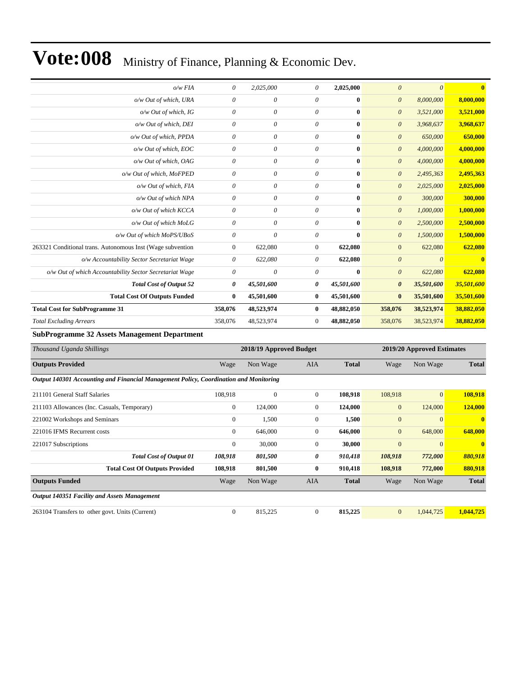| 8,000,000    |
|--------------|
|              |
|              |
| 3,521,000    |
| 3,968,637    |
| 650,000      |
| 4,000,000    |
| 4,000,000    |
| 2,495,363    |
| 2,025,000    |
| 300,000      |
| 1,000,000    |
| 2,500,000    |
| 1,500,000    |
| 622,080      |
| $\mathbf{0}$ |
| 622,080      |
| 35,501,600   |
| 35,501,600   |
| 38,882,050   |
| 38,882,050   |
|              |

**SubProgramme 32 Assets Management Department**

| Thousand Uganda Shillings                                                             |              | 2018/19 Approved Budget |                |              |                | 2019/20 Approved Estimates |              |
|---------------------------------------------------------------------------------------|--------------|-------------------------|----------------|--------------|----------------|----------------------------|--------------|
| <b>Outputs Provided</b>                                                               | Wage         | Non Wage                | <b>AIA</b>     | <b>Total</b> | Wage           | Non Wage                   | <b>Total</b> |
| Output 140301 Accounting and Financial Management Policy, Coordination and Monitoring |              |                         |                |              |                |                            |              |
| 211101 General Staff Salaries                                                         | 108,918      | $\mathbf{0}$            | $\overline{0}$ | 108,918      | 108,918        | $\overline{0}$             | 108,918      |
| 211103 Allowances (Inc. Casuals, Temporary)                                           | $\mathbf{0}$ | 124,000                 | $\mathbf{0}$   | 124,000      | $\overline{0}$ | 124,000                    | 124,000      |
| 221002 Workshops and Seminars                                                         | $\mathbf{0}$ | 1,500                   | $\mathbf{0}$   | 1,500        | $\mathbf{0}$   | $\overline{0}$             | $\mathbf{0}$ |
| 221016 IFMS Recurrent costs                                                           | $\mathbf{0}$ | 646,000                 | $\mathbf{0}$   | 646,000      | $\mathbf{0}$   | 648,000                    | 648,000      |
| 221017 Subscriptions                                                                  | $\mathbf{0}$ | 30,000                  | $\mathbf{0}$   | 30,000       | $\overline{0}$ | $\overline{0}$             | $\mathbf{0}$ |
| <b>Total Cost of Output 01</b>                                                        | 108,918      | 801,500                 | 0              | 910,418      | 108,918        | 772,000                    | 880,918      |
| <b>Total Cost Of Outputs Provided</b>                                                 | 108,918      | 801,500                 | $\bf{0}$       | 910,418      | 108,918        | 772,000                    | 880,918      |
| <b>Outputs Funded</b>                                                                 | Wage         | Non Wage                | AIA            | <b>Total</b> | Wage           | Non Wage                   | <b>Total</b> |
| <b>Output 140351 Facility and Assets Management</b>                                   |              |                         |                |              |                |                            |              |
| 263104 Transfers to other govt. Units (Current)                                       | $\mathbf{0}$ | 815,225                 | $\mathbf{0}$   | 815,225      | $\overline{0}$ | 1,044,725                  | 1,044,725    |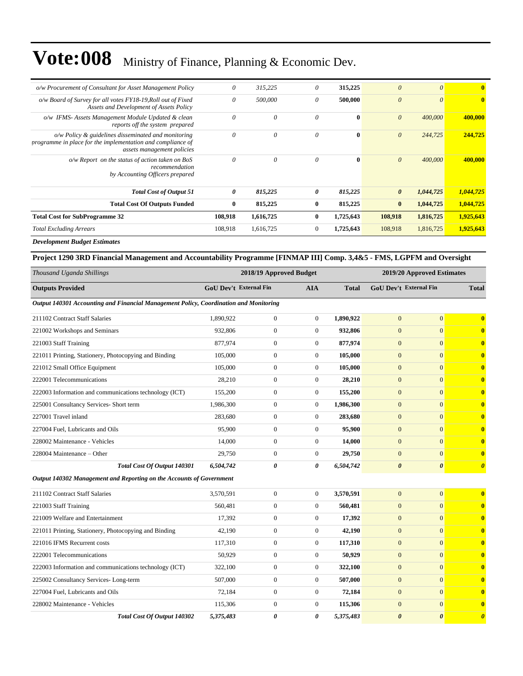| <b>Total Excluding Arrears</b>                                                                                                                        | 108,918               | 1,616,725 | $\Omega$     | 1,725,643    | 108,918               | 1,816,725 | 1,925,643    |
|-------------------------------------------------------------------------------------------------------------------------------------------------------|-----------------------|-----------|--------------|--------------|-----------------------|-----------|--------------|
| <b>Total Cost for SubProgramme 32</b>                                                                                                                 | 108,918               | 1,616,725 | $\mathbf{0}$ | 1,725,643    | 108,918               | 1,816,725 | 1,925,643    |
| <b>Total Cost Of Outputs Funded</b>                                                                                                                   | $\bf{0}$              | 815,225   | $\mathbf{0}$ | 815,225      | $\bf{0}$              | 1,044,725 | 1,044,725    |
| <b>Total Cost of Output 51</b>                                                                                                                        | $\boldsymbol{\theta}$ | 815,225   | 0            | 815,225      | $\boldsymbol{\theta}$ | 1,044,725 | 1,044,725    |
| $o/w$ Report on the status of action taken on BoS<br>recommendation<br>by Accounting Officers prepared                                                | $\theta$              | $\theta$  | 0            | $\mathbf{0}$ | $\theta$              | 400,000   | 400,000      |
| $o/w$ Policy $\&$ guidelines disseminated and monitoring<br>programme in place for the implementation and compliance of<br>assets management policies | $\theta$              | $\theta$  | $\theta$     | $\mathbf{0}$ | $\theta$              | 244,725   | 244,725      |
| o/w IFMS- Assets Management Module Updated & clean<br>reports off the system prepared                                                                 | $\theta$              | $\theta$  | $\theta$     | $\bf{0}$     | $\theta$              | 400,000   | 400,000      |
| o/w Board of Survey for all votes FY18-19, Roll out of Fixed<br>Assets and Development of Assets Policy                                               | $\theta$              | 500,000   | 0            | 500,000      | $\theta$              | $\theta$  | $\mathbf{0}$ |
| o/w Procurement of Consultant for Asset Management Policy                                                                                             | $\theta$              | 315,225   | 0            | 315,225      | $\theta$              | $\theta$  | $\mathbf{0}$ |

*Development Budget Estimates*

#### **Project 1290 3RD Financial Management and Accountability Programme [FINMAP III] Comp. 3,4&5 - FMS, LGPFM and Oversight**

| Thousand Uganda Shillings                                                             |                        | 2018/19 Approved Budget |                |              | 2019/20 Approved Estimates    |                       |                                  |  |
|---------------------------------------------------------------------------------------|------------------------|-------------------------|----------------|--------------|-------------------------------|-----------------------|----------------------------------|--|
| <b>Outputs Provided</b>                                                               | GoU Dev't External Fin |                         | <b>AIA</b>     | <b>Total</b> | <b>GoU Dev't External Fin</b> |                       | <b>Total</b>                     |  |
| Output 140301 Accounting and Financial Management Policy, Coordination and Monitoring |                        |                         |                |              |                               |                       |                                  |  |
| 211102 Contract Staff Salaries                                                        | 1,890,922              | $\boldsymbol{0}$        | $\overline{0}$ | 1,890,922    | $\overline{0}$                | $\mathbf{0}$          | $\bf{0}$                         |  |
| 221002 Workshops and Seminars                                                         | 932,806                | $\boldsymbol{0}$        | $\overline{0}$ | 932,806      | $\overline{0}$                | $\overline{0}$        | $\bf{0}$                         |  |
| 221003 Staff Training                                                                 | 877,974                | $\boldsymbol{0}$        | $\overline{0}$ | 877,974      | $\mathbf{0}$                  | $\overline{0}$        | $\bf{0}$                         |  |
| 221011 Printing, Stationery, Photocopying and Binding                                 | 105,000                | $\mathbf{0}$            | $\Omega$       | 105,000      | $\Omega$                      | $\theta$              | $\bf{0}$                         |  |
| 221012 Small Office Equipment                                                         | 105,000                | $\boldsymbol{0}$        | $\overline{0}$ | 105,000      | $\overline{0}$                | $\theta$              | $\bf{0}$                         |  |
| 222001 Telecommunications                                                             | 28,210                 | $\boldsymbol{0}$        | $\overline{0}$ | 28,210       | $\mathbf{0}$                  | $\mathbf{0}$          | $\bf{0}$                         |  |
| 222003 Information and communications technology (ICT)                                | 155,200                | $\boldsymbol{0}$        | $\mathbf{0}$   | 155,200      | $\overline{0}$                | $\overline{0}$        | $\bf{0}$                         |  |
| 225001 Consultancy Services- Short term                                               | 1,986,300              | $\mathbf{0}$            | $\mathbf{0}$   | 1,986,300    | $\mathbf{0}$                  | $\overline{0}$        | $\bf{0}$                         |  |
| 227001 Travel inland                                                                  | 283.680                | $\boldsymbol{0}$        | $\Omega$       | 283,680      | $\overline{0}$                | $\theta$              | $\bf{0}$                         |  |
| 227004 Fuel, Lubricants and Oils                                                      | 95,900                 | $\boldsymbol{0}$        | $\overline{0}$ | 95,900       | $\overline{0}$                | $\overline{0}$        | $\bf{0}$                         |  |
| 228002 Maintenance - Vehicles                                                         | 14,000                 | $\boldsymbol{0}$        | $\overline{0}$ | 14,000       | $\overline{0}$                | $\mathbf{0}$          | $\bf{0}$                         |  |
| 228004 Maintenance - Other                                                            | 29,750                 | $\boldsymbol{0}$        | $\overline{0}$ | 29,750       | $\overline{0}$                | $\overline{0}$        | $\bf{0}$                         |  |
| <b>Total Cost Of Output 140301</b>                                                    | 6,504,742              | 0                       | 0              | 6,504,742    | $\boldsymbol{\theta}$         | $\boldsymbol{\theta}$ | $\boldsymbol{\theta}$            |  |
| Output 140302 Management and Reporting on the Accounts of Government                  |                        |                         |                |              |                               |                       |                                  |  |
| 211102 Contract Staff Salaries                                                        | 3,570,591              | $\boldsymbol{0}$        | $\overline{0}$ | 3,570,591    | $\mathbf{0}$                  | $\mathbf{0}$          | $\bf{0}$                         |  |
| 221003 Staff Training                                                                 | 560,481                | $\boldsymbol{0}$        | $\overline{0}$ | 560,481      | $\overline{0}$                | $\overline{0}$        | $\bf{0}$                         |  |
| 221009 Welfare and Entertainment                                                      | 17,392                 | $\boldsymbol{0}$        | $\overline{0}$ | 17,392       | $\overline{0}$                | $\overline{0}$        | $\bf{0}$                         |  |
| 221011 Printing, Stationery, Photocopying and Binding                                 | 42,190                 | $\boldsymbol{0}$        | $\overline{0}$ | 42,190       | $\overline{0}$                | $\overline{0}$        | $\bf{0}$                         |  |
| 221016 IFMS Recurrent costs                                                           | 117,310                | $\boldsymbol{0}$        | $\overline{0}$ | 117,310      | $\overline{0}$                | $\theta$              | $\bf{0}$                         |  |
| 222001 Telecommunications                                                             | 50,929                 | $\boldsymbol{0}$        | $\overline{0}$ | 50,929       | $\overline{0}$                | $\overline{0}$        | $\bf{0}$                         |  |
| 222003 Information and communications technology (ICT)                                | 322,100                | $\boldsymbol{0}$        | $\overline{0}$ | 322,100      | $\overline{0}$                | $\overline{0}$        | $\bf{0}$                         |  |
| 225002 Consultancy Services-Long-term                                                 | 507,000                | $\boldsymbol{0}$        | $\mathbf{0}$   | 507,000      | $\overline{0}$                | $\overline{0}$        | $\bf{0}$                         |  |
| 227004 Fuel, Lubricants and Oils                                                      | 72,184                 | $\mathbf{0}$            | $\overline{0}$ | 72,184       | $\overline{0}$                | $\theta$              | $\bf{0}$                         |  |
| 228002 Maintenance - Vehicles                                                         | 115,306                | $\mathbf{0}$            | $\overline{0}$ | 115,306      | $\overline{0}$                | $\theta$              | $\bf{0}$                         |  |
| <b>Total Cost Of Output 140302</b>                                                    | 5,375,483              | 0                       | 0              | 5,375,483    | $\boldsymbol{\theta}$         | $\theta$              | $\overline{\boldsymbol{\theta}}$ |  |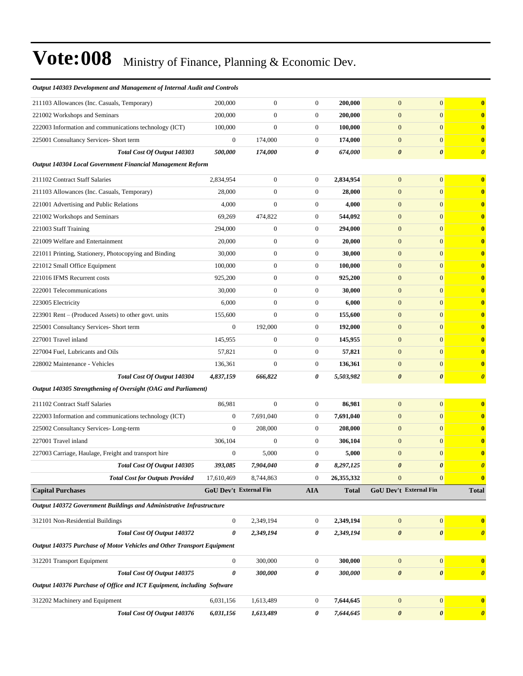| Output 140303 Development and Management of Internal Audit and Controls |                               |                  |                  |              |                        |                       |                       |
|-------------------------------------------------------------------------|-------------------------------|------------------|------------------|--------------|------------------------|-----------------------|-----------------------|
| 211103 Allowances (Inc. Casuals, Temporary)                             | 200,000                       | $\boldsymbol{0}$ | $\boldsymbol{0}$ | 200,000      | $\mathbf{0}$           | $\boldsymbol{0}$      | $\bf{0}$              |
| 221002 Workshops and Seminars                                           | 200,000                       | $\boldsymbol{0}$ | $\mathbf{0}$     | 200,000      | $\mathbf{0}$           | $\overline{0}$        | $\mathbf{0}$          |
| 222003 Information and communications technology (ICT)                  | 100,000                       | $\mathbf{0}$     | $\boldsymbol{0}$ | 100,000      | $\mathbf{0}$           | $\overline{0}$        | $\bf{0}$              |
| 225001 Consultancy Services- Short term                                 | $\mathbf{0}$                  | 174,000          | $\boldsymbol{0}$ | 174,000      | $\mathbf{0}$           | $\overline{0}$        | $\mathbf{0}$          |
| Total Cost Of Output 140303                                             | 500,000                       | 174,000          | 0                | 674,000      | $\boldsymbol{\theta}$  | $\boldsymbol{\theta}$ | $\boldsymbol{\theta}$ |
| Output 140304 Local Government Financial Management Reform              |                               |                  |                  |              |                        |                       |                       |
| 211102 Contract Staff Salaries                                          | 2,834,954                     | $\boldsymbol{0}$ | $\overline{0}$   | 2,834,954    | $\mathbf{0}$           | $\overline{0}$        | $\bf{0}$              |
| 211103 Allowances (Inc. Casuals, Temporary)                             | 28,000                        | $\mathbf{0}$     | $\mathbf{0}$     | 28,000       | $\mathbf{0}$           | $\overline{0}$        | $\mathbf{0}$          |
| 221001 Advertising and Public Relations                                 | 4,000                         | $\mathbf{0}$     | $\boldsymbol{0}$ | 4,000        | $\mathbf{0}$           | $\overline{0}$        | $\bf{0}$              |
| 221002 Workshops and Seminars                                           | 69,269                        | 474,822          | $\boldsymbol{0}$ | 544,092      | $\mathbf{0}$           | $\overline{0}$        | $\bf{0}$              |
| 221003 Staff Training                                                   | 294,000                       | $\boldsymbol{0}$ | $\boldsymbol{0}$ | 294,000      | $\mathbf{0}$           | $\overline{0}$        | $\bf{0}$              |
| 221009 Welfare and Entertainment                                        | 20,000                        | $\boldsymbol{0}$ | $\mathbf{0}$     | 20,000       | $\mathbf{0}$           | $\overline{0}$        | $\bf{0}$              |
| 221011 Printing, Stationery, Photocopying and Binding                   | 30,000                        | $\boldsymbol{0}$ | $\boldsymbol{0}$ | 30,000       | $\mathbf{0}$           | $\overline{0}$        | $\mathbf{0}$          |
| 221012 Small Office Equipment                                           | 100,000                       | $\boldsymbol{0}$ | $\boldsymbol{0}$ | 100,000      | $\mathbf{0}$           | $\overline{0}$        | $\bf{0}$              |
| 221016 IFMS Recurrent costs                                             | 925,200                       | $\boldsymbol{0}$ | $\boldsymbol{0}$ | 925,200      | $\mathbf{0}$           | $\overline{0}$        | $\bf{0}$              |
| 222001 Telecommunications                                               | 30,000                        | $\boldsymbol{0}$ | $\boldsymbol{0}$ | 30,000       | $\mathbf{0}$           | $\overline{0}$        | $\bf{0}$              |
| 223005 Electricity                                                      | 6,000                         | $\mathbf{0}$     | $\boldsymbol{0}$ | 6,000        | $\mathbf{0}$           | $\overline{0}$        | $\bf{0}$              |
| 223901 Rent – (Produced Assets) to other govt. units                    | 155,600                       | $\overline{0}$   | $\mathbf{0}$     | 155,600      | $\mathbf{0}$           | $\overline{0}$        | $\mathbf{0}$          |
| 225001 Consultancy Services- Short term                                 | $\mathbf{0}$                  | 192,000          | $\boldsymbol{0}$ | 192,000      | $\mathbf{0}$           | $\overline{0}$        | $\bf{0}$              |
| 227001 Travel inland                                                    | 145,955                       | $\boldsymbol{0}$ | $\boldsymbol{0}$ | 145,955      | $\mathbf{0}$           | $\overline{0}$        | $\bf{0}$              |
| 227004 Fuel, Lubricants and Oils                                        | 57,821                        | $\boldsymbol{0}$ | $\boldsymbol{0}$ | 57,821       | $\mathbf{0}$           | $\overline{0}$        | $\bf{0}$              |
| 228002 Maintenance - Vehicles                                           | 136,361                       | $\overline{0}$   | $\boldsymbol{0}$ | 136,361      | $\mathbf{0}$           | $\overline{0}$        | $\bf{0}$              |
| Total Cost Of Output 140304                                             | 4,837,159                     | 666,822          | 0                | 5,503,982    | $\boldsymbol{\theta}$  | $\boldsymbol{\theta}$ | $\boldsymbol{\theta}$ |
| Output 140305 Strengthening of Oversight (OAG and Parliament)           |                               |                  |                  |              |                        |                       |                       |
| 211102 Contract Staff Salaries                                          | 86,981                        | $\boldsymbol{0}$ | $\boldsymbol{0}$ | 86,981       | $\mathbf{0}$           | $\boldsymbol{0}$      | $\bf{0}$              |
| 222003 Information and communications technology (ICT)                  | $\mathbf{0}$                  | 7,691,040        | $\boldsymbol{0}$ | 7,691,040    | $\mathbf{0}$           | $\overline{0}$        | $\mathbf{0}$          |
| 225002 Consultancy Services-Long-term                                   | $\mathbf{0}$                  | 208,000          | $\boldsymbol{0}$ | 208,000      | $\mathbf{0}$           | $\overline{0}$        | $\bf{0}$              |
| 227001 Travel inland                                                    | 306,104                       | $\mathbf{0}$     | $\mathbf{0}$     | 306,104      | $\mathbf{0}$           | $\overline{0}$        | $\bf{0}$              |
| 227003 Carriage, Haulage, Freight and transport hire                    | $\boldsymbol{0}$              | 5,000            | $\boldsymbol{0}$ | 5,000        | $\mathbf{0}$           | $\mathbf{0}$          | $\bf{0}$              |
| Total Cost Of Output 140305                                             | 393,085                       | 7,904,040        | 0                | 8,297,125    | $\boldsymbol{\theta}$  | 0                     |                       |
| <b>Total Cost for Outputs Provided</b>                                  | 17,610,469                    | 8,744,863        | $\boldsymbol{0}$ | 26,355,332   | $\mathbf{0}$           | $\overline{0}$        | $\mathbf{0}$          |
| <b>Capital Purchases</b>                                                | <b>GoU Dev't External Fin</b> |                  | <b>AIA</b>       | <b>Total</b> | GoU Dev't External Fin |                       | <b>Total</b>          |
| Output 140372 Government Buildings and Administrative Infrastructure    |                               |                  |                  |              |                        |                       |                       |
| 312101 Non-Residential Buildings                                        | $\mathbf{0}$                  | 2,349,194        | 0                | 2,349,194    | $\mathbf{0}$           | $\mathbf{0}$          | $\mathbf{0}$          |
| <b>Total Cost Of Output 140372</b>                                      | $\boldsymbol{\theta}$         | 2,349,194        | 0                | 2,349,194    | $\pmb{\theta}$         | $\boldsymbol{\theta}$ | $\boldsymbol{\theta}$ |
| Output 140375 Purchase of Motor Vehicles and Other Transport Equipment  |                               |                  |                  |              |                        |                       |                       |
| 312201 Transport Equipment                                              | $\boldsymbol{0}$              | 300,000          | $\boldsymbol{0}$ | 300,000      | $\mathbf{0}$           | $\vert 0 \vert$       | $\mathbf{0}$          |
| <b>Total Cost Of Output 140375</b>                                      | $\boldsymbol{\theta}$         | 300,000          | 0                | 300,000      | $\pmb{\theta}$         | $\boldsymbol{\theta}$ | $\boldsymbol{\theta}$ |
| Output 140376 Purchase of Office and ICT Equipment, including Software  |                               |                  |                  |              |                        |                       |                       |
| 312202 Machinery and Equipment                                          | 6,031,156                     | 1,613,489        | $\boldsymbol{0}$ | 7,644,645    | $\mathbf{0}$           | $\overline{0}$        | $\bf{0}$              |
| Total Cost Of Output 140376                                             | 6,031,156                     | 1,613,489        | 0                | 7,644,645    | $\pmb{\theta}$         | $\pmb{\theta}$        | $\boldsymbol{\theta}$ |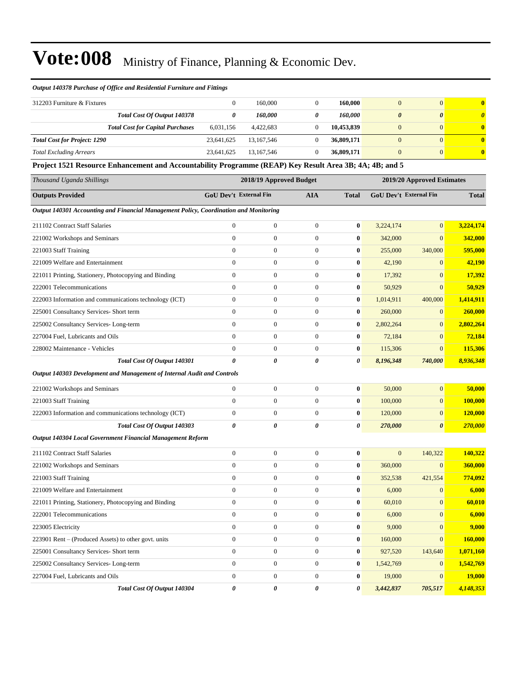#### *Output 140378 Purchase of Office and Residential Furniture and Fittings*

| 312203 Furniture & Fixtures         |                                         |            | 160,000    |   | 160,000    | $\mathbf{0}$               | $\mathbf{0}$          |
|-------------------------------------|-----------------------------------------|------------|------------|---|------------|----------------------------|-----------------------|
|                                     | Total Cost Of Output 140378             |            | 160.000    | 0 | 160.000    | $\boldsymbol{\theta}$<br>0 | $\boldsymbol{\theta}$ |
|                                     | <b>Total Cost for Capital Purchases</b> | 6,031,156  | 4,422,683  |   | 10,453,839 | $\mathbf{0}$               | $\mathbf{0}$          |
| <b>Total Cost for Project: 1290</b> |                                         | 23.641.625 | 13.167.546 |   | 36,809,171 | $\mathbf{0}$               | $\bf{0}$              |
| <b>Total Excluding Arrears</b>      |                                         | 23.641.625 | 13.167.546 |   | 36,809,171 | $\mathbf{0}$               | $\mathbf{0}$          |

**Project 1521 Resource Enhancement and Accountability Programme (REAP) Key Result Area 3B; 4A; 4B; and 5**

| Thousand Uganda Shillings                                                             |                       | 2018/19 Approved Budget       |                       |              |                | 2019/20 Approved Estimates    |              |
|---------------------------------------------------------------------------------------|-----------------------|-------------------------------|-----------------------|--------------|----------------|-------------------------------|--------------|
| <b>Outputs Provided</b>                                                               |                       | <b>GoU Dev't External Fin</b> | <b>AIA</b>            | <b>Total</b> |                | <b>GoU Dev't External Fin</b> | <b>Total</b> |
| Output 140301 Accounting and Financial Management Policy, Coordination and Monitoring |                       |                               |                       |              |                |                               |              |
| 211102 Contract Staff Salaries                                                        | $\boldsymbol{0}$      | $\mathbf{0}$                  | $\boldsymbol{0}$      | $\bf{0}$     | 3,224,174      | $\mathbf{0}$                  | 3,224,174    |
| 221002 Workshops and Seminars                                                         | $\mathbf{0}$          | $\mathbf{0}$                  | $\overline{0}$        | $\bf{0}$     | 342,000        | $\mathbf{0}$                  | 342,000      |
| 221003 Staff Training                                                                 | $\boldsymbol{0}$      | $\boldsymbol{0}$              | $\boldsymbol{0}$      | $\bf{0}$     | 255,000        | 340,000                       | 595,000      |
| 221009 Welfare and Entertainment                                                      | $\overline{0}$        | $\boldsymbol{0}$              | $\boldsymbol{0}$      | $\bf{0}$     | 42,190         | $\mathbf{0}$                  | 42,190       |
| 221011 Printing, Stationery, Photocopying and Binding                                 | $\mathbf{0}$          | $\boldsymbol{0}$              | $\boldsymbol{0}$      | $\bf{0}$     | 17,392         | $\mathbf{0}$                  | 17,392       |
| 222001 Telecommunications                                                             | $\mathbf{0}$          | $\boldsymbol{0}$              | $\boldsymbol{0}$      | $\bf{0}$     | 50,929         | $\mathbf{0}$                  | 50,929       |
| 222003 Information and communications technology (ICT)                                | $\mathbf{0}$          | $\mathbf{0}$                  | $\mathbf{0}$          | $\bf{0}$     | 1,014,911      | 400,000                       | 1,414,911    |
| 225001 Consultancy Services- Short term                                               | $\overline{0}$        | $\mathbf{0}$                  | $\overline{0}$        | $\pmb{0}$    | 260,000        | $\mathbf{0}$                  | 260,000      |
| 225002 Consultancy Services-Long-term                                                 | $\overline{0}$        | $\boldsymbol{0}$              | $\boldsymbol{0}$      | $\bf{0}$     | 2,802,264      | $\mathbf{0}$                  | 2,802,264    |
| 227004 Fuel, Lubricants and Oils                                                      | $\mathbf{0}$          | $\boldsymbol{0}$              | $\boldsymbol{0}$      | $\bf{0}$     | 72,184         | $\boldsymbol{0}$              | 72,184       |
| 228002 Maintenance - Vehicles                                                         | $\boldsymbol{0}$      | $\boldsymbol{0}$              | $\boldsymbol{0}$      | $\bf{0}$     | 115,306        | $\mathbf{0}$                  | 115,306      |
| Total Cost Of Output 140301                                                           | 0                     | $\boldsymbol{\theta}$         | 0                     | 0            | 8,196,348      | 740,000                       | 8,936,348    |
| Output 140303 Development and Management of Internal Audit and Controls               |                       |                               |                       |              |                |                               |              |
| 221002 Workshops and Seminars                                                         | $\boldsymbol{0}$      | $\boldsymbol{0}$              | $\boldsymbol{0}$      | $\bf{0}$     | 50,000         | $\mathbf{0}$                  | 50,000       |
| 221003 Staff Training                                                                 | $\mathbf{0}$          | $\mathbf{0}$                  | $\overline{0}$        | $\bf{0}$     | 100,000        | $\mathbf{0}$                  | 100,000      |
| 222003 Information and communications technology (ICT)                                | $\mathbf{0}$          | $\mathbf{0}$                  | $\overline{0}$        | $\bf{0}$     | 120,000        | $\mathbf{0}$                  | 120,000      |
| Total Cost Of Output 140303                                                           | $\boldsymbol{\theta}$ | $\boldsymbol{\theta}$         | 0                     | 0            | 270,000        | $\boldsymbol{\theta}$         | 270,000      |
| Output 140304 Local Government Financial Management Reform                            |                       |                               |                       |              |                |                               |              |
| 211102 Contract Staff Salaries                                                        | $\mathbf{0}$          | $\mathbf{0}$                  | $\overline{0}$        | $\bf{0}$     | $\overline{0}$ | 140,322                       | 140,322      |
| 221002 Workshops and Seminars                                                         | $\boldsymbol{0}$      | $\boldsymbol{0}$              | $\boldsymbol{0}$      | $\bf{0}$     | 360,000        | $\mathbf{0}$                  | 360,000      |
| 221003 Staff Training                                                                 | $\mathbf{0}$          | $\boldsymbol{0}$              | $\boldsymbol{0}$      | $\bf{0}$     | 352,538        | 421,554                       | 774,092      |
| 221009 Welfare and Entertainment                                                      | $\boldsymbol{0}$      | $\boldsymbol{0}$              | $\boldsymbol{0}$      | $\bf{0}$     | 6,000          | $\mathbf{0}$                  | 6,000        |
| 221011 Printing, Stationery, Photocopying and Binding                                 | $\boldsymbol{0}$      | $\boldsymbol{0}$              | $\boldsymbol{0}$      | $\bf{0}$     | 60,010         | $\overline{0}$                | 60,010       |
| 222001 Telecommunications                                                             | $\mathbf{0}$          | $\mathbf{0}$                  | $\overline{0}$        | $\bf{0}$     | 6,000          | $\overline{0}$                | 6,000        |
| 223005 Electricity                                                                    | $\mathbf{0}$          | $\boldsymbol{0}$              | $\boldsymbol{0}$      | $\bf{0}$     | 9,000          | $\mathbf{0}$                  | 9,000        |
| 223901 Rent – (Produced Assets) to other govt. units                                  | $\mathbf{0}$          | $\boldsymbol{0}$              | $\boldsymbol{0}$      | $\bf{0}$     | 160,000        | $\mathbf{0}$                  | 160,000      |
| 225001 Consultancy Services- Short term                                               | $\mathbf{0}$          | $\mathbf{0}$                  | $\overline{0}$        | $\bf{0}$     | 927,520        | 143,640                       | 1,071,160    |
| 225002 Consultancy Services-Long-term                                                 | $\boldsymbol{0}$      | $\boldsymbol{0}$              | $\boldsymbol{0}$      | $\bf{0}$     | 1,542,769      | $\mathbf{0}$                  | 1,542,769    |
| 227004 Fuel, Lubricants and Oils                                                      | $\mathbf{0}$          | $\boldsymbol{0}$              | $\boldsymbol{0}$      | $\bf{0}$     | 19,000         | $\mathbf{0}$                  | 19,000       |
| Total Cost Of Output 140304                                                           | $\pmb{\theta}$        | $\theta$                      | $\boldsymbol{\theta}$ | 0            | 3,442,837      | 705,517                       | 4,148,353    |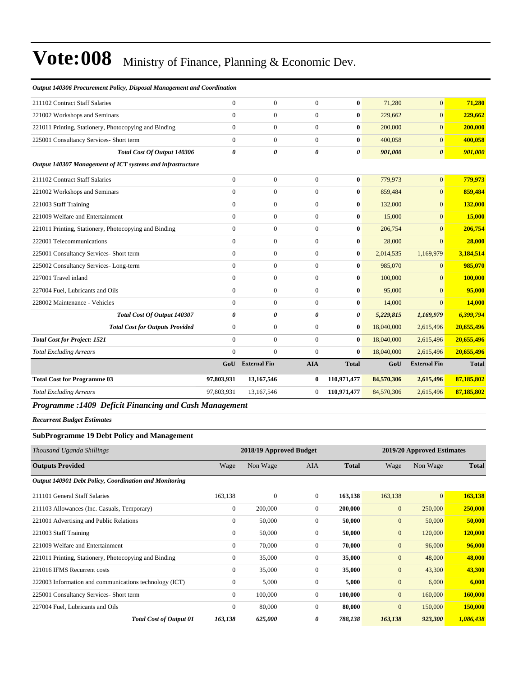| 211102 Contract Staff Salaries                             | $\overline{0}$        | $\mathbf{0}$        | $\theta$              | $\bf{0}$     | 71.280     | $\overline{0}$        | 71,280       |
|------------------------------------------------------------|-----------------------|---------------------|-----------------------|--------------|------------|-----------------------|--------------|
| 221002 Workshops and Seminars                              | $\Omega$              | $\Omega$            | $\theta$              | $\bf{0}$     | 229,662    | $\overline{0}$        | 229,662      |
| 221011 Printing, Stationery, Photocopying and Binding      | $\overline{0}$        | $\mathbf{0}$        | $\mathbf{0}$          | $\bf{0}$     | 200,000    | $\overline{0}$        | 200,000      |
| 225001 Consultancy Services- Short term                    | $\Omega$              | $\mathbf{0}$        | $\Omega$              | $\bf{0}$     | 400,058    | $\overline{0}$        | 400,058      |
| <b>Total Cost Of Output 140306</b>                         | $\boldsymbol{\theta}$ | 0                   | 0                     | 0            | 901,000    | $\boldsymbol{\theta}$ | 901,000      |
| Output 140307 Management of ICT systems and infrastructure |                       |                     |                       |              |            |                       |              |
| 211102 Contract Staff Salaries                             | $\overline{0}$        | $\mathbf{0}$        | $\Omega$              | $\bf{0}$     | 779,973    | $\overline{0}$        | 779,973      |
| 221002 Workshops and Seminars                              | $\overline{0}$        | $\mathbf{0}$        | $\overline{0}$        | $\bf{0}$     | 859,484    | $\overline{0}$        | 859,484      |
| 221003 Staff Training                                      | $\overline{0}$        | $\mathbf{0}$        | $\overline{0}$        | $\bf{0}$     | 132,000    | $\Omega$              | 132,000      |
| 221009 Welfare and Entertainment                           | $\overline{0}$        | $\mathbf{0}$        | $\overline{0}$        | $\bf{0}$     | 15,000     | $\overline{0}$        | 15,000       |
| 221011 Printing, Stationery, Photocopying and Binding      | $\overline{0}$        | $\mathbf{0}$        | $\Omega$              | $\bf{0}$     | 206,754    | $\Omega$              | 206,754      |
| 222001 Telecommunications                                  | $\overline{0}$        | $\boldsymbol{0}$    | $\overline{0}$        | $\bf{0}$     | 28,000     | $\overline{0}$        | 28,000       |
| 225001 Consultancy Services- Short term                    | $\overline{0}$        | $\mathbf{0}$        | $\Omega$              | $\bf{0}$     | 2,014,535  | 1,169,979             | 3,184,514    |
| 225002 Consultancy Services-Long-term                      | $\overline{0}$        | $\overline{0}$      | $\overline{0}$        | $\bf{0}$     | 985,070    | $\mathbf{0}$          | 985,070      |
| 227001 Travel inland                                       | $\overline{0}$        | $\mathbf{0}$        | $\overline{0}$        | $\bf{0}$     | 100,000    | $\overline{0}$        | 100,000      |
| 227004 Fuel, Lubricants and Oils                           | $\Omega$              | $\mathbf{0}$        | $\overline{0}$        | $\mathbf{0}$ | 95,000     | $\overline{0}$        | 95,000       |
| 228002 Maintenance - Vehicles                              | $\Omega$              | $\mathbf{0}$        | $\overline{0}$        | $\bf{0}$     | 14,000     | $\Omega$              | 14,000       |
| Total Cost Of Output 140307                                | 0                     | $\theta$            | $\boldsymbol{\theta}$ | 0            | 5,229,815  | 1,169,979             | 6,399,794    |
| <b>Total Cost for Outputs Provided</b>                     | $\overline{0}$        | $\overline{0}$      | $\overline{0}$        | $\bf{0}$     | 18,040,000 | 2,615,496             | 20,655,496   |
| <b>Total Cost for Project: 1521</b>                        | $\Omega$              | $\overline{0}$      | $\overline{0}$        | $\bf{0}$     | 18,040,000 | 2,615,496             | 20,655,496   |
| <b>Total Excluding Arrears</b>                             | $\Omega$              | $\Omega$            | $\overline{0}$        | $\bf{0}$     | 18,040,000 | 2,615,496             | 20,655,496   |
|                                                            | GoU                   | <b>External Fin</b> | <b>AIA</b>            | <b>Total</b> | GoU        | <b>External Fin</b>   | <b>Total</b> |
| <b>Total Cost for Programme 03</b>                         | 97,803,931            | 13,167,546          | $\bf{0}$              | 110,971,477  | 84,570,306 | 2,615,496             | 87,185,802   |
| <b>Total Excluding Arrears</b>                             | 97,803,931            | 13.167.546          | $\overline{0}$        | 110,971,477  | 84,570,306 | 2,615,496             | 87,185,802   |
|                                                            |                       |                     |                       |              |            |                       |              |

#### *Output 140306 Procurement Policy, Disposal Management and Coordination*

*Programme :1409 Deficit Financing and Cash Management*

*Recurrent Budget Estimates*

#### **SubProgramme 19 Debt Policy and Management**

| Thousand Uganda Shillings                              |                | 2018/19 Approved Budget |                |              |                | 2019/20 Approved Estimates |                |
|--------------------------------------------------------|----------------|-------------------------|----------------|--------------|----------------|----------------------------|----------------|
| <b>Outputs Provided</b>                                | Wage           | Non Wage                | AIA            | <b>Total</b> | Wage           | Non Wage                   | <b>Total</b>   |
| Output 140901 Debt Policy, Coordination and Monitoring |                |                         |                |              |                |                            |                |
| 211101 General Staff Salaries                          | 163,138        | $\mathbf{0}$            | $\overline{0}$ | 163,138      | 163,138        | $\mathbf{0}$               | 163,138        |
| 211103 Allowances (Inc. Casuals, Temporary)            | $\mathbf{0}$   | 200,000                 | $\overline{0}$ | 200,000      | $\mathbf{0}$   | 250,000                    | 250,000        |
| 221001 Advertising and Public Relations                | $\mathbf{0}$   | 50,000                  | $\Omega$       | 50,000       | $\mathbf{0}$   | 50,000                     | 50,000         |
| 221003 Staff Training                                  | $\mathbf{0}$   | 50,000                  | $\overline{0}$ | 50,000       | $\mathbf{0}$   | 120,000                    | 120,000        |
| 221009 Welfare and Entertainment                       | $\mathbf{0}$   | 70,000                  | $\overline{0}$ | 70,000       | $\mathbf{0}$   | 96,000                     | 96,000         |
| 221011 Printing, Stationery, Photocopying and Binding  | $\mathbf{0}$   | 35,000                  | $\overline{0}$ | 35,000       | $\mathbf{0}$   | 48,000                     | 48,000         |
| 221016 IFMS Recurrent costs                            | $\mathbf{0}$   | 35,000                  | $\overline{0}$ | 35,000       | $\mathbf{0}$   | 43,300                     | 43,300         |
| 222003 Information and communications technology (ICT) | $\overline{0}$ | 5,000                   | $\overline{0}$ | 5,000        | $\overline{0}$ | 6,000                      | 6,000          |
| 225001 Consultancy Services- Short term                | $\overline{0}$ | 100,000                 | $\overline{0}$ | 100,000      | $\overline{0}$ | 160,000                    | <b>160,000</b> |
| 227004 Fuel, Lubricants and Oils                       | $\overline{0}$ | 80,000                  | $\overline{0}$ | 80,000       | $\overline{0}$ | 150,000                    | 150,000        |
| <b>Total Cost of Output 01</b>                         | 163,138        | 625,000                 | 0              | 788,138      | 163,138        | 923,300                    | 1,086,438      |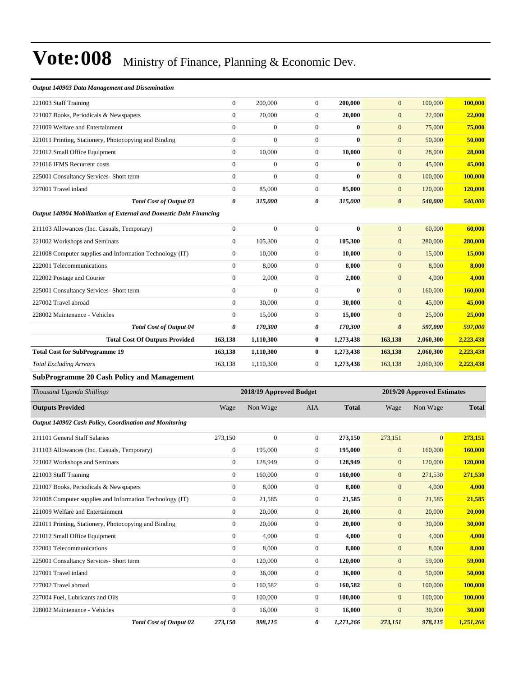#### *Output 140903 Data Management and Dissemination*

| 221003 Staff Training                                 |                                | $\theta$       | 200,000          | $\Omega$     | 200,000      | $\mathbf{0}$<br>100,000          | 100,000 |
|-------------------------------------------------------|--------------------------------|----------------|------------------|--------------|--------------|----------------------------------|---------|
| 221007 Books, Periodicals & Newspapers                |                                | $\theta$       | 20,000           | $\Omega$     | 20,000       | 22,000<br>$\mathbf{0}$           | 22,000  |
| 221009 Welfare and Entertainment                      |                                | $\Omega$       | $\boldsymbol{0}$ | $\Omega$     | $\bf{0}$     | 75,000<br>$\mathbf{0}$           | 75,000  |
| 221011 Printing, Stationery, Photocopying and Binding |                                | $\Omega$       | $\boldsymbol{0}$ | $\Omega$     | $\mathbf{0}$ | $\mathbf{0}$<br>50,000           | 50,000  |
| 221012 Small Office Equipment                         |                                | $\mathbf{0}$   | 10.000           | $\Omega$     | 10,000       | 28,000<br>$\mathbf{0}$           | 28,000  |
| 221016 IFMS Recurrent costs                           |                                | $\mathbf{0}$   | $\boldsymbol{0}$ | $\Omega$     | $\bf{0}$     | 45,000<br>$\mathbf{0}$           | 45,000  |
| 225001 Consultancy Services- Short term               |                                | $\overline{0}$ | $\boldsymbol{0}$ | $\Omega$     | $\mathbf{0}$ | $\mathbf{0}$<br>100,000          | 100,000 |
| 227001 Travel inland                                  |                                | $\overline{0}$ | 85,000           | $\mathbf{0}$ | 85,000       | $\mathbf{0}$<br>120,000          | 120,000 |
|                                                       | <b>Total Cost of Output 03</b> | 0              | 315,000          | 0            | 315,000      | $\boldsymbol{\theta}$<br>540,000 | 540,000 |

#### *Output 140904 Mobilization of External and Domestic Debt Financing*

| $\Omega$       | $\mathbf{0}$ | $\Omega$       | $\mathbf{0}$ | $\mathbf{0}$          | 60,000                                                  | 60,000    |
|----------------|--------------|----------------|--------------|-----------------------|---------------------------------------------------------|-----------|
| $\theta$       | 105,300      | $\overline{0}$ |              | $\boldsymbol{0}$      | 280,000                                                 | 280,000   |
| $\overline{0}$ | 10,000       | $\overline{0}$ |              | $\overline{0}$        | 15,000                                                  | 15,000    |
| $\mathbf{0}$   | 8,000        | $\mathbf{0}$   |              | $\overline{0}$        | 8,000                                                   | 8,000     |
| $\theta$       | 2,000        | $\mathbf{0}$   |              | $\mathbf{0}$          | 4,000                                                   | 4,000     |
| $\theta$       | $\mathbf{0}$ | $\Omega$       | $\mathbf{0}$ | $\mathbf{0}$          | 160,000                                                 | 160,000   |
| $\bf{0}$       | 30,000       | $\mathbf{0}$   |              | $\mathbf{0}$          | 45,000                                                  | 45,000    |
| $\overline{0}$ | 15,000       | $\overline{0}$ |              | $\overline{0}$        | 25,000                                                  | 25,000    |
| 0              | 170,300      | 0              | 170,300      | $\boldsymbol{\theta}$ | 597,000                                                 | 597,000   |
| 163,138        | 1,110,300    | $\bf{0}$       | 1,273,438    | 163,138               | 2,060,300                                               | 2,223,438 |
| 163,138        | 1,110,300    | $\bf{0}$       | 1,273,438    | 163,138               | 2,060,300                                               | 2,223,438 |
| 163,138        | 1,110,300    | $\overline{0}$ | 1,273,438    | 163,138               | 2,060,300                                               | 2,223,438 |
|                |              |                |              |                       | 105,300<br>10,000<br>8,000<br>2,000<br>30,000<br>15,000 |           |

#### **SubProgramme 20 Cash Policy and Management**

| Thousand Uganda Shillings                                | 2018/19 Approved Budget<br>2019/20 Approved Estimates |                |                  |              |              |              |              |
|----------------------------------------------------------|-------------------------------------------------------|----------------|------------------|--------------|--------------|--------------|--------------|
| <b>Outputs Provided</b>                                  | Wage                                                  | Non Wage       | <b>AIA</b>       | <b>Total</b> | Wage         | Non Wage     | <b>Total</b> |
| Output 140902 Cash Policy, Coordination and Monitoring   |                                                       |                |                  |              |              |              |              |
| 211101 General Staff Salaries                            | 273,150                                               | $\overline{0}$ | $\overline{0}$   | 273,150      | 273,151      | $\mathbf{0}$ | 273,151      |
| 211103 Allowances (Inc. Casuals, Temporary)              | $\overline{0}$                                        | 195,000        | $\overline{0}$   | 195,000      | $\mathbf{0}$ | 160,000      | 160,000      |
| 221002 Workshops and Seminars                            | $\overline{0}$                                        | 128,949        | $\overline{0}$   | 128,949      | $\mathbf{0}$ | 120,000      | 120,000      |
| 221003 Staff Training                                    | $\overline{0}$                                        | 160,000        | $\overline{0}$   | 160,000      | $\mathbf{0}$ | 271,530      | 271,530      |
| 221007 Books, Periodicals & Newspapers                   | $\mathbf{0}$                                          | 8,000          | $\mathbf{0}$     | 8,000        | $\mathbf{0}$ | 4,000        | 4,000        |
| 221008 Computer supplies and Information Technology (IT) | $\mathbf{0}$                                          | 21,585         | $\boldsymbol{0}$ | 21,585       | $\mathbf{0}$ | 21,585       | 21,585       |
| 221009 Welfare and Entertainment                         | $\overline{0}$                                        | 20,000         | $\overline{0}$   | 20,000       | $\mathbf{0}$ | 20,000       | 20,000       |
| 221011 Printing, Stationery, Photocopying and Binding    | $\mathbf{0}$                                          | 20,000         | $\overline{0}$   | 20,000       | $\mathbf{0}$ | 30,000       | 30,000       |
| 221012 Small Office Equipment                            | $\mathbf{0}$                                          | 4,000          | $\Omega$         | 4,000        | $\mathbf{0}$ | 4,000        | 4,000        |
| 222001 Telecommunications                                | $\mathbf{0}$                                          | 8,000          | $\overline{0}$   | 8,000        | $\mathbf{0}$ | 8,000        | 8,000        |
| 225001 Consultancy Services- Short term                  | $\mathbf{0}$                                          | 120,000        | $\overline{0}$   | 120,000      | $\mathbf{0}$ | 59,000       | 59,000       |
| 227001 Travel inland                                     | $\overline{0}$                                        | 36,000         | $\overline{0}$   | 36,000       | $\mathbf{0}$ | 50,000       | 50,000       |
| 227002 Travel abroad                                     | $\overline{0}$                                        | 160,582        | $\overline{0}$   | 160,582      | $\mathbf{0}$ | 100,000      | 100,000      |
| 227004 Fuel, Lubricants and Oils                         | $\overline{0}$                                        | 100,000        | $\overline{0}$   | 100,000      | $\mathbf{0}$ | 100,000      | 100,000      |
| 228002 Maintenance - Vehicles                            | $\mathbf{0}$                                          | 16,000         | $\overline{0}$   | 16,000       | $\mathbf{0}$ | 30,000       | 30,000       |
| <b>Total Cost of Output 02</b>                           | 273,150                                               | 998,115        | 0                | 1,271,266    | 273,151      | 978,115      | 1,251,266    |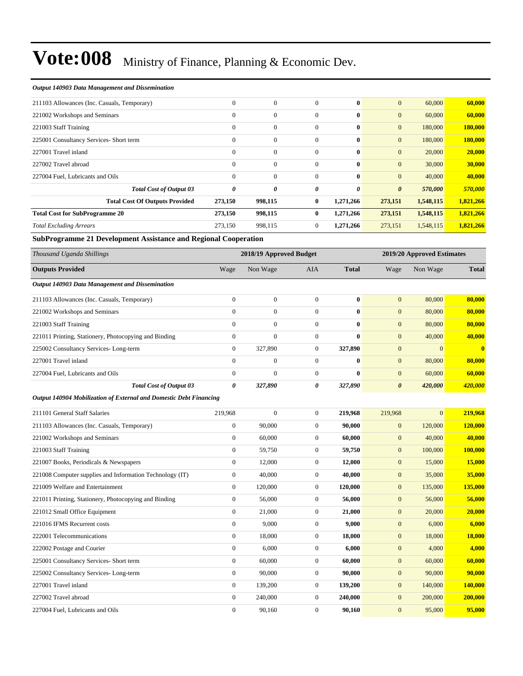#### *Output 140903 Data Management and Dissemination*

| 211103 Allowances (Inc. Casuals, Temporary) | $\mathbf{0}$ | $\boldsymbol{0}$ | $\mathbf{0}$   | $\mathbf{0}$ | $\mathbf{0}$          | 60,000    | 60,000    |
|---------------------------------------------|--------------|------------------|----------------|--------------|-----------------------|-----------|-----------|
| 221002 Workshops and Seminars               | $\mathbf{0}$ | $\overline{0}$   | $\Omega$       | $\mathbf{0}$ | $\overline{0}$        | 60,000    | 60,000    |
| 221003 Staff Training                       | $\mathbf{0}$ | $\mathbf{0}$     | $\mathbf{0}$   | $\bf{0}$     | $\overline{0}$        | 180,000   | 180,000   |
| 225001 Consultancy Services- Short term     | $\mathbf{0}$ | $\boldsymbol{0}$ | $\mathbf{0}$   | $\bf{0}$     | $\overline{0}$        | 180,000   | 180,000   |
| 227001 Travel inland                        | $\mathbf{0}$ | $\mathbf{0}$     | $\mathbf{0}$   | $\bf{0}$     | $\overline{0}$        | 20,000    | 20,000    |
| 227002 Travel abroad                        | $\Omega$     | $\mathbf{0}$     | $\Omega$       | $\mathbf{0}$ | $\mathbf{0}$          | 30,000    | 30,000    |
| 227004 Fuel, Lubricants and Oils            | $\theta$     | $\overline{0}$   | $\mathbf{0}$   | $\bf{0}$     | $\overline{0}$        | 40,000    | 40,000    |
| <b>Total Cost of Output 03</b>              | 0            | 0                | 0              | 0            | $\boldsymbol{\theta}$ | 570,000   | 570,000   |
| <b>Total Cost Of Outputs Provided</b>       | 273,150      | 998,115          | $\bf{0}$       | 1,271,266    | 273,151               | 1,548,115 | 1,821,266 |
| <b>Total Cost for SubProgramme 20</b>       | 273,150      | 998,115          | $\mathbf{0}$   | 1,271,266    | 273,151               | 1,548,115 | 1,821,266 |
| <b>Total Excluding Arrears</b>              | 273,150      | 998,115          | $\overline{0}$ | 1,271,266    | 273,151               | 1,548,115 | 1,821,266 |

**SubProgramme 21 Development Assistance and Regional Cooperation**

| Thousand Uganda Shillings                                          |                  | 2018/19 Approved Budget |                  |              |                       | 2019/20 Approved Estimates |               |
|--------------------------------------------------------------------|------------------|-------------------------|------------------|--------------|-----------------------|----------------------------|---------------|
| <b>Outputs Provided</b>                                            | Wage             | Non Wage                | AIA              | <b>Total</b> | Wage                  | Non Wage                   | <b>Total</b>  |
| Output 140903 Data Management and Dissemination                    |                  |                         |                  |              |                       |                            |               |
| 211103 Allowances (Inc. Casuals, Temporary)                        | $\overline{0}$   | $\mathbf{0}$            | $\overline{0}$   | $\bf{0}$     | $\mathbf{0}$          | 80,000                     | 80,000        |
| 221002 Workshops and Seminars                                      | $\overline{0}$   | $\boldsymbol{0}$        | $\boldsymbol{0}$ | $\bf{0}$     | $\mathbf{0}$          | 80,000                     | 80,000        |
| 221003 Staff Training                                              | $\overline{0}$   | $\mathbf{0}$            | $\boldsymbol{0}$ | $\bf{0}$     | $\mathbf{0}$          | 80,000                     | 80,000        |
| 221011 Printing, Stationery, Photocopying and Binding              | $\boldsymbol{0}$ | $\boldsymbol{0}$        | $\boldsymbol{0}$ | $\mathbf{0}$ | $\mathbf{0}$          | 40,000                     | 40,000        |
| 225002 Consultancy Services-Long-term                              | $\overline{0}$   | 327,890                 | $\overline{0}$   | 327,890      | $\mathbf{0}$          | $\theta$                   | $\bf{0}$      |
| 227001 Travel inland                                               | $\overline{0}$   | $\mathbf{0}$            | $\boldsymbol{0}$ | $\mathbf{0}$ | $\mathbf{0}$          | 80,000                     | 80,000        |
| 227004 Fuel, Lubricants and Oils                                   | $\overline{0}$   | $\theta$                | $\boldsymbol{0}$ | $\mathbf{0}$ | $\mathbf{0}$          | 60,000                     | 60,000        |
| <b>Total Cost of Output 03</b>                                     | 0                | 327,890                 | 0                | 327,890      | $\boldsymbol{\theta}$ | 420,000                    | 420,000       |
| Output 140904 Mobilization of External and Domestic Debt Financing |                  |                         |                  |              |                       |                            |               |
| 211101 General Staff Salaries                                      | 219,968          | $\mathbf{0}$            | $\boldsymbol{0}$ | 219,968      | 219,968               | $\overline{0}$             | 219,968       |
| 211103 Allowances (Inc. Casuals, Temporary)                        | $\boldsymbol{0}$ | 90,000                  | $\boldsymbol{0}$ | 90,000       | $\mathbf{0}$          | 120,000                    | 120,000       |
| 221002 Workshops and Seminars                                      | $\overline{0}$   | 60,000                  | $\boldsymbol{0}$ | 60,000       | $\mathbf{0}$          | 40,000                     | 40,000        |
| 221003 Staff Training                                              | $\boldsymbol{0}$ | 59,750                  | $\boldsymbol{0}$ | 59,750       | $\mathbf{0}$          | 100,000                    | 100,000       |
| 221007 Books, Periodicals & Newspapers                             | $\overline{0}$   | 12,000                  | $\boldsymbol{0}$ | 12,000       | $\mathbf{0}$          | 15,000                     | 15,000        |
| 221008 Computer supplies and Information Technology (IT)           | $\boldsymbol{0}$ | 40,000                  | $\boldsymbol{0}$ | 40,000       | $\mathbf{0}$          | 35,000                     | 35,000        |
| 221009 Welfare and Entertainment                                   | $\overline{0}$   | 120,000                 | $\boldsymbol{0}$ | 120,000      | $\mathbf{0}$          | 135,000                    | 135,000       |
| 221011 Printing, Stationery, Photocopying and Binding              | $\boldsymbol{0}$ | 56,000                  | $\boldsymbol{0}$ | 56,000       | $\mathbf{0}$          | 56,000                     | 56,000        |
| 221012 Small Office Equipment                                      | $\overline{0}$   | 21,000                  | $\boldsymbol{0}$ | 21,000       | $\mathbf{0}$          | 20,000                     | 20,000        |
| 221016 IFMS Recurrent costs                                        | $\overline{0}$   | 9,000                   | $\overline{0}$   | 9.000        | $\mathbf{0}$          | 6,000                      | 6,000         |
| 222001 Telecommunications                                          | $\overline{0}$   | 18,000                  | $\boldsymbol{0}$ | 18,000       | $\mathbf{0}$          | 18,000                     | <b>18,000</b> |
| 222002 Postage and Courier                                         | $\overline{0}$   | 6,000                   | $\mathbf{0}$     | 6,000        | $\mathbf{0}$          | 4,000                      | 4,000         |
| 225001 Consultancy Services- Short term                            | $\boldsymbol{0}$ | 60,000                  | $\boldsymbol{0}$ | 60,000       | $\mathbf{0}$          | 60,000                     | 60,000        |
| 225002 Consultancy Services-Long-term                              | $\overline{0}$   | 90,000                  | $\mathbf{0}$     | 90,000       | $\mathbf{0}$          | 90,000                     | 90,000        |
| 227001 Travel inland                                               | $\boldsymbol{0}$ | 139,200                 | $\boldsymbol{0}$ | 139,200      | $\mathbf{0}$          | 140,000                    | 140,000       |
| 227002 Travel abroad                                               | $\overline{0}$   | 240,000                 | $\mathbf{0}$     | 240,000      | $\mathbf{0}$          | 200,000                    | 200,000       |
| 227004 Fuel, Lubricants and Oils                                   | $\overline{0}$   | 90,160                  | $\mathbf{0}$     | 90,160       | $\overline{0}$        | 95,000                     | 95,000        |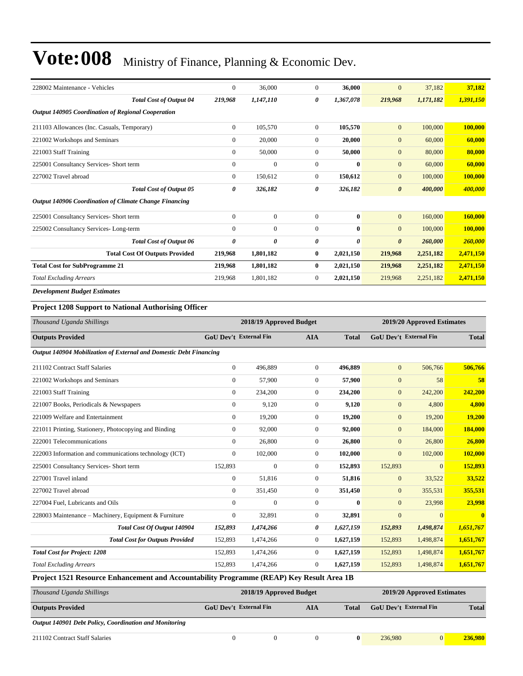| 228002 Maintenance - Vehicles                                 | $\mathbf{0}$   | 36,000         | $\overline{0}$ | 36,000       | $\mathbf{0}$          | 37,182    | 37,182    |
|---------------------------------------------------------------|----------------|----------------|----------------|--------------|-----------------------|-----------|-----------|
| <b>Total Cost of Output 04</b>                                | 219,968        | 1,147,110      | 0              | 1,367,078    | 219,968               | 1,171,182 | 1,391,150 |
| Output 140905 Coordination of Regional Cooperation            |                |                |                |              |                       |           |           |
| 211103 Allowances (Inc. Casuals, Temporary)                   | $\overline{0}$ | 105,570        | $\overline{0}$ | 105,570      | $\mathbf{0}$          | 100,000   | 100,000   |
| 221002 Workshops and Seminars                                 | $\mathbf{0}$   | 20,000         | $\overline{0}$ | 20,000       | $\mathbf{0}$          | 60,000    | 60,000    |
| 221003 Staff Training                                         | $\mathbf{0}$   | 50,000         | $\overline{0}$ | 50,000       | $\mathbf{0}$          | 80,000    | 80,000    |
| 225001 Consultancy Services- Short term                       | $\mathbf{0}$   | $\overline{0}$ | $\Omega$       | $\mathbf{0}$ | $\mathbf{0}$          | 60,000    | 60,000    |
| 227002 Travel abroad                                          | $\Omega$       | 150.612        | $\Omega$       | 150,612      | $\mathbf{0}$          | 100,000   | 100,000   |
| <b>Total Cost of Output 05</b>                                | 0              | 326,182        | 0              | 326,182      | $\boldsymbol{\theta}$ | 400,000   | 400.000   |
| <b>Output 140906 Coordination of Climate Change Financing</b> |                |                |                |              |                       |           |           |
| 225001 Consultancy Services- Short term                       | $\mathbf{0}$   | $\mathbf{0}$   | $\overline{0}$ | $\bf{0}$     | $\mathbf{0}$          | 160,000   | 160,000   |
| 225002 Consultancy Services-Long-term                         | $\mathbf{0}$   | $\overline{0}$ | $\overline{0}$ | $\mathbf{0}$ | $\mathbf{0}$          | 100,000   | 100,000   |
| <b>Total Cost of Output 06</b>                                | $\theta$       | 0              | 0              | 0            | $\boldsymbol{\theta}$ | 260,000   | 260,000   |
| <b>Total Cost Of Outputs Provided</b>                         | 219,968        | 1,801,182      | $\bf{0}$       | 2,021,150    | 219,968               | 2,251,182 | 2,471,150 |
| <b>Total Cost for SubProgramme 21</b>                         | 219,968        | 1,801,182      | $\bf{0}$       | 2,021,150    | 219,968               | 2,251,182 | 2,471,150 |
| <b>Total Excluding Arrears</b>                                | 219,968        | 1,801,182      | 0              | 2,021,150    | 219,968               | 2,251,182 | 2,471,150 |
| <b>Development Budget Estimates</b>                           |                |                |                |              |                       |           |           |
| <b>Project 1208 Support to National Authorising Officer</b>   |                |                |                |              |                       |           |           |

| Thousand Uganda Shillings                                                                |                               | 2018/19 Approved Budget |                |              |                               | 2019/20 Approved Estimates |              |
|------------------------------------------------------------------------------------------|-------------------------------|-------------------------|----------------|--------------|-------------------------------|----------------------------|--------------|
| <b>Outputs Provided</b>                                                                  | <b>GoU Dev't External Fin</b> |                         | <b>AIA</b>     | <b>Total</b> | <b>GoU Dev't External Fin</b> |                            | <b>Total</b> |
| Output 140904 Mobilization of External and Domestic Debt Financing                       |                               |                         |                |              |                               |                            |              |
| 211102 Contract Staff Salaries                                                           | $\Omega$                      | 496,889                 | $\Omega$       | 496,889      | $\mathbf{0}$                  | 506,766                    | 506,766      |
| 221002 Workshops and Seminars                                                            | $\overline{0}$                | 57,900                  | $\overline{0}$ | 57,900       | $\overline{0}$                | 58                         | 58           |
| 221003 Staff Training                                                                    | $\overline{0}$                | 234,200                 | $\overline{0}$ | 234,200      | $\mathbf{0}$                  | 242,200                    | 242,200      |
| 221007 Books, Periodicals & Newspapers                                                   | $\overline{0}$                | 9,120                   | $\overline{0}$ | 9,120        | $\mathbf{0}$                  | 4,800                      | 4,800        |
| 221009 Welfare and Entertainment                                                         | $\overline{0}$                | 19,200                  | $\Omega$       | 19,200       | $\overline{0}$                | 19,200                     | 19,200       |
| 221011 Printing, Stationery, Photocopying and Binding                                    | $\Omega$                      | 92,000                  | $\Omega$       | 92,000       | $\mathbf{0}$                  | 184,000                    | 184,000      |
| 222001 Telecommunications                                                                | $\overline{0}$                | 26,800                  | $\overline{0}$ | 26,800       | $\mathbf{0}$                  | 26,800                     | 26,800       |
| 222003 Information and communications technology (ICT)                                   | $\overline{0}$                | 102,000                 | $\overline{0}$ | 102,000      | $\mathbf{0}$                  | 102,000                    | 102,000      |
| 225001 Consultancy Services- Short term                                                  | 152,893                       | $\mathbf{0}$            | $\Omega$       | 152,893      | 152,893                       | $\mathbf{0}$               | 152,893      |
| 227001 Travel inland                                                                     | 0                             | 51,816                  | $\overline{0}$ | 51,816       | $\mathbf{0}$                  | 33,522                     | 33,522       |
| 227002 Travel abroad                                                                     | $\overline{0}$                | 351,450                 | $\overline{0}$ | 351,450      | $\mathbf{0}$                  | 355,531                    | 355,531      |
| 227004 Fuel, Lubricants and Oils                                                         | $\Omega$                      | $\mathbf{0}$            | $\Omega$       | $\bf{0}$     | $\mathbf{0}$                  | 23,998                     | 23,998       |
| 228003 Maintenance - Machinery, Equipment & Furniture                                    | $\overline{0}$                | 32,891                  | $\Omega$       | 32,891       | $\mathbf{0}$                  | $\Omega$                   | $\mathbf{0}$ |
| Total Cost Of Output 140904                                                              | 152,893                       | 1,474,266               | 0              | 1,627,159    | 152,893                       | 1,498,874                  | 1,651,767    |
| <b>Total Cost for Outputs Provided</b>                                                   | 152,893                       | 1,474,266               | $\overline{0}$ | 1,627,159    | 152,893                       | 1,498,874                  | 1,651,767    |
| <b>Total Cost for Project: 1208</b>                                                      | 152,893                       | 1,474,266               | $\overline{0}$ | 1,627,159    | 152,893                       | 1,498,874                  | 1,651,767    |
| <b>Total Excluding Arrears</b>                                                           | 152,893                       | 1,474,266               | $\overline{0}$ | 1,627,159    | 152,893                       | 1,498,874                  | 1,651,767    |
| Project 1521 Resource Enhancement and Accountability Programme (REAP) Key Result Area 1B |                               |                         |                |              |                               |                            |              |
|                                                                                          |                               |                         |                |              |                               |                            |              |

| Thousand Uganda Shillings                              |                               | 2018/19 Approved Budget |     |       | 2019/20 Approved Estimates    |          |              |  |
|--------------------------------------------------------|-------------------------------|-------------------------|-----|-------|-------------------------------|----------|--------------|--|
| <b>Outputs Provided</b>                                | <b>GoU</b> Dev't External Fin |                         | AIA | Total | <b>GoU</b> Dev't External Fin |          | <b>Total</b> |  |
| Output 140901 Debt Policy, Coordination and Monitoring |                               |                         |     |       |                               |          |              |  |
| 211102 Contract Staff Salaries                         |                               |                         |     |       | 236,980                       | $\Omega$ | 236,980      |  |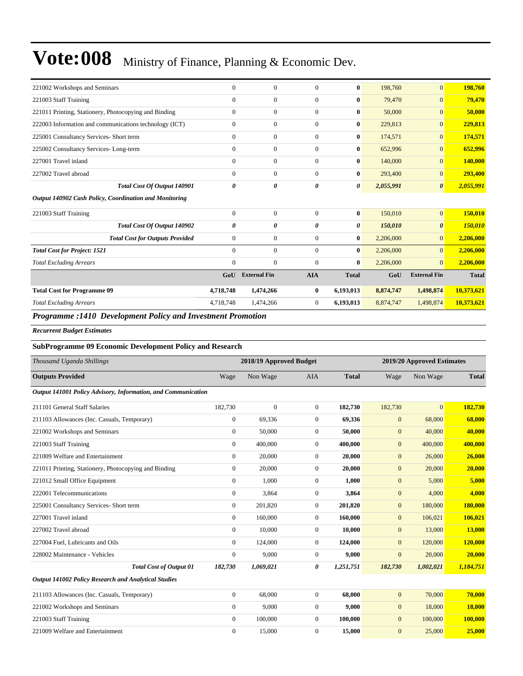| 221002 Workshops and Seminars                          | $\Omega$     | $\Omega$            | $\Omega$       | $\mathbf{0}$ | 198,760   | $\overline{0}$        | 198,760      |
|--------------------------------------------------------|--------------|---------------------|----------------|--------------|-----------|-----------------------|--------------|
| 221003 Staff Training                                  | $\mathbf{0}$ | $\mathbf{0}$        | $\mathbf{0}$   | $\bf{0}$     | 79,470    | $\overline{0}$        | 79,470       |
| 221011 Printing, Stationery, Photocopying and Binding  | $\mathbf{0}$ | $\mathbf{0}$        | $\overline{0}$ | 0            | 50,000    | $\overline{0}$        | 50,000       |
| 222003 Information and communications technology (ICT) | $\mathbf{0}$ | $\mathbf{0}$        | $\overline{0}$ | $\bf{0}$     | 229,813   | 0                     | 229,813      |
| 225001 Consultancy Services- Short term                | $\mathbf{0}$ | $\mathbf{0}$        | $\overline{0}$ | $\bf{0}$     | 174,571   | $\vert 0 \vert$       | 174,571      |
| 225002 Consultancy Services-Long-term                  | $\mathbf{0}$ | $\mathbf{0}$        | $\overline{0}$ | $\bf{0}$     | 652,996   | $\vert 0 \vert$       | 652,996      |
| 227001 Travel inland                                   | $\mathbf{0}$ | $\mathbf{0}$        | $\overline{0}$ | $\bf{0}$     | 140,000   | $\vert 0 \vert$       | 140,000      |
| 227002 Travel abroad                                   | $\mathbf{0}$ | $\mathbf{0}$        | $\overline{0}$ | $\bf{0}$     | 293,400   | $\overline{0}$        | 293,400      |
| Total Cost Of Output 140901                            | 0            | 0                   | 0              | 0            | 2,055,991 | $\boldsymbol{\theta}$ | 2,055,991    |
| Output 140902 Cash Policy, Coordination and Monitoring |              |                     |                |              |           |                       |              |
| 221003 Staff Training                                  | $\mathbf{0}$ | $\mathbf{0}$        | $\overline{0}$ | $\bf{0}$     | 150,010   | $\overline{0}$        | 150,010      |
| Total Cost Of Output 140902                            | 0            | 0                   | 0              | 0            | 150,010   | 0                     | 150,010      |
| <b>Total Cost for Outputs Provided</b>                 | $\mathbf{0}$ | $\mathbf{0}$        | $\mathbf{0}$   | $\bf{0}$     | 2,206,000 | $\overline{0}$        | 2,206,000    |
| <b>Total Cost for Project: 1521</b>                    | $\theta$     | $\Omega$            | $\Omega$       | $\mathbf{0}$ | 2,206,000 | $\overline{0}$        | 2,206,000    |
| <b>Total Excluding Arrears</b>                         | $\mathbf{0}$ | $\Omega$            | $\Omega$       | $\bf{0}$     | 2,206,000 | $\overline{0}$        | 2,206,000    |
|                                                        | GoU          | <b>External Fin</b> | <b>AIA</b>     | <b>Total</b> | GoU       | <b>External Fin</b>   | <b>Total</b> |
| <b>Total Cost for Programme 09</b>                     | 4,718,748    | 1,474,266           | $\bf{0}$       | 6,193,013    | 8,874,747 | 1,498,874             | 10,373,621   |
| <b>Total Excluding Arrears</b>                         | 4,718,748    | 1,474,266           | $\overline{0}$ | 6,193,013    | 8,874,747 | 1,498,874             | 10,373,621   |

#### *Programme :1410 Development Policy and Investment Promotion*

*Recurrent Budget Estimates*

#### **SubProgramme 09 Economic Development Policy and Research**

| Thousand Uganda Shillings                                     | 2018/19 Approved Budget<br>2019/20 Approved Estimates |                  |                  |              |                |                |               |
|---------------------------------------------------------------|-------------------------------------------------------|------------------|------------------|--------------|----------------|----------------|---------------|
| <b>Outputs Provided</b>                                       | Wage                                                  | Non Wage         | <b>AIA</b>       | <b>Total</b> | Wage           | Non Wage       | <b>Total</b>  |
| Output 141001 Policy Advisory, Information, and Communication |                                                       |                  |                  |              |                |                |               |
| 211101 General Staff Salaries                                 | 182,730                                               | $\boldsymbol{0}$ | $\boldsymbol{0}$ | 182,730      | 182,730        | $\overline{0}$ | 182,730       |
| 211103 Allowances (Inc. Casuals, Temporary)                   | $\overline{0}$                                        | 69,336           | $\overline{0}$   | 69,336       | $\overline{0}$ | 68,000         | 68,000        |
| 221002 Workshops and Seminars                                 | $\overline{0}$                                        | 50,000           | $\overline{0}$   | 50,000       | $\mathbf{0}$   | 40,000         | 40,000        |
| 221003 Staff Training                                         | $\overline{0}$                                        | 400,000          | $\overline{0}$   | 400,000      | $\mathbf{0}$   | 400,000        | 400,000       |
| 221009 Welfare and Entertainment                              | $\overline{0}$                                        | 20,000           | $\Omega$         | 20,000       | $\overline{0}$ | 26,000         | 26,000        |
| 221011 Printing, Stationery, Photocopying and Binding         | $\overline{0}$                                        | 20,000           | $\overline{0}$   | 20,000       | $\overline{0}$ | 20,000         | 20,000        |
| 221012 Small Office Equipment                                 | $\overline{0}$                                        | 1,000            | $\overline{0}$   | 1,000        | $\mathbf{0}$   | 5,000          | 5,000         |
| 222001 Telecommunications                                     | $\overline{0}$                                        | 3,864            | $\overline{0}$   | 3,864        | $\mathbf{0}$   | 4,000          | 4,000         |
| 225001 Consultancy Services- Short term                       | $\overline{0}$                                        | 201,820          | $\theta$         | 201,820      | $\mathbf{0}$   | 180,000        | 180,000       |
| 227001 Travel inland                                          | $\overline{0}$                                        | 160,000          | $\overline{0}$   | 160,000      | $\mathbf{0}$   | 106,021        | 106,021       |
| 227002 Travel abroad                                          | $\Omega$                                              | 10,000           | $\overline{0}$   | 10,000       | $\mathbf{0}$   | 13,000         | <b>13,000</b> |
| 227004 Fuel, Lubricants and Oils                              | $\overline{0}$                                        | 124,000          | $\overline{0}$   | 124,000      | $\mathbf{0}$   | 120,000        | 120,000       |
| 228002 Maintenance - Vehicles                                 | $\overline{0}$                                        | 9.000            | $\overline{0}$   | 9.000        | $\mathbf{0}$   | 20,000         | 20,000        |
| <b>Total Cost of Output 01</b>                                | 182,730                                               | 1,069,021        | 0                | 1,251,751    | 182,730        | 1,002,021      | 1,184,751     |
| Output 141002 Policy Research and Analytical Studies          |                                                       |                  |                  |              |                |                |               |
| 211103 Allowances (Inc. Casuals, Temporary)                   | $\overline{0}$                                        | 68,000           | $\overline{0}$   | 68,000       | $\mathbf{0}$   | 70,000         | 70,000        |
| 221002 Workshops and Seminars                                 | $\overline{0}$                                        | 9.000            | $\overline{0}$   | 9.000        | $\mathbf{0}$   | 18,000         | <b>18,000</b> |
| 221003 Staff Training                                         | $\overline{0}$                                        | 100,000          | $\theta$         | 100,000      | $\mathbf{0}$   | 100,000        | 100,000       |
| 221009 Welfare and Entertainment                              | $\mathbf{0}$                                          | 15,000           | $\Omega$         | 15,000       | $\overline{0}$ | 25,000         | 25,000        |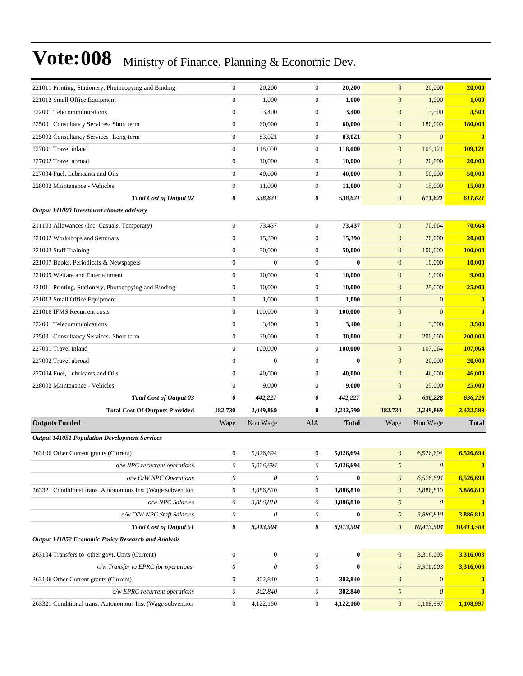| 221011 Printing, Stationery, Photocopying and Binding      | $\boldsymbol{0}$          | 20,200                    | $\mathbf{0}$              | 20,200       | $\mathbf{0}$              | 20,000                | 20,000                  |
|------------------------------------------------------------|---------------------------|---------------------------|---------------------------|--------------|---------------------------|-----------------------|-------------------------|
| 221012 Small Office Equipment                              | $\boldsymbol{0}$          | 1,000                     | $\mathbf{0}$              | 1,000        | $\boldsymbol{0}$          | 1,000                 | 1,000                   |
| 222001 Telecommunications                                  | $\boldsymbol{0}$          | 3,400                     | $\mathbf{0}$              | 3,400        | $\boldsymbol{0}$          | 3,500                 | 3,500                   |
| 225001 Consultancy Services- Short term                    | $\boldsymbol{0}$          | 60,000                    | $\mathbf{0}$              | 60,000       | $\mathbf{0}$              | 180,000               | 180,000                 |
| 225002 Consultancy Services-Long-term                      | $\boldsymbol{0}$          | 83,021                    | $\mathbf{0}$              | 83,021       | $\mathbf{0}$              | $\mathbf{0}$          | $\mathbf{0}$            |
| 227001 Travel inland                                       | $\boldsymbol{0}$          | 118,000                   | $\mathbf{0}$              | 118,000      | $\boldsymbol{0}$          | 109,121               | 109,121                 |
| 227002 Travel abroad                                       | $\boldsymbol{0}$          | 10,000                    | $\mathbf{0}$              | 10,000       | $\boldsymbol{0}$          | 20,000                | 20,000                  |
| 227004 Fuel, Lubricants and Oils                           | $\boldsymbol{0}$          | 40,000                    | $\mathbf{0}$              | 40,000       | $\boldsymbol{0}$          | 50,000                | 50,000                  |
| 228002 Maintenance - Vehicles                              | $\boldsymbol{0}$          | 11,000                    | $\mathbf{0}$              | 11,000       | $\boldsymbol{0}$          | 15,000                | 15,000                  |
| <b>Total Cost of Output 02</b>                             | 0                         | 538,621                   | 0                         | 538,621      | $\boldsymbol{\theta}$     | 611,621               | 611,621                 |
| Output 141003 Investment climate advisory                  |                           |                           |                           |              |                           |                       |                         |
| 211103 Allowances (Inc. Casuals, Temporary)                | $\boldsymbol{0}$          | 73,437                    | $\boldsymbol{0}$          | 73,437       | $\boldsymbol{0}$          | 70,664                | 70,664                  |
| 221002 Workshops and Seminars                              | $\boldsymbol{0}$          | 15,390                    | $\mathbf{0}$              | 15,390       | $\boldsymbol{0}$          | 20,000                | 20,000                  |
| 221003 Staff Training                                      | $\overline{0}$            | 50,000                    | $\mathbf{0}$              | 50,000       | $\boldsymbol{0}$          | 100,000               | 100,000                 |
| 221007 Books, Periodicals & Newspapers                     | $\overline{0}$            | $\overline{0}$            | $\boldsymbol{0}$          | $\bf{0}$     | $\mathbf{0}$              | 10,000                | 10,000                  |
| 221009 Welfare and Entertainment                           | $\boldsymbol{0}$          | 10,000                    | $\boldsymbol{0}$          | 10,000       | $\mathbf{0}$              | 9,000                 | 9,000                   |
| 221011 Printing, Stationery, Photocopying and Binding      | $\boldsymbol{0}$          | 10,000                    | $\mathbf{0}$              | 10,000       | $\boldsymbol{0}$          | 25,000                | 25,000                  |
| 221012 Small Office Equipment                              | $\boldsymbol{0}$          | 1,000                     | $\mathbf{0}$              | 1,000        | $\boldsymbol{0}$          | $\mathbf{0}$          | $\mathbf{0}$            |
| 221016 IFMS Recurrent costs                                | $\overline{0}$            | 100,000                   | $\mathbf{0}$              | 100,000      | $\mathbf{0}$              | $\mathbf{0}$          | $\mathbf{0}$            |
| 222001 Telecommunications                                  | $\boldsymbol{0}$          | 3,400                     | $\mathbf{0}$              | 3,400        | $\mathbf{0}$              | 3,500                 | 3,500                   |
| 225001 Consultancy Services- Short term                    | $\boldsymbol{0}$          | 30,000                    | $\mathbf{0}$              | 30,000       | $\mathbf{0}$              | 200,000               | 200,000                 |
| 227001 Travel inland                                       | $\boldsymbol{0}$          | 100,000                   | $\mathbf{0}$              | 100,000      | $\boldsymbol{0}$          | 107,064               | 107,064                 |
| 227002 Travel abroad                                       | $\mathbf{0}$              | $\overline{0}$            | $\mathbf{0}$              | $\mathbf{0}$ | $\boldsymbol{0}$          | 20,000                | 20,000                  |
| 227004 Fuel, Lubricants and Oils                           | $\overline{0}$            | 40,000                    | $\mathbf{0}$              | 40,000       | $\boldsymbol{0}$          | 46,000                | 46,000                  |
| 228002 Maintenance - Vehicles                              | $\overline{0}$            | 9,000                     | $\mathbf{0}$              | 9,000        | $\boldsymbol{0}$          | 25,000                | 25,000                  |
| <b>Total Cost of Output 03</b>                             | 0                         | 442,227                   | 0                         | 442,227      | $\boldsymbol{\theta}$     | 636,228               | 636,228                 |
| <b>Total Cost Of Outputs Provided</b>                      | 182,730                   | 2,049,869                 | $\bf{0}$                  | 2,232,599    | 182,730                   | 2,249,869             | 2,432,599               |
| <b>Outputs Funded</b>                                      | Wage                      | Non Wage                  | AIA                       | <b>Total</b> | Wage                      | Non Wage              | <b>Total</b>            |
| <b>Output 141051 Population Development Services</b>       |                           |                           |                           |              |                           |                       |                         |
| 263106 Other Current grants (Current)                      | $\mathbf{0}$              | 5,026,694                 | $\mathbf{0}$              | 5,026,694    | $\boldsymbol{0}$          | 6,526,694             | 6.526.694               |
| o/w NPC recurrent operations                               | $\theta$                  | 5,026,694                 | $\boldsymbol{\mathit{0}}$ | 5,026,694    | $\boldsymbol{\mathit{0}}$ | $\boldsymbol{\theta}$ | $\mathbf{0}$            |
| o/w O/W NPC Operations                                     | $\boldsymbol{\mathit{0}}$ | $\boldsymbol{\theta}$     | $\theta$                  | $\bf{0}$     | $\boldsymbol{\mathit{0}}$ | 6,526,694             | 6,526,694               |
| 263321 Conditional trans. Autonomous Inst (Wage subvention | $\boldsymbol{0}$          | 3,886,810                 | $\boldsymbol{0}$          | 3,886,810    | $\boldsymbol{0}$          | 3,886,810             | 3,886,810               |
| o/w NPC Salaries                                           | $\theta$                  | 3,886,810                 | 0                         | 3,886,810    | $\boldsymbol{\mathit{0}}$ | $\boldsymbol{\theta}$ | $\overline{\mathbf{0}}$ |
| o/w O/W NPC Staff Salaries                                 | $\theta$                  | $\boldsymbol{\mathit{0}}$ | $\theta$                  | $\bf{0}$     | $\boldsymbol{\theta}$     | 3,886,810             | 3,886,810               |
| <b>Total Cost of Output 51</b>                             | $\pmb{\theta}$            | 8,913,504                 | 0                         | 8,913,504    | $\pmb{\theta}$            | 10,413,504            | 10,413,504              |
| Output 141052 Economic Policy Research and Analysis        |                           |                           |                           |              |                           |                       |                         |
| 263104 Transfers to other govt. Units (Current)            | $\boldsymbol{0}$          | $\boldsymbol{0}$          | $\boldsymbol{0}$          | $\bf{0}$     | $\boldsymbol{0}$          | 3,316,003             | 3,316,003               |
| o/w Transfer to EPRC for operations                        | $\boldsymbol{\theta}$     | $\boldsymbol{\mathit{0}}$ | $\boldsymbol{\theta}$     | $\bf{0}$     | $\theta$                  | 3,316,003             | 3,316,003               |
| 263106 Other Current grants (Current)                      | $\boldsymbol{0}$          | 302,840                   | $\boldsymbol{0}$          | 302,840      | $\boldsymbol{0}$          | $\boldsymbol{0}$      | $\mathbf{0}$            |
| $o/w$ EPRC recurrent operations                            | $\theta$                  | 302,840                   | $\theta$                  | 302,840      | $\boldsymbol{\theta}$     | $\boldsymbol{\theta}$ | $\mathbf{0}$            |
| 263321 Conditional trans. Autonomous Inst (Wage subvention | $\boldsymbol{0}$          | 4,122,160                 | $\boldsymbol{0}$          | 4,122,160    | $\boldsymbol{0}$          | 1,108,997             | 1,108,997               |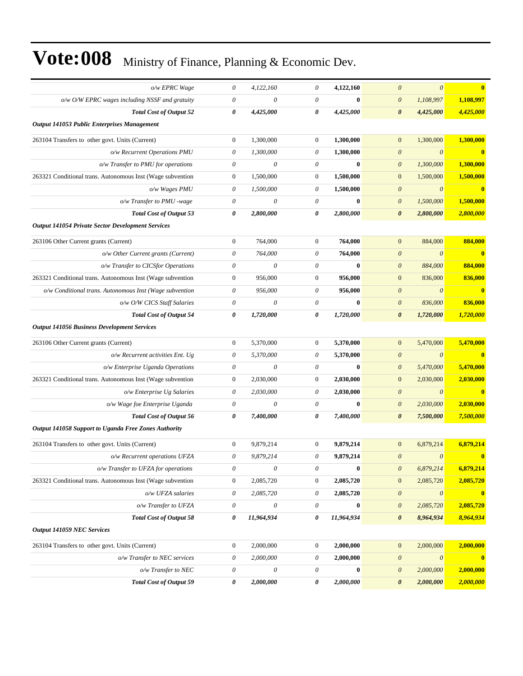| o/w EPRC Wage                                              | 0                         | 4,122,160                 | 0                         | 4,122,160        | $\theta$<br>$\theta$                           | $\overline{\mathbf{0}}$ |
|------------------------------------------------------------|---------------------------|---------------------------|---------------------------|------------------|------------------------------------------------|-------------------------|
| $o/w$ O/W EPRC wages including NSSF and gratuity           | $\boldsymbol{\mathit{0}}$ | $\boldsymbol{\theta}$     | $\theta$                  | $\bf{0}$         | 1,108,997<br>$\boldsymbol{\theta}$             | 1,108,997               |
| <b>Total Cost of Output 52</b>                             | 0                         | 4,425,000                 | 0                         | 4,425,000        | $\boldsymbol{\theta}$<br>4,425,000             | 4,425,000               |
| Output 141053 Public Enterprises Management                |                           |                           |                           |                  |                                                |                         |
| 263104 Transfers to other govt. Units (Current)            | $\boldsymbol{0}$          | 1,300,000                 | $\boldsymbol{0}$          | 1,300,000        | 1,300,000<br>$\mathbf{0}$                      | 1,300,000               |
| o/w Recurrent Operations PMU                               | $\theta$                  | 1,300,000                 | $\theta$                  | 1,300,000        | $\boldsymbol{\theta}$<br>$\theta$              | $\mathbf{0}$            |
| o/w Transfer to PMU for operations                         | $\boldsymbol{\mathit{0}}$ | $\theta$                  | $\boldsymbol{\theta}$     | $\bf{0}$         | 1,300,000<br>$\boldsymbol{\theta}$             | 1,300,000               |
| 263321 Conditional trans. Autonomous Inst (Wage subvention | $\boldsymbol{0}$          | 1,500,000                 | $\boldsymbol{0}$          | 1,500,000        | 1,500,000<br>$\mathbf{0}$                      | 1,500,000               |
| o/w Wages PMU                                              | $\boldsymbol{\mathit{0}}$ | 1,500,000                 | 0                         | 1,500,000        | $\theta$<br>$\boldsymbol{\theta}$              | $\bf{0}$                |
| o/w Transfer to PMU -wage                                  | $\boldsymbol{\mathit{0}}$ | $\theta$                  | $\theta$                  | $\bf{0}$         | 1,500,000<br>$\boldsymbol{\theta}$             | 1,500,000               |
| <b>Total Cost of Output 53</b>                             | 0                         | 2,800,000                 | 0                         | 2,800,000        | $\boldsymbol{\theta}$<br>2,800,000             | 2,800,000               |
| <b>Output 141054 Private Sector Development Services</b>   |                           |                           |                           |                  |                                                |                         |
| 263106 Other Current grants (Current)                      | $\boldsymbol{0}$          | 764,000                   | $\boldsymbol{0}$          | 764,000          | 884,000<br>$\overline{0}$                      | 884,000                 |
| o/w Other Current grants (Current)                         | $\boldsymbol{\theta}$     | 764,000                   | $\theta$                  | 764,000          | $\boldsymbol{\theta}$<br>$\theta$              | $\mathbf{0}$            |
| o/w Transfer to CICSfor Operations                         | $\theta$                  | $\theta$                  | $\theta$                  | $\bf{0}$         | $\boldsymbol{\theta}$<br>884,000               | 884,000                 |
| 263321 Conditional trans. Autonomous Inst (Wage subvention | $\boldsymbol{0}$          | 956,000                   | $\boldsymbol{0}$          | 956,000          | 836,000<br>$\mathbf{0}$                        | 836,000                 |
| o/w Conditional trans. Autonomous Inst (Wage subvention    | $\theta$                  | 956,000                   | $\theta$                  | 956,000          | $\boldsymbol{\theta}$<br>$\theta$              | $\mathbf{0}$            |
| o/w O/W CICS Staff Salaries                                | $\boldsymbol{\theta}$     | $\boldsymbol{\theta}$     | $\theta$                  | $\bf{0}$         | 836,000<br>$\boldsymbol{\theta}$               | 836,000                 |
| <b>Total Cost of Output 54</b>                             | 0                         | 1,720,000                 | 0                         | 1,720,000        | 1,720,000<br>0                                 | 1,720,000               |
| <b>Output 141056 Business Development Services</b>         |                           |                           |                           |                  |                                                |                         |
| 263106 Other Current grants (Current)                      | $\boldsymbol{0}$          | 5,370,000                 | $\boldsymbol{0}$          | 5,370,000        | 5,470,000<br>$\mathbf{0}$                      | 5,470,000               |
| o/w Recurrent activities Ent. Ug                           | $\boldsymbol{\mathit{0}}$ | 5,370,000                 | 0                         | 5,370,000        | $\theta$<br>$\boldsymbol{\theta}$              | $\mathbf{0}$            |
| o/w Enterprise Uganda Operations                           | $\boldsymbol{\mathit{0}}$ | $\theta$                  | $\theta$                  | $\bf{0}$         | $\boldsymbol{\mathit{0}}$<br>5,470,000         | 5,470,000               |
| 263321 Conditional trans. Autonomous Inst (Wage subvention | $\boldsymbol{0}$          | 2,030,000                 | $\boldsymbol{0}$          | 2,030,000        | $\boldsymbol{0}$<br>2,030,000                  | 2,030,000               |
| o/w Enterprise Ug Salaries                                 | $\theta$                  | 2,030,000                 | $\theta$                  | 2,030,000        | $\theta$<br>$\boldsymbol{\theta}$              | $\mathbf{0}$            |
| o/w Wage foe Enterprise Uganda                             | $\theta$                  | $\theta$                  | $\theta$                  | $\bf{0}$         | 2,030,000<br>$\boldsymbol{\theta}$             | 2,030,000               |
| <b>Total Cost of Output 56</b>                             | 0                         | 7,400,000                 | 0                         | 7,400,000        | 0<br>7,500,000                                 | 7,500,000               |
| Output 141058 Support to Uganda Free Zones Authority       |                           |                           |                           |                  |                                                |                         |
| 263104 Transfers to other govt. Units (Current)            | $\boldsymbol{0}$          | 9,879,214                 | $\mathbf{0}$              | 9.879.214        | $\mathbf{0}$<br>6,879,214                      | 6,879,214               |
| o/w Recurrent operations UFZA                              | $\boldsymbol{\mathit{0}}$ | 9,879,214                 | $\theta$                  | 9,879,214        | $\boldsymbol{\theta}$<br>$\boldsymbol{\theta}$ | $\bf{0}$                |
| o/w Transfer to UFZA for operations                        | $\boldsymbol{\mathit{0}}$ | $\boldsymbol{\mathit{0}}$ | $\boldsymbol{\mathit{0}}$ | $\bf{0}$         | 6,879,214<br>$\boldsymbol{\theta}$             | 6,879,214               |
| 263321 Conditional trans. Autonomous Inst (Wage subvention | $\boldsymbol{0}$          | 2,085,720                 | $\boldsymbol{0}$          | 2,085,720        | 2,085,720<br>$\mathbf{0}$                      | 2,085,720               |
| o/w UFZA salaries                                          | $\boldsymbol{\mathit{0}}$ | 2,085,720                 | $\theta$                  | 2,085,720        | $\boldsymbol{\mathit{0}}$<br>$\theta$          | $\mathbf{0}$            |
| o/w Transfer to UFZA                                       | $\boldsymbol{\mathit{0}}$ | $\boldsymbol{\theta}$     | $\theta$                  | $\boldsymbol{0}$ | $\boldsymbol{\mathit{0}}$<br>2,085,720         | 2,085,720               |
| <b>Total Cost of Output 58</b>                             | 0                         | 11,964,934                | 0                         | 11,964,934       | $\pmb{\theta}$<br>8,964,934                    | 8,964,934               |
| <b>Output 141059 NEC Services</b>                          |                           |                           |                           |                  |                                                |                         |
| 263104 Transfers to other govt. Units (Current)            | $\boldsymbol{0}$          | 2,000,000                 | $\boldsymbol{0}$          | 2,000,000        | 2,000,000<br>$\mathbf{0}$                      | 2,000,000               |
| o/w Transfer to NEC services                               | $\boldsymbol{\mathit{0}}$ | 2,000,000                 | $\boldsymbol{\mathit{0}}$ | 2,000,000        | $\boldsymbol{\theta}$<br>$\theta$              | $\bf{0}$                |
| o/w Transfer to NEC                                        | $\boldsymbol{\mathit{0}}$ | $\boldsymbol{\theta}$     | $\boldsymbol{\mathit{0}}$ | $\boldsymbol{0}$ | $\theta$<br>2,000,000                          | 2,000,000               |
| <b>Total Cost of Output 59</b>                             | 0                         | 2,000,000                 | 0                         | 2,000,000        | 2,000,000<br>$\boldsymbol{\theta}$             | 2,000,000               |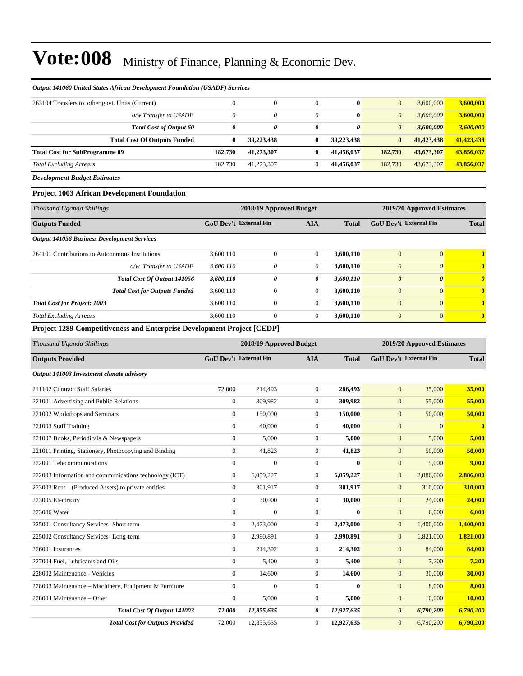| <b>Output 141060 United States African Development Foundation (USADF) Services</b> |         |              |          |              |                       |            |            |
|------------------------------------------------------------------------------------|---------|--------------|----------|--------------|-----------------------|------------|------------|
| 263104 Transfers to other govt. Units (Current)                                    |         | $\mathbf{0}$ | $\Omega$ | $\mathbf{0}$ | $\mathbf{0}$          | 3.600,000  | 3,600,000  |
| o/w Transfer to USADF                                                              | 0       | 0            | 0        | $\mathbf{0}$ | $\theta$              | 3.600,000  | 3,600,000  |
| <b>Total Cost of Output 60</b>                                                     | 0       | 0            | 0        | 0            | $\boldsymbol{\theta}$ | 3,600,000  | 3,600,000  |
| <b>Total Cost Of Outputs Funded</b>                                                | 0       | 39,223,438   | 0        | 39.223.438   | $\bf{0}$              | 41,423,438 | 41,423,438 |
| <b>Total Cost for SubProgramme 09</b>                                              | 182.730 | 41,273,307   | 0        | 41,456,037   | 182,730               | 43,673,307 | 43,856,037 |
| <b>Total Excluding Arrears</b>                                                     | 182.730 | 41,273,307   | 0        | 41.456.037   | 182,730               | 43,673,307 | 43,856,037 |

*Development Budget Estimates*

#### **Project 1003 African Development Foundation**

| Thousand Uganda Shillings                          |                               | 2018/19 Approved Budget |            |              | 2019/20 Approved Estimates    |              |              |
|----------------------------------------------------|-------------------------------|-------------------------|------------|--------------|-------------------------------|--------------|--------------|
| <b>Outputs Funded</b>                              | <b>GoU Dev't External Fin</b> |                         | <b>AIA</b> | <b>Total</b> | <b>GoU Dev't External Fin</b> |              | <b>Total</b> |
| <b>Output 141056 Business Development Services</b> |                               |                         |            |              |                               |              |              |
| 264101 Contributions to Autonomous Institutions    | 3,600,110                     | $\mathbf{0}$            | $\theta$   | 3,600,110    | $\overline{0}$                | $\Omega$     | $\mathbf{0}$ |
| o/w Transfer to USADF                              | 3,600,110                     | 0                       | $\theta$   | 3,600,110    | $\boldsymbol{\theta}$         | $\theta$     | $\mathbf{0}$ |
| Total Cost Of Output 141056                        | 3,600,110                     | 0                       | 0          | 3,600,110    | $\boldsymbol{\theta}$         | $\theta$     | $\theta$     |
| <b>Total Cost for Outputs Funded</b>               | 3,600,110                     | $\mathbf{0}$            | $\theta$   | 3,600,110    | $\overline{0}$                | $\mathbf{0}$ | $\mathbf{0}$ |
| <b>Total Cost for Project: 1003</b>                | 3,600,110                     | $\mathbf{0}$            | $\theta$   | 3,600,110    | $\Omega$                      | $\Omega$     | $\mathbf{0}$ |
| <b>Total Excluding Arrears</b>                     | 3,600,110                     | $\mathbf{0}$            | $\theta$   | 3,600,110    | $\overline{0}$                | $\mathbf{0}$ | $\mathbf{0}$ |

#### **Project 1289 Competitiveness and Enterprise Development Project [CEDP]**

| Thousand Uganda Shillings                              | 2018/19 Approved Budget       |              |                |              | 2019/20 Approved Estimates    |           |              |
|--------------------------------------------------------|-------------------------------|--------------|----------------|--------------|-------------------------------|-----------|--------------|
| <b>Outputs Provided</b>                                | <b>GoU Dev't External Fin</b> |              | <b>AIA</b>     | <b>Total</b> | <b>GoU Dev't External Fin</b> |           | <b>Total</b> |
| Output 141003 Investment climate advisory              |                               |              |                |              |                               |           |              |
| 211102 Contract Staff Salaries                         | 72,000                        | 214,493      | $\overline{0}$ | 286,493      | $\mathbf{0}$                  | 35,000    | 35,000       |
| 221001 Advertising and Public Relations                | $\mathbf{0}$                  | 309,982      | $\mathbf{0}$   | 309,982      | $\mathbf{0}$                  | 55,000    | 55,000       |
| 221002 Workshops and Seminars                          | $\mathbf{0}$                  | 150,000      | $\mathbf{0}$   | 150,000      | $\mathbf{0}$                  | 50,000    | 50,000       |
| 221003 Staff Training                                  | $\Omega$                      | 40,000       | $\Omega$       | 40,000       | $\mathbf{0}$                  | $\Omega$  | $\bf{0}$     |
| 221007 Books, Periodicals & Newspapers                 | $\mathbf{0}$                  | 5,000        | $\mathbf{0}$   | 5,000        | $\mathbf{0}$                  | 5,000     | 5,000        |
| 221011 Printing, Stationery, Photocopying and Binding  | $\mathbf{0}$                  | 41,823       | $\overline{0}$ | 41,823       | $\mathbf{0}$                  | 50,000    | 50,000       |
| 222001 Telecommunications                              | $\mathbf{0}$                  | $\theta$     | $\mathbf{0}$   | $\mathbf{0}$ | $\mathbf{0}$                  | 9,000     | 9,000        |
| 222003 Information and communications technology (ICT) | $\mathbf{0}$                  | 6,059,227    | $\mathbf{0}$   | 6,059,227    | $\mathbf{0}$                  | 2,886,000 | 2,886,000    |
| 223003 Rent – (Produced Assets) to private entities    | $\mathbf{0}$                  | 301,917      | $\overline{0}$ | 301,917      | $\overline{0}$                | 310,000   | 310,000      |
| 223005 Electricity                                     | $\mathbf{0}$                  | 30,000       | $\mathbf{0}$   | 30,000       | $\overline{0}$                | 24,000    | 24,000       |
| 223006 Water                                           | $\mathbf{0}$                  | $\mathbf{0}$ | $\mathbf{0}$   | 0            | $\overline{0}$                | 6,000     | 6,000        |
| 225001 Consultancy Services- Short term                | $\mathbf{0}$                  | 2,473,000    | $\mathbf{0}$   | 2,473,000    | $\mathbf{0}$                  | 1,400,000 | 1,400,000    |
| 225002 Consultancy Services-Long-term                  | $\mathbf{0}$                  | 2,990,891    | $\mathbf{0}$   | 2,990,891    | $\mathbf{0}$                  | 1,821,000 | 1,821,000    |
| 226001 Insurances                                      | $\mathbf{0}$                  | 214,302      | $\mathbf{0}$   | 214,302      | $\overline{0}$                | 84,000    | 84,000       |
| 227004 Fuel, Lubricants and Oils                       | $\Omega$                      | 5,400        | $\overline{0}$ | 5,400        | $\overline{0}$                | 7,200     | 7,200        |
| 228002 Maintenance - Vehicles                          | $\Omega$                      | 14,600       | $\overline{0}$ | 14,600       | $\overline{0}$                | 30,000    | 30,000       |
| 228003 Maintenance - Machinery, Equipment & Furniture  | $\mathbf{0}$                  | $\mathbf{0}$ | $\mathbf{0}$   | $\mathbf{0}$ | $\overline{0}$                | 8,000     | 8,000        |
| 228004 Maintenance - Other                             | $\mathbf{0}$                  | 5,000        | $\mathbf{0}$   | 5,000        | $\overline{0}$                | 10,000    | 10,000       |
| Total Cost Of Output 141003                            | 72,000                        | 12,855,635   | 0              | 12,927,635   | $\boldsymbol{\theta}$         | 6,790,200 | 6,790,200    |
| <b>Total Cost for Outputs Provided</b>                 | 72,000                        | 12,855,635   | $\mathbf{0}$   | 12,927,635   | $\mathbf{0}$                  | 6,790,200 | 6,790,200    |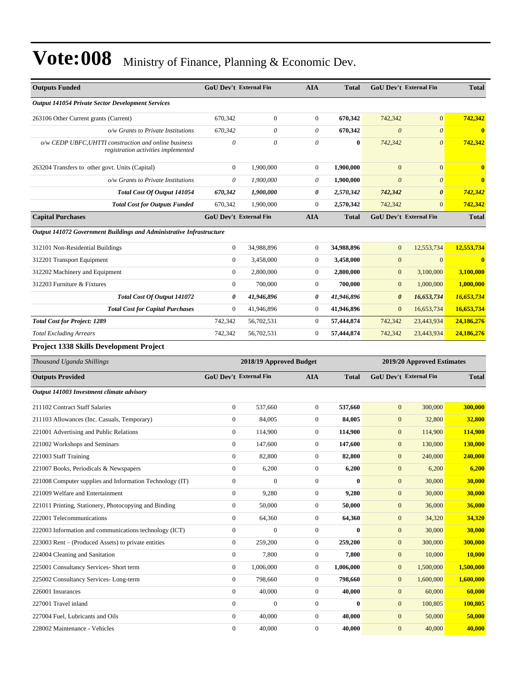| <b>Outputs Funded</b>                                                                        |                       | <b>GoU Dev't External Fin</b> | <b>AIA</b>       | <b>Total</b> |                       | <b>GoU Dev't External Fin</b> | <b>Total</b> |
|----------------------------------------------------------------------------------------------|-----------------------|-------------------------------|------------------|--------------|-----------------------|-------------------------------|--------------|
| <b>Output 141054 Private Sector Development Services</b>                                     |                       |                               |                  |              |                       |                               |              |
| 263106 Other Current grants (Current)                                                        | 670,342               | $\boldsymbol{0}$              | $\boldsymbol{0}$ | 670,342      | 742,342               | $\mathbf{0}$                  | 742,342      |
| o/w Grants to Private Institutions                                                           | 670,342               | 0                             | 0                | 670,342      | $\boldsymbol{\theta}$ | $\boldsymbol{\theta}$         | $\bf{0}$     |
| o/w CEDP UBFC, UHTTI construction and online business<br>registration activities implemented | $\boldsymbol{\theta}$ | 0                             | $\theta$         | $\bf{0}$     | 742,342               | $\boldsymbol{\theta}$         | 742,342      |
| 263204 Transfers to other govt. Units (Capital)                                              | $\boldsymbol{0}$      | 1,900,000                     | 0                | 1,900,000    | $\mathbf{0}$          | $\mathbf{0}$                  | $\bf{0}$     |
| o/w Grants to Private Institutions                                                           | $\theta$              | 1,900,000                     | 0                | 1,900,000    | $\boldsymbol{\theta}$ | $\boldsymbol{\theta}$         | $\bf{0}$     |
| Total Cost Of Output 141054                                                                  | 670,342               | 1,900,000                     | 0                | 2,570,342    | 742,342               | $\boldsymbol{\theta}$         | 742,342      |
| <b>Total Cost for Outputs Funded</b>                                                         | 670,342               | 1,900,000                     | $\boldsymbol{0}$ | 2,570,342    | 742,342               | $\mathbf{0}$                  | 742,342      |
| <b>Capital Purchases</b>                                                                     |                       | GoU Dev't External Fin        | <b>AIA</b>       | <b>Total</b> |                       | GoU Dev't External Fin        | <b>Total</b> |
| <b>Output 141072 Government Buildings and Administrative Infrastructure</b>                  |                       |                               |                  |              |                       |                               |              |
| 312101 Non-Residential Buildings                                                             | $\overline{0}$        | 34,988,896                    | $\boldsymbol{0}$ | 34,988,896   | $\mathbf{0}$          | 12,553,734                    | 12,553,734   |
| 312201 Transport Equipment                                                                   | $\mathbf{0}$          | 3,458,000                     | 0                | 3,458,000    | $\mathbf{0}$          | $\mathbf{0}$                  | $\mathbf{0}$ |
| 312202 Machinery and Equipment                                                               | $\mathbf{0}$          | 2,800,000                     | $\boldsymbol{0}$ | 2,800,000    | $\mathbf{0}$          | 3,100,000                     | 3.100.000    |
| 312203 Furniture & Fixtures                                                                  | $\mathbf{0}$          | 700,000                       | $\boldsymbol{0}$ | 700,000      | $\mathbf{0}$          | 1,000,000                     | 1,000,000    |
| <b>Total Cost Of Output 141072</b>                                                           | 0                     | 41,946,896                    | 0                | 41,946,896   | $\boldsymbol{\theta}$ | 16,653,734                    | 16,653,734   |
| <b>Total Cost for Capital Purchases</b>                                                      | $\theta$              | 41,946,896                    | $\boldsymbol{0}$ | 41,946,896   | $\mathbf{0}$          | 16,653,734                    | 16,653,734   |
| <b>Total Cost for Project: 1289</b>                                                          | 742,342               | 56,702,531                    | $\boldsymbol{0}$ | 57,444,874   | 742,342               | 23,443,934                    | 24,186,276   |
| <b>Total Excluding Arrears</b>                                                               | 742,342               | 56,702,531                    | $\boldsymbol{0}$ | 57,444,874   | 742,342               | 23,443,934                    | 24,186,276   |
| Project 1338 Skills Development Project                                                      |                       |                               |                  |              |                       |                               |              |
|                                                                                              |                       |                               |                  |              |                       |                               |              |
| Thousand Uganda Shillings                                                                    |                       | 2018/19 Approved Budget       |                  |              |                       | 2019/20 Approved Estimates    |              |
| <b>Outputs Provided</b>                                                                      |                       | <b>GoU Dev't External Fin</b> | AIA              | <b>Total</b> |                       | <b>GoU Dev't External Fin</b> | <b>Total</b> |
| Output 141003 Investment climate advisory                                                    |                       |                               |                  |              |                       |                               |              |
| 211102 Contract Staff Salaries                                                               | $\mathbf{0}$          | 537,660                       | $\mathbf{0}$     | 537,660      | $\boldsymbol{0}$      | 300,000                       | 300,000      |
| 211103 Allowances (Inc. Casuals, Temporary)                                                  | $\boldsymbol{0}$      | 84,005                        | $\boldsymbol{0}$ | 84,005       | $\mathbf{0}$          | 32,800                        | 32,800       |
| 221001 Advertising and Public Relations                                                      | $\boldsymbol{0}$      | 114,900                       | $\boldsymbol{0}$ | 114,900      | $\mathbf{0}$          | 114,900                       | 114,900      |
| 221002 Workshops and Seminars                                                                | $\mathbf{0}$          | 147,600                       | $\overline{0}$   | 147,600      | $\mathbf{0}$          | 130,000                       | 130,000      |
| 221003 Staff Training                                                                        | $\boldsymbol{0}$      | 82,800                        | $\overline{0}$   | 82,800       | $\mathbf{0}$          | 240,000                       | 240,000      |
| 221007 Books, Periodicals & Newspapers                                                       | $\boldsymbol{0}$      | 6,200                         | $\boldsymbol{0}$ | 6,200        | $\boldsymbol{0}$      | 6,200                         | 6,200        |
| 221008 Computer supplies and Information Technology (IT)                                     | $\boldsymbol{0}$      | $\mathbf{0}$                  | $\boldsymbol{0}$ | $\bf{0}$     | $\boldsymbol{0}$      | 30,000                        | 30,000       |
| 221009 Welfare and Entertainment                                                             | $\boldsymbol{0}$      | 9,280                         | $\boldsymbol{0}$ | 9,280        | $\boldsymbol{0}$      | 30,000                        | 30,000       |
| 221011 Printing, Stationery, Photocopying and Binding                                        | 0                     | 50,000                        | $\boldsymbol{0}$ | 50,000       | $\mathbf{0}$          | 36,000                        | 36,000       |
| 222001 Telecommunications                                                                    | $\mathbf{0}$          | 64,360                        | $\boldsymbol{0}$ | 64,360       | $\boldsymbol{0}$      | 34,320                        | 34,320       |
| 222003 Information and communications technology (ICT)                                       | $\boldsymbol{0}$      | $\boldsymbol{0}$              | $\boldsymbol{0}$ | $\mathbf{0}$ | $\boldsymbol{0}$      | 30,000                        | 30,000       |
| 223003 Rent – (Produced Assets) to private entities                                          | $\boldsymbol{0}$      | 259,200                       | $\boldsymbol{0}$ | 259,200      | $\mathbf{0}$          | 300,000                       | 300,000      |
| 224004 Cleaning and Sanitation                                                               | $\mathbf{0}$          | 7,800                         | $\boldsymbol{0}$ | 7,800        | $\boldsymbol{0}$      | 10,000                        | 10,000       |
| 225001 Consultancy Services- Short term                                                      | 0                     | 1,006,000                     | $\boldsymbol{0}$ | 1,006,000    | $\boldsymbol{0}$      | 1,500,000                     | 1,500,000    |
| 225002 Consultancy Services-Long-term                                                        | $\mathbf{0}$          | 798,660                       | $\boldsymbol{0}$ | 798,660      | $\mathbf{0}$          | 1,600,000                     | 1,600,000    |
| 226001 Insurances                                                                            | $\mathbf{0}$          | 40,000                        | $\boldsymbol{0}$ | 40,000       | $\boldsymbol{0}$      | 60,000                        | 60,000       |
| 227001 Travel inland                                                                         | $\boldsymbol{0}$      | $\boldsymbol{0}$              | $\boldsymbol{0}$ | $\bf{0}$     | $\mathbf{0}$          | 100,805                       | 100,805      |
| 227004 Fuel, Lubricants and Oils                                                             | $\mathbf{0}$          | 40,000                        | $\boldsymbol{0}$ | 40,000       | $\boldsymbol{0}$      | 50,000                        | 50,000       |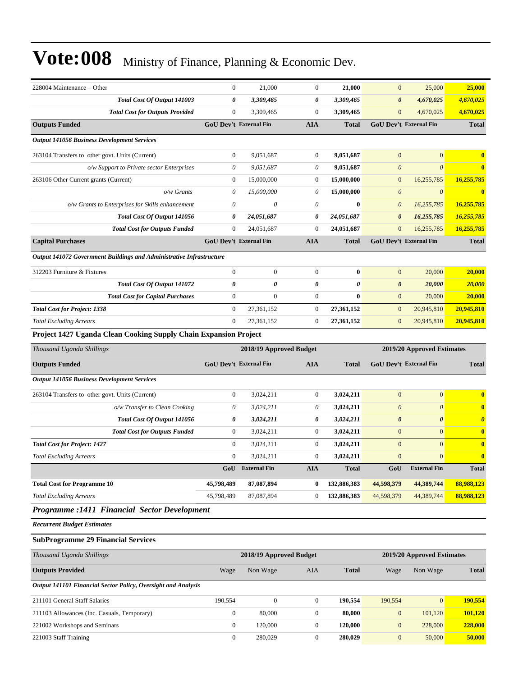| 228004 Maintenance – Other                                           | $\mathbf{0}$                  | 21,000                  | 0                | 21,000       | $\boldsymbol{0}$      | 25,000                        | 25,000                |
|----------------------------------------------------------------------|-------------------------------|-------------------------|------------------|--------------|-----------------------|-------------------------------|-----------------------|
| Total Cost Of Output 141003                                          | 0                             | 3,309,465               | 0                | 3,309,465    | $\boldsymbol{\theta}$ | 4,670,025                     | 4,670,025             |
| <b>Total Cost for Outputs Provided</b>                               | $\mathbf{0}$                  | 3,309,465               | $\overline{0}$   | 3,309,465    | $\mathbf{0}$          | 4,670,025                     | 4,670,025             |
| <b>Outputs Funded</b>                                                | GoU Dev't External Fin        |                         | AIA              | <b>Total</b> |                       | <b>GoU Dev't External Fin</b> | <b>Total</b>          |
| <b>Output 141056 Business Development Services</b>                   |                               |                         |                  |              |                       |                               |                       |
| 263104 Transfers to other govt. Units (Current)                      | $\boldsymbol{0}$              | 9,051,687               | 0                | 9,051,687    | $\mathbf{0}$          | $\mathbf{0}$                  | $\bf{0}$              |
| o/w Support to Private sector Enterprises                            | 0                             | 9,051,687               | 0                | 9,051,687    | $\boldsymbol{0}$      | $\boldsymbol{\theta}$         | $\bf{0}$              |
| 263106 Other Current grants (Current)                                | $\mathbf{0}$                  | 15,000,000              | $\boldsymbol{0}$ | 15,000,000   | $\boldsymbol{0}$      | 16,255,785                    | 16,255,785            |
| $o/w$ Grants                                                         | $\theta$                      | 15,000,000              | 0                | 15,000,000   | $\boldsymbol{0}$      | $\boldsymbol{\theta}$         | $\mathbf{0}$          |
| o/w Grants to Enterprises for Skills enhancement                     | $\boldsymbol{\theta}$         | $\theta$                | 0                | $\bf{0}$     | $\boldsymbol{0}$      | 16,255,785                    | 16,255,785            |
| Total Cost Of Output 141056                                          | 0                             | 24,051,687              | 0                | 24,051,687   | $\boldsymbol{\theta}$ | 16,255,785                    | 16,255,785            |
| <b>Total Cost for Outputs Funded</b>                                 | $\boldsymbol{0}$              | 24,051,687              | $\boldsymbol{0}$ | 24,051,687   | $\mathbf{0}$          | 16,255,785                    | 16,255,785            |
| <b>Capital Purchases</b>                                             | <b>GoU Dev't External Fin</b> |                         | <b>AIA</b>       | <b>Total</b> |                       | <b>GoU Dev't External Fin</b> | <b>Total</b>          |
| Output 141072 Government Buildings and Administrative Infrastructure |                               |                         |                  |              |                       |                               |                       |
| 312203 Furniture & Fixtures                                          | $\mathbf{0}$                  | $\mathbf{0}$            | $\overline{0}$   | $\bf{0}$     | $\mathbf{0}$          | 20,000                        | 20,000                |
| Total Cost Of Output 141072                                          | $\boldsymbol{\theta}$         | 0                       | 0                | $\theta$     | $\boldsymbol{\theta}$ | 20,000                        | 20,000                |
| <b>Total Cost for Capital Purchases</b>                              | $\boldsymbol{0}$              | $\overline{0}$          | $\boldsymbol{0}$ | $\bf{0}$     | $\mathbf{0}$          | 20,000                        | 20.000                |
| <b>Total Cost for Project: 1338</b>                                  | $\mathbf{0}$                  | 27,361,152              | $\mathbf{0}$     | 27,361,152   | $\mathbf{0}$          | 20,945,810                    | 20,945,810            |
| <b>Total Excluding Arrears</b>                                       | $\mathbf{0}$                  | 27,361,152              | $\boldsymbol{0}$ | 27,361,152   | $\mathbf{0}$          | 20,945,810                    | 20,945,810            |
| Project 1427 Uganda Clean Cooking Supply Chain Expansion Project     |                               |                         |                  |              |                       |                               |                       |
| Thousand Uganda Shillings                                            |                               | 2018/19 Approved Budget |                  |              |                       | 2019/20 Approved Estimates    |                       |
|                                                                      |                               |                         |                  |              |                       |                               |                       |
| <b>Outputs Funded</b>                                                | <b>GoU Dev't External Fin</b> |                         | <b>AIA</b>       | <b>Total</b> |                       | <b>GoU Dev't External Fin</b> | <b>Total</b>          |
| <b>Output 141056 Business Development Services</b>                   |                               |                         |                  |              |                       |                               |                       |
| 263104 Transfers to other govt. Units (Current)                      | $\mathbf{0}$                  | 3,024,211               | $\boldsymbol{0}$ | 3,024,211    | $\mathbf{0}$          | $\overline{0}$                | $\bf{0}$              |
| o/w Transfer to Clean Cooking                                        | $\theta$                      | 3,024,211               | 0                | 3,024,211    | $\boldsymbol{0}$      | $\theta$                      | $\bf{0}$              |
| Total Cost Of Output 141056                                          | 0                             | 3,024,211               | 0                | 3,024,211    | $\boldsymbol{\theta}$ | $\boldsymbol{\theta}$         | $\boldsymbol{\theta}$ |
| <b>Total Cost for Outputs Funded</b>                                 | $\mathbf{0}$                  | 3,024,211               | $\boldsymbol{0}$ | 3,024,211    | $\mathbf{0}$          | $\mathbf{0}$                  | $\bf{0}$              |
| <b>Total Cost for Project: 1427</b>                                  | $\mathbf{0}$                  | 3,024,211               | 0                | 3,024,211    | $\mathbf{0}$          | $\mathbf{0}$                  | $\bf{0}$              |
| <b>Total Excluding Arrears</b>                                       | $\mathbf{0}$                  | 3,024,211               | $\boldsymbol{0}$ | 3,024,211    | $\mathbf{0}$          | $\mathbf{0}$                  | $\bf{0}$              |
|                                                                      | GoU                           | <b>External Fin</b>     | <b>AIA</b>       | Total        | GoU                   | <b>External Fin</b>           | Total                 |
| <b>Total Cost for Programme 10</b>                                   | 45,798,489                    | 87,087,894              | 0                | 132,886,383  | 44,598,379            | 44,389,744                    | 88,988,123            |
| <b>Total Excluding Arrears</b>                                       | 45,798,489                    | 87,087,894              | 0                | 132,886,383  | 44,598,379            | 44,389,744                    | 88,988,123            |
| Programme : 1411 Financial Sector Development                        |                               |                         |                  |              |                       |                               |                       |
| <b>Recurrent Budget Estimates</b>                                    |                               |                         |                  |              |                       |                               |                       |
| <b>SubProgramme 29 Financial Services</b>                            |                               |                         |                  |              |                       |                               |                       |
| Thousand Uganda Shillings                                            |                               | 2018/19 Approved Budget |                  |              |                       | 2019/20 Approved Estimates    |                       |
| <b>Outputs Provided</b>                                              | Wage                          | Non Wage                | AIA              | <b>Total</b> | Wage                  | Non Wage                      | <b>Total</b>          |
| Output 141101 Financial Sector Policy, Oversight and Analysis        |                               |                         |                  |              |                       |                               |                       |
| 211101 General Staff Salaries                                        | 190,554                       | $\boldsymbol{0}$        | $\boldsymbol{0}$ | 190,554      | 190,554               | $\mathbf{0}$                  | 190,554               |
| 211103 Allowances (Inc. Casuals, Temporary)                          | $\boldsymbol{0}$              | 80,000                  | $\boldsymbol{0}$ | 80,000       | $\mathbf{0}$          | 101,120                       | 101,120               |
| 221002 Workshops and Seminars                                        | $\boldsymbol{0}$              | 120,000                 | $\boldsymbol{0}$ | 120,000      | $\boldsymbol{0}$      | 228,000                       | 228,000               |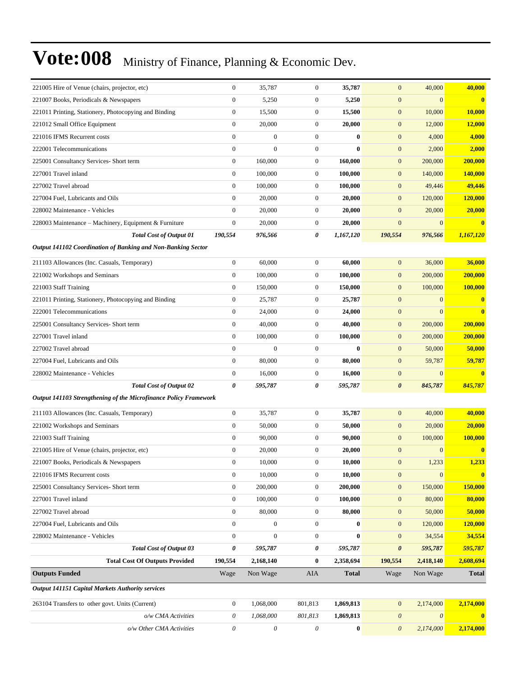| 221005 Hire of Venue (chairs, projector, etc)                    | $\boldsymbol{0}$ | 35,787           | $\boldsymbol{0}$      | 35,787       | $\mathbf{0}$          | 40,000                    | 40,000                  |
|------------------------------------------------------------------|------------------|------------------|-----------------------|--------------|-----------------------|---------------------------|-------------------------|
| 221007 Books, Periodicals & Newspapers                           | $\boldsymbol{0}$ | 5,250            | $\boldsymbol{0}$      | 5,250        | $\mathbf{0}$          | $\overline{0}$            | $\overline{\mathbf{0}}$ |
| 221011 Printing, Stationery, Photocopying and Binding            | $\boldsymbol{0}$ | 15,500           | $\boldsymbol{0}$      | 15,500       | $\mathbf{0}$          | 10,000                    | 10,000                  |
| 221012 Small Office Equipment                                    | $\boldsymbol{0}$ | 20,000           | $\mathbf{0}$          | 20,000       | $\boldsymbol{0}$      | 12,000                    | 12,000                  |
| 221016 IFMS Recurrent costs                                      | $\overline{0}$   | $\boldsymbol{0}$ | $\mathbf{0}$          | $\bf{0}$     | $\mathbf{0}$          | 4,000                     | 4,000                   |
| 222001 Telecommunications                                        | $\overline{0}$   | $\overline{0}$   | $\mathbf{0}$          | $\mathbf{0}$ | $\boldsymbol{0}$      | 2,000                     | 2,000                   |
| 225001 Consultancy Services- Short term                          | $\boldsymbol{0}$ | 160,000          | $\boldsymbol{0}$      | 160,000      | $\boldsymbol{0}$      | 200,000                   | 200,000                 |
| 227001 Travel inland                                             | $\boldsymbol{0}$ | 100,000          | $\boldsymbol{0}$      | 100,000      | $\mathbf{0}$          | 140,000                   | <b>140,000</b>          |
| 227002 Travel abroad                                             | $\boldsymbol{0}$ | 100,000          | $\mathbf{0}$          | 100,000      | $\boldsymbol{0}$      | 49,446                    | 49,446                  |
| 227004 Fuel, Lubricants and Oils                                 | $\overline{0}$   | 20,000           | $\mathbf{0}$          | 20,000       | $\mathbf{0}$          | 120,000                   | 120,000                 |
| 228002 Maintenance - Vehicles                                    | $\overline{0}$   | 20,000           | $\mathbf{0}$          | 20,000       | $\mathbf{0}$          | 20,000                    | 20,000                  |
| 228003 Maintenance - Machinery, Equipment & Furniture            | $\boldsymbol{0}$ | 20,000           | $\mathbf{0}$          | 20,000       | $\boldsymbol{0}$      | $\overline{0}$            | $\bf{0}$                |
| <b>Total Cost of Output 01</b>                                   | 190,554          | 976,566          | 0                     | 1,167,120    | 190,554               | 976,566                   | 1,167,120               |
| Output 141102 Coordination of Banking and Non-Banking Sector     |                  |                  |                       |              |                       |                           |                         |
| 211103 Allowances (Inc. Casuals, Temporary)                      | $\boldsymbol{0}$ | 60,000           | $\boldsymbol{0}$      | 60,000       | $\mathbf{0}$          | 36,000                    | 36,000                  |
| 221002 Workshops and Seminars                                    | $\mathbf{0}$     | 100,000          | $\mathbf{0}$          | 100,000      | $\mathbf{0}$          | 200,000                   | 200,000                 |
| 221003 Staff Training                                            | $\boldsymbol{0}$ | 150,000          | $\mathbf{0}$          | 150,000      | $\boldsymbol{0}$      | 100,000                   | 100,000                 |
| 221011 Printing, Stationery, Photocopying and Binding            | $\boldsymbol{0}$ | 25,787           | $\mathbf{0}$          | 25,787       | $\mathbf{0}$          | $\overline{0}$            | $\bf{0}$                |
| 222001 Telecommunications                                        | $\boldsymbol{0}$ | 24,000           | $\mathbf{0}$          | 24,000       | $\mathbf{0}$          | $\overline{0}$            | $\bf{0}$                |
| 225001 Consultancy Services- Short term                          | $\boldsymbol{0}$ | 40,000           | $\mathbf{0}$          | 40,000       | $\boldsymbol{0}$      | 200,000                   | 200,000                 |
| 227001 Travel inland                                             | $\mathbf{0}$     | 100,000          | $\mathbf{0}$          | 100,000      | $\mathbf{0}$          | 200,000                   | 200,000                 |
| 227002 Travel abroad                                             | $\boldsymbol{0}$ | $\overline{0}$   | $\mathbf{0}$          | $\bf{0}$     | $\boldsymbol{0}$      | 50,000                    | 50,000                  |
| 227004 Fuel, Lubricants and Oils                                 | $\boldsymbol{0}$ | 80,000           | $\mathbf{0}$          | 80,000       | $\boldsymbol{0}$      | 59,787                    | 59,787                  |
| 228002 Maintenance - Vehicles                                    | $\boldsymbol{0}$ | 16,000           | $\boldsymbol{0}$      | 16,000       | $\boldsymbol{0}$      | $\mathbf{0}$              | $\bf{0}$                |
| <b>Total Cost of Output 02</b>                                   | 0                | 595,787          | 0                     | 595,787      | $\boldsymbol{\theta}$ | 845,787                   | 845,787                 |
| Output 141103 Strengthening of the Microfinance Policy Framework |                  |                  |                       |              |                       |                           |                         |
| 211103 Allowances (Inc. Casuals, Temporary)                      | $\mathbf{0}$     | 35,787           | $\mathbf{0}$          | 35,787       | $\mathbf{0}$          | 40,000                    | 40,000                  |
| 221002 Workshops and Seminars                                    | $\boldsymbol{0}$ | 50,000           | $\mathbf{0}$          | 50,000       | $\mathbf{0}$          | 20,000                    | 20,000                  |
| 221003 Staff Training                                            | $\overline{0}$   | 90,000           | $\boldsymbol{0}$      | 90,000       | $\mathbf{0}$          | 100,000                   | 100,000                 |
| 221005 Hire of Venue (chairs, projector, etc)                    | $\boldsymbol{0}$ | 20,000           | $\boldsymbol{0}$      | 20,000       | $\mathbf{0}$          | $\boldsymbol{0}$          | $\bf{0}$                |
| 221007 Books, Periodicals & Newspapers                           | $\boldsymbol{0}$ | 10,000           | 0                     | 10,000       | $\boldsymbol{0}$      | 1,233                     | 1,233                   |
| 221016 IFMS Recurrent costs                                      | $\mathbf{0}$     | 10,000           | $\boldsymbol{0}$      | 10,000       | $\mathbf{0}$          | $\overline{0}$            | $\bf{0}$                |
| 225001 Consultancy Services- Short term                          | $\boldsymbol{0}$ | 200,000          | $\mathbf{0}$          | 200,000      | $\boldsymbol{0}$      | 150,000                   | 150,000                 |
| 227001 Travel inland                                             | $\boldsymbol{0}$ | 100,000          | $\mathbf{0}$          | 100,000      | $\boldsymbol{0}$      | 80,000                    | 80,000                  |
| 227002 Travel abroad                                             | $\boldsymbol{0}$ | 80,000           | $\boldsymbol{0}$      | 80,000       | $\boldsymbol{0}$      | 50,000                    | 50,000                  |
| 227004 Fuel, Lubricants and Oils                                 | $\boldsymbol{0}$ | $\overline{0}$   | $\mathbf{0}$          | $\bf{0}$     | $\boldsymbol{0}$      | 120,000                   | 120,000                 |
| 228002 Maintenance - Vehicles                                    | $\boldsymbol{0}$ | $\boldsymbol{0}$ | $\boldsymbol{0}$      | $\bf{0}$     | $\mathbf{0}$          | 34,554                    | 34,554                  |
| <b>Total Cost of Output 03</b>                                   | 0                | 595,787          | 0                     | 595,787      | $\boldsymbol{\theta}$ | 595,787                   | 595,787                 |
| <b>Total Cost Of Outputs Provided</b>                            | 190,554          | 2,168,140        | $\bf{0}$              | 2,358,694    | 190,554               | 2,418,140                 | 2,608,694               |
| <b>Outputs Funded</b>                                            | Wage             | Non Wage         | <b>AIA</b>            | <b>Total</b> | Wage                  | Non Wage                  | <b>Total</b>            |
| Output 141151 Capital Markets Authority services                 |                  |                  |                       |              |                       |                           |                         |
| 263104 Transfers to other govt. Units (Current)                  | $\mathbf{0}$     | 1,068,000        | 801,813               | 1,869,813    | $\mathbf{0}$          | 2,174,000                 | 2,174,000               |
| o/w CMA Activities                                               | $\theta$         | 1,068,000        | 801,813               | 1,869,813    | $\boldsymbol{\theta}$ | $\boldsymbol{\mathit{0}}$ | $\overline{\mathbf{0}}$ |
| o/w Other CMA Activities                                         | 0                | 0                | $\boldsymbol{\theta}$ | $\bf{0}$     | $\boldsymbol{\theta}$ | 2,174,000                 | 2,174,000               |
|                                                                  |                  |                  |                       |              |                       |                           |                         |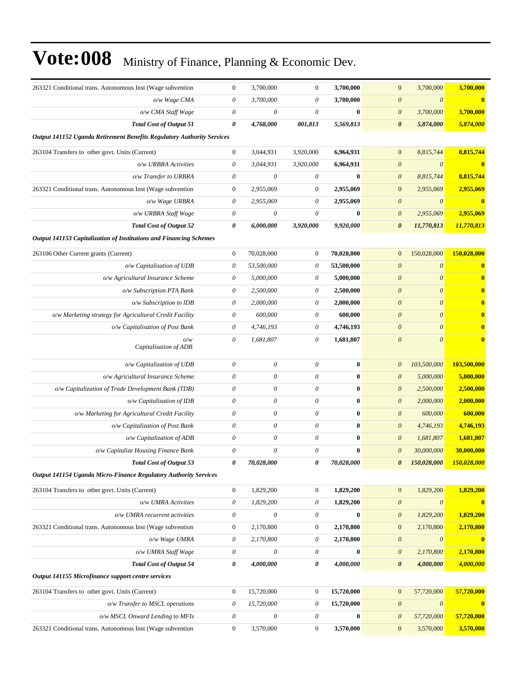| 263321 Conditional trans. Autonomous Inst (Wage subvention             | $\boldsymbol{0}$          | 3,700,000                 | $\mathbf{0}$          | 3,700,000  | $\boldsymbol{0}$          | 3,700,000             | 3,700,000        |
|------------------------------------------------------------------------|---------------------------|---------------------------|-----------------------|------------|---------------------------|-----------------------|------------------|
| o/w Wage CMA                                                           | $\theta$                  | 3,700,000                 | $\theta$              | 3,700,000  | $\boldsymbol{\theta}$     | $\theta$              | $\bf{0}$         |
| o/w CMA Staff Wage                                                     | $\theta$                  | $\boldsymbol{\theta}$     | $\theta$              | $\bf{0}$   | $\boldsymbol{\mathit{0}}$ | 3,700,000             | 3,700,000        |
| <b>Total Cost of Output 51</b>                                         | 0                         | 4,768,000                 | 801,813               | 5,569,813  | $\boldsymbol{\theta}$     | 5,874,000             | 5,874,000        |
| Output 141152 Uganda Retirement Benefits Regulatory Authority Services |                           |                           |                       |            |                           |                       |                  |
| 263104 Transfers to other govt. Units (Current)                        | $\boldsymbol{0}$          | 3,044,931                 | 3,920,000             | 6,964,931  | $\boldsymbol{0}$          | 8,815,744             | 8,815,744        |
| o/w URBRA Activities                                                   | $\boldsymbol{\theta}$     | 3,044,931                 | 3,920,000             | 6,964,931  | $\boldsymbol{\mathit{0}}$ | $\theta$              | $\bf{0}$         |
| o/w Transfer to URBRA                                                  | $\boldsymbol{\theta}$     | $\boldsymbol{\theta}$     | $\theta$              | $\bf{0}$   | $\boldsymbol{\mathit{0}}$ | 8,815,744             | 8,815,744        |
| 263321 Conditional trans. Autonomous Inst (Wage subvention             | $\mathbf{0}$              | 2,955,069                 | $\boldsymbol{0}$      | 2,955,069  | $\boldsymbol{0}$          | 2,955,069             | 2,955,069        |
| o/w Wage URBRA                                                         | $\theta$                  | 2,955,069                 | $\theta$              | 2,955,069  | $\boldsymbol{\mathit{0}}$ | $\theta$              | $\mathbf{0}$     |
| o/w URBRA Staff Wage                                                   | $\boldsymbol{\mathit{0}}$ | $\boldsymbol{\theta}$     | $\theta$              | $\bf{0}$   | $\boldsymbol{\mathit{0}}$ | 2,955,069             | 2,955,069        |
| <b>Total Cost of Output 52</b>                                         | 0                         | 6,000,000                 | 3,920,000             | 9,920,000  | $\boldsymbol{\theta}$     | 11,770,813            | 11,770,813       |
| Output 141153 Capitalization of Institutions and Financing Schemes     |                           |                           |                       |            |                           |                       |                  |
| 263106 Other Current grants (Current)                                  | $\boldsymbol{0}$          | 70,028,000                | $\mathbf{0}$          | 70,028,000 | $\overline{0}$            | 150,028,000           | 150,028,000      |
| o/w Capitalisation of UDB                                              | $\theta$                  | 53,500,000                | $\theta$              | 53,500,000 | $\boldsymbol{\theta}$     | $\boldsymbol{\theta}$ | $\bf{0}$         |
| o/w Agricultural Insurance Scheme                                      | $\theta$                  | 5,000,000                 | $\boldsymbol{\theta}$ | 5,000,000  | $\boldsymbol{\theta}$     | $\theta$              | $\bf{0}$         |
| o/w Subscription PTA Bank                                              | 0                         | 2,500,000                 | $\theta$              | 2,500,000  | $\boldsymbol{\theta}$     | $\boldsymbol{\theta}$ | $\bf{0}$         |
| o/w Subscription to IDB                                                | $\theta$                  | 2,000,000                 | $\theta$              | 2,000,000  | $\boldsymbol{\theta}$     | $\boldsymbol{0}$      | $\bf{0}$         |
| o/w Marketing strategy for Agricultural Credit Facility                | $\boldsymbol{\theta}$     | 600,000                   | $\theta$              | 600,000    | $\boldsymbol{\theta}$     | $\boldsymbol{\theta}$ | $\bf{0}$         |
| o/w Capitalisation of Post Bank                                        | $\theta$                  | 4,746,193                 | $\theta$              | 4,746,193  | $\boldsymbol{\theta}$     | $\boldsymbol{0}$      | $\bf{0}$         |
| o/w<br>Capitalisation of ADB                                           | $\boldsymbol{\theta}$     | 1,681,807                 | $\theta$              | 1,681,807  | $\boldsymbol{\mathit{0}}$ | $\theta$              | $\bf{0}$         |
| o/w Capitalization of UDB                                              | $\boldsymbol{\theta}$     | $\boldsymbol{\theta}$     | $\boldsymbol{\theta}$ | $\bf{0}$   | $\boldsymbol{\theta}$     | 103,500,000           | 103,500,000      |
| o/w Agricultural Insurance Scheme                                      | $\boldsymbol{\theta}$     | $\theta$                  | $\theta$              | $\bf{0}$   | $\boldsymbol{\theta}$     | 5,000,000             | 5,000,000        |
| o/w Capitalization of Trade Development Bank (TDB)                     | $\theta$                  | $\boldsymbol{\theta}$     | $\theta$              | $\bf{0}$   | $\boldsymbol{\theta}$     | 2,500,000             | 2,500,000        |
| o/w Capitalization of IDB                                              | $\boldsymbol{\mathit{0}}$ | 0                         | $\theta$              | $\bf{0}$   | $\boldsymbol{\mathit{0}}$ | 2,000,000             | 2,000,000        |
| o/w Marketing for Agricultural Credit Facility                         | $\boldsymbol{\mathit{0}}$ | $\boldsymbol{\theta}$     | $\theta$              | $\bf{0}$   | $\boldsymbol{\theta}$     | 600,000               | 600,000          |
| o/w Capitalization of Post Bank                                        | $\boldsymbol{\mathit{0}}$ | $\boldsymbol{\theta}$     | $\theta$              | $\bf{0}$   | $\theta$                  | 4,746,193             | 4,746,193        |
| o/w Capitalization of ADB                                              | $\boldsymbol{\theta}$     | $\theta$                  | $\theta$              | $\bf{0}$   | $\boldsymbol{\theta}$     | 1,681,807             | 1,681,807        |
| o/w Capitalize Housing Finance Bank                                    | $\boldsymbol{\mathit{0}}$ | $\theta$                  | $\theta$              | $\bf{0}$   | $\boldsymbol{\theta}$     | 30,000,000            | 30,000,000       |
| <b>Total Cost of Output 53</b>                                         | 0                         | 70,028,000                | $\boldsymbol{\theta}$ | 70,028,000 | $\boldsymbol{\theta}$     | 150,028,000           | 150,028,000      |
| Output 141154 Uganda Micro-Finance Regulatory Authority Services       |                           |                           |                       |            |                           |                       |                  |
| 263104 Transfers to other govt. Units (Current)                        | $\boldsymbol{0}$          | 1,829,200                 | $\mathbf{0}$          | 1,829,200  | $\boldsymbol{0}$          | 1,829,200             | 1,829,200        |
| o/w UMRA Activities                                                    | $\boldsymbol{\mathit{0}}$ | 1,829,200                 | $\theta$              | 1,829,200  | $\boldsymbol{\mathit{0}}$ | $\boldsymbol{\theta}$ | $\bf{0}$         |
| o/w UMRA recurrent activities                                          | $\boldsymbol{\theta}$     | $\boldsymbol{\mathit{0}}$ | $\theta$              | $\bf{0}$   | $\boldsymbol{\mathit{0}}$ | 1,829,200             | 1,829,200        |
| 263321 Conditional trans. Autonomous Inst (Wage subvention             | $\boldsymbol{0}$          | 2,170,800                 | $\boldsymbol{0}$      | 2,170,800  | $\boldsymbol{0}$          | 2,170,800             | 2,170,800        |
| o/w Wage UMRA                                                          | $\boldsymbol{\theta}$     | 2,170,800                 | $\theta$              | 2,170,800  | $\boldsymbol{\mathit{0}}$ | $\theta$              | $\bf{0}$         |
| o/w UMRA Staff Wage                                                    | $\boldsymbol{\mathit{0}}$ | $\boldsymbol{\mathit{0}}$ | $\theta$              | $\bf{0}$   | $\boldsymbol{\mathit{0}}$ | 2,170,800             | 2,170,800        |
| <b>Total Cost of Output 54</b>                                         | 0                         | 4,000,000                 | $\boldsymbol{\theta}$ | 4,000,000  | $\pmb{\theta}$            | 4,000,000             | 4,000,000        |
| Output 141155 Microfinance support centre services                     |                           |                           |                       |            |                           |                       |                  |
| 263104 Transfers to other govt. Units (Current)                        | $\mathbf{0}$              | 15,720,000                | $\boldsymbol{0}$      | 15,720,000 | $\boldsymbol{0}$          | 57,720,000            | 57,720,000       |
| o/w Transfer to MSCL operations                                        | $\boldsymbol{\theta}$     | 15,720,000                | $\theta$              | 15,720,000 | $\boldsymbol{\theta}$     | $\boldsymbol{\theta}$ | $\boldsymbol{0}$ |
| o/w MSCL Onward Lending to MFIs                                        | $\boldsymbol{\theta}$     | $\boldsymbol{\mathit{0}}$ | $\theta$              | $\bf{0}$   | $\boldsymbol{\theta}$     | 57,720,000            | 57,720,000       |
| 263321 Conditional trans. Autonomous Inst (Wage subvention             | $\boldsymbol{0}$          | 3,570,000                 | $\boldsymbol{0}$      | 3,570,000  | $\boldsymbol{0}$          | 3,570,000             | 3,570,000        |
|                                                                        |                           |                           |                       |            |                           |                       |                  |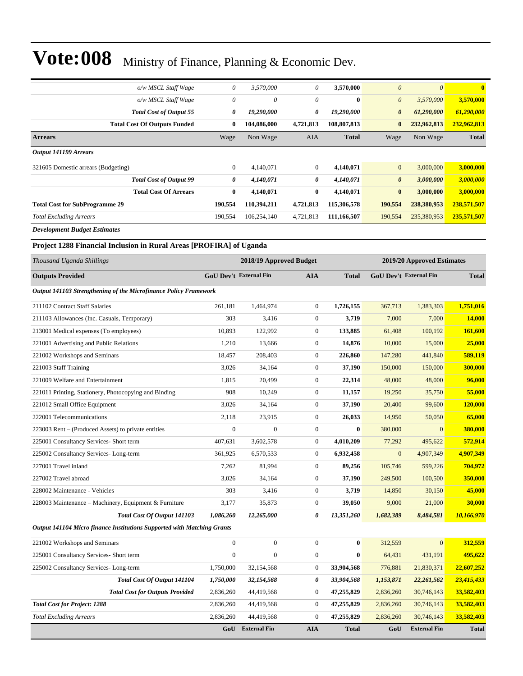| o/w MSCL Staff Wage                   | 0              | 3,570,000   | 0            | 3,570,000    | $\theta$              | $\theta$    | $\mathbf{0}$ |
|---------------------------------------|----------------|-------------|--------------|--------------|-----------------------|-------------|--------------|
| o/w MSCL Staff Wage                   | $\theta$       | $\theta$    | 0            | $\mathbf{0}$ | $\boldsymbol{\theta}$ | 3,570,000   | 3,570,000    |
| <b>Total Cost of Output 55</b>        | 0              | 19,290,000  | 0            | 19,290,000   | $\boldsymbol{\theta}$ | 61,290,000  | 61,290,000   |
| <b>Total Cost Of Outputs Funded</b>   | $\bf{0}$       | 104.086.000 | 4,721,813    | 108,807,813  | $\bf{0}$              | 232,962,813 | 232,962,813  |
| <b>Arrears</b>                        | Wage           | Non Wage    | <b>AIA</b>   | <b>Total</b> | Wage                  | Non Wage    | <b>Total</b> |
| Output 141199 Arrears                 |                |             |              |              |                       |             |              |
| 321605 Domestic arrears (Budgeting)   | $\overline{0}$ | 4,140,071   | $\mathbf{0}$ | 4,140,071    | $\mathbf{0}$          | 3,000,000   | 3,000,000    |
| <b>Total Cost of Output 99</b>        | 0              | 4,140,071   | 0            | 4,140,071    | $\boldsymbol{\theta}$ | 3,000,000   | 3,000,000    |
| <b>Total Cost Of Arrears</b>          | $\bf{0}$       | 4,140,071   | $\bf{0}$     | 4,140,071    | $\bf{0}$              | 3,000,000   | 3,000,000    |
| <b>Total Cost for SubProgramme 29</b> | 190,554        | 110,394,211 | 4,721,813    | 115,306,578  | 190,554               | 238,380,953 | 238,571,507  |
| <b>Total Excluding Arrears</b>        | 190,554        | 106,254,140 | 4,721,813    | 111,166,507  | 190,554               | 235,380,953 | 235,571,507  |
| <b>Development Budget Estimates</b>   |                |             |              |              |                       |             |              |

**Project 1288 Financial Inclusion in Rural Areas [PROFIRA] of Uganda**

| Thousand Uganda Shillings                                               |                  | 2018/19 Approved Budget       |                  |              |                               | 2019/20 Approved Estimates |               |  |
|-------------------------------------------------------------------------|------------------|-------------------------------|------------------|--------------|-------------------------------|----------------------------|---------------|--|
| <b>Outputs Provided</b>                                                 |                  | <b>GoU Dev't External Fin</b> | <b>AIA</b>       | <b>Total</b> | <b>GoU Dev't External Fin</b> |                            | <b>Total</b>  |  |
| Output 141103 Strengthening of the Microfinance Policy Framework        |                  |                               |                  |              |                               |                            |               |  |
| 211102 Contract Staff Salaries                                          | 261.181          | 1,464,974                     | $\mathbf{0}$     | 1,726,155    | 367,713                       | 1,383,303                  | 1,751,016     |  |
| 211103 Allowances (Inc. Casuals, Temporary)                             | 303              | 3,416                         | $\boldsymbol{0}$ | 3,719        | 7,000                         | 7,000                      | <b>14,000</b> |  |
| 213001 Medical expenses (To employees)                                  | 10,893           | 122,992                       | $\mathbf{0}$     | 133,885      | 61,408                        | 100,192                    | 161,600       |  |
| 221001 Advertising and Public Relations                                 | 1,210            | 13,666                        | $\boldsymbol{0}$ | 14,876       | 10,000                        | 15,000                     | 25,000        |  |
| 221002 Workshops and Seminars                                           | 18,457           | 208,403                       | $\boldsymbol{0}$ | 226,860      | 147,280                       | 441,840                    | 589,119       |  |
| 221003 Staff Training                                                   | 3,026            | 34.164                        | $\mathbf{0}$     | 37,190       | 150,000                       | 150,000                    | 300,000       |  |
| 221009 Welfare and Entertainment                                        | 1,815            | 20,499                        | $\boldsymbol{0}$ | 22,314       | 48,000                        | 48,000                     | 96,000        |  |
| 221011 Printing, Stationery, Photocopying and Binding                   | 908              | 10,249                        | $\boldsymbol{0}$ | 11,157       | 19,250                        | 35,750                     | 55,000        |  |
| 221012 Small Office Equipment                                           | 3,026            | 34,164                        | $\mathbf{0}$     | 37,190       | 20,400                        | 99,600                     | 120,000       |  |
| 222001 Telecommunications                                               | 2,118            | 23,915                        | $\boldsymbol{0}$ | 26,033       | 14,950                        | 50,050                     | 65,000        |  |
| 223003 Rent – (Produced Assets) to private entities                     | $\boldsymbol{0}$ | $\overline{0}$                | $\mathbf{0}$     | $\bf{0}$     | 380,000                       | $\mathbf{0}$               | 380,000       |  |
| 225001 Consultancy Services- Short term                                 | 407,631          | 3,602,578                     | $\mathbf{0}$     | 4,010,209    | 77,292                        | 495,622                    | 572,914       |  |
| 225002 Consultancy Services-Long-term                                   | 361,925          | 6,570,533                     | $\mathbf{0}$     | 6,932,458    | $\overline{0}$                | 4,907,349                  | 4,907,349     |  |
| 227001 Travel inland                                                    | 7,262            | 81,994                        | $\boldsymbol{0}$ | 89,256       | 105,746                       | 599,226                    | 704,972       |  |
| 227002 Travel abroad                                                    | 3,026            | 34,164                        | $\boldsymbol{0}$ | 37,190       | 249,500                       | 100,500                    | 350,000       |  |
| 228002 Maintenance - Vehicles                                           | 303              | 3,416                         | $\mathbf{0}$     | 3,719        | 14,850                        | 30,150                     | 45,000        |  |
| 228003 Maintenance – Machinery, Equipment & Furniture                   | 3,177            | 35,873                        | $\mathbf{0}$     | 39,050       | 9,000                         | 21,000                     | 30,000        |  |
| Total Cost Of Output 141103                                             | 1,086,260        | 12,265,000                    | 0                | 13,351,260   | 1,682,389                     | 8,484,581                  | 10,166,970    |  |
| Output 141104 Micro finance Institutions Supported with Matching Grants |                  |                               |                  |              |                               |                            |               |  |
| 221002 Workshops and Seminars                                           | $\boldsymbol{0}$ | $\boldsymbol{0}$              | $\boldsymbol{0}$ | $\bf{0}$     | 312,559                       | $\overline{0}$             | 312,559       |  |
| 225001 Consultancy Services- Short term                                 | $\theta$         | $\Omega$                      | $\mathbf{0}$     | $\mathbf{0}$ | 64,431                        | 431,191                    | 495,622       |  |
| 225002 Consultancy Services-Long-term                                   | 1,750,000        | 32,154,568                    | $\mathbf{0}$     | 33,904,568   | 776,881                       | 21,830,371                 | 22,607,252    |  |
| Total Cost Of Output 141104                                             | 1,750,000        | 32,154,568                    | 0                | 33,904,568   | 1,153,871                     | 22,261,562                 | 23,415,433    |  |
| <b>Total Cost for Outputs Provided</b>                                  | 2,836,260        | 44,419,568                    | $\boldsymbol{0}$ | 47,255,829   | 2,836,260                     | 30,746,143                 | 33,582,403    |  |
| <b>Total Cost for Project: 1288</b>                                     | 2,836,260        | 44,419,568                    | $\boldsymbol{0}$ | 47,255,829   | 2,836,260                     | 30,746,143                 | 33,582,403    |  |
| <b>Total Excluding Arrears</b>                                          | 2,836,260        | 44,419,568                    | $\mathbf{0}$     | 47,255,829   | 2,836,260                     | 30,746,143                 | 33,582,403    |  |
|                                                                         | GoU              | <b>External Fin</b>           | <b>AIA</b>       | <b>Total</b> | GoU                           | <b>External Fin</b>        | <b>Total</b>  |  |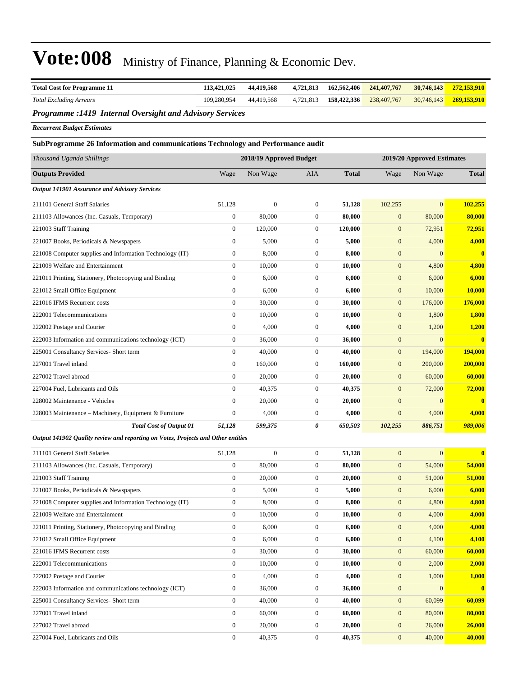| <b>Total Cost for Programme 11</b>                                               | 113,421,025      | 44,419,568              | 4,721,813        | 162,562,406  | 241, 407, 767    | 30,746,143                 | 272,153,910   |
|----------------------------------------------------------------------------------|------------------|-------------------------|------------------|--------------|------------------|----------------------------|---------------|
| <b>Total Excluding Arrears</b>                                                   | 109,280,954      | 44,419,568              | 4,721,813        | 158,422,336  | 238,407,767      | 30,746,143                 | 269,153,910   |
| Programme : 1419 Internal Oversight and Advisory Services                        |                  |                         |                  |              |                  |                            |               |
| <b>Recurrent Budget Estimates</b>                                                |                  |                         |                  |              |                  |                            |               |
| SubProgramme 26 Information and communications Technology and Performance audit  |                  |                         |                  |              |                  |                            |               |
| Thousand Uganda Shillings                                                        |                  | 2018/19 Approved Budget |                  |              |                  | 2019/20 Approved Estimates |               |
| <b>Outputs Provided</b>                                                          | Wage             | Non Wage                | AIA              | <b>Total</b> | Wage             | Non Wage                   | <b>Total</b>  |
| <b>Output 141901 Assurance and Advisory Services</b>                             |                  |                         |                  |              |                  |                            |               |
| 211101 General Staff Salaries                                                    | 51,128           | $\boldsymbol{0}$        | $\boldsymbol{0}$ | 51,128       | 102,255          | $\overline{0}$             | 102,255       |
| 211103 Allowances (Inc. Casuals, Temporary)                                      | $\boldsymbol{0}$ | 80,000                  | $\mathbf{0}$     | 80,000       | $\boldsymbol{0}$ | 80,000                     | 80,000        |
| 221003 Staff Training                                                            | $\boldsymbol{0}$ | 120,000                 | $\mathbf{0}$     | 120,000      | $\boldsymbol{0}$ | 72,951                     | 72,951        |
| 221007 Books, Periodicals & Newspapers                                           | $\boldsymbol{0}$ | 5,000                   | $\mathbf{0}$     | 5,000        | $\boldsymbol{0}$ | 4,000                      | 4,000         |
| 221008 Computer supplies and Information Technology (IT)                         | $\boldsymbol{0}$ | 8,000                   | $\mathbf{0}$     | 8,000        | $\boldsymbol{0}$ | $\overline{0}$             | $\bf{0}$      |
| 221009 Welfare and Entertainment                                                 | $\boldsymbol{0}$ | 10,000                  | $\boldsymbol{0}$ | 10,000       | $\boldsymbol{0}$ | 4,800                      | 4,800         |
| 221011 Printing, Stationery, Photocopying and Binding                            | $\boldsymbol{0}$ | 6,000                   | $\mathbf{0}$     | 6,000        | $\boldsymbol{0}$ | 6,000                      | 6,000         |
| 221012 Small Office Equipment                                                    | $\boldsymbol{0}$ | 6,000                   | $\mathbf{0}$     | 6,000        | $\boldsymbol{0}$ | 10,000                     | 10,000        |
| 221016 IFMS Recurrent costs                                                      | $\boldsymbol{0}$ | 30,000                  | $\mathbf{0}$     | 30,000       | $\boldsymbol{0}$ | 176,000                    | 176,000       |
| 222001 Telecommunications                                                        | $\boldsymbol{0}$ | 10,000                  | $\mathbf{0}$     | 10,000       | $\mathbf{0}$     | 1,800                      | 1,800         |
| 222002 Postage and Courier                                                       | $\boldsymbol{0}$ | 4,000                   | $\mathbf{0}$     | 4,000        | $\boldsymbol{0}$ | 1,200                      | 1,200         |
| 222003 Information and communications technology (ICT)                           | $\boldsymbol{0}$ | 36,000                  | $\mathbf{0}$     | 36,000       | $\boldsymbol{0}$ | $\boldsymbol{0}$           | $\bf{0}$      |
| 225001 Consultancy Services- Short term                                          | $\boldsymbol{0}$ | 40,000                  | $\mathbf{0}$     | 40,000       | $\boldsymbol{0}$ | 194,000                    | 194,000       |
| 227001 Travel inland                                                             | $\boldsymbol{0}$ | 160,000                 | $\mathbf{0}$     | 160,000      | $\boldsymbol{0}$ | 200,000                    | 200,000       |
| 227002 Travel abroad                                                             | $\boldsymbol{0}$ | 20,000                  | $\mathbf{0}$     | 20,000       | $\boldsymbol{0}$ | 60,000                     | 60,000        |
| 227004 Fuel, Lubricants and Oils                                                 | $\boldsymbol{0}$ | 40,375                  | $\mathbf{0}$     | 40,375       | $\boldsymbol{0}$ | 72,000                     | 72,000        |
| 228002 Maintenance - Vehicles                                                    | $\boldsymbol{0}$ | 20,000                  | $\mathbf{0}$     | 20,000       | $\boldsymbol{0}$ | $\overline{0}$             | $\bf{0}$      |
| 228003 Maintenance – Machinery, Equipment & Furniture                            | $\boldsymbol{0}$ | 4,000                   | $\mathbf{0}$     | 4,000        | $\boldsymbol{0}$ | 4,000                      | 4,000         |
| <b>Total Cost of Output 01</b>                                                   | 51,128           | 599,375                 | 0                | 650,503      | 102,255          | 886,751                    | 989,006       |
| Output 141902 Quality review and reporting on Votes, Projects and Other entities |                  |                         |                  |              |                  |                            |               |
| 211101 General Staff Salaries                                                    | 51,128           | $\boldsymbol{0}$        | $\mathbf{0}$     | 51,128       | $\mathbf{0}$     | $\overline{0}$             | $\bf{0}$      |
| 211103 Allowances (Inc. Casuals, Temporary)                                      | 0                | 80,000                  | $\boldsymbol{0}$ | 80,000       | $\mathbf{0}$     | 54,000                     | <b>54,000</b> |
| 221003 Staff Training                                                            | $\boldsymbol{0}$ | 20,000                  | $\mathbf{0}$     | 20,000       | $\mathbf{0}$     | 51,000                     | 51,000        |
| 221007 Books, Periodicals & Newspapers                                           | $\boldsymbol{0}$ | 5,000                   | $\boldsymbol{0}$ | 5,000        | $\boldsymbol{0}$ | 6,000                      | 6,000         |
| 221008 Computer supplies and Information Technology (IT)                         | $\boldsymbol{0}$ | 8,000                   | $\boldsymbol{0}$ | 8,000        | $\boldsymbol{0}$ | 4,800                      | 4,800         |
| 221009 Welfare and Entertainment                                                 | $\boldsymbol{0}$ | 10,000                  | $\boldsymbol{0}$ | 10,000       | $\boldsymbol{0}$ | 4,000                      | 4,000         |
| 221011 Printing, Stationery, Photocopying and Binding                            | $\boldsymbol{0}$ | 6,000                   | $\boldsymbol{0}$ | 6,000        | $\boldsymbol{0}$ | 4,000                      | 4,000         |
| 221012 Small Office Equipment                                                    | $\boldsymbol{0}$ | 6,000                   | $\boldsymbol{0}$ | 6,000        | $\boldsymbol{0}$ | 4,100                      | 4,100         |
| 221016 IFMS Recurrent costs                                                      | $\boldsymbol{0}$ | 30,000                  | $\boldsymbol{0}$ | 30,000       | $\boldsymbol{0}$ | 60,000                     | 60,000        |
| 222001 Telecommunications                                                        | $\boldsymbol{0}$ | 10,000                  | $\mathbf{0}$     | 10,000       | $\boldsymbol{0}$ | 2,000                      | 2,000         |
| 222002 Postage and Courier                                                       | $\boldsymbol{0}$ | 4,000                   | $\boldsymbol{0}$ | 4,000        | $\boldsymbol{0}$ | 1,000                      | 1,000         |
| 222003 Information and communications technology (ICT)                           | $\boldsymbol{0}$ | 36,000                  | $\boldsymbol{0}$ | 36,000       | $\boldsymbol{0}$ | $\mathbf{0}$               | $\mathbf{0}$  |
| 225001 Consultancy Services- Short term                                          | $\boldsymbol{0}$ | 40,000                  | $\boldsymbol{0}$ | 40,000       | $\boldsymbol{0}$ | 60,099                     | 60,099        |
| 227001 Travel inland                                                             | $\boldsymbol{0}$ | 60,000                  | $\boldsymbol{0}$ | 60,000       | $\boldsymbol{0}$ | 80,000                     | 80,000        |
| 227002 Travel abroad                                                             | $\boldsymbol{0}$ | 20,000                  | $\mathbf{0}$     | 20,000       | $\boldsymbol{0}$ | 26,000                     | 26,000        |
| 227004 Fuel, Lubricants and Oils                                                 | $\boldsymbol{0}$ | 40,375                  | $\boldsymbol{0}$ | 40,375       | $\boldsymbol{0}$ | 40,000                     | 40,000        |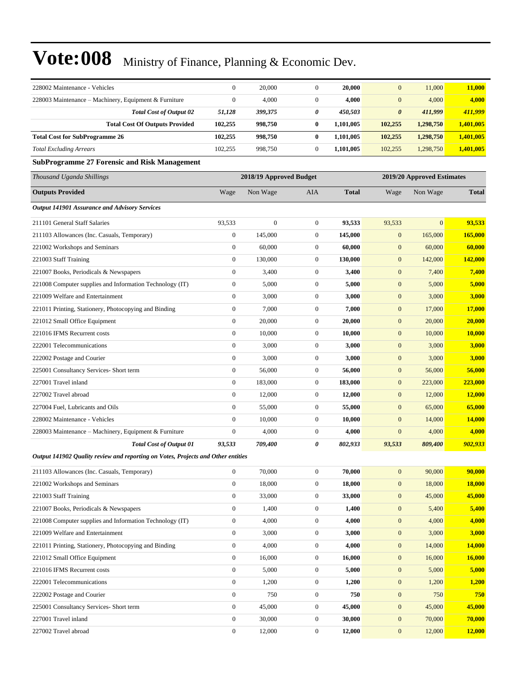| 228002 Maintenance - Vehicles                                                    | $\boldsymbol{0}$ | 20,000                  | $\boldsymbol{0}$ | 20,000       | $\boldsymbol{0}$      | 11,000                     | 11,000        |
|----------------------------------------------------------------------------------|------------------|-------------------------|------------------|--------------|-----------------------|----------------------------|---------------|
| 228003 Maintenance – Machinery, Equipment & Furniture                            | $\mathbf{0}$     | 4,000                   | $\mathbf{0}$     | 4,000        | $\mathbf{0}$          | 4,000                      | 4,000         |
| <b>Total Cost of Output 02</b>                                                   | 51,128           | 399,375                 | 0                | 450,503      | $\boldsymbol{\theta}$ | 411,999                    | 411,999       |
| <b>Total Cost Of Outputs Provided</b>                                            | 102,255          | 998,750                 | 0                | 1,101,005    | 102,255               | 1,298,750                  | 1,401,005     |
| <b>Total Cost for SubProgramme 26</b>                                            | 102,255          | 998,750                 | $\bf{0}$         | 1,101,005    | 102,255               | 1,298,750                  | 1,401,005     |
| <b>Total Excluding Arrears</b>                                                   | 102,255          | 998,750                 | $\boldsymbol{0}$ | 1,101,005    | 102,255               | 1,298,750                  | 1,401,005     |
| <b>SubProgramme 27 Forensic and Risk Management</b>                              |                  |                         |                  |              |                       |                            |               |
| Thousand Uganda Shillings                                                        |                  | 2018/19 Approved Budget |                  |              |                       | 2019/20 Approved Estimates |               |
| <b>Outputs Provided</b>                                                          | Wage             | Non Wage                | AIA              | <b>Total</b> | Wage                  | Non Wage                   | <b>Total</b>  |
| <b>Output 141901 Assurance and Advisory Services</b>                             |                  |                         |                  |              |                       |                            |               |
| 211101 General Staff Salaries                                                    | 93,533           | $\overline{0}$          | $\boldsymbol{0}$ | 93,533       | 93,533                | $\mathbf{0}$               | 93,533        |
| 211103 Allowances (Inc. Casuals, Temporary)                                      | $\boldsymbol{0}$ | 145,000                 | $\boldsymbol{0}$ | 145,000      | $\boldsymbol{0}$      | 165,000                    | 165,000       |
| 221002 Workshops and Seminars                                                    | $\boldsymbol{0}$ | 60,000                  | $\boldsymbol{0}$ | 60,000       | $\mathbf{0}$          | 60,000                     | 60,000        |
| 221003 Staff Training                                                            | $\boldsymbol{0}$ | 130,000                 | $\boldsymbol{0}$ | 130,000      | $\mathbf{0}$          | 142,000                    | 142,000       |
| 221007 Books, Periodicals & Newspapers                                           | $\mathbf{0}$     | 3,400                   | $\boldsymbol{0}$ | 3,400        | $\mathbf{0}$          | 7,400                      | 7,400         |
| 221008 Computer supplies and Information Technology (IT)                         | $\boldsymbol{0}$ | 5,000                   | $\boldsymbol{0}$ | 5,000        | $\mathbf{0}$          | 5,000                      | 5,000         |
| 221009 Welfare and Entertainment                                                 | $\boldsymbol{0}$ | 3,000                   | $\boldsymbol{0}$ | 3,000        | $\mathbf{0}$          | 3,000                      | 3,000         |
| 221011 Printing, Stationery, Photocopying and Binding                            | $\boldsymbol{0}$ | 7,000                   | $\boldsymbol{0}$ | 7,000        | $\boldsymbol{0}$      | 17,000                     | 17,000        |
| 221012 Small Office Equipment                                                    | $\boldsymbol{0}$ | 20,000                  | $\boldsymbol{0}$ | 20,000       | $\mathbf{0}$          | 20,000                     | 20,000        |
| 221016 IFMS Recurrent costs                                                      | $\mathbf{0}$     | 10,000                  | $\boldsymbol{0}$ | 10,000       | $\boldsymbol{0}$      | 10,000                     | <b>10,000</b> |
| 222001 Telecommunications                                                        | $\mathbf{0}$     | 3,000                   | $\boldsymbol{0}$ | 3,000        | $\mathbf{0}$          | 3,000                      | 3,000         |
| 222002 Postage and Courier                                                       | $\boldsymbol{0}$ | 3,000                   | $\boldsymbol{0}$ | 3,000        | $\mathbf{0}$          | 3,000                      | 3,000         |
| 225001 Consultancy Services- Short term                                          | $\boldsymbol{0}$ | 56,000                  | $\boldsymbol{0}$ | 56,000       | $\boldsymbol{0}$      | 56,000                     | 56,000        |
| 227001 Travel inland                                                             | $\boldsymbol{0}$ | 183,000                 | 0                | 183,000      | $\mathbf{0}$          | 223,000                    | 223,000       |
| 227002 Travel abroad                                                             | $\mathbf{0}$     | 12,000                  | $\boldsymbol{0}$ | 12,000       | $\boldsymbol{0}$      | 12,000                     | <b>12,000</b> |
| 227004 Fuel, Lubricants and Oils                                                 | $\boldsymbol{0}$ | 55,000                  | 0                | 55,000       | $\boldsymbol{0}$      | 65,000                     | 65,000        |
| 228002 Maintenance - Vehicles                                                    | $\mathbf{0}$     | 10,000                  | $\boldsymbol{0}$ | 10,000       | $\boldsymbol{0}$      | 14,000                     | 14,000        |
| 228003 Maintenance – Machinery, Equipment & Furniture                            | $\mathbf{0}$     | 4,000                   | $\boldsymbol{0}$ | 4,000        | $\mathbf{0}$          | 4,000                      | 4,000         |
| <b>Total Cost of Output 01</b>                                                   | 93,533           | 709,400                 | 0                | 802,933      | 93,533                | 809,400                    | 902,933       |
| Output 141902 Quality review and reporting on Votes, Projects and Other entities |                  |                         |                  |              |                       |                            |               |
| 211103 Allowances (Inc. Casuals, Temporary)                                      | $\boldsymbol{0}$ | 70,000                  | $\boldsymbol{0}$ | 70,000       | $\boldsymbol{0}$      | 90,000                     | 90,000        |
| 221002 Workshops and Seminars                                                    | $\boldsymbol{0}$ | 18,000                  | $\boldsymbol{0}$ | 18,000       | $\boldsymbol{0}$      | 18,000                     | 18,000        |
| 221003 Staff Training                                                            | $\boldsymbol{0}$ | 33,000                  | $\boldsymbol{0}$ | 33,000       | $\mathbf{0}$          | 45,000                     | 45,000        |
| 221007 Books, Periodicals & Newspapers                                           | $\boldsymbol{0}$ | 1,400                   | $\boldsymbol{0}$ | 1,400        | $\boldsymbol{0}$      | 5,400                      | 5,400         |
| 221008 Computer supplies and Information Technology (IT)                         | $\boldsymbol{0}$ | 4,000                   | $\boldsymbol{0}$ | 4,000        | $\mathbf{0}$          | 4,000                      | 4,000         |
| 221009 Welfare and Entertainment                                                 | $\boldsymbol{0}$ | 3,000                   | $\boldsymbol{0}$ | 3,000        | $\boldsymbol{0}$      | 3,000                      | 3,000         |
| 221011 Printing, Stationery, Photocopying and Binding                            | $\boldsymbol{0}$ | 4,000                   | $\boldsymbol{0}$ | 4,000        | $\boldsymbol{0}$      | 14,000                     | 14,000        |
| 221012 Small Office Equipment                                                    | $\boldsymbol{0}$ | 16,000                  | $\boldsymbol{0}$ | 16,000       | $\mathbf{0}$          | 16,000                     | 16,000        |
| 221016 IFMS Recurrent costs                                                      | $\boldsymbol{0}$ | 5,000                   | $\boldsymbol{0}$ | 5,000        | $\boldsymbol{0}$      | 5,000                      | 5,000         |
| 222001 Telecommunications                                                        | $\boldsymbol{0}$ | 1,200                   | 0                | 1,200        | $\boldsymbol{0}$      | 1,200                      | 1,200         |
| 222002 Postage and Courier                                                       | $\boldsymbol{0}$ | 750                     | $\boldsymbol{0}$ | 750          | $\boldsymbol{0}$      | 750                        | 750           |
| 225001 Consultancy Services- Short term                                          | $\boldsymbol{0}$ | 45,000                  | $\boldsymbol{0}$ | 45,000       | $\boldsymbol{0}$      | 45,000                     | 45,000        |
| 227001 Travel inland                                                             | $\boldsymbol{0}$ | 30,000                  | $\boldsymbol{0}$ | 30,000       | $\mathbf{0}$          | 70,000                     | 70,000        |
| 227002 Travel abroad                                                             | $\boldsymbol{0}$ | 12,000                  | 0                | 12,000       | $\boldsymbol{0}$      | 12,000                     | 12,000        |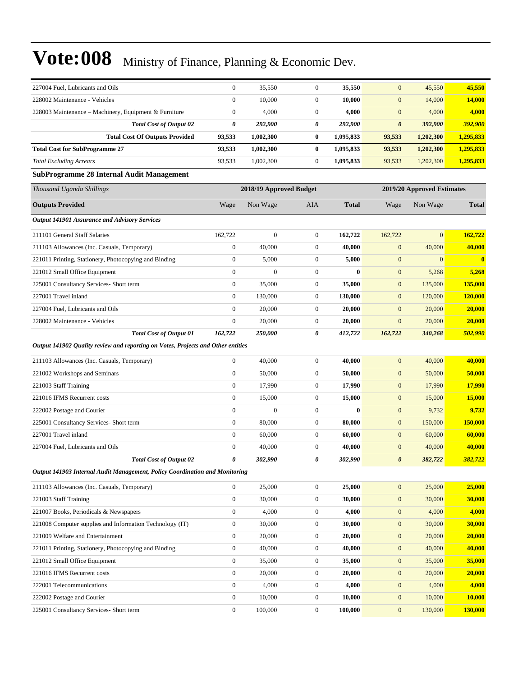| 227004 Fuel. Lubricants and Oils                                                 | $\boldsymbol{0}$ | 35,550                  | $\boldsymbol{0}$ | 35,550       | $\mathbf{0}$          | 45,550                     | 45,550        |
|----------------------------------------------------------------------------------|------------------|-------------------------|------------------|--------------|-----------------------|----------------------------|---------------|
| 228002 Maintenance - Vehicles                                                    | $\mathbf{0}$     | 10,000                  | $\boldsymbol{0}$ | 10,000       | $\mathbf{0}$          | 14,000                     | <b>14,000</b> |
| 228003 Maintenance – Machinery, Equipment & Furniture                            | $\boldsymbol{0}$ | 4,000                   | $\boldsymbol{0}$ | 4,000        | $\mathbf{0}$          | 4,000                      | 4,000         |
| <b>Total Cost of Output 02</b>                                                   | 0                | 292,900                 | 0                | 292,900      | $\boldsymbol{\theta}$ | 392,900                    | 392,900       |
| <b>Total Cost Of Outputs Provided</b>                                            | 93,533           | 1,002,300               | $\bf{0}$         | 1,095,833    | 93,533                | 1,202,300                  | 1,295,833     |
| <b>Total Cost for SubProgramme 27</b>                                            | 93,533           | 1,002,300               | $\bf{0}$         | 1,095,833    | 93,533                | 1,202,300                  | 1,295,833     |
| <b>Total Excluding Arrears</b>                                                   | 93,533           | 1,002,300               | $\boldsymbol{0}$ | 1,095,833    | 93,533                | 1,202,300                  | 1,295,833     |
| <b>SubProgramme 28 Internal Audit Management</b>                                 |                  |                         |                  |              |                       |                            |               |
| Thousand Uganda Shillings                                                        |                  | 2018/19 Approved Budget |                  |              |                       | 2019/20 Approved Estimates |               |
| <b>Outputs Provided</b>                                                          | Wage             | Non Wage                | AIA              | <b>Total</b> | Wage                  | Non Wage                   | <b>Total</b>  |
| <b>Output 141901 Assurance and Advisory Services</b>                             |                  |                         |                  |              |                       |                            |               |
| 211101 General Staff Salaries                                                    | 162,722          | $\boldsymbol{0}$        | $\boldsymbol{0}$ | 162,722      | 162,722               | $\overline{0}$             | 162,722       |
| 211103 Allowances (Inc. Casuals, Temporary)                                      | $\mathbf{0}$     | 40,000                  | $\boldsymbol{0}$ | 40,000       | $\mathbf{0}$          | 40,000                     | 40,000        |
| 221011 Printing, Stationery, Photocopying and Binding                            | $\boldsymbol{0}$ | 5,000                   | 0                | 5,000        | $\mathbf{0}$          | $\mathbf{0}$               | $\bf{0}$      |
| 221012 Small Office Equipment                                                    | $\mathbf{0}$     | $\overline{0}$          | $\boldsymbol{0}$ | $\bf{0}$     | $\mathbf{0}$          | 5,268                      | 5,268         |
| 225001 Consultancy Services- Short term                                          | $\boldsymbol{0}$ | 35,000                  | $\boldsymbol{0}$ | 35,000       | $\mathbf{0}$          | 135,000                    | 135,000       |
| 227001 Travel inland                                                             | $\boldsymbol{0}$ | 130,000                 | $\boldsymbol{0}$ | 130,000      | $\mathbf{0}$          | 120,000                    | 120,000       |
| 227004 Fuel, Lubricants and Oils                                                 | $\mathbf{0}$     | 20,000                  | $\boldsymbol{0}$ | 20,000       | $\mathbf{0}$          | 20,000                     | 20,000        |
| 228002 Maintenance - Vehicles                                                    | $\boldsymbol{0}$ | 20,000                  | 0                | 20,000       | $\mathbf{0}$          | 20,000                     | 20,000        |
| <b>Total Cost of Output 01</b>                                                   | 162,722          | 250,000                 | 0                | 412,722      | 162,722               | 340,268                    | 502,990       |
| Output 141902 Quality review and reporting on Votes, Projects and Other entities |                  |                         |                  |              |                       |                            |               |
| 211103 Allowances (Inc. Casuals, Temporary)                                      | $\mathbf{0}$     | 40,000                  | $\boldsymbol{0}$ | 40,000       | $\mathbf{0}$          | 40,000                     | 40,000        |
| 221002 Workshops and Seminars                                                    | $\boldsymbol{0}$ | 50,000                  | $\boldsymbol{0}$ | 50,000       | $\mathbf{0}$          | 50,000                     | 50,000        |
| 221003 Staff Training                                                            | $\boldsymbol{0}$ | 17,990                  | $\boldsymbol{0}$ | 17,990       | $\mathbf{0}$          | 17,990                     | 17,990        |
| 221016 IFMS Recurrent costs                                                      | $\boldsymbol{0}$ | 15,000                  | $\boldsymbol{0}$ | 15,000       | $\mathbf{0}$          | 15,000                     | <b>15,000</b> |
| 222002 Postage and Courier                                                       | $\overline{0}$   | $\overline{0}$          | $\boldsymbol{0}$ | $\bf{0}$     | $\mathbf{0}$          | 9,732                      | 9,732         |
| 225001 Consultancy Services- Short term                                          | $\mathbf{0}$     | 80,000                  | $\boldsymbol{0}$ | 80,000       | $\mathbf{0}$          | 150,000                    | 150,000       |
| 227001 Travel inland                                                             | $\boldsymbol{0}$ | 60,000                  | $\boldsymbol{0}$ | 60,000       | $\mathbf{0}$          | 60,000                     | 60,000        |
| 227004 Fuel, Lubricants and Oils                                                 | $\boldsymbol{0}$ | 40,000                  | $\boldsymbol{0}$ | 40,000       | $\mathbf{0}$          | 40,000                     | 40,000        |
| <b>Total Cost of Output 02</b>                                                   | 0                | 302,990                 | 0                | 302,990      | $\boldsymbol{\theta}$ | 382,722                    | 382,722       |
| Output 141903 Internal Audit Management, Policy Coordination and Monitoring      |                  |                         |                  |              |                       |                            |               |
| 211103 Allowances (Inc. Casuals, Temporary)                                      | $\boldsymbol{0}$ | 25,000                  | $\boldsymbol{0}$ | 25,000       | $\boldsymbol{0}$      | 25,000                     | 25,000        |
| 221003 Staff Training                                                            | $\boldsymbol{0}$ | 30,000                  | $\boldsymbol{0}$ | 30,000       | $\mathbf{0}$          | 30,000                     | 30,000        |
| 221007 Books, Periodicals & Newspapers                                           | $\boldsymbol{0}$ | 4,000                   | $\boldsymbol{0}$ | 4,000        | $\mathbf{0}$          | 4,000                      | 4,000         |
| 221008 Computer supplies and Information Technology (IT)                         | $\boldsymbol{0}$ | 30,000                  | $\boldsymbol{0}$ | 30,000       | $\boldsymbol{0}$      | 30,000                     | 30,000        |
| 221009 Welfare and Entertainment                                                 | $\boldsymbol{0}$ | 20,000                  | $\boldsymbol{0}$ | 20,000       | $\mathbf{0}$          | 20,000                     | 20,000        |
| 221011 Printing, Stationery, Photocopying and Binding                            | $\boldsymbol{0}$ | 40,000                  | $\boldsymbol{0}$ | 40,000       | $\mathbf{0}$          | 40,000                     | 40,000        |
| 221012 Small Office Equipment                                                    | $\boldsymbol{0}$ | 35,000                  | $\boldsymbol{0}$ | 35,000       | $\mathbf{0}$          | 35,000                     | 35,000        |
| 221016 IFMS Recurrent costs                                                      | $\boldsymbol{0}$ | 20,000                  | 0                | 20,000       | $\mathbf{0}$          | 20,000                     | 20,000        |
| 222001 Telecommunications                                                        | $\boldsymbol{0}$ | 4,000                   | $\boldsymbol{0}$ | 4,000        | $\boldsymbol{0}$      | 4,000                      | 4,000         |
| 222002 Postage and Courier                                                       | $\boldsymbol{0}$ | 10,000                  | 0                | 10,000       | $\boldsymbol{0}$      | 10,000                     | 10,000        |
| 225001 Consultancy Services- Short term                                          | $\boldsymbol{0}$ | 100,000                 | $\boldsymbol{0}$ | 100,000      | $\mathbf{0}$          | 130,000                    | 130,000       |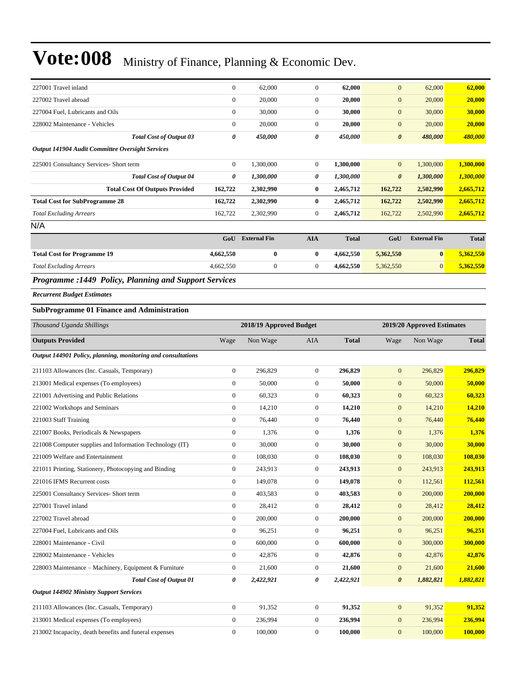|                                                  | 4,662,550      | $\bf{0}$            | $\overline{0}$ | 4,662,550    | 5,362,550                                                    | $\mathbf{0}$        | 5,362,550    |
|--------------------------------------------------|----------------|---------------------|----------------|--------------|--------------------------------------------------------------|---------------------|--------------|
|                                                  | 4,662,550      | $\bf{0}$            | $\bf{0}$       | 4,662,550    | 5,362,550                                                    | $\bf{0}$            | 5,362,550    |
|                                                  | GoU            | <b>External Fin</b> | <b>AIA</b>     | <b>Total</b> | GoU                                                          | <b>External Fin</b> | <b>Total</b> |
|                                                  |                |                     |                |              |                                                              |                     |              |
|                                                  | 162,722        | 2,302,990           | $\overline{0}$ | 2,465,712    | 162,722                                                      | 2,502,990           | 2,665,712    |
|                                                  | 162,722        | 2,302,990           | $\bf{0}$       | 2,465,712    | 162,722                                                      | 2,502,990           | 2,665,712    |
| <b>Total Cost Of Outputs Provided</b>            | 162,722        | 2,302,990           | $\bf{0}$       | 2,465,712    | 162,722                                                      | 2,502,990           | 2,665,712    |
| <b>Total Cost of Output 04</b>                   | 0              | 1,300,000           | 0              | 1,300,000    | $\boldsymbol{\theta}$                                        | 1,300,000           | 1,300,000    |
|                                                  | $\overline{0}$ | 1,300,000           | $\overline{0}$ | 1,300,000    | $\mathbf{0}$                                                 | 1,300,000           | 1,300,000    |
| Output 141904 Audit Committee Oversight Services |                |                     |                |              |                                                              |                     |              |
| <b>Total Cost of Output 03</b>                   | 0              | 450,000             | 0              | 450,000      | $\boldsymbol{\theta}$                                        | 480,000             | 480,000      |
|                                                  | $\overline{0}$ | 20,000              | $\overline{0}$ | 20,000       | $\mathbf{0}$                                                 | 20,000              | 20,000       |
|                                                  | $\overline{0}$ | 30,000              | $\overline{0}$ | 30,000       | $\mathbf{0}$                                                 | 30,000              | 30,000       |
|                                                  | $\overline{0}$ | 20,000              | $\overline{0}$ | 20,000       | $\mathbf{0}$                                                 | 20,000              | 20,000       |
|                                                  | $\overline{0}$ | 62,000              | $\Omega$       | 62,000       | $\mathbf{0}$                                                 | 62,000              | 62,000       |
|                                                  |                |                     |                |              | <b>Programme :1449 Policy, Planning and Support Services</b> |                     |              |

*Recurrent Budget Estimates*

#### **SubProgramme 01 Finance and Administration**

| Thousand Uganda Shillings                                    |                  | 2018/19 Approved Budget |                |              |                       | 2019/20 Approved Estimates |              |
|--------------------------------------------------------------|------------------|-------------------------|----------------|--------------|-----------------------|----------------------------|--------------|
| <b>Outputs Provided</b>                                      | Wage             | Non Wage                | <b>AIA</b>     | <b>Total</b> | Wage                  | Non Wage                   | <b>Total</b> |
| Output 144901 Policy, planning, monitoring and consultations |                  |                         |                |              |                       |                            |              |
| 211103 Allowances (Inc. Casuals, Temporary)                  | $\overline{0}$   | 296,829                 | $\mathbf{0}$   | 296,829      | $\mathbf{0}$          | 296,829                    | 296,829      |
| 213001 Medical expenses (To employees)                       | $\overline{0}$   | 50,000                  | $\overline{0}$ | 50,000       | $\mathbf{0}$          | 50,000                     | 50,000       |
| 221001 Advertising and Public Relations                      | $\overline{0}$   | 60,323                  | $\mathbf{0}$   | 60,323       | $\mathbf{0}$          | 60,323                     | 60,323       |
| 221002 Workshops and Seminars                                | $\boldsymbol{0}$ | 14,210                  | $\mathbf{0}$   | 14,210       | $\mathbf{0}$          | 14,210                     | 14,210       |
| 221003 Staff Training                                        | $\overline{0}$   | 76,440                  | $\overline{0}$ | 76,440       | $\mathbf{0}$          | 76,440                     | 76,440       |
| 221007 Books, Periodicals & Newspapers                       | $\overline{0}$   | 1.376                   | $\overline{0}$ | 1.376        | $\mathbf{0}$          | 1,376                      | 1,376        |
| 221008 Computer supplies and Information Technology (IT)     | $\overline{0}$   | 30,000                  | $\overline{0}$ | 30,000       | $\mathbf{0}$          | 30,000                     | 30,000       |
| 221009 Welfare and Entertainment                             | $\overline{0}$   | 108,030                 | $\mathbf{0}$   | 108,030      | $\mathbf{0}$          | 108,030                    | 108,030      |
| 221011 Printing, Stationery, Photocopying and Binding        | $\boldsymbol{0}$ | 243,913                 | $\mathbf{0}$   | 243,913      | $\mathbf{0}$          | 243,913                    | 243,913      |
| 221016 IFMS Recurrent costs                                  | $\overline{0}$   | 149,078                 | $\overline{0}$ | 149,078      | $\mathbf{0}$          | 112,561                    | 112,561      |
| 225001 Consultancy Services- Short term                      | $\overline{0}$   | 403,583                 | $\overline{0}$ | 403,583      | $\mathbf{0}$          | 200,000                    | 200,000      |
| 227001 Travel inland                                         | $\overline{0}$   | 28,412                  | $\overline{0}$ | 28,412       | $\mathbf{0}$          | 28,412                     | 28,412       |
| 227002 Travel abroad                                         | $\boldsymbol{0}$ | 200,000                 | $\mathbf{0}$   | 200,000      | $\mathbf{0}$          | 200,000                    | 200,000      |
| 227004 Fuel, Lubricants and Oils                             | $\overline{0}$   | 96,251                  | $\mathbf{0}$   | 96,251       | $\mathbf{0}$          | 96,251                     | 96,251       |
| 228001 Maintenance - Civil                                   | $\overline{0}$   | 600,000                 | $\overline{0}$ | 600,000      | $\mathbf{0}$          | 300,000                    | 300,000      |
| 228002 Maintenance - Vehicles                                | $\overline{0}$   | 42,876                  | $\mathbf{0}$   | 42,876       | $\mathbf{0}$          | 42,876                     | 42,876       |
| 228003 Maintenance - Machinery, Equipment & Furniture        | $\boldsymbol{0}$ | 21,600                  | $\mathbf{0}$   | 21,600       | $\mathbf{0}$          | 21,600                     | 21,600       |
| <b>Total Cost of Output 01</b>                               | 0                | 2,422,921               | 0              | 2,422,921    | $\boldsymbol{\theta}$ | 1,882,821                  | 1,882,821    |
| <b>Output 144902 Ministry Support Services</b>               |                  |                         |                |              |                       |                            |              |
| 211103 Allowances (Inc. Casuals, Temporary)                  | $\overline{0}$   | 91.352                  | $\overline{0}$ | 91,352       | $\mathbf{0}$          | 91,352                     | 91,352       |
| 213001 Medical expenses (To employees)                       | $\overline{0}$   | 236,994                 | $\mathbf{0}$   | 236,994      | $\mathbf{0}$          | 236,994                    | 236,994      |
| 213002 Incapacity, death benefits and funeral expenses       | $\overline{0}$   | 100,000                 | $\Omega$       | 100,000      | $\overline{0}$        | 100,000                    | 100,000      |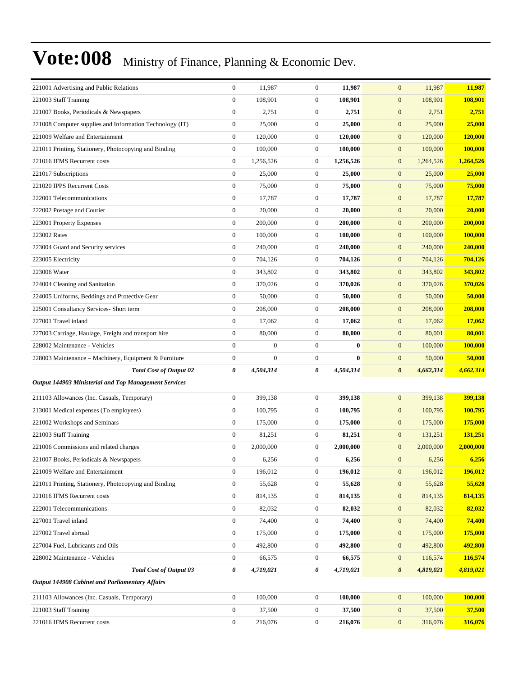| 221001 Advertising and Public Relations                  | $\boldsymbol{0}$ | 11,987           | $\boldsymbol{0}$ | 11,987    | $\mathbf{0}$<br>11,987             | 11,987                                                                                                           |
|----------------------------------------------------------|------------------|------------------|------------------|-----------|------------------------------------|------------------------------------------------------------------------------------------------------------------|
| 221003 Staff Training                                    | $\boldsymbol{0}$ | 108,901          | $\boldsymbol{0}$ | 108,901   | $\mathbf{0}$<br>108,901            | 108,901                                                                                                          |
| 221007 Books, Periodicals & Newspapers                   | $\boldsymbol{0}$ | 2,751            | $\boldsymbol{0}$ | 2,751     | $\boldsymbol{0}$<br>2,751          | 2,751                                                                                                            |
| 221008 Computer supplies and Information Technology (IT) | $\boldsymbol{0}$ | 25,000           | $\boldsymbol{0}$ | 25,000    | $\boldsymbol{0}$<br>25,000         | 25,000                                                                                                           |
| 221009 Welfare and Entertainment                         | $\boldsymbol{0}$ | 120,000          | $\boldsymbol{0}$ | 120,000   | $\boldsymbol{0}$<br>120,000        | 120,000                                                                                                          |
| 221011 Printing, Stationery, Photocopying and Binding    | $\boldsymbol{0}$ | 100,000          | $\boldsymbol{0}$ | 100,000   | 100,000<br>$\mathbf{0}$            | 100,000                                                                                                          |
| 221016 IFMS Recurrent costs                              | $\boldsymbol{0}$ | 1,256,526        | $\boldsymbol{0}$ | 1,256,526 | $\mathbf{0}$<br>1,264,526          | 1,264,526                                                                                                        |
| 221017 Subscriptions                                     | $\boldsymbol{0}$ | 25,000           | $\boldsymbol{0}$ | 25,000    | $\boldsymbol{0}$<br>25,000         | 25,000                                                                                                           |
| 221020 IPPS Recurrent Costs                              | $\boldsymbol{0}$ | 75,000           | $\boldsymbol{0}$ | 75,000    | $\boldsymbol{0}$<br>75,000         | 75,000                                                                                                           |
| 222001 Telecommunications                                | $\boldsymbol{0}$ | 17,787           | $\boldsymbol{0}$ | 17,787    | $\boldsymbol{0}$<br>17,787         | 17,787                                                                                                           |
| 222002 Postage and Courier                               | $\boldsymbol{0}$ | 20,000           | $\boldsymbol{0}$ | 20,000    | 20,000<br>$\mathbf{0}$             | 20,000                                                                                                           |
| 223001 Property Expenses                                 | $\boldsymbol{0}$ | 200,000          | $\boldsymbol{0}$ | 200,000   | $\mathbf{0}$<br>200,000            | 200,000                                                                                                          |
| 223002 Rates                                             | $\boldsymbol{0}$ | 100,000          | $\boldsymbol{0}$ | 100,000   | $\boldsymbol{0}$<br>100,000        | 100,000                                                                                                          |
| 223004 Guard and Security services                       | $\boldsymbol{0}$ | 240,000          | $\boldsymbol{0}$ | 240,000   | $\boldsymbol{0}$<br>240,000        | 240,000                                                                                                          |
| 223005 Electricity                                       | $\boldsymbol{0}$ | 704,126          | $\boldsymbol{0}$ | 704,126   | $\boldsymbol{0}$<br>704,126        | 704,126                                                                                                          |
| 223006 Water                                             | $\boldsymbol{0}$ | 343,802          | $\boldsymbol{0}$ | 343,802   | 343,802<br>$\mathbf{0}$            | 343,802                                                                                                          |
| 224004 Cleaning and Sanitation                           | $\boldsymbol{0}$ | 370,026          | $\boldsymbol{0}$ | 370,026   | $\mathbf{0}$<br>370,026            | 370,026                                                                                                          |
| 224005 Uniforms, Beddings and Protective Gear            | $\boldsymbol{0}$ | 50,000           | $\boldsymbol{0}$ | 50,000    | $\boldsymbol{0}$<br>50,000         | 50,000                                                                                                           |
| 225001 Consultancy Services- Short term                  | $\boldsymbol{0}$ | 208,000          | $\boldsymbol{0}$ | 208,000   | $\boldsymbol{0}$<br>208,000        | 208,000                                                                                                          |
| 227001 Travel inland                                     | $\boldsymbol{0}$ | 17,062           | $\boldsymbol{0}$ | 17,062    | $\boldsymbol{0}$<br>17,062         | 17,062                                                                                                           |
| 227003 Carriage, Haulage, Freight and transport hire     | $\boldsymbol{0}$ | 80,000           | $\boldsymbol{0}$ | 80,000    | 80,001<br>$\mathbf{0}$             | 80,001                                                                                                           |
| 228002 Maintenance - Vehicles                            | $\boldsymbol{0}$ | $\boldsymbol{0}$ | $\boldsymbol{0}$ | $\bf{0}$  | 100,000<br>$\mathbf{0}$            | <b>100,000</b>                                                                                                   |
| 228003 Maintenance - Machinery, Equipment & Furniture    | $\boldsymbol{0}$ | $\boldsymbol{0}$ | $\boldsymbol{0}$ | $\bf{0}$  | $\boldsymbol{0}$<br>50,000         | 50,000                                                                                                           |
| <b>Total Cost of Output 02</b>                           | 0                | 4,504,314        | 0                | 4,504,314 | $\boldsymbol{\theta}$<br>4,662,314 | 4,662,314                                                                                                        |
|                                                          |                  |                  |                  |           |                                    |                                                                                                                  |
| Output 144903 Ministerial and Top Management Services    |                  |                  |                  |           |                                    |                                                                                                                  |
| 211103 Allowances (Inc. Casuals, Temporary)              | $\mathbf{0}$     | 399,138          | $\boldsymbol{0}$ | 399,138   | $\mathbf{0}$<br>399,138            | 399,138                                                                                                          |
| 213001 Medical expenses (To employees)                   | $\boldsymbol{0}$ | 100,795          | $\boldsymbol{0}$ | 100,795   | $\mathbf{0}$<br>100,795            | 100,795                                                                                                          |
| 221002 Workshops and Seminars                            | $\boldsymbol{0}$ | 175,000          | $\boldsymbol{0}$ | 175,000   | $\mathbf{0}$<br>175,000            |                                                                                                                  |
| 221003 Staff Training                                    | $\boldsymbol{0}$ | 81,251           | $\boldsymbol{0}$ | 81,251    | $\boldsymbol{0}$<br>131,251        | 131,251                                                                                                          |
| 221006 Commissions and related charges                   | $\boldsymbol{0}$ | 2,000,000        | $\boldsymbol{0}$ | 2,000,000 | $\mathbf{0}$<br>2,000,000          |                                                                                                                  |
| 221007 Books, Periodicals & Newspapers                   | $\mathbf{0}$     | 6,256            | $\mathbf{0}$     | 6,256     | $\mathbf{0}$<br>6,256              | 6,256                                                                                                            |
| 221009 Welfare and Entertainment                         | $\boldsymbol{0}$ | 196,012          | $\boldsymbol{0}$ | 196,012   | $\mathbf{0}$<br>196,012            |                                                                                                                  |
| 221011 Printing, Stationery, Photocopying and Binding    | $\boldsymbol{0}$ | 55,628           | $\boldsymbol{0}$ | 55,628    | $\mathbf{0}$<br>55,628             |                                                                                                                  |
| 221016 IFMS Recurrent costs                              | $\boldsymbol{0}$ | 814,135          | $\boldsymbol{0}$ | 814,135   | $\mathbf{0}$<br>814,135            | 814,135                                                                                                          |
| 222001 Telecommunications                                | $\boldsymbol{0}$ | 82,032           | $\boldsymbol{0}$ | 82,032    | $\boldsymbol{0}$<br>82,032         | 82,032                                                                                                           |
| 227001 Travel inland                                     | $\mathbf{0}$     | 74,400           | $\boldsymbol{0}$ | 74,400    | $\mathbf{0}$<br>74,400             |                                                                                                                  |
| 227002 Travel abroad                                     | $\boldsymbol{0}$ | 175,000          | 0                | 175,000   | 175,000<br>$\mathbf{0}$            |                                                                                                                  |
| 227004 Fuel, Lubricants and Oils                         | $\boldsymbol{0}$ | 492,800          | $\boldsymbol{0}$ | 492,800   | $\boldsymbol{0}$<br>492,800        |                                                                                                                  |
| 228002 Maintenance - Vehicles                            | $\boldsymbol{0}$ | 66,575           | $\boldsymbol{0}$ | 66,575    | $\mathbf{0}$<br>116,574            | 116,574                                                                                                          |
| <b>Total Cost of Output 03</b>                           | $\pmb{\theta}$   | 4,719,021        | 0                | 4,719,021 | $\boldsymbol{\theta}$<br>4,819,021 | 4,819,021                                                                                                        |
| <b>Output 144908 Cabinet and Parliamentary Affairs</b>   |                  |                  |                  |           |                                    |                                                                                                                  |
| 211103 Allowances (Inc. Casuals, Temporary)              | $\mathbf{0}$     | 100,000          | $\boldsymbol{0}$ | 100,000   | 100,000<br>$\mathbf{0}$            |                                                                                                                  |
| 221003 Staff Training                                    | $\boldsymbol{0}$ | 37,500           | $\boldsymbol{0}$ | 37,500    | 37,500<br>$\mathbf{0}$             |                                                                                                                  |
| 221016 IFMS Recurrent costs                              | $\boldsymbol{0}$ | 216,076          | $\boldsymbol{0}$ | 216,076   | $\mathbf{0}$<br>316,076            | <b>175,000</b><br>2,000,000<br>196,012<br>55,628<br>74,400<br>175,000<br>492,800<br>100,000<br>37,500<br>316,076 |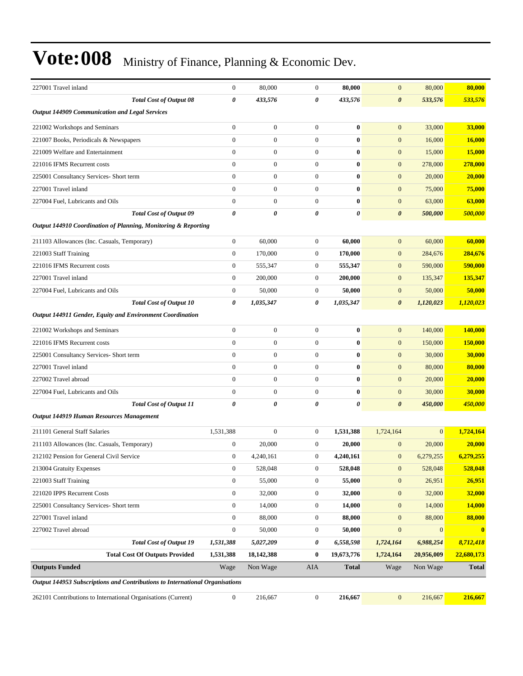| 227001 Travel inland                                                         | $\boldsymbol{0}$ | 80,000           | $\boldsymbol{0}$      | 80,000                | $\mathbf{0}$          | 80,000       | 80,000        |
|------------------------------------------------------------------------------|------------------|------------------|-----------------------|-----------------------|-----------------------|--------------|---------------|
| <b>Total Cost of Output 08</b>                                               | 0                | 433,576          | $\boldsymbol{\theta}$ | 433,576               | $\boldsymbol{\theta}$ | 533,576      | 533,576       |
| Output 144909 Communication and Legal Services                               |                  |                  |                       |                       |                       |              |               |
| 221002 Workshops and Seminars                                                | $\boldsymbol{0}$ | $\boldsymbol{0}$ | $\boldsymbol{0}$      | $\bf{0}$              | $\mathbf{0}$          | 33,000       | 33,000        |
| 221007 Books, Periodicals & Newspapers                                       | $\boldsymbol{0}$ | $\mathbf{0}$     | $\mathbf{0}$          | $\bf{0}$              | $\mathbf{0}$          | 16,000       | 16,000        |
| 221009 Welfare and Entertainment                                             | $\boldsymbol{0}$ | $\mathbf{0}$     | $\mathbf{0}$          | $\bf{0}$              | $\mathbf{0}$          | 15,000       | <b>15,000</b> |
| 221016 IFMS Recurrent costs                                                  | $\overline{0}$   | $\mathbf{0}$     | $\mathbf{0}$          | $\bf{0}$              | $\mathbf{0}$          | 278,000      | 278,000       |
| 225001 Consultancy Services- Short term                                      | $\overline{0}$   | $\mathbf{0}$     | $\mathbf{0}$          | $\bf{0}$              | $\mathbf{0}$          | 20,000       | 20,000        |
| 227001 Travel inland                                                         | $\mathbf{0}$     | $\boldsymbol{0}$ | $\boldsymbol{0}$      | $\bf{0}$              | $\boldsymbol{0}$      | 75,000       | 75,000        |
| 227004 Fuel, Lubricants and Oils                                             | $\mathbf{0}$     | $\mathbf{0}$     | $\boldsymbol{0}$      | $\bf{0}$              | $\boldsymbol{0}$      | 63,000       | 63,000        |
| <b>Total Cost of Output 09</b>                                               | 0                | 0                | $\boldsymbol{\theta}$ | $\boldsymbol{\theta}$ | $\boldsymbol{\theta}$ | 500,000      | 500,000       |
| Output 144910 Coordination of Planning, Monitoring & Reporting               |                  |                  |                       |                       |                       |              |               |
| 211103 Allowances (Inc. Casuals, Temporary)                                  | $\boldsymbol{0}$ | 60,000           | $\boldsymbol{0}$      | 60,000                | $\mathbf{0}$          | 60,000       | 60,000        |
| 221003 Staff Training                                                        | $\mathbf{0}$     | 170,000          | $\boldsymbol{0}$      | 170,000               | $\mathbf{0}$          | 284,676      | 284,676       |
| 221016 IFMS Recurrent costs                                                  | $\boldsymbol{0}$ | 555,347          | $\boldsymbol{0}$      | 555,347               | $\mathbf{0}$          | 590,000      | 590,000       |
| 227001 Travel inland                                                         | $\boldsymbol{0}$ | 200,000          | $\boldsymbol{0}$      | 200,000               | $\mathbf{0}$          | 135,347      | 135,347       |
| 227004 Fuel, Lubricants and Oils                                             | $\boldsymbol{0}$ | 50,000           | $\boldsymbol{0}$      | 50,000                | $\mathbf{0}$          | 50,000       | 50,000        |
| <b>Total Cost of Output 10</b>                                               | 0                | 1,035,347        | 0                     | 1,035,347             | $\boldsymbol{\theta}$ | 1,120,023    | 1,120,023     |
| Output 144911 Gender, Equity and Environment Coordination                    |                  |                  |                       |                       |                       |              |               |
| 221002 Workshops and Seminars                                                | $\mathbf{0}$     | $\mathbf{0}$     | $\mathbf{0}$          | $\bf{0}$              | $\mathbf{0}$          | 140,000      | 140,000       |
| 221016 IFMS Recurrent costs                                                  | $\mathbf{0}$     | $\boldsymbol{0}$ | $\boldsymbol{0}$      | $\bf{0}$              | $\boldsymbol{0}$      | 150,000      | 150,000       |
| 225001 Consultancy Services- Short term                                      | $\boldsymbol{0}$ | $\mathbf{0}$     | $\mathbf{0}$          | $\bf{0}$              | $\mathbf{0}$          | 30,000       | 30,000        |
| 227001 Travel inland                                                         | $\overline{0}$   | $\mathbf{0}$     | $\mathbf{0}$          | $\bf{0}$              | $\mathbf{0}$          | 80,000       | 80,000        |
| 227002 Travel abroad                                                         | $\mathbf{0}$     | $\mathbf{0}$     | $\mathbf{0}$          | $\bf{0}$              | $\mathbf{0}$          | 20,000       | 20,000        |
| 227004 Fuel, Lubricants and Oils                                             | $\mathbf{0}$     | $\mathbf{0}$     | $\mathbf{0}$          | $\bf{0}$              | $\mathbf{0}$          | 30,000       | 30,000        |
| <b>Total Cost of Output 11</b>                                               | 0                | 0                | 0                     | $\pmb{\theta}$        | $\boldsymbol{\theta}$ | 450,000      | 450,000       |
| Output 144919 Human Resources Management                                     |                  |                  |                       |                       |                       |              |               |
| 211101 General Staff Salaries                                                | 1,531,388        | $\mathbf{0}$     | $\boldsymbol{0}$      | 1,531,388             | 1,724,164             | $\mathbf{0}$ | 1,724,164     |
| 211103 Allowances (Inc. Casuals, Temporary)                                  | $\mathbf{0}$     | 20,000           | $\boldsymbol{0}$      | 20,000                | $\mathbf{0}$          | 20,000       | 20,000        |
| 212102 Pension for General Civil Service                                     | $\Omega$         | 4,240,161        | $\theta$              | 4,240,161             | $\boldsymbol{0}$      | 6,279,255    | 6,279,255     |
| 213004 Gratuity Expenses                                                     | $\boldsymbol{0}$ | 528,048          | $\boldsymbol{0}$      | 528,048               | $\boldsymbol{0}$      | 528,048      | 528,048       |
| 221003 Staff Training                                                        | $\boldsymbol{0}$ | 55,000           | $\boldsymbol{0}$      | 55,000                | $\boldsymbol{0}$      | 26,951       | 26,951        |
| 221020 IPPS Recurrent Costs                                                  | $\boldsymbol{0}$ | 32,000           | $\boldsymbol{0}$      | 32,000                | $\mathbf{0}$          | 32,000       | 32,000        |
| 225001 Consultancy Services- Short term                                      | $\boldsymbol{0}$ | 14,000           | $\boldsymbol{0}$      | 14,000                | $\mathbf{0}$          | 14,000       | <b>14,000</b> |
| 227001 Travel inland                                                         | $\boldsymbol{0}$ | 88,000           | $\boldsymbol{0}$      | 88,000                | $\mathbf{0}$          | 88,000       | 88,000        |
| 227002 Travel abroad                                                         | $\boldsymbol{0}$ | 50,000           | $\boldsymbol{0}$      | 50,000                | $\boldsymbol{0}$      | $\mathbf{0}$ | $\bf{0}$      |
| <b>Total Cost of Output 19</b>                                               | 1,531,388        | 5,027,209        | 0                     | 6,558,598             | 1,724,164             | 6,988,254    | 8,712,418     |
| <b>Total Cost Of Outputs Provided</b>                                        | 1,531,388        | 18,142,388       | $\bf{0}$              | 19,673,776            | 1,724,164             | 20,956,009   | 22,680,173    |
| <b>Outputs Funded</b>                                                        | Wage             | Non Wage         | AIA                   | <b>Total</b>          | Wage                  | Non Wage     | <b>Total</b>  |
| Output 144953 Subscriptions and Contributions to International Organisations |                  |                  |                       |                       |                       |              |               |
| 262101 Contributions to International Organisations (Current)                | $\mathbf{0}$     | 216,667          | $\boldsymbol{0}$      | 216,667               | $\mathbf{0}$          | 216,667      | 216,667       |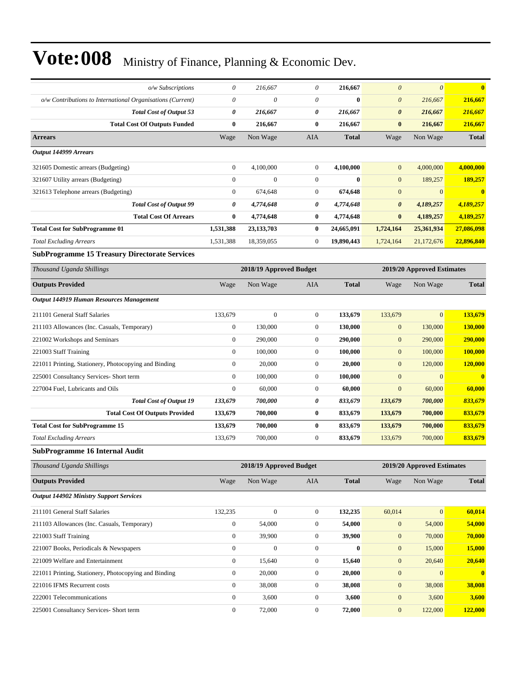| o/w Subscriptions                                                     | 0                | 216,667                 | $\theta$         | 216,667            | $\theta$                          | $\boldsymbol{\theta}$      | $\bf{0}$           |
|-----------------------------------------------------------------------|------------------|-------------------------|------------------|--------------------|-----------------------------------|----------------------------|--------------------|
|                                                                       | $\theta$         | 0                       | $\theta$         | $\bf{0}$           |                                   |                            |                    |
| o/w Contributions to International Organisations (Current)            | 0                |                         | 0                |                    | $\boldsymbol{\theta}$             | 216,667                    | 216,667            |
| <b>Total Cost of Output 53</b><br><b>Total Cost Of Outputs Funded</b> | $\bf{0}$         | 216,667<br>216,667      | 0                | 216,667<br>216,667 | $\boldsymbol{\theta}$<br>$\bf{0}$ | 216,667<br>216,667         | 216,667<br>216,667 |
|                                                                       |                  |                         |                  |                    |                                   |                            |                    |
| <b>Arrears</b>                                                        | Wage             | Non Wage                | <b>AIA</b>       | <b>Total</b>       | Wage                              | Non Wage                   | <b>Total</b>       |
| Output 144999 Arrears                                                 |                  |                         |                  |                    |                                   |                            |                    |
| 321605 Domestic arrears (Budgeting)                                   | $\boldsymbol{0}$ | 4,100,000               | $\boldsymbol{0}$ | 4,100,000          | $\mathbf{0}$                      | 4,000,000                  | 4,000,000          |
| 321607 Utility arrears (Budgeting)                                    | $\mathbf{0}$     | $\mathbf{0}$            | $\overline{0}$   | $\mathbf{0}$       | $\mathbf{0}$                      | 189,257                    | 189,257            |
| 321613 Telephone arrears (Budgeting)                                  | $\boldsymbol{0}$ | 674,648                 | $\boldsymbol{0}$ | 674,648            | $\mathbf{0}$                      | $\mathbf{0}$               | $\bf{0}$           |
| <b>Total Cost of Output 99</b>                                        | 0                | 4,774,648               | 0                | 4,774,648          | $\boldsymbol{\theta}$             | 4,189,257                  | 4,189,257          |
| <b>Total Cost Of Arrears</b>                                          | $\bf{0}$         | 4,774,648               | $\bf{0}$         | 4,774,648          | $\bf{0}$                          | 4,189,257                  | 4,189,257          |
| <b>Total Cost for SubProgramme 01</b>                                 | 1,531,388        | 23, 133, 703            | 0                | 24,665,091         | 1,724,164                         | 25,361,934                 | 27,086,098         |
| <b>Total Excluding Arrears</b>                                        | 1,531,388        | 18,359,055              | 0                | 19,890,443         | 1,724,164                         | 21,172,676                 | 22,896,840         |
| <b>SubProgramme 15 Treasury Directorate Services</b>                  |                  |                         |                  |                    |                                   |                            |                    |
| Thousand Uganda Shillings                                             |                  | 2018/19 Approved Budget |                  |                    |                                   | 2019/20 Approved Estimates |                    |
| <b>Outputs Provided</b>                                               | Wage             | Non Wage                | <b>AIA</b>       | <b>Total</b>       | Wage                              | Non Wage                   | <b>Total</b>       |
| Output 144919 Human Resources Management                              |                  |                         |                  |                    |                                   |                            |                    |
| 211101 General Staff Salaries                                         | 133,679          | $\boldsymbol{0}$        | $\boldsymbol{0}$ | 133,679            | 133,679                           | $\overline{0}$             | 133,679            |
| 211103 Allowances (Inc. Casuals, Temporary)                           | $\boldsymbol{0}$ | 130,000                 | $\boldsymbol{0}$ | 130,000            | $\boldsymbol{0}$                  | 130,000                    | 130,000            |
| 221002 Workshops and Seminars                                         | $\boldsymbol{0}$ | 290,000                 | $\boldsymbol{0}$ | 290,000            | $\mathbf{0}$                      | 290,000                    | 290,000            |
| 221003 Staff Training                                                 | $\boldsymbol{0}$ | 100,000                 | $\boldsymbol{0}$ | 100,000            | $\mathbf{0}$                      | 100,000                    | <b>100,000</b>     |
| 221011 Printing, Stationery, Photocopying and Binding                 | $\mathbf{0}$     | 20,000                  | $\boldsymbol{0}$ | 20,000             | $\mathbf{0}$                      | 120,000                    | 120,000            |
| 225001 Consultancy Services- Short term                               | $\mathbf{0}$     | 100,000                 | $\boldsymbol{0}$ | 100,000            | $\mathbf{0}$                      | $\mathbf{0}$               | $\bf{0}$           |
| 227004 Fuel, Lubricants and Oils                                      | $\boldsymbol{0}$ | 60,000                  | $\boldsymbol{0}$ | 60,000             | $\mathbf{0}$                      | 60,000                     | 60,000             |
| <b>Total Cost of Output 19</b>                                        | 133,679          | 700,000                 | 0                | 833,679            | 133,679                           | 700,000                    | 833,679            |
| <b>Total Cost Of Outputs Provided</b>                                 | 133,679          | 700,000                 | 0                | 833,679            | 133,679                           | 700,000                    | 833,679            |
| <b>Total Cost for SubProgramme 15</b>                                 | 133,679          | 700,000                 | 0                | 833,679            | 133,679                           | 700,000                    | 833,679            |
| <b>Total Excluding Arrears</b>                                        | 133,679          | 700,000                 | $\boldsymbol{0}$ | 833,679            | 133,679                           | 700,000                    | 833,679            |
| <b>SubProgramme 16 Internal Audit</b>                                 |                  |                         |                  |                    |                                   |                            |                    |
| Thousand Uganda Shillings                                             |                  | 2018/19 Approved Budget |                  |                    |                                   | 2019/20 Approved Estimates |                    |
| <b>Outputs Provided</b>                                               | Wage             | Non Wage                | AIA              | <b>Total</b>       | Wage                              | Non Wage                   | <b>Total</b>       |
| <b>Output 144902 Ministry Support Services</b>                        |                  |                         |                  |                    |                                   |                            |                    |
| 211101 General Staff Salaries                                         | 132,235          | $\boldsymbol{0}$        | $\boldsymbol{0}$ | 132,235            | 60,014                            | $\mathbf{0}$               | 60,014             |
| 211103 Allowances (Inc. Casuals, Temporary)                           | $\boldsymbol{0}$ | 54,000                  | $\boldsymbol{0}$ | 54,000             | $\mathbf{0}$                      | 54,000                     | 54,000             |
| 221003 Staff Training                                                 | $\boldsymbol{0}$ | 39,900                  | $\boldsymbol{0}$ | 39,900             | $\mathbf{0}$                      | 70,000                     | 70,000             |
| 221007 Books, Periodicals & Newspapers                                | $\boldsymbol{0}$ | $\boldsymbol{0}$        | $\boldsymbol{0}$ | $\bf{0}$           | $\boldsymbol{0}$                  | 15,000                     | 15,000             |
| 221009 Welfare and Entertainment                                      | $\boldsymbol{0}$ | 15,640                  | $\boldsymbol{0}$ | 15,640             | $\boldsymbol{0}$                  | 20,640                     | 20,640             |
| 221011 Printing, Stationery, Photocopying and Binding                 | $\boldsymbol{0}$ | 20,000                  | $\boldsymbol{0}$ | 20,000             | $\mathbf{0}$                      | $\mathbf{0}$               | $\mathbf{0}$       |
| 221016 IFMS Recurrent costs                                           | $\boldsymbol{0}$ | 38,008                  | 0                | 38,008             | $\mathbf{0}$                      | 38,008                     | 38,008             |
| 222001 Telecommunications                                             | $\boldsymbol{0}$ | 3,600                   | $\boldsymbol{0}$ | 3,600              | $\mathbf{0}$                      | 3,600                      | 3,600              |
| 225001 Consultancy Services- Short term                               | $\boldsymbol{0}$ | 72,000                  | $\boldsymbol{0}$ | 72,000             | $\boldsymbol{0}$                  | 122,000                    | 122,000            |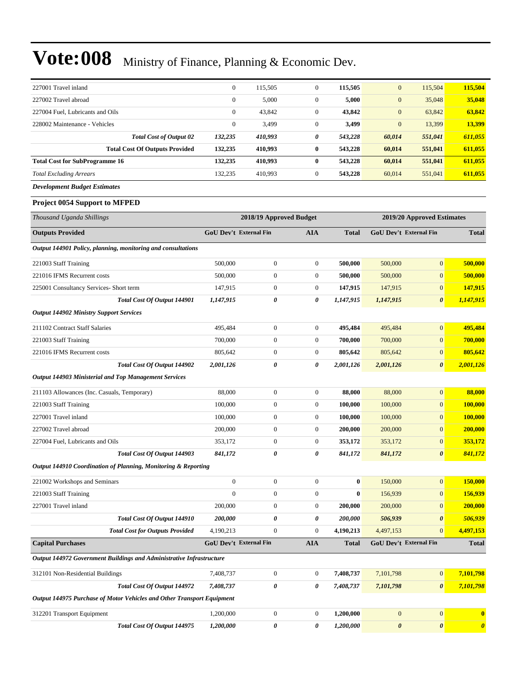| 227001 Travel inland                  | $\mathbf{0}$ | 115.505 | $\mathbf{0}$ | 115,505 | $\overline{0}$ | 115.504 | 115,504 |
|---------------------------------------|--------------|---------|--------------|---------|----------------|---------|---------|
| 227002 Travel abroad                  | $\mathbf{0}$ | 5,000   | $\mathbf{0}$ | 5,000   | $\overline{0}$ | 35,048  | 35,048  |
| 227004 Fuel, Lubricants and Oils      | $\mathbf{0}$ | 43.842  | $\mathbf{0}$ | 43,842  | $\overline{0}$ | 63.842  | 63,842  |
| 228002 Maintenance - Vehicles         | $\mathbf{0}$ | 3,499   | $\mathbf{0}$ | 3,499   | $\overline{0}$ | 13.399  | 13.399  |
| <b>Total Cost of Output 02</b>        | 132,235      | 410,993 | 0            | 543,228 | 60,014         | 551,041 | 611,055 |
| <b>Total Cost Of Outputs Provided</b> | 132,235      | 410.993 | $\bf{0}$     | 543,228 | 60.014         | 551,041 | 611,055 |
| <b>Total Cost for SubProgramme 16</b> | 132,235      | 410,993 | $\bf{0}$     | 543,228 | 60,014         | 551,041 | 611,055 |
| <b>Total Excluding Arrears</b>        | 132,235      | 410,993 | $\mathbf{0}$ | 543,228 | 60,014         | 551,041 | 611,055 |
| <b>Development Budget Estimates</b>   |              |         |              |         |                |         |         |

#### **Project 0054 Support to MFPED**

| Thousand Uganda Shillings                                              | 2018/19 Approved Budget |                               |                  |              | 2019/20 Approved Estimates |                               |                       |
|------------------------------------------------------------------------|-------------------------|-------------------------------|------------------|--------------|----------------------------|-------------------------------|-----------------------|
| <b>Outputs Provided</b>                                                |                         | <b>GoU Dev't External Fin</b> | <b>AIA</b>       | <b>Total</b> |                            | <b>GoU Dev't External Fin</b> | <b>Total</b>          |
| Output 144901 Policy, planning, monitoring and consultations           |                         |                               |                  |              |                            |                               |                       |
| 221003 Staff Training                                                  | 500,000                 | $\boldsymbol{0}$              | $\boldsymbol{0}$ | 500,000      | 500,000                    | $\overline{0}$                | 500,000               |
| 221016 IFMS Recurrent costs                                            | 500,000                 | $\boldsymbol{0}$              | $\mathbf{0}$     | 500,000      | 500,000                    | $\overline{0}$                | 500,000               |
| 225001 Consultancy Services- Short term                                | 147,915                 | $\boldsymbol{0}$              | $\boldsymbol{0}$ | 147,915      | 147,915                    | $\boldsymbol{0}$              | 147,915               |
| <b>Total Cost Of Output 144901</b>                                     | 1,147,915               | 0                             | 0                | 1,147,915    | 1,147,915                  | $\boldsymbol{\theta}$         | 1,147,915             |
| <b>Output 144902 Ministry Support Services</b>                         |                         |                               |                  |              |                            |                               |                       |
| 211102 Contract Staff Salaries                                         | 495,484                 | $\boldsymbol{0}$              | $\mathbf{0}$     | 495,484      | 495,484                    | $\overline{0}$                | 495,484               |
| 221003 Staff Training                                                  | 700,000                 | $\boldsymbol{0}$              | $\mathbf{0}$     | 700,000      | 700,000                    | $\overline{0}$                | 700,000               |
| 221016 IFMS Recurrent costs                                            | 805,642                 | $\boldsymbol{0}$              | $\mathbf{0}$     | 805,642      | 805,642                    | $\overline{0}$                | 805,642               |
| Total Cost Of Output 144902                                            | 2,001,126               | 0                             | 0                | 2,001,126    | 2,001,126                  | $\boldsymbol{\theta}$         | 2,001,126             |
| <b>Output 144903 Ministerial and Top Management Services</b>           |                         |                               |                  |              |                            |                               |                       |
| 211103 Allowances (Inc. Casuals, Temporary)                            | 88,000                  | $\boldsymbol{0}$              | $\mathbf{0}$     | 88,000       | 88,000                     | $\overline{0}$                | 88,000                |
| 221003 Staff Training                                                  | 100,000                 | $\boldsymbol{0}$              | $\mathbf{0}$     | 100,000      | 100,000                    | $\overline{0}$                | 100,000               |
| 227001 Travel inland                                                   | 100,000                 | $\boldsymbol{0}$              | $\mathbf{0}$     | 100,000      | 100,000                    | $\overline{0}$                | 100,000               |
| 227002 Travel abroad                                                   | 200,000                 | $\boldsymbol{0}$              | $\mathbf{0}$     | 200,000      | 200,000                    | $\boldsymbol{0}$              | 200,000               |
| 227004 Fuel, Lubricants and Oils                                       | 353,172                 | $\boldsymbol{0}$              | $\mathbf{0}$     | 353,172      | 353,172                    | $\overline{0}$                | 353,172               |
| <b>Total Cost Of Output 144903</b>                                     | 841,172                 | 0                             | 0                | 841,172      | 841,172                    | $\boldsymbol{\theta}$         | 841,172               |
| Output 144910 Coordination of Planning, Monitoring & Reporting         |                         |                               |                  |              |                            |                               |                       |
| 221002 Workshops and Seminars                                          | $\boldsymbol{0}$        | $\boldsymbol{0}$              | $\boldsymbol{0}$ | $\bf{0}$     | 150,000                    | $\boldsymbol{0}$              | 150,000               |
| 221003 Staff Training                                                  | $\overline{0}$          | $\boldsymbol{0}$              | $\mathbf{0}$     | $\bf{0}$     | 156,939                    | $\overline{0}$                | 156,939               |
| 227001 Travel inland                                                   | 200,000                 | $\boldsymbol{0}$              | $\mathbf{0}$     | 200,000      | 200,000                    | $\overline{0}$                | 200,000               |
| <b>Total Cost Of Output 144910</b>                                     | 200,000                 | 0                             | 0                | 200,000      | 506,939                    | 0                             | 506,939               |
| <b>Total Cost for Outputs Provided</b>                                 | 4,190,213               | $\boldsymbol{0}$              | $\boldsymbol{0}$ | 4,190,213    | 4,497,153                  | $\overline{0}$                | 4,497,153             |
| <b>Capital Purchases</b>                                               |                         | GoU Dev't External Fin        | <b>AIA</b>       | <b>Total</b> |                            | GoU Dev't External Fin        | <b>Total</b>          |
| Output 144972 Government Buildings and Administrative Infrastructure   |                         |                               |                  |              |                            |                               |                       |
| 312101 Non-Residential Buildings                                       | 7,408,737               | $\boldsymbol{0}$              | $\boldsymbol{0}$ | 7,408,737    | 7,101,798                  | $\overline{0}$                | 7,101,798             |
| <b>Total Cost Of Output 144972</b>                                     | 7,408,737               | 0                             | 0                | 7,408,737    | 7,101,798                  | $\boldsymbol{\theta}$         | 7,101,798             |
| Output 144975 Purchase of Motor Vehicles and Other Transport Equipment |                         |                               |                  |              |                            |                               |                       |
| 312201 Transport Equipment                                             | 1,200,000               | $\boldsymbol{0}$              | $\mathbf{0}$     | 1,200,000    | $\overline{0}$             | $\overline{0}$                | $\bf{0}$              |
| Total Cost Of Output 144975                                            | 1,200,000               | 0                             | 0                | 1,200,000    | $\boldsymbol{\theta}$      | $\boldsymbol{\theta}$         | $\boldsymbol{\theta}$ |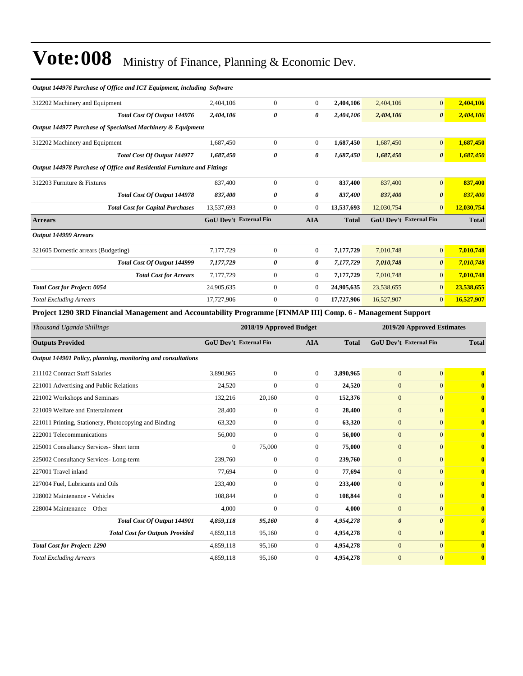| Output 144976 Purchase of Office and ICT Equipment, including Software                                       |                                                       |                  |                  |                        |                        |                       |                       |
|--------------------------------------------------------------------------------------------------------------|-------------------------------------------------------|------------------|------------------|------------------------|------------------------|-----------------------|-----------------------|
| 312202 Machinery and Equipment                                                                               | 2,404,106                                             | $\boldsymbol{0}$ | $\overline{0}$   | 2,404,106              | 2,404,106              | $\vert 0 \vert$       | 2,404,106             |
| Total Cost Of Output 144976                                                                                  | 2,404,106                                             | 0                | 0                | 2,404,106              | 2,404,106              | $\boldsymbol{\theta}$ | 2,404,106             |
| Output 144977 Purchase of Specialised Machinery & Equipment                                                  |                                                       |                  |                  |                        |                        |                       |                       |
| 312202 Machinery and Equipment                                                                               | 1,687,450                                             | $\boldsymbol{0}$ | $\overline{0}$   | 1,687,450              | 1,687,450              | $\mathbf{0}$          | 1,687,450             |
| Total Cost Of Output 144977                                                                                  | 1,687,450                                             | 0                | 0                | 1,687,450              | 1,687,450              | $\boldsymbol{\theta}$ | 1,687,450             |
| Output 144978 Purchase of Office and Residential Furniture and Fittings                                      |                                                       |                  |                  |                        |                        |                       |                       |
| 312203 Furniture & Fixtures                                                                                  | 837,400                                               | $\boldsymbol{0}$ | $\boldsymbol{0}$ | 837,400                | 837,400                | $\mathbf{0}$          | 837,400               |
| Total Cost Of Output 144978                                                                                  | 837,400                                               | 0                | 0                | 837,400                | 837,400                | $\boldsymbol{\theta}$ | 837,400               |
| <b>Total Cost for Capital Purchases</b>                                                                      | 13,537,693                                            | $\boldsymbol{0}$ | $\boldsymbol{0}$ | 13,537,693             | 12,030,754             | $\mathbf{0}$          | 12,030,754            |
| <b>Arrears</b>                                                                                               | <b>GoU Dev't External Fin</b>                         |                  | <b>AIA</b>       | <b>Total</b>           | GoU Dev't External Fin |                       | <b>Total</b>          |
| <b>Output 144999 Arrears</b>                                                                                 |                                                       |                  |                  |                        |                        |                       |                       |
| 321605 Domestic arrears (Budgeting)                                                                          | 7,177,729                                             | $\boldsymbol{0}$ | $\mathbf{0}$     | 7,177,729              | 7,010,748              | $\mathbf{0}$          | 7,010,748             |
| Total Cost Of Output 144999                                                                                  | 7,177,729                                             | 0                | 0                | 7,177,729              | 7,010,748              | $\boldsymbol{\theta}$ | 7,010,748             |
| <b>Total Cost for Arrears</b>                                                                                | 7,177,729                                             | $\boldsymbol{0}$ | $\boldsymbol{0}$ | 7,177,729              | 7,010,748              | $\boldsymbol{0}$      | 7,010,748             |
| <b>Total Cost for Project: 0054</b>                                                                          | 24,905,635                                            | $\boldsymbol{0}$ | $\overline{0}$   | 24,905,635             | 23,538,655             | $\mathbf{0}$          | 23,538,655            |
| <b>Total Excluding Arrears</b>                                                                               | 17,727,906                                            | $\boldsymbol{0}$ | $\mathbf{0}$     | 17,727,906             | 16,527,907             | $\mathbf{0}$          | 16,527,907            |
| Project 1290 3RD Financial Management and Accountability Programme [FINMAP III] Comp. 6 - Management Support |                                                       |                  |                  |                        |                        |                       |                       |
|                                                                                                              | 2018/19 Approved Budget<br>2019/20 Approved Estimates |                  |                  |                        |                        |                       |                       |
| Thousand Uganda Shillings                                                                                    |                                                       |                  |                  |                        |                        |                       |                       |
| <b>Outputs Provided</b>                                                                                      | <b>GoU Dev't External Fin</b>                         |                  | <b>AIA</b>       | Total                  | GoU Dev't External Fin |                       | <b>Total</b>          |
| Output 144901 Policy, planning, monitoring and consultations                                                 |                                                       |                  |                  |                        |                        |                       |                       |
| 211102 Contract Staff Salaries                                                                               | 3,890,965                                             | $\boldsymbol{0}$ | $\boldsymbol{0}$ | 3,890,965              | $\boldsymbol{0}$       | $\mathbf{0}$          | $\bf{0}$              |
| 221001 Advertising and Public Relations                                                                      | 24,520                                                | $\overline{0}$   | $\boldsymbol{0}$ | 24,520                 | $\mathbf{0}$           | $\mathbf{0}$          | $\bf{0}$              |
| 221002 Workshops and Seminars                                                                                | 132,216                                               | 20,160           | $\boldsymbol{0}$ | 152,376                | $\boldsymbol{0}$       | $\mathbf{0}$          | $\bf{0}$              |
| 221009 Welfare and Entertainment                                                                             | 28,400                                                | $\boldsymbol{0}$ | $\boldsymbol{0}$ | 28,400                 | $\boldsymbol{0}$       | $\mathbf{0}$          | $\bf{0}$              |
| 221011 Printing, Stationery, Photocopying and Binding                                                        | 63,320                                                | $\boldsymbol{0}$ | $\boldsymbol{0}$ | 63,320                 | $\mathbf{0}$           | $\mathbf{0}$          | $\bf{0}$              |
| 222001 Telecommunications                                                                                    | 56,000                                                | $\overline{0}$   | $\boldsymbol{0}$ | 56,000                 | $\boldsymbol{0}$       | $\mathbf{0}$          | $\mathbf{0}$          |
| 225001 Consultancy Services- Short term                                                                      | $\boldsymbol{0}$                                      | 75,000           | $\boldsymbol{0}$ | 75,000                 | $\mathbf{0}$           | $\mathbf{0}$          | $\bf{0}$              |
| 225002 Consultancy Services-Long-term                                                                        | 239,760                                               | $\boldsymbol{0}$ | $\mathbf{0}$     | 239,760                | $\mathbf{0}$           | $\mathbf{0}$          | $\bf{0}$              |
| 227001 Travel inland                                                                                         | 77,694                                                | $\boldsymbol{0}$ | $\boldsymbol{0}$ | 77,694                 | $\boldsymbol{0}$       | $\boldsymbol{0}$      | $\bf{0}$              |
| 227004 Fuel, Lubricants and Oils                                                                             | 233,400                                               | $\boldsymbol{0}$ | $\boldsymbol{0}$ | 233,400                | $\boldsymbol{0}$       | $\mathbf{0}$          | $\bf{0}$              |
| 228002 Maintenance - Vehicles                                                                                | 108,844                                               | $\boldsymbol{0}$ | $\boldsymbol{0}$ | 108,844                | $\boldsymbol{0}$       | $\mathbf{0}$          | $\mathbf{0}$          |
| 228004 Maintenance - Other                                                                                   | 4,000                                                 | $\boldsymbol{0}$ | $\boldsymbol{0}$ | 4,000                  | $\boldsymbol{0}$       | $\mathbf{0}$          | $\bf{0}$              |
| Total Cost Of Output 144901                                                                                  | 4,859,118                                             | 95,160           | 0                | 4,954,278              | $\pmb{\theta}$         | $\boldsymbol{\theta}$ | $\boldsymbol{\theta}$ |
| <b>Total Cost for Outputs Provided</b>                                                                       | 4,859,118                                             | 95,160           | $\boldsymbol{0}$ | 4,954,278              | $\boldsymbol{0}$       | $\boldsymbol{0}$      | $\bf{0}$              |
| <b>Total Cost for Project: 1290</b>                                                                          | 4,859,118                                             | 95,160           | $\overline{0}$   | 4,954,278<br>4,954,278 | $\boldsymbol{0}$       | $\mathbf{0}$          | $\mathbf{0}$          |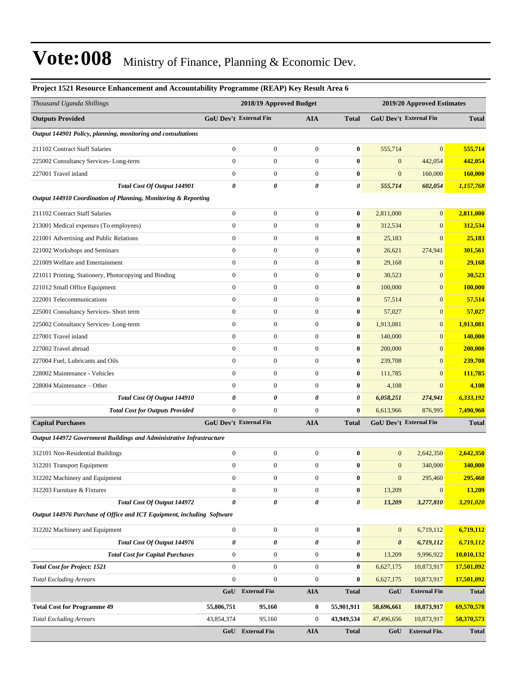| Project 1521 Resource Enhancement and Accountability Programme (REAP) Key Result Area 6 |                         |                               |                  |                  |                            |                               |              |  |
|-----------------------------------------------------------------------------------------|-------------------------|-------------------------------|------------------|------------------|----------------------------|-------------------------------|--------------|--|
| Thousand Uganda Shillings                                                               | 2018/19 Approved Budget |                               |                  |                  | 2019/20 Approved Estimates |                               |              |  |
| <b>Outputs Provided</b>                                                                 |                         | GoU Dev't External Fin        | AIA              | <b>Total</b>     |                            | <b>GoU Dev't External Fin</b> | <b>Total</b> |  |
| Output 144901 Policy, planning, monitoring and consultations                            |                         |                               |                  |                  |                            |                               |              |  |
| 211102 Contract Staff Salaries                                                          | $\boldsymbol{0}$        | $\boldsymbol{0}$              | $\boldsymbol{0}$ | $\bf{0}$         | 555,714                    | $\mathbf{0}$                  | 555,714      |  |
| 225002 Consultancy Services-Long-term                                                   | $\mathbf{0}$            | $\boldsymbol{0}$              | $\overline{0}$   | $\bf{0}$         | $\boldsymbol{0}$           | 442,054                       | 442,054      |  |
| 227001 Travel inland                                                                    | $\mathbf{0}$            | $\boldsymbol{0}$              | $\boldsymbol{0}$ | $\bf{0}$         | $\mathbf{0}$               | 160,000                       | 160,000      |  |
| Total Cost Of Output 144901                                                             | $\boldsymbol{\theta}$   | 0                             | 0                | 0                | 555,714                    | 602,054                       | 1,157,768    |  |
| Output 144910 Coordination of Planning, Monitoring & Reporting                          |                         |                               |                  |                  |                            |                               |              |  |
| 211102 Contract Staff Salaries                                                          | $\mathbf{0}$            | $\boldsymbol{0}$              | $\boldsymbol{0}$ | $\bf{0}$         | 2,811,000                  | $\mathbf{0}$                  | 2,811,000    |  |
| 213001 Medical expenses (To employees)                                                  | $\mathbf{0}$            | $\boldsymbol{0}$              | $\boldsymbol{0}$ | $\bf{0}$         | 312,534                    | $\mathbf{0}$                  | 312,534      |  |
| 221001 Advertising and Public Relations                                                 | $\mathbf{0}$            | $\boldsymbol{0}$              | $\boldsymbol{0}$ | $\bf{0}$         | 25,183                     | $\mathbf{0}$                  | 25,183       |  |
| 221002 Workshops and Seminars                                                           | $\mathbf{0}$            | $\boldsymbol{0}$              | $\boldsymbol{0}$ | $\bf{0}$         | 26,621                     | 274,941                       | 301,561      |  |
| 221009 Welfare and Entertainment                                                        | $\mathbf{0}$            | $\boldsymbol{0}$              | $\boldsymbol{0}$ | $\bf{0}$         | 29,168                     | $\overline{0}$                | 29,168       |  |
| 221011 Printing, Stationery, Photocopying and Binding                                   | $\mathbf{0}$            | $\boldsymbol{0}$              | $\boldsymbol{0}$ | $\bf{0}$         | 30,523                     | $\mathbf{0}$                  | 30,523       |  |
| 221012 Small Office Equipment                                                           | $\mathbf{0}$            | $\boldsymbol{0}$              | $\boldsymbol{0}$ | $\bf{0}$         | 100,000                    | $\mathbf{0}$                  | 100,000      |  |
| 222001 Telecommunications                                                               | $\mathbf{0}$            | $\boldsymbol{0}$              | $\boldsymbol{0}$ | $\bf{0}$         | 57,514                     | $\mathbf{0}$                  | 57,514       |  |
| 225001 Consultancy Services- Short term                                                 | $\mathbf{0}$            | $\boldsymbol{0}$              | $\boldsymbol{0}$ | $\bf{0}$         | 57,027                     | $\mathbf{0}$                  | 57,027       |  |
| 225002 Consultancy Services-Long-term                                                   | $\mathbf{0}$            | $\boldsymbol{0}$              | $\boldsymbol{0}$ | $\bf{0}$         | 1,913,081                  | $\mathbf{0}$                  | 1,913,081    |  |
| 227001 Travel inland                                                                    | $\mathbf{0}$            | $\boldsymbol{0}$              | $\boldsymbol{0}$ | $\bf{0}$         | 140,000                    | $\overline{0}$                | 140,000      |  |
| 227002 Travel abroad                                                                    | $\mathbf{0}$            | $\boldsymbol{0}$              | $\boldsymbol{0}$ | $\bf{0}$         | 200,000                    | $\mathbf{0}$                  | 200,000      |  |
| 227004 Fuel, Lubricants and Oils                                                        | $\mathbf{0}$            | $\boldsymbol{0}$              | $\boldsymbol{0}$ | $\bf{0}$         | 239,708                    | $\mathbf{0}$                  | 239,708      |  |
| 228002 Maintenance - Vehicles                                                           | $\mathbf{0}$            | $\boldsymbol{0}$              | $\boldsymbol{0}$ | $\bf{0}$         | 111,785                    | $\mathbf{0}$                  | 111,785      |  |
| 228004 Maintenance – Other                                                              | $\mathbf{0}$            | $\boldsymbol{0}$              | $\boldsymbol{0}$ | $\bf{0}$         | 4,108                      | $\mathbf{0}$                  | 4,108        |  |
| Total Cost Of Output 144910                                                             | $\boldsymbol{\theta}$   | 0                             | 0                | 0                | 6,058,251                  | 274,941                       | 6,333,192    |  |
| <b>Total Cost for Outputs Provided</b>                                                  | $\mathbf{0}$            | $\boldsymbol{0}$              | $\overline{0}$   | $\bf{0}$         | 6,613,966                  | 876,995                       | 7,490,960    |  |
| <b>Capital Purchases</b>                                                                |                         | <b>GoU Dev't External Fin</b> | <b>AIA</b>       | <b>Total</b>     |                            | <b>GoU Dev't External Fin</b> | <b>Total</b> |  |
| Output 144972 Government Buildings and Administrative Infrastructure                    |                         |                               |                  |                  |                            |                               |              |  |
| 312101 Non-Residential Buildings                                                        | $\boldsymbol{0}$        | $\boldsymbol{0}$              | $\boldsymbol{0}$ | $\bf{0}$         | $\mathbf{0}$               | 2,642,350                     | 2,642,350    |  |
| 312201 Transport Equipment                                                              | $\Omega$                | $\overline{0}$                | $\Omega$         | $\mathbf{0}$     | $\mathbf{0}$               | 340,000                       | 340,000      |  |
| 312202 Machinery and Equipment                                                          | $\boldsymbol{0}$        | $\boldsymbol{0}$              | $\boldsymbol{0}$ | $\bf{0}$         | $\mathbf{0}$               | 295,460                       | 295,460      |  |
| 312203 Furniture & Fixtures                                                             | $\boldsymbol{0}$        | $\boldsymbol{0}$              | $\boldsymbol{0}$ | $\boldsymbol{0}$ | 13,209                     | $\mathbf{0}$                  | 13,209       |  |
| <b>Total Cost Of Output 144972</b>                                                      | $\boldsymbol{\theta}$   | 0                             | 0                | 0                | 13,209                     | 3,277,810                     | 3,291,020    |  |
| Output 144976 Purchase of Office and ICT Equipment, including Software                  |                         |                               |                  |                  |                            |                               |              |  |
| 312202 Machinery and Equipment                                                          | $\boldsymbol{0}$        | $\boldsymbol{0}$              | $\boldsymbol{0}$ | $\boldsymbol{0}$ | $\mathbf{0}$               | 6,719,112                     | 6,719,112    |  |
| Total Cost Of Output 144976                                                             | $\pmb{\theta}$          | 0                             | 0                | 0                | $\pmb{\theta}$             | 6,719,112                     | 6,719,112    |  |
| <b>Total Cost for Capital Purchases</b>                                                 | $\boldsymbol{0}$        | $\boldsymbol{0}$              | $\boldsymbol{0}$ | $\bf{0}$         | 13,209                     | 9,996,922                     | 10,010,132   |  |
| <b>Total Cost for Project: 1521</b>                                                     | $\boldsymbol{0}$        | $\boldsymbol{0}$              | $\boldsymbol{0}$ | $\bf{0}$         | 6,627,175                  | 10,873,917                    | 17,501,092   |  |
| <b>Total Excluding Arrears</b>                                                          | $\boldsymbol{0}$        | $\overline{0}$                | $\boldsymbol{0}$ | $\bf{0}$         | 6,627,175                  | 10,873,917                    | 17,501,092   |  |
|                                                                                         |                         | GoU External Fin              | <b>AIA</b>       | <b>Total</b>     | GoU                        | <b>External Fin</b>           | <b>Total</b> |  |
| <b>Total Cost for Programme 49</b>                                                      | 55,806,751              | 95,160                        | $\bf{0}$         | 55,901,911       | 58,696,661                 | 10,873,917                    | 69,570,578   |  |
| <b>Total Excluding Arrears</b>                                                          | 43,854,374              | 95,160                        | $\boldsymbol{0}$ | 43,949,534       | 47,496,656                 | 10,873,917                    | 58,370,573   |  |
|                                                                                         | GoU                     | <b>External Fin</b>           | <b>AIA</b>       | <b>Total</b>     | GoU                        | <b>External Fin.</b>          | <b>Total</b> |  |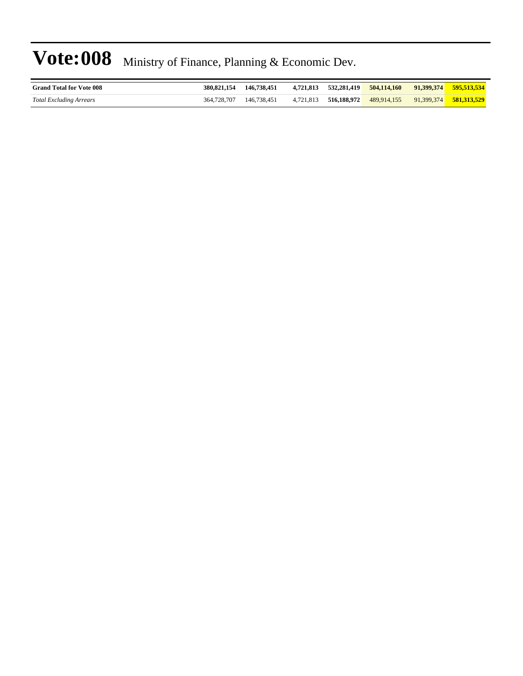| <b>Grand Total for Vote 008</b> | 380,821,154 | 146.738.451 |  | 4.721.813 532.281.419 504.114.160 | 91.399.374 595.513.534 |
|---------------------------------|-------------|-------------|--|-----------------------------------|------------------------|
| Total Excluding Arrears         | 364,728,707 | 146.738.451 |  | 4,721,813 516,188,972 489,914,155 | 91,399,374 581,313,529 |